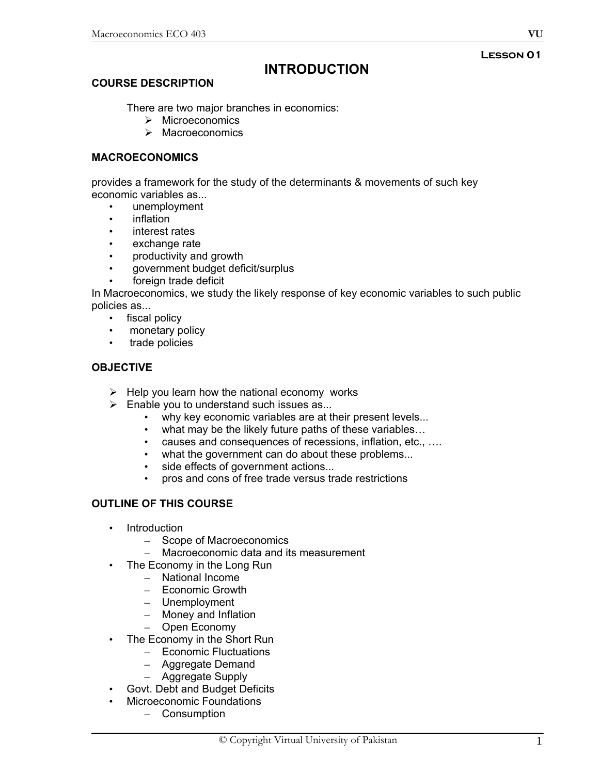# **Lesson 01**

# **INTRODUCTION**

# **COURSE DESCRIPTION**

There are two major branches in economics:

- ¾ Microeconomics
- ¾ Macroeconomics

#### **MACROECONOMICS**

provides a framework for the study of the determinants & movements of such key economic variables as...

- unemployment
- inflation
- interest rates
- exchange rate
- productivity and growth
- government budget deficit/surplus
- foreign trade deficit

In Macroeconomics, we study the likely response of key economic variables to such public policies as...

- fiscal policy
- monetary policy
- trade policies

#### **OBJECTIVE**

- $\triangleright$  Help you learn how the national economy works
- $\triangleright$  Enable you to understand such issues as...
	- why key economic variables are at their present levels...
		- what may be the likely future paths of these variables...
	- causes and consequences of recessions, inflation, etc., ….
	- what the government can do about these problems...
	- side effects of government actions...
	- pros and cons of free trade versus trade restrictions

#### **OUTLINE OF THIS COURSE**

- **Introduction** 
	- Scope of Macroeconomics
	- Macroeconomic data and its measurement
- The Economy in the Long Run
	- National Income
	- Economic Growth
	- Unemployment
	- Money and Inflation
	- Open Economy
	- The Economy in the Short Run
		- Economic Fluctuations
		- Aggregate Demand
		- Aggregate Supply
- Govt. Debt and Budget Deficits
- Microeconomic Foundations
	- Consumption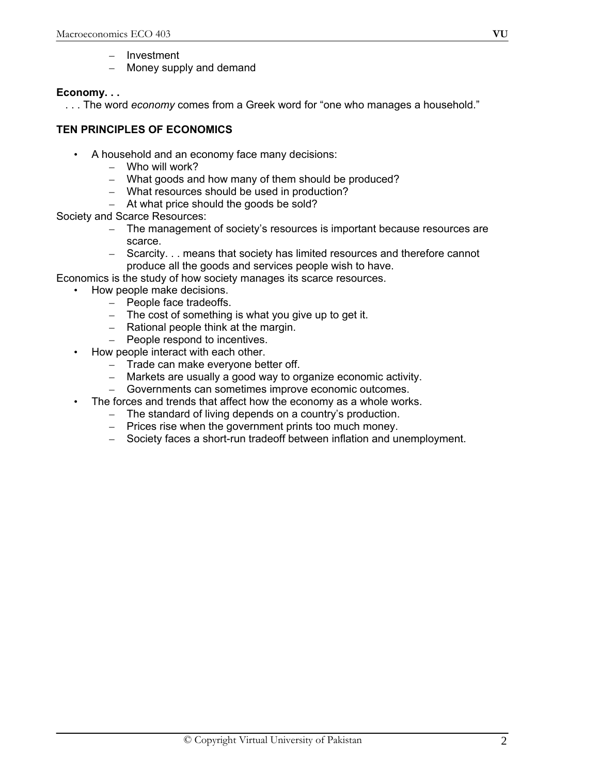- Investment
- Money supply and demand

### **Economy. . .**

. . . The word *economy* comes from a Greek word for "one who manages a household."

# **TEN PRINCIPLES OF ECONOMICS**

- A household and an economy face many decisions:
	- Who will work?
	- What goods and how many of them should be produced?
	- What resources should be used in production?
	- At what price should the goods be sold?
- Society and Scarce Resources:
	- The management of society's resources is important because resources are scarce.
	- Scarcity. . . means that society has limited resources and therefore cannot produce all the goods and services people wish to have.

Economics is the study of how society manages its scarce resources.

- How people make decisions.
	- People face tradeoffs.
	- The cost of something is what you give up to get it.
	- Rational people think at the margin.
	- People respond to incentives.
- How people interact with each other.
	- Trade can make everyone better off.
	- Markets are usually a good way to organize economic activity.
	- Governments can sometimes improve economic outcomes.
- The forces and trends that affect how the economy as a whole works.
	- The standard of living depends on a country's production.
	- Prices rise when the government prints too much money.
	- Society faces a short-run tradeoff between inflation and unemployment.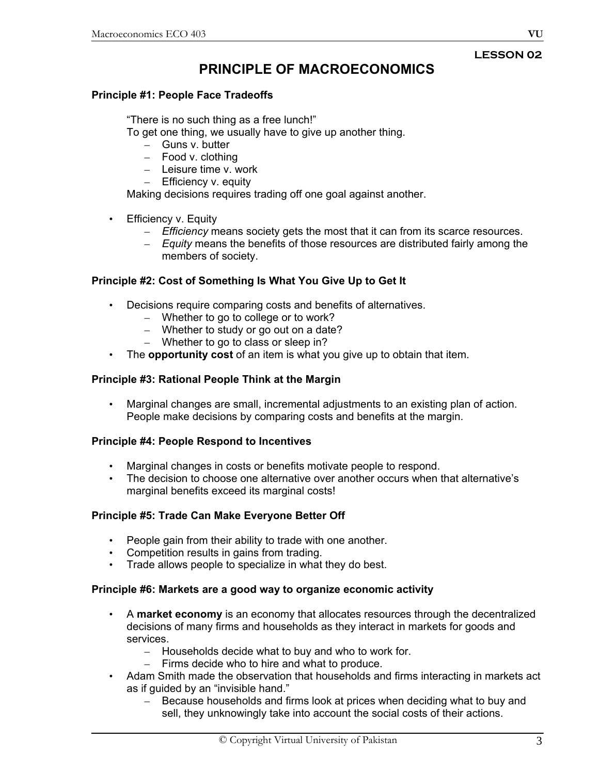## **LESSON 02**

# **PRINCIPLE OF MACROECONOMICS**

#### **Principle #1: People Face Tradeoffs**

"There is no such thing as a free lunch!"

To get one thing, we usually have to give up another thing.

- Guns v. butter
- Food v. clothing
- Leisure time v. work
- Efficiency v. equity

Making decisions requires trading off one goal against another.

- **Efficiency v. Equity** 
	- *Efficiency* means society gets the most that it can from its scarce resources.
	- *Equity* means the benefits of those resources are distributed fairly among the members of society.

### **Principle #2: Cost of Something Is What You Give Up to Get It**

- Decisions require comparing costs and benefits of alternatives.
	- Whether to go to college or to work?
	- Whether to study or go out on a date?
	- Whether to go to class or sleep in?
- The **opportunity cost** of an item is what you give up to obtain that item.

### **Principle #3: Rational People Think at the Margin**

• Marginal changes are small, incremental adjustments to an existing plan of action. People make decisions by comparing costs and benefits at the margin.

#### **Principle #4: People Respond to Incentives**

- Marginal changes in costs or benefits motivate people to respond.
- The decision to choose one alternative over another occurs when that alternative's marginal benefits exceed its marginal costs!

#### **Principle #5: Trade Can Make Everyone Better Off**

- People gain from their ability to trade with one another.
- Competition results in gains from trading.
- Trade allows people to specialize in what they do best.

#### **Principle #6: Markets are a good way to organize economic activity**

- A **market economy** is an economy that allocates resources through the decentralized decisions of many firms and households as they interact in markets for goods and services.
	- Households decide what to buy and who to work for.
	- Firms decide who to hire and what to produce.
- Adam Smith made the observation that households and firms interacting in markets act as if guided by an "invisible hand."
	- Because households and firms look at prices when deciding what to buy and sell, they unknowingly take into account the social costs of their actions.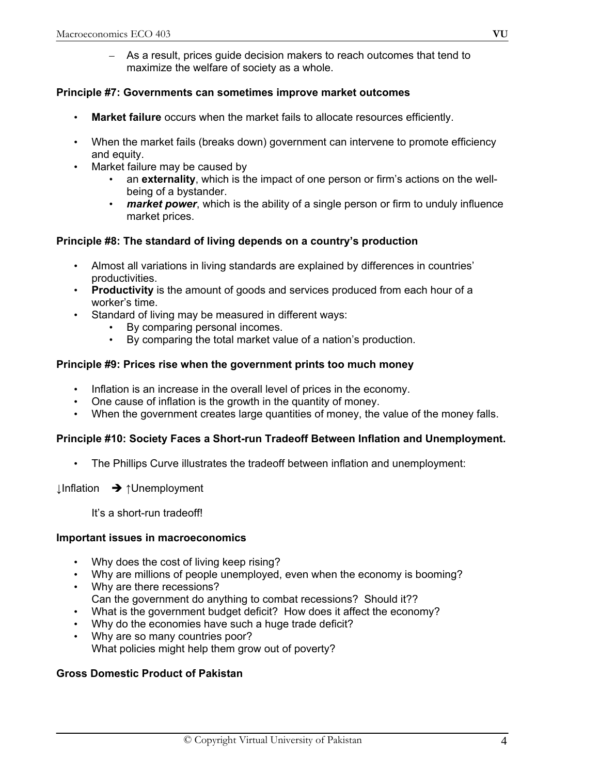– As a result, prices guide decision makers to reach outcomes that tend to maximize the welfare of society as a whole.

#### **Principle #7: Governments can sometimes improve market outcomes**

- **Market failure** occurs when the market fails to allocate resources efficiently.
- When the market fails (breaks down) government can intervene to promote efficiency and equity.
- Market failure may be caused by
	- an **externality**, which is the impact of one person or firm's actions on the wellbeing of a bystander.
	- market power, which is the ability of a single person or firm to unduly influence market prices.

#### **Principle #8: The standard of living depends on a country's production**

- Almost all variations in living standards are explained by differences in countries' productivities.
- **Productivity** is the amount of goods and services produced from each hour of a worker's time.
- Standard of living may be measured in different ways:
	- By comparing personal incomes.
	- By comparing the total market value of a nation's production.

#### **Principle #9: Prices rise when the government prints too much money**

- Inflation is an increase in the overall level of prices in the economy.
- One cause of inflation is the growth in the quantity of money.
- When the government creates large quantities of money, the value of the money falls.

#### **Principle #10: Society Faces a Short-run Tradeoff Between Inflation and Unemployment.**

• The Phillips Curve illustrates the tradeoff between inflation and unemployment:

↓Inflation → ↑Unemployment

It's a short-run tradeoff!

#### **Important issues in macroeconomics**

- Why does the cost of living keep rising?
- Why are millions of people unemployed, even when the economy is booming?
- Why are there recessions? Can the government do anything to combat recessions? Should it??
- What is the government budget deficit? How does it affect the economy?
- Why do the economies have such a huge trade deficit?
- Why are so many countries poor? What policies might help them grow out of poverty?

#### **Gross Domestic Product of Pakistan**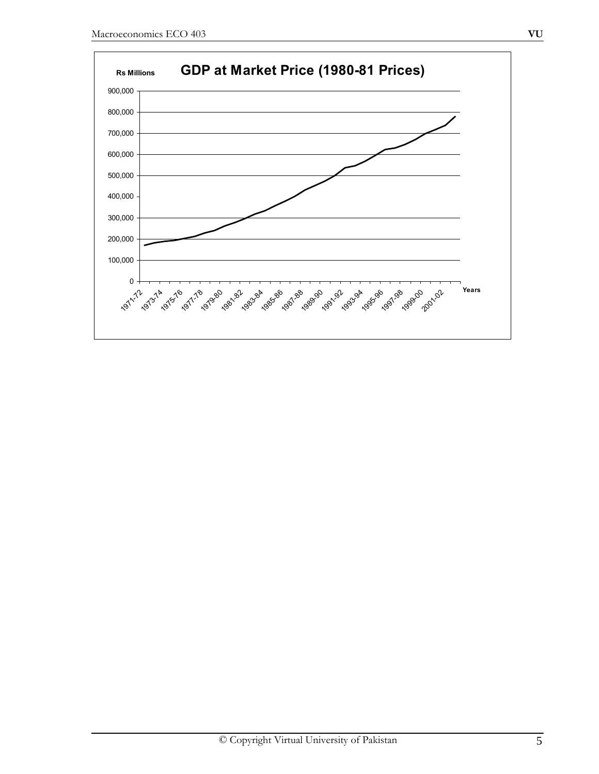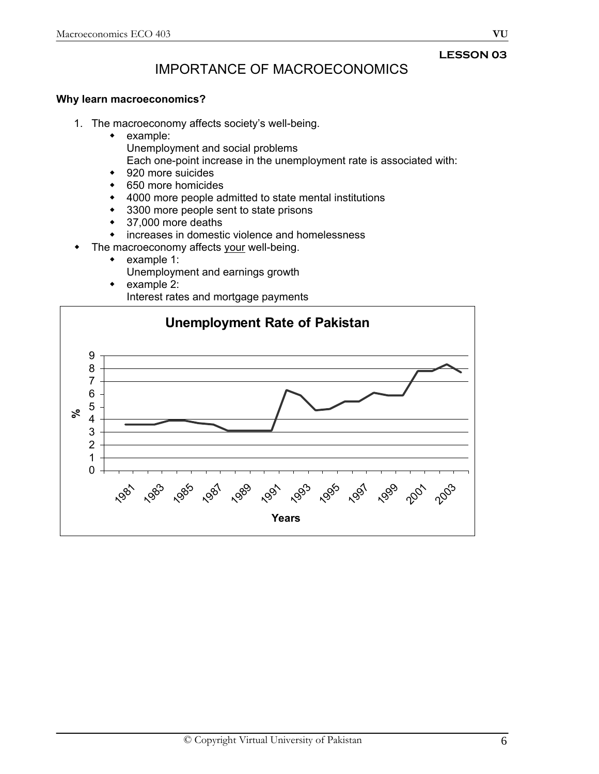# **LESSON 03**

# IMPORTANCE OF MACROECONOMICS

### **Why learn macroeconomics?**

- 1. The macroeconomy affects society's well-being.
	- example: Unemployment and social problems Each one-point increase in the unemployment rate is associated with:
	- ◆ 920 more suicides
	- 650 more homicides
	- 4000 more people admitted to state mental institutions
	- 3300 more people sent to state prisons
	- ◆ 37,000 more deaths
	- increases in domestic violence and homelessness
- The macroeconomy affects your well-being.
	- example 1:
	- Unemployment and earnings growth
	- $\bullet$  example 2: Interest rates and mortgage payments

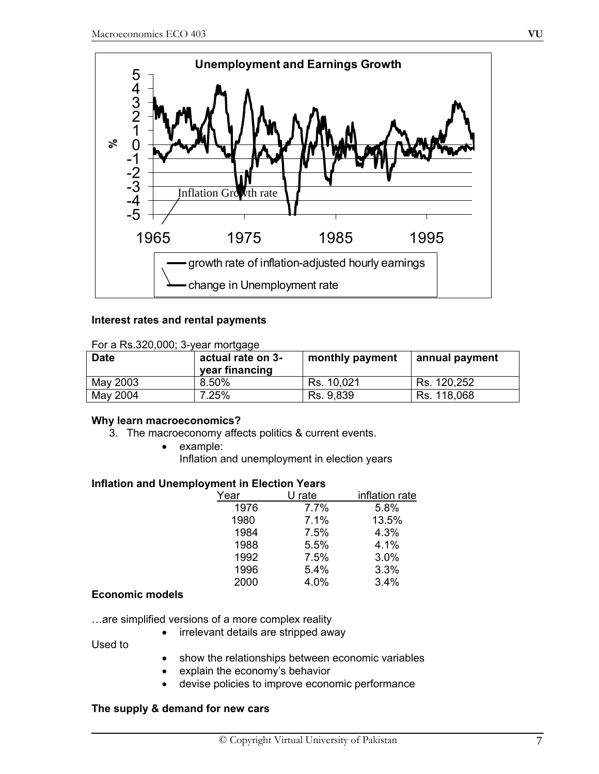

#### **Interest rates and rental payments**

| For a Rs.320,000; 3-year mortgage |  |
|-----------------------------------|--|
|-----------------------------------|--|

| <b>Date</b> | actual rate on 3-<br>year financing | monthly payment | annual payment |
|-------------|-------------------------------------|-----------------|----------------|
| May 2003    | 8.50%                               | Rs. 10,021      | Rs. 120,252    |
| May 2004    | 7.25%                               | Rs. 9,839       | Rs. 118,068    |

#### **Why learn macroeconomics?**

- 3. The macroeconomy affects politics & current events.
	- example:
		- Inflation and unemployment in election years

#### **Inflation and Unemployment in Election Years**

| Year | U rate | inflation rate |
|------|--------|----------------|
| 1976 | 7.7%   | 5.8%           |
| 1980 | 7.1%   | 13.5%          |
| 1984 | 7.5%   | 4.3%           |
| 1988 | 5.5%   | 4.1%           |
| 1992 | 7.5%   | 3.0%           |
| 1996 | 5.4%   | 3.3%           |
| 2000 | 4.0%   | 3.4%           |
|      |        |                |

#### **Economic models**

…are simplified versions of a more complex reality

• irrelevant details are stripped away

Used to

- show the relationships between economic variables
- explain the economy's behavior
- devise policies to improve economic performance

#### **The supply & demand for new cars**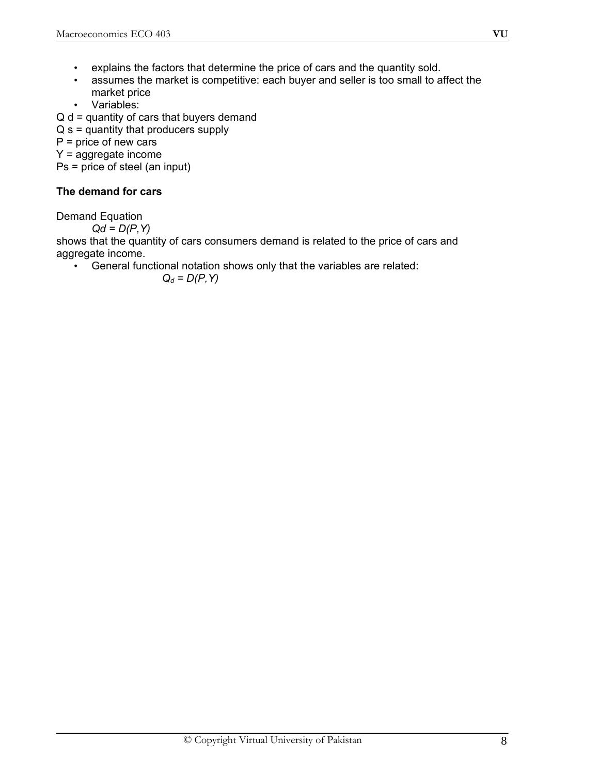- explains the factors that determine the price of cars and the quantity sold.
- assumes the market is competitive: each buyer and seller is too small to affect the market price
- Variables:

 $Q$  d = quantity of cars that buyers demand

 $Q$  s = quantity that producers supply

 $P = price of new cars$ 

Y = aggregate income

Ps = price of steel (an input)

# **The demand for cars**

Demand Equation

*Qd = D(P,Y)* 

shows that the quantity of cars consumers demand is related to the price of cars and aggregate income.

• General functional notation shows only that the variables are related:

 $Q_d = D(P, Y)$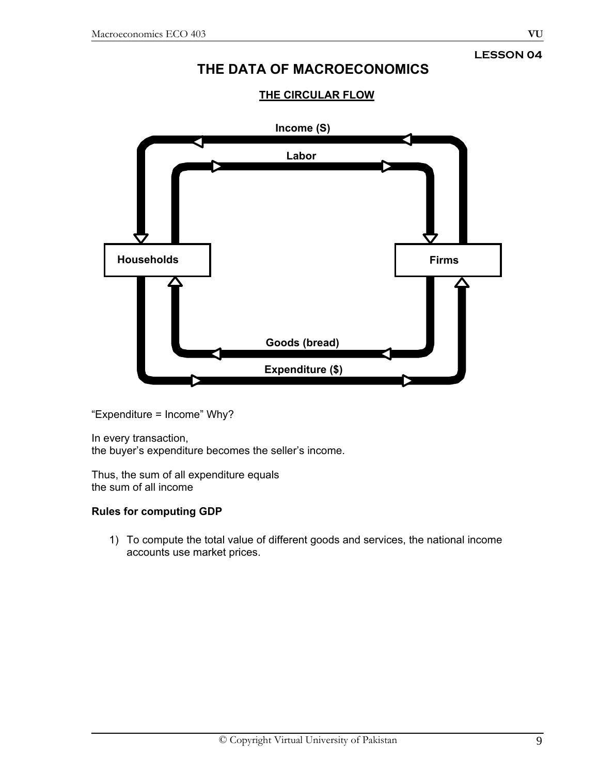# **THE DATA OF MACROECONOMICS**

# **THE CIRCULAR FLOW**



<sup>&</sup>quot;Expenditure = Income" Why?

In every transaction, the buyer's expenditure becomes the seller's income.

Thus, the sum of all expenditure equals the sum of all income

# **Rules for computing GDP**

1) To compute the total value of different goods and services, the national income accounts use market prices.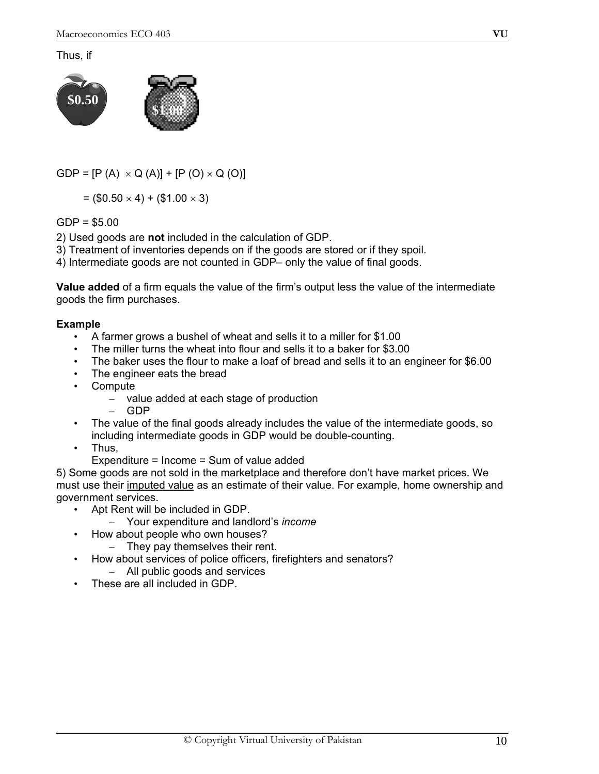#### Thus, if



 $GDP = [P (A) \times Q (A)] + [P (O) \times Q (O)]$ 

 $= (\$0.50 \times 4) + (\$1.00 \times 3)$ 

 $GDP = $5.00$ 

2) Used goods are **not** included in the calculation of GDP.

3) Treatment of inventories depends on if the goods are stored or if they spoil.

4) Intermediate goods are not counted in GDP– only the value of final goods.

**Value added** of a firm equals the value of the firm's output less the value of the intermediate goods the firm purchases.

### **Example**

- A farmer grows a bushel of wheat and sells it to a miller for \$1.00
- The miller turns the wheat into flour and sells it to a baker for \$3.00
- The baker uses the flour to make a loaf of bread and sells it to an engineer for \$6.00
- The engineer eats the bread
- Compute
	- value added at each stage of production
	- GDP
- The value of the final goods already includes the value of the intermediate goods, so including intermediate goods in GDP would be double-counting.
- Thus,
	- Expenditure = Income = Sum of value added

5) Some goods are not sold in the marketplace and therefore don't have market prices. We must use their imputed value as an estimate of their value. For example, home ownership and government services.

- Apt Rent will be included in GDP.
	- Your expenditure and landlord's *income*
- How about people who own houses?
	- They pay themselves their rent.
- How about services of police officers, firefighters and senators?
	- All public goods and services
- These are all included in GDP.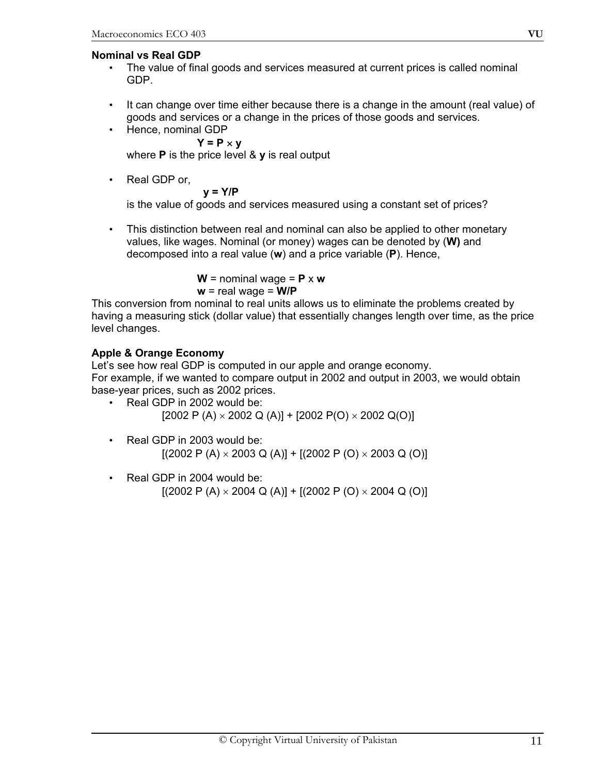# **Nominal vs Real GDP**

- The value of final goods and services measured at current prices is called nominal GDP.
- It can change over time either because there is a change in the amount (real value) of goods and services or a change in the prices of those goods and services.

• Hence, nominal GDP

 **Y = P** × **y** 

where **P** is the price level & **y** is real output

• Real GDP or,

**y = Y/P** 

is the value of goods and services measured using a constant set of prices?

• This distinction between real and nominal can also be applied to other monetary values, like wages. Nominal (or money) wages can be denoted by (**W)** and decomposed into a real value (**w**) and a price variable (**P**). Hence,

 $W =$  nominal wage =  $P \times w$ 

$$
w =
$$
real wage =  $W/P$ 

This conversion from nominal to real units allows us to eliminate the problems created by having a measuring stick (dollar value) that essentially changes length over time, as the price level changes.

# **Apple & Orange Economy**

Let's see how real GDP is computed in our apple and orange economy. For example, if we wanted to compare output in 2002 and output in 2003, we would obtain base-year prices, such as 2002 prices.

• Real GDP in 2002 would be:  $[2002 \ P (A) \times 2002 \ Q (A)] + [2002 \ P (O) \times 2002 \ Q (O)]$ 

• Real GDP in 2003 would be: [(2002 P (A) × 2003 Q (A)] + [(2002 P (O) × 2003 Q (O)]

Real GDP in 2004 would be:  $[(2002 \text{ P } (A) \times 2004 \text{ Q } (A)] + [(2002 \text{ P } (O) \times 2004 \text{ Q } (O)]]$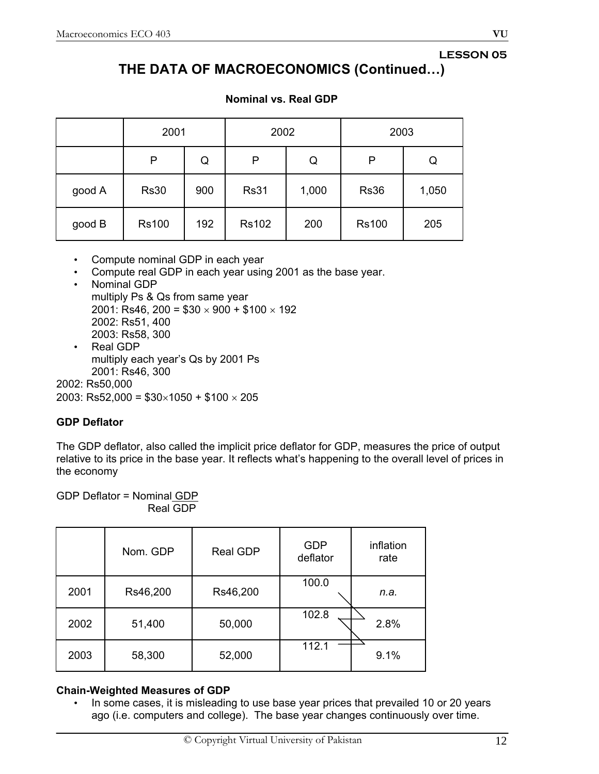# **LESSON 05**

# **THE DATA OF MACROECONOMICS (Continued…)**

# **Nominal vs. Real GDP**

|        | 2001         |     | 2002         |       | 2003         |       |
|--------|--------------|-----|--------------|-------|--------------|-------|
|        | P            | Q   | P            | Q     | P            | Q     |
| good A | <b>Rs30</b>  | 900 | <b>Rs31</b>  | 1,000 | <b>Rs36</b>  | 1,050 |
| good B | <b>Rs100</b> | 192 | <b>Rs102</b> | 200   | <b>Rs100</b> | 205   |

- Compute nominal GDP in each year
- Compute real GDP in each year using 2001 as the base year.
- Nominal GDP multiply Ps & Qs from same year 2001: Rs46, 200 =  $$30 \times 900 + $100 \times 192$  2002: Rs51, 400 2003: Rs58, 300 • Real GDP
- multiply each year's Qs by 2001 Ps 2001: Rs46, 300 2002: Rs50,000 2003: Rs52,000 =  $$30\times1050 + $100 \times 205$

# **GDP Deflator**

The GDP deflator, also called the implicit price deflator for GDP, measures the price of output relative to its price in the base year. It reflects what's happening to the overall level of prices in the economy

GDP Deflator = Nominal GDP Real GDP

|      | Nom. GDP | <b>Real GDP</b> | <b>GDP</b><br>deflator | inflation<br>rate |
|------|----------|-----------------|------------------------|-------------------|
| 2001 | Rs46,200 | Rs46,200        | 100.0                  | n.a.              |
| 2002 | 51,400   | 50,000          | 102.8                  | 2.8%              |
| 2003 | 58,300   | 52,000          | 112.1                  | 9.1%              |

# **Chain-Weighted Measures of GDP**

• In some cases, it is misleading to use base year prices that prevailed 10 or 20 years ago (i.e. computers and college). The base year changes continuously over time.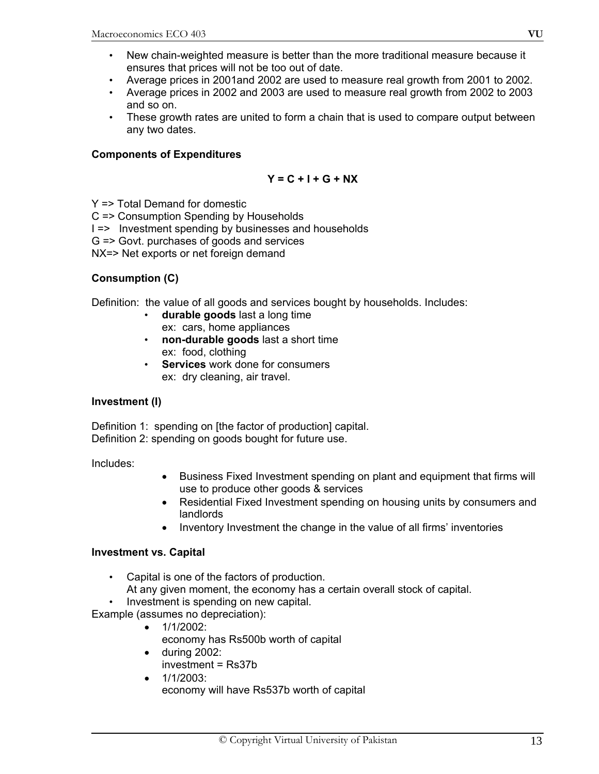- Average prices in 2001and 2002 are used to measure real growth from 2001 to 2002.
- Average prices in 2002 and 2003 are used to measure real growth from 2002 to 2003 and so on.
- These growth rates are united to form a chain that is used to compare output between any two dates.

#### **Components of Expenditures**

### $Y = C + I + G + NX$

- Y => Total Demand for domestic
- C => Consumption Spending by Households
- I => Investment spending by businesses and households
- G => Govt. purchases of goods and services
- NX=> Net exports or net foreign demand

### **Consumption (C)**

Definition: the value of all goods and services bought by households. Includes:

- **durable goods** last a long time ex: cars, home appliances
- **non-durable goods** last a short time ex: food, clothing
- **Services** work done for consumers ex: dry cleaning, air travel.

#### **Investment (I)**

Definition 1: spending on [the factor of production] capital. Definition 2: spending on goods bought for future use.

Includes:

- Business Fixed Investment spending on plant and equipment that firms will use to produce other goods & services
- Residential Fixed Investment spending on housing units by consumers and landlords
- Inventory Investment the change in the value of all firms' inventories

#### **Investment vs. Capital**

- Capital is one of the factors of production. At any given moment, the economy has a certain overall stock of capital.
- Investment is spending on new capital.

Example (assumes no depreciation):

- 1/1/2002: economy has Rs500b worth of capital
- during 2002:
	- investment = Rs37b
- 1/1/2003: economy will have Rs537b worth of capital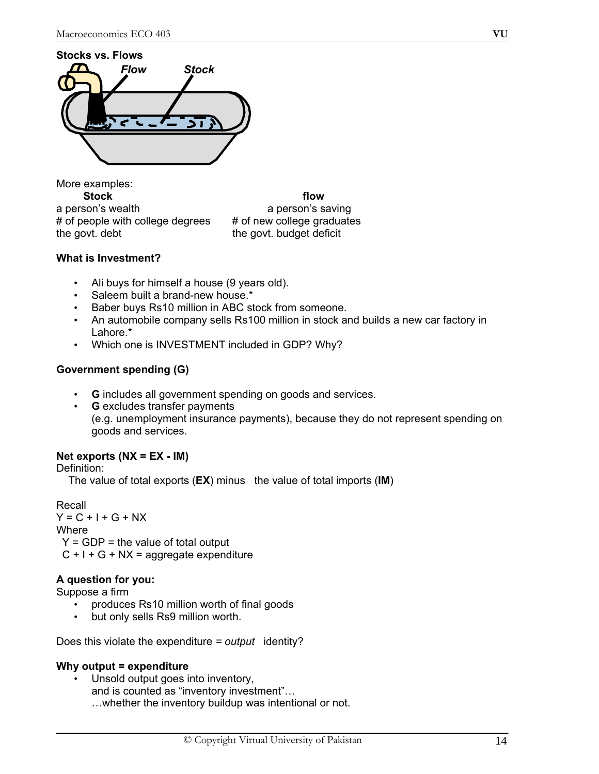

More examples: **Stock** flow **flow** a person's wealth a person's saving  $#$  of people with college degrees  $#$  of new college graduates the govt. debt the govt. budget deficit

# **What is Investment?**

- Ali buys for himself a house (9 years old).
- Saleem built a brand-new house.\*
- Baber buys Rs10 million in ABC stock from someone.
- An automobile company sells Rs100 million in stock and builds a new car factory in Lahore.\*
- Which one is INVESTMENT included in GDP? Why?

# **Government spending (G)**

- **G** includes all government spending on goods and services.
- **G** excludes transfer payments (e.g. unemployment insurance payments), because they do not represent spending on goods and services.

# **Net exports (NX = EX - IM)**

Definition:

The value of total exports (**EX**) minus the value of total imports (**IM**)

Recall  $Y = C + I + G + NX$ **Where**  $Y = GDP = the value of total output$  $C + I + G + NX =$  aggregate expenditure

# **A question for you:**

Suppose a firm

- produces Rs10 million worth of final goods
- but only sells Rs9 million worth.

Does this violate the expenditure *= output* identity?

#### **Why output = expenditure**

• Unsold output goes into inventory, and is counted as "inventory investment"… …whether the inventory buildup was intentional or not.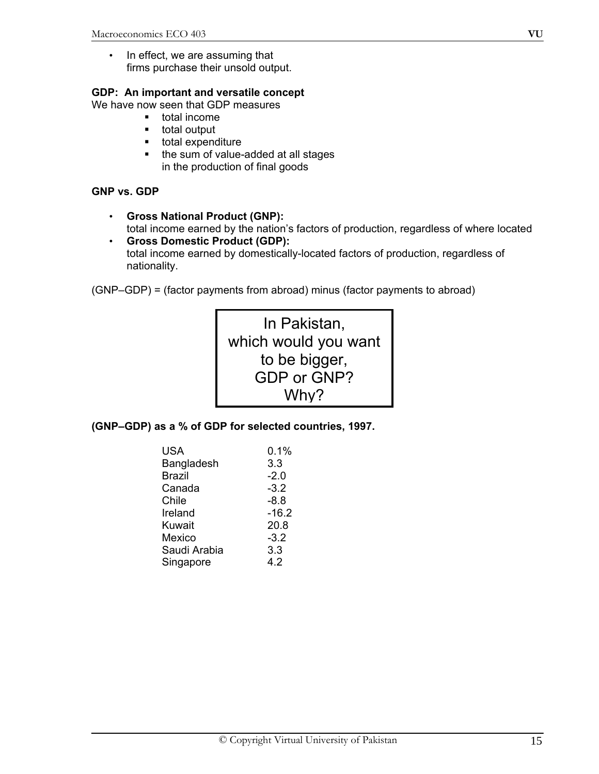• In effect, we are assuming that firms purchase their unsold output.

## **GDP: An important and versatile concept**

We have now seen that GDP measures

- total income
- **total output**
- **total expenditure**
- the sum of value-added at all stages in the production of final goods

#### **GNP vs. GDP**

- **Gross National Product (GNP):**  total income earned by the nation's factors of production, regardless of where located
- **Gross Domestic Product (GDP):** total income earned by domestically-located factors of production, regardless of nationality.

(GNP–GDP) = (factor payments from abroad) minus (factor payments to abroad)

| In Pakistan,         |
|----------------------|
| which would you want |
| to be bigger,        |
| GDP or GNP?          |
| Why?                 |

**(GNP–GDP) as a % of GDP for selected countries, 1997.** 

| USA          | 0.1%    |
|--------------|---------|
| Bangladesh   | 3.3     |
|              |         |
| Brazil       | $-2.0$  |
| Canada       | $-3.2$  |
| Chile        | $-8.8$  |
| Ireland      | $-16.2$ |
| Kuwait       | 20.8    |
| Mexico       | $-3.2$  |
| Saudi Arabia | 3.3     |
| Singapore    | 4.2     |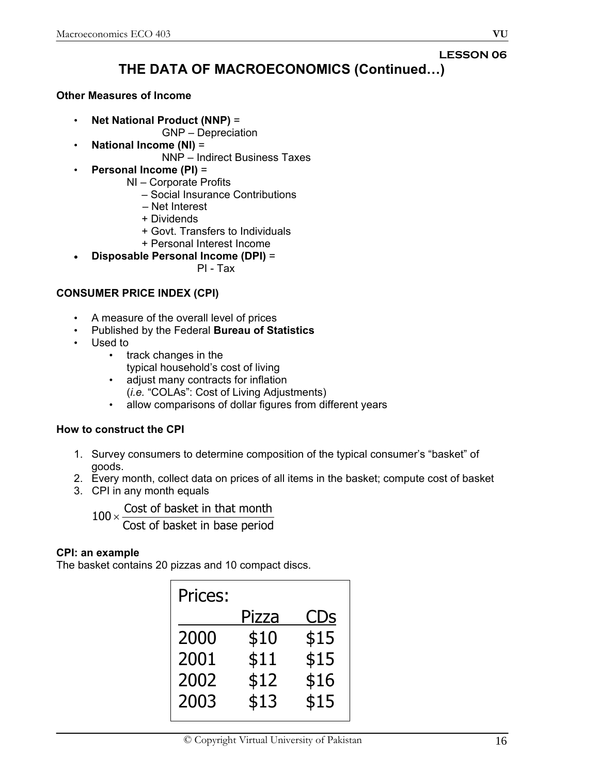# **LESSON 06**

# **THE DATA OF MACROECONOMICS (Continued…)**

# **Other Measures of Income**

- **Net National Product (NNP)** =
	- GNP Depreciation
- **National Income (NI)** =
	- NNP Indirect Business Taxes
- **Personal Income (PI)** =
	- NI Corporate Profits
		- Social Insurance Contributions
		- Net Interest
		- + Dividends
		- + Govt. Transfers to Individuals
		- + Personal Interest Income
- **Disposable Personal Income (DPI)** =

PI - Tax

# **CONSUMER PRICE INDEX (CPI)**

- A measure of the overall level of prices
- Published by the Federal **Bureau of Statistics**
- Used to
	- track changes in the typical household's cost of living
	- adjust many contracts for inflation (*i.e.* "COLAs": Cost of Living Adjustments)
	- allow comparisons of dollar figures from different years

# **How to construct the CPI**

- 1. Survey consumers to determine composition of the typical consumer's "basket" of goods.
- 2. Every month, collect data on prices of all items in the basket; compute cost of basket
- 3. CPI in any month equals

Cost of basket in that month Cost of basket in base period  $100 \times$ 

# **CPI: an example**

The basket contains 20 pizzas and 10 compact discs.

| Pizza | CDs  |
|-------|------|
| \$10  | \$15 |
| \$11  | \$15 |
| \$12  | \$16 |
| \$13  | \$15 |
|       |      |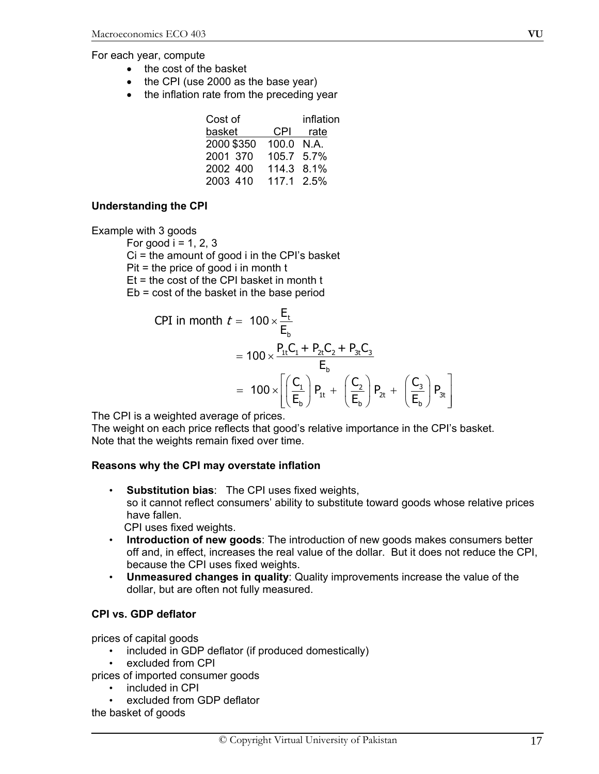For each year, compute

- the cost of the basket
- the CPI (use 2000 as the base year)
- the inflation rate from the preceding year

| Cost of    |            | inflation |
|------------|------------|-----------|
| basket     | CPI.       | rate      |
| 2000 \$350 | 100.0 N.A. |           |
| 2001 370   | 105.7 5.7% |           |
| 2002 400   | 114.3 8.1% |           |
| 2003 410   | 117.1 2.5% |           |

# **Understanding the CPI**

Example with 3 goods

For good  $i = 1, 2, 3$  $Ci =$  the amount of good i in the CPI's basket Pit = the price of good i in month t Et = the cost of the CPI basket in month t Eb = cost of the basket in the base period

CPI in month 
$$
t = 100 \times \frac{E_t}{E_b}
$$
  
=  $100 \times \frac{P_{1t}C_1 + P_{2t}C_2 + P_{3t}C_3}{E_b}$   
=  $100 \times \left[ \left( \frac{C_1}{E_b} \right) P_{1t} + \left( \frac{C_2}{E_b} \right) P_{2t} + \left( \frac{C_3}{E_b} \right) P_{3t} \right]$ 

The CPI is a weighted average of prices.

The weight on each price reflects that good's relative importance in the CPI's basket. Note that the weights remain fixed over time.

# **Reasons why the CPI may overstate inflation**

• **Substitution bias**: The CPI uses fixed weights, so it cannot reflect consumers' ability to substitute toward goods whose relative prices have fallen.

CPI uses fixed weights.

- **Introduction of new goods**: The introduction of new goods makes consumers better off and, in effect, increases the real value of the dollar. But it does not reduce the CPI, because the CPI uses fixed weights.
- **Unmeasured changes in quality**: Quality improvements increase the value of the dollar, but are often not fully measured.

# **CPI vs. GDP deflator**

prices of capital goods

- included in GDP deflator (if produced domestically)
- excluded from CPI
- prices of imported consumer goods
	- included in CPI
	- excluded from GDP deflator

the basket of goods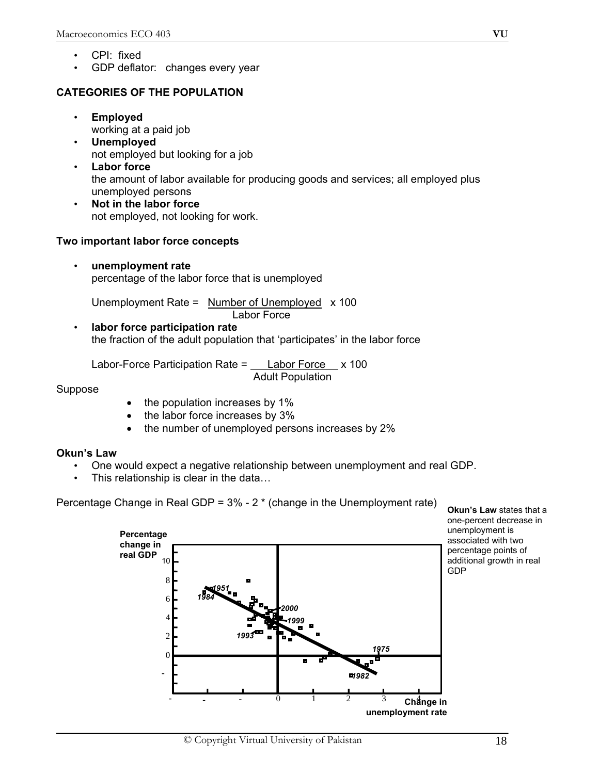- CPI: fixed
- GDP deflator: changes every year

# **CATEGORIES OF THE POPULATION**

- **Employed** working at a paid job
- **Unemployed** not employed but looking for a job
- **Labor force** the amount of labor available for producing goods and services; all employed plus unemployed persons
- **Not in the labor force** not employed, not looking for work.

# **Two important labor force concepts**

• **unemployment rate**  percentage of the labor force that is unemployed

Unemployment Rate = Number of Unemployed x 100 Labor Force

• **labor force participation rate** the fraction of the adult population that 'participates' in the labor force

Labor-Force Participation Rate =  $\_\$  Labor Force  $\_\$  x 100 Adult Population

Suppose

- the population increases by 1%
- the labor force increases by 3%
- the number of unemployed persons increases by 2%

# **Okun's Law**

- One would expect a negative relationship between unemployment and real GDP.
- This relationship is clear in the data...





**Okun's Law** states that a one-percent decrease in unemployment is associated with two percentage points of additional growth in real GDP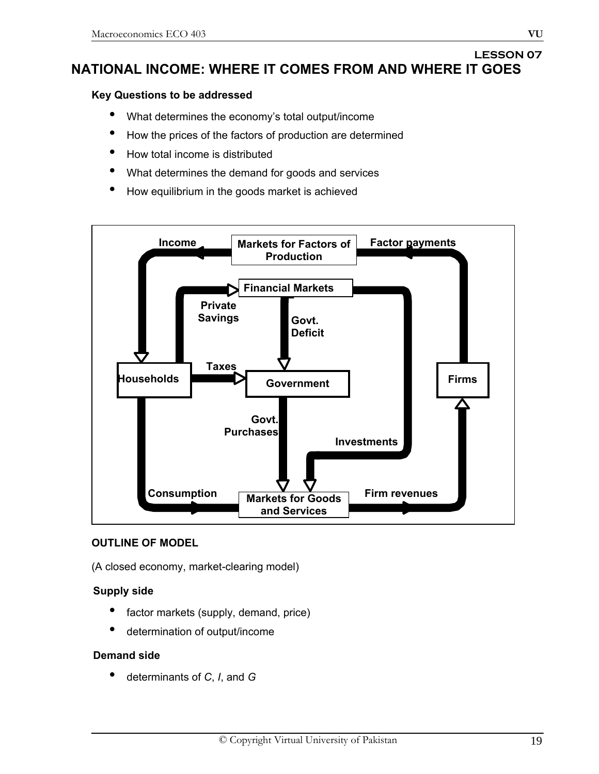# **LESSON 07 NATIONAL INCOME: WHERE IT COMES FROM AND WHERE IT GOES**

# **Key Questions to be addressed**

- What determines the economy's total output/income
- How the prices of the factors of production are determined
- How total income is distributed
- What determines the demand for goods and services
- How equilibrium in the goods market is achieved



#### **OUTLINE OF MODEL**

(A closed economy, market-clearing model)

#### **Supply side**

- factor markets (supply, demand, price)
- determination of output/income

#### **Demand side**

• determinants of *C*, *I*, and *<sup>G</sup>*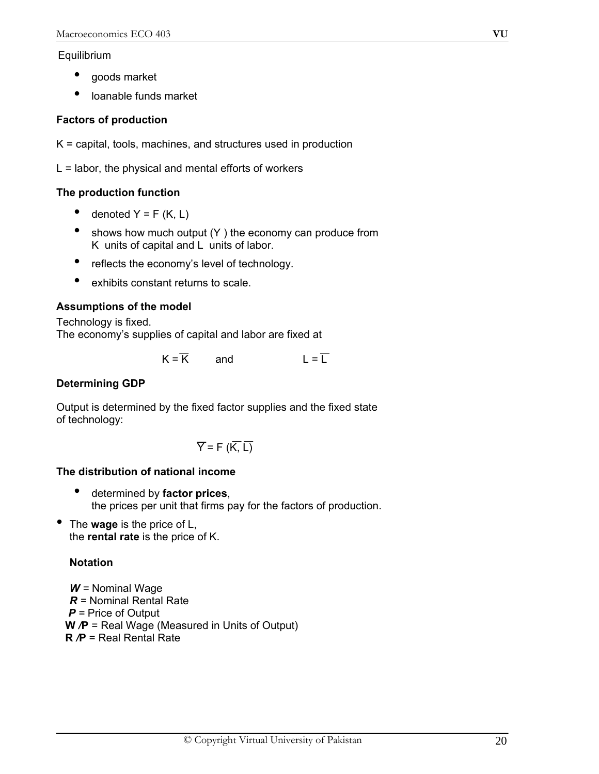#### **Equilibrium**

- goods market
- loanable funds market

## **Factors of production**

K = capital, tools, machines, and structures used in production

 $L =$  labor, the physical and mental efforts of workers

### **The production function**

- denoted  $Y = F(K, L)$
- shows how much output (Y) the economy can produce from K units of capital and L units of labor.
- reflects the economy's level of technology.
- exhibits constant returns to scale.

# **Assumptions of the model**

Technology is fixed. The economy's supplies of capital and labor are fixed at

 $K = \overline{K}$  and  $L = \overline{L}$ 

### **Determining GDP**

Output is determined by the fixed factor supplies and the fixed state of technology:

$$
\overline{Y} = F(\overline{K}, \overline{L})
$$

# **The distribution of national income**

- determined by **factor prices**, the prices per unit that firms pay for the factors of production.
- The **wage** is the price of L, the **rental rate** is the price of K.

# **Notation**

*W =* Nominal Wage *R =* Nominal Rental Rate *P =* Price of Output  **W** */***P** = Real Wage (Measured in Units of Output)  **R** */***P** = Real Rental Rate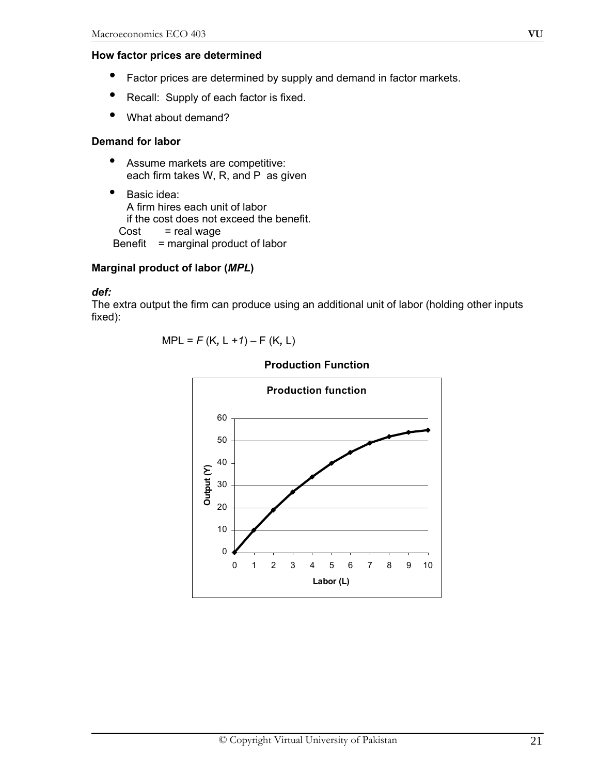### **How factor prices are determined**

- Factor prices are determined by supply and demand in factor markets.
- Recall: Supply of each factor is fixed.
- What about demand?

#### **Demand for labor**

- Assume markets are competitive: each firm takes W, R, and P as given
- Basic idea: A firm hires each unit of labor if the cost does not exceed the benefit.  $Cost = real wage$ Benefit  $=$  marginal product of labor

### **Marginal product of labor (***MPL***)**

#### *def:*

The extra output the firm can produce using an additional unit of labor (holding other inputs fixed):

MPL = *F* (K*,* L +*1*) – F (K*,* L)



#### **Production Function**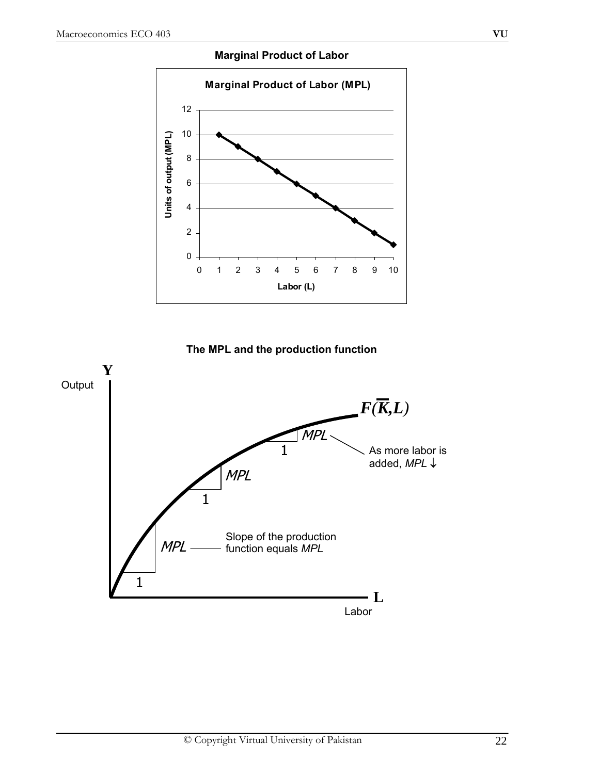

**The MPL and the production function** 

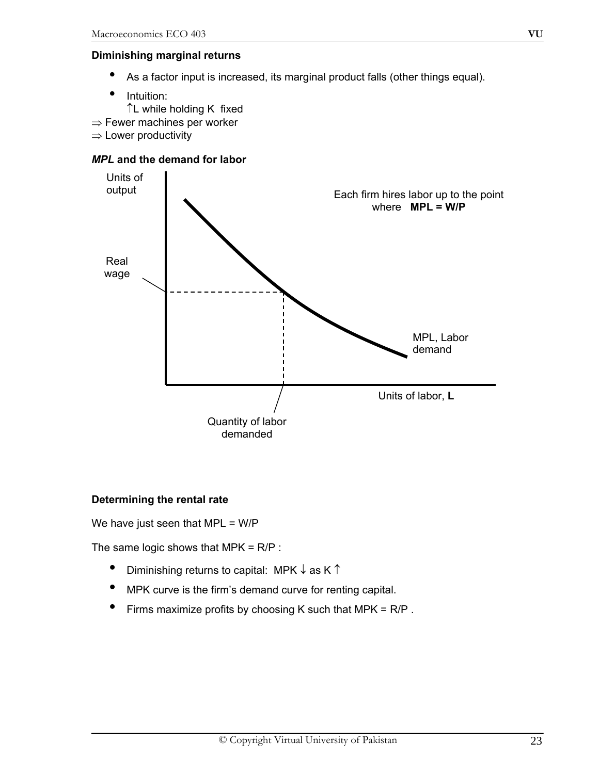### **Diminishing marginal returns**

- As a factor input is increased, its marginal product falls (other things equal).
- Intuition:
- ↑L while holding K fixed
- ⇒ Fewer machines per worker
- ⇒ Lower productivity

#### *MPL* **and the demand for labor**



#### **Determining the rental rate**

We have just seen that MPL = W/P

The same logic shows that  $MPK = R/P$  :

- Diminishing returns to capital: MPK  $\downarrow$  as K  $\uparrow$
- MPK curve is the firm's demand curve for renting capital.
- Firms maximize profits by choosing K such that MPK =  $R/P$ .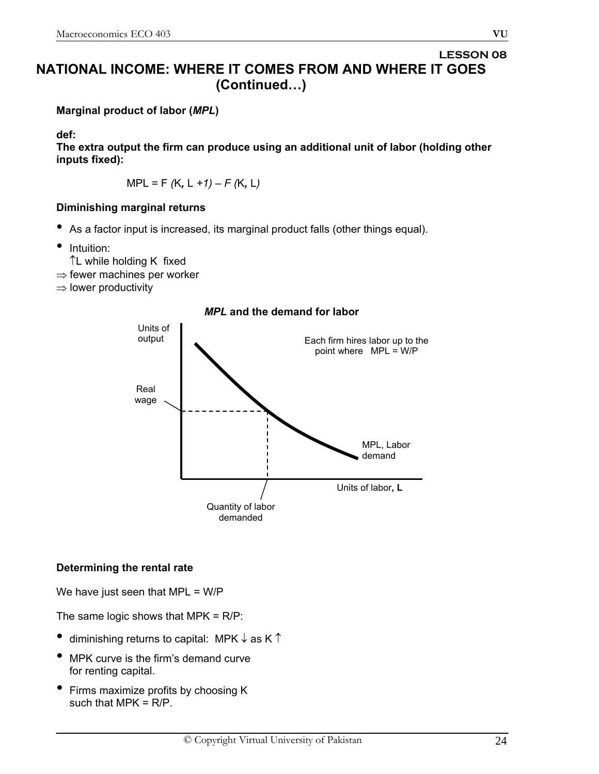**Marginal product of labor (***MPL***)** 

**def:**

**The extra output the firm can produce using an additional unit of labor (holding other inputs fixed):** 

$$
MPL = F (K, L + 1) - F (K, L)
$$

# **Diminishing marginal returns**

- As a factor input is increased, its marginal product falls (other things equal).
- Intuition:
	- ↑L while holding K fixed
- $\Rightarrow$  fewer machines per worker
- $\Rightarrow$  lower productivity



#### **Determining the rental rate**

We have just seen that MPL = W/P

The same logic shows that  $MPK = R/P$ :

- diminishing returns to capital: MPK  $\downarrow$  as K  $\uparrow$
- MPK curve is the firm's demand curve for renting capital.
- Firms maximize profits by choosing K such that  $MPK = R/P$ .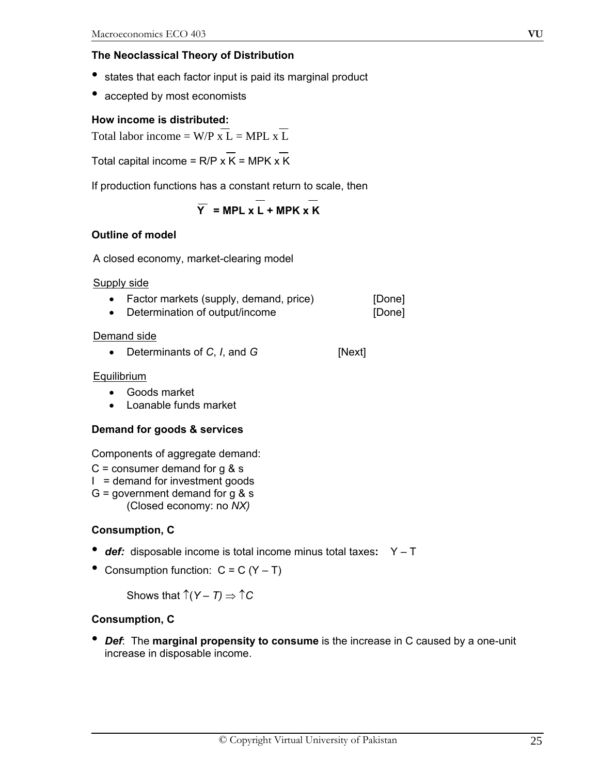# **The Neoclassical Theory of Distribution**

- states that each factor input is paid its marginal product
- accepted by most economists

# **How income is distributed:**

Total labor income =  $W/P X L = MPL X L$ 

Total capital income =  $R/P \times K = MPK \times K$ 

If production functions has a constant return to scale, then

# $\overline{Y}$  = MPL x L + MPK x K

# **Outline of model**

A closed economy, market-clearing model

### Supply side

- Factor markets (supply, demand, price) [Done]
- Determination of output/income [Done]

# Demand side

• Determinants of *C*, *I*, and *G* [Next]

# **Equilibrium**

- Goods market
- Loanable funds market

# **Demand for goods & services**

Components of aggregate demand:

- $C =$  consumer demand for q & s
- $I =$  demand for investment goods
- $G =$  government demand for g & s
	- (Closed economy: no *NX)*

# **Consumption, C**

- *def:* disposable income is total income minus total taxes**:** Y T
- Consumption function:C = C (Y T)

Shows that  $\hat{\uparrow}$  (*Y* – *T*)  $\Rightarrow \hat{\uparrow}$  *C* 

# **Consumption, C**

• *Def*: The **marginal propensity to consume** is the increase in C caused by a one-unit increase in disposable income.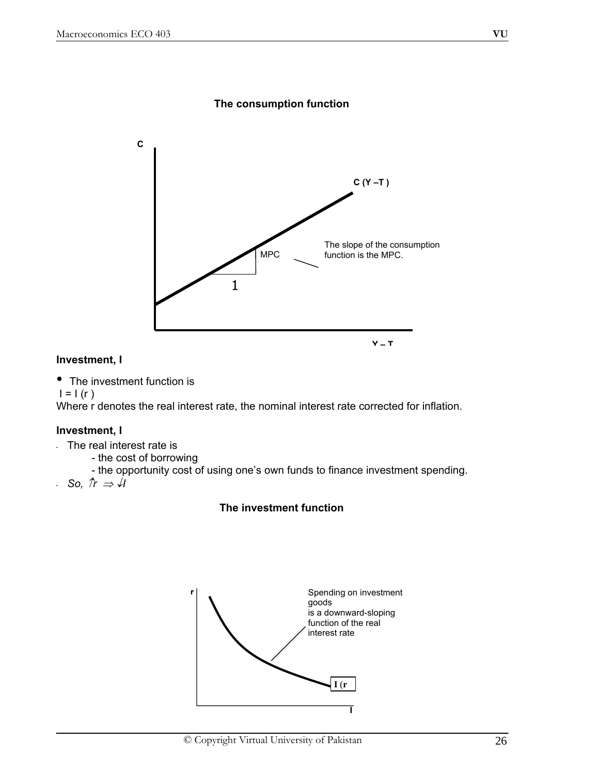



# **Investment, I**

• The investment function is

 $I = I(r)$ 

Where r denotes the real interest rate, the nominal interest rate corrected for inflation.

# **Investment, I**

- The real interest rate is
	- the cost of borrowing
	- the opportunity cost of using one's own funds to finance investment spending.
- *So,* ↑*r* <sup>⇒</sup> ↓*I*

# **The investment function**

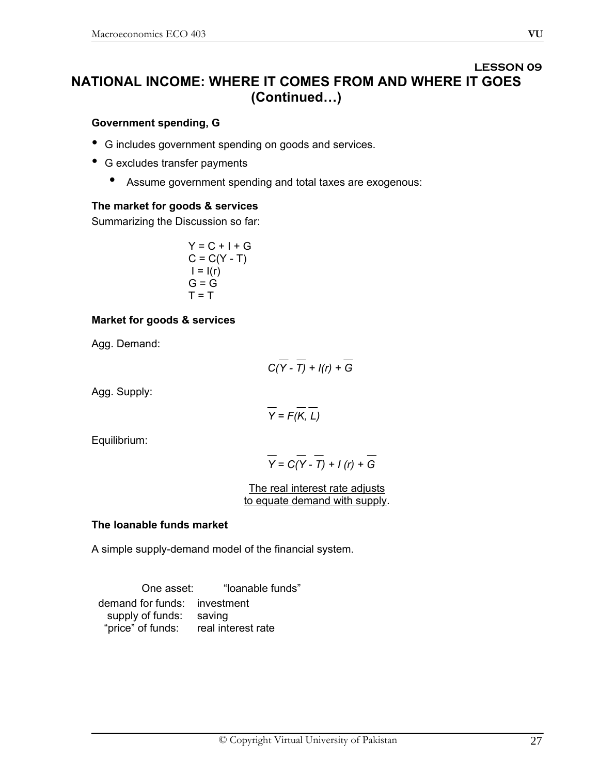# **LESSON 09 NATIONAL INCOME: WHERE IT COMES FROM AND WHERE IT GOES (Continued…)**

# **Government spending, G**

- G includes government spending on goods and services.
- G excludes transfer payments
	- Assume government spending and total taxes are exogenous:

# **The market for goods & services**

Summarizing the Discussion so far:

$$
Y = C + I + G
$$
  
\n
$$
C = C(Y - T)
$$
  
\n
$$
I = I(r)
$$
  
\n
$$
G = G
$$
  
\n
$$
T = T
$$

# **Market for goods & services**

Agg. Demand:

$$
C(\overline{Y}-\overline{T})+I(r)+\overline{G}
$$

Agg. Supply:

$$
\overline{Y} = \overline{F(K, L)}
$$

Equilibrium:

$$
\overline{Y} = C(\overline{Y} - \overline{T}) + I(r) + G
$$

The real interest rate adjusts to equate demand with supply.

# **The loanable funds market**

A simple supply-demand model of the financial system.

 One asset: "loanable funds" demand for funds: investment supply of funds: saving "price" of funds: real interest rate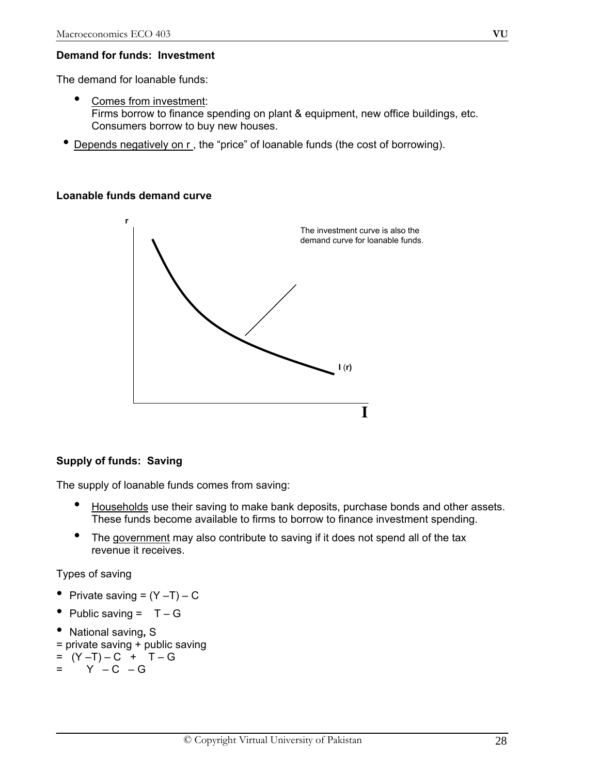### **Demand for funds: Investment**

The demand for loanable funds:

- Comes from investment: Firms borrow to finance spending on plant & equipment, new office buildings, etc. Consumers borrow to buy new houses.
- Depends negatively on r, the "price" of loanable funds (the cost of borrowing).

#### **Loanable funds demand curve**



#### **Supply of funds: Saving**

The supply of loanable funds comes from saving:

- Households use their saving to make bank deposits, purchase bonds and other assets. These funds become available to firms to borrow to finance investment spending.
- The government may also contribute to saving if it does not spend all of the tax revenue it receives.

Types of saving

- Private saving =  $(Y T) C$
- Public saving <sup>=</sup>T G
- National saving**,** <sup>S</sup>
- $=$  private saving  $+$  public saving
- $= (Y T) C + T G$

```
= Y – C – G
```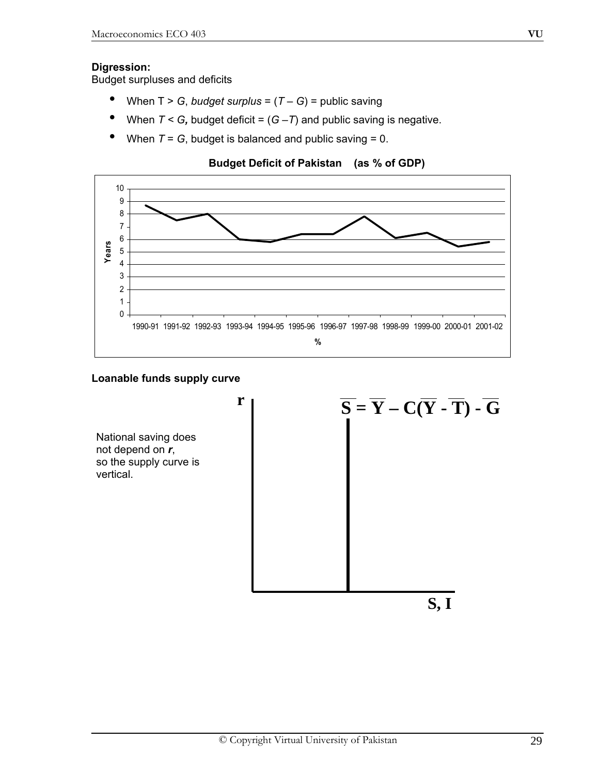# **Digression:**

Budget surpluses and deficits

- When  $T > G$ , *budget surplus* =  $(T G)$  = public saving
- When  $T < G$ , budget deficit =  $(G T)$  and public saving is negative.
- When  $T = G$ , budget is balanced and public saving  $= 0$ .





#### **Loanable funds supply curve**

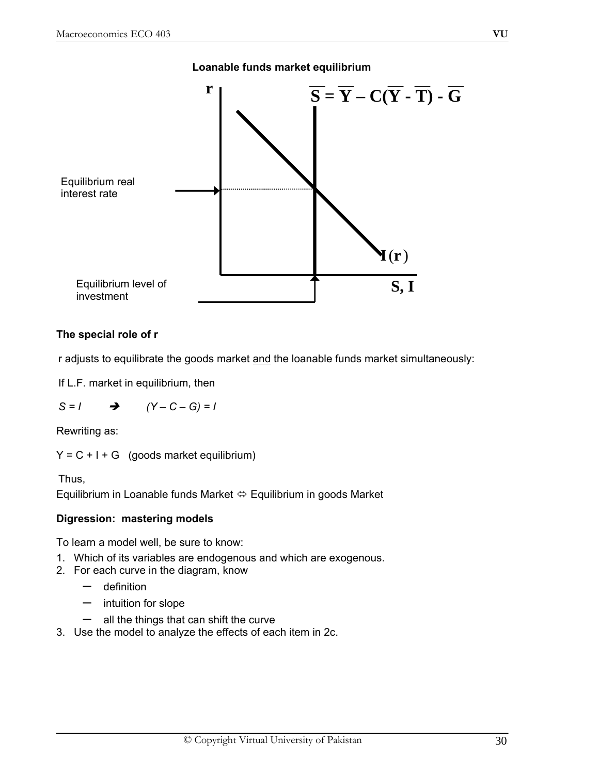

### **The special role of r**

r adjusts to equilibrate the goods market and the loanable funds market simultaneously:

If L.F. market in equilibrium, then

 $S = I$   $\rightarrow$   $(Y - C - G) = I$ 

Rewriting as:

Y = C + I + G(goods market equilibrium)

Thus,

Equilibrium in Loanable funds Market  $\Leftrightarrow$  Equilibrium in goods Market

#### **Digression: mastering models**

To learn a model well, be sure to know:

- 1. Which of its variables are endogenous and which are exogenous.
- 2. For each curve in the diagram, know
	- $-$  definition
	- $-$  intuition for slope
	- all the things that can shift the curve
- 3. Use the model to analyze the effects of each item in 2c.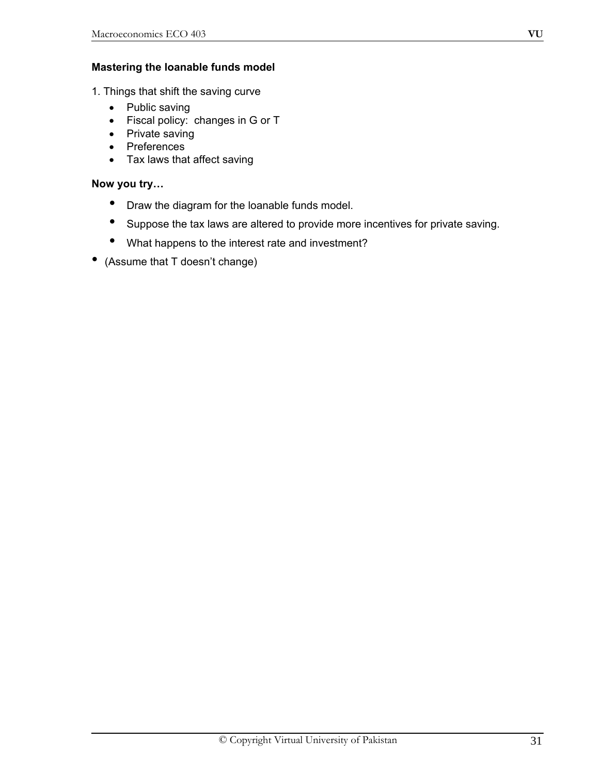### **Mastering the loanable funds model**

- 1. Things that shift the saving curve
	- Public saving
	- Fiscal policy: changes in G or T
	- Private saving
	- Preferences
	- Tax laws that affect saving

#### **Now you try…**

- Draw the diagram for the loanable funds model.
- Suppose the tax laws are altered to provide more incentives for private saving.
- What happens to the interest rate and investment?
- (Assume that T doesn't change)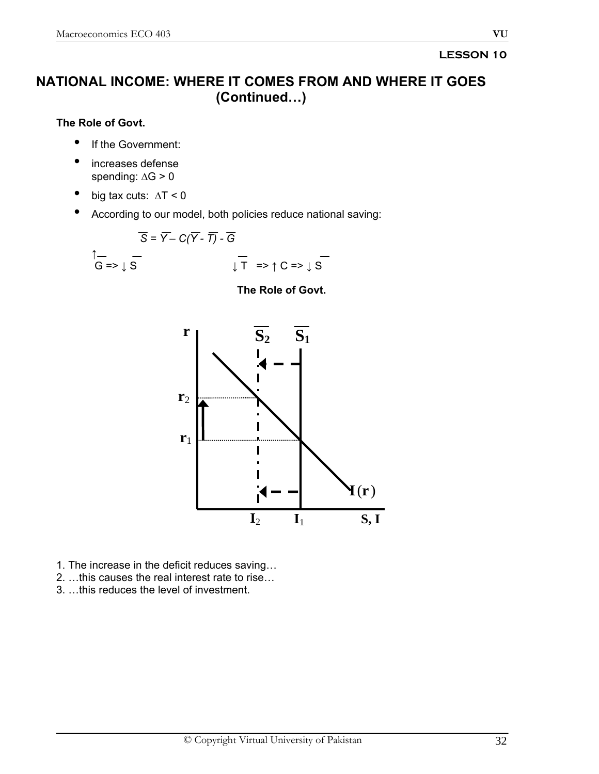**LESSON 10** 

# **NATIONAL INCOME: WHERE IT COMES FROM AND WHERE IT GOES (Continued…)**

# **The Role of Govt.**

- If the Government:
- increases defense spending:  $\Delta G > 0$
- big tax cuts:  $\Delta T < 0$
- According to our model, both policies reduce national saving:







- 1. The increase in the deficit reduces saving…
- 2. …this causes the real interest rate to rise…
- 3. …this reduces the level of investment.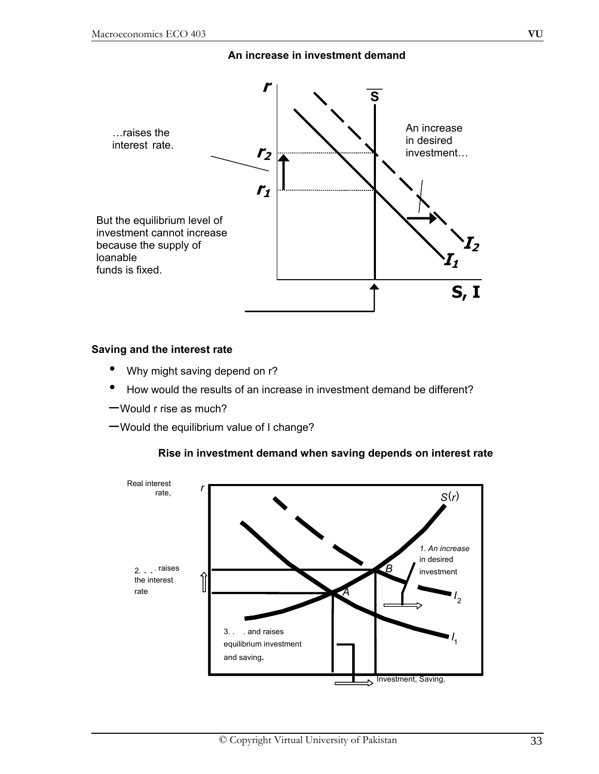#### **An increase in investment demand**



#### **Saving and the interest rate**

- Why might saving depend on r?
- How would the results of an increase in investment demand be different?
- Would r rise as much?
- Would the equilibrium value of I change?



#### **Rise in investment demand when saving depends on interest rate**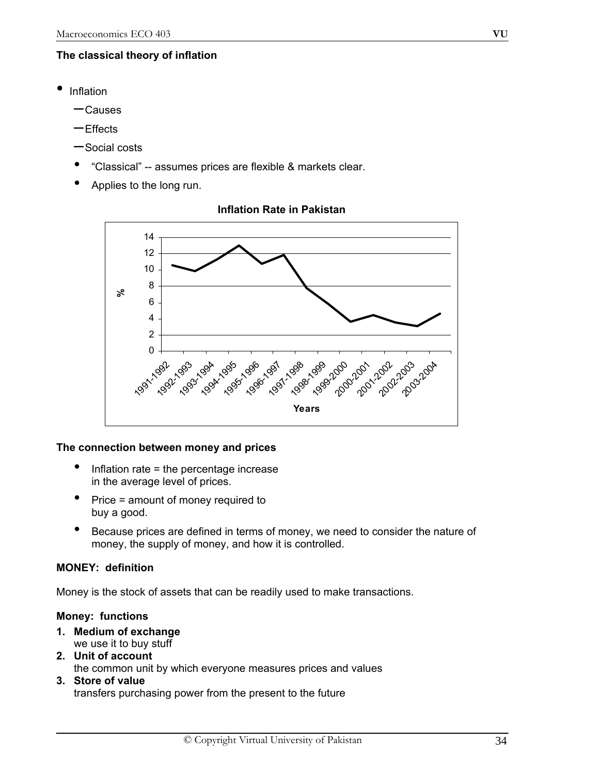# **The classical theory of inflation**

- Inflation
	- Causes
	- Effects
	- Social costs
	- "Classical" -- assumes prices are flexible & markets clear.
	- Applies to the long run.



#### **Inflation Rate in Pakistan**

#### **The connection between money and prices**

- Inflation rate = the percentage increase in the average level of prices.
- Price = amount of money required to buy a good.
- Because prices are defined in terms of money, we need to consider the nature of money, the supply of money, and how it is controlled.

# **MONEY: definition**

Money is the stock of assets that can be readily used to make transactions.

#### **Money: functions**

- **1. Medium of exchange**  we use it to buy stuff
- **2. Unit of account**  the common unit by which everyone measures prices and values
- **3. Store of value**  transfers purchasing power from the present to the future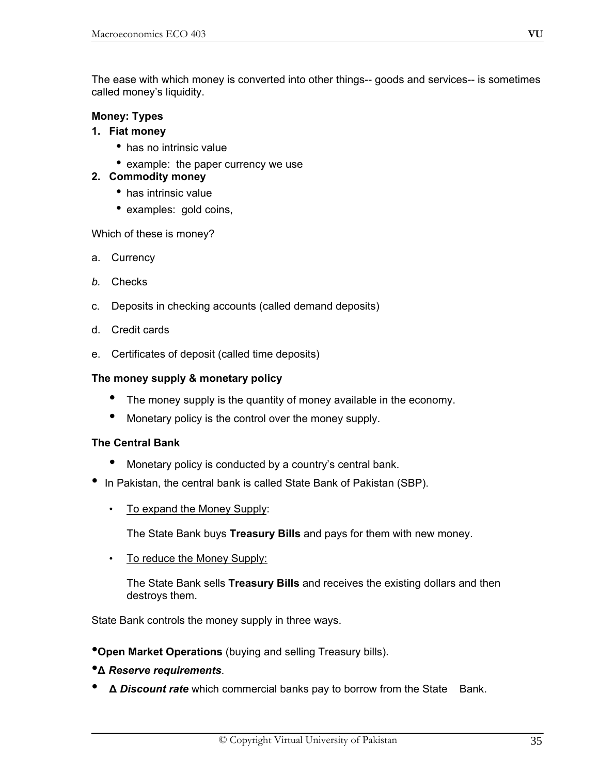The ease with which money is converted into other things-- goods and services-- is sometimes called money's liquidity.

#### **Money: Types**

- **1. Fiat money** 
	- has no intrinsic value
	- example: the paper currency we use

#### **2. Commodity money**

- has intrinsic value
- examples: gold coins,

Which of these is money?

- a. Currency
- *b.* Checks
- c. Deposits in checking accounts (called demand deposits)
- d. Credit cards
- e. Certificates of deposit (called time deposits)

#### **The money supply & monetary policy**

- The money supply is the quantity of money available in the economy.
- Monetary policy is the control over the money supply.

#### **The Central Bank**

- Monetary policy is conducted by a country's central bank.
- In Pakistan, the central bank is called State Bank of Pakistan (SBP).
	- To expand the Money Supply:

The State Bank buys **Treasury Bills** and pays for them with new money.

To reduce the Money Supply:

The State Bank sells **Treasury Bills** and receives the existing dollars and then destroys them.

State Bank controls the money supply in three ways.

•**Open Market Operations** (buying and selling Treasury bills).

#### •**<sup>Δ</sup>** *Reserve requirements*.

• **<sup>Δ</sup>** *Discount rate* which commercial banks pay to borrow from the State Bank.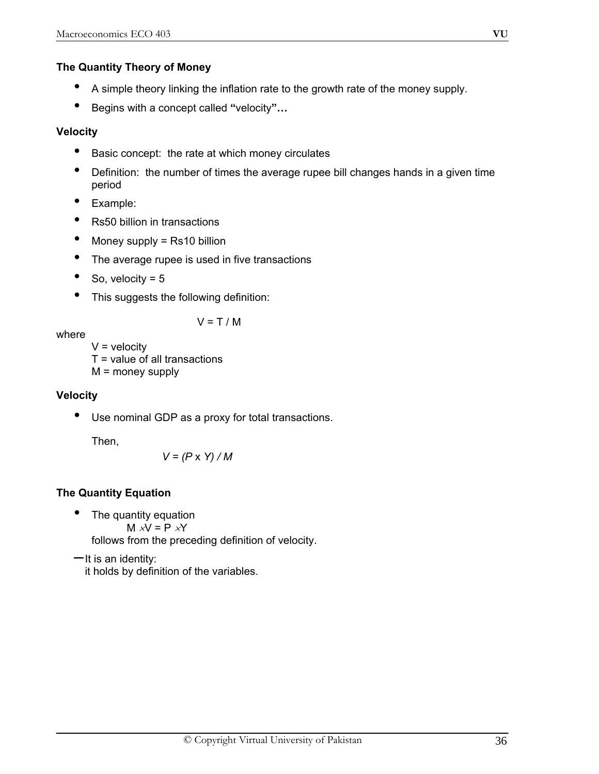# **The Quantity Theory of Money**

- A simple theory linking the inflation rate to the growth rate of the money supply.
- Begins with a concept called **"**velocity**"…**

# **Velocity**

- Basic concept: the rate at which money circulates
- Definition: the number of times the average rupee bill changes hands in a given time period
- Example:
- Rs50 billion in transactions
- Money supply = Rs10 billion
- The average rupee is used in five transactions
- So, velocity =  $5$
- This suggests the following definition:

$$
M \setminus T = V
$$

where

 $V =$  velocity  $T =$  value of all transactions  $M =$  money supply

# **Velocity**

• Use nominal GDP as a proxy for total transactions.

Then,

$$
V = (P \times Y) / M
$$

# **The Quantity Equation**

• The quantity equation  $M \times V = P \times Y$ follows from the preceding definition of velocity.

 $-$  It is an identity: it holds by definition of the variables.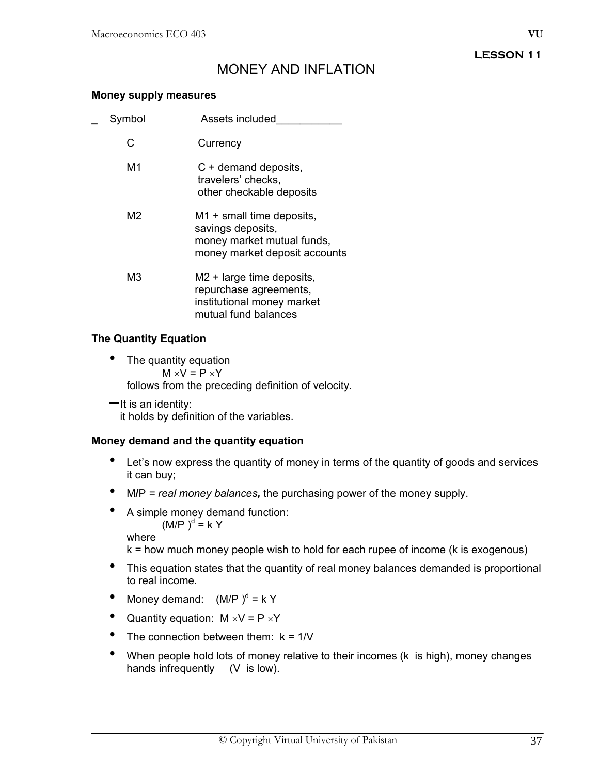## **LESSON 11**

# MONEY AND INFLATION

#### **Money supply measures**

| mbol | Assets included                                                                                                 |
|------|-----------------------------------------------------------------------------------------------------------------|
| C    | Currency                                                                                                        |
| М1   | $C +$ demand deposits,<br>travelers' checks,<br>other checkable deposits                                        |
| M2   | $M1 + small$ time deposits,<br>savings deposits,<br>money market mutual funds,<br>money market deposit accounts |
| MЗ   | M2 + large time deposits,<br>repurchase agreements,<br>institutional money market<br>mutual fund balances       |

#### **The Quantity Equation**

- The quantity equation  $M \times V = P \times Y$ follows from the preceding definition of velocity.
- $-$  It is an identity: it holds by definition of the variables.

#### **Money demand and the quantity equation**

- Let's now express the quantity of money in terms of the quantity of goods and services it can buy;
- M**/**P*<sup>=</sup> real money balances,* the purchasing power of the money supply.
- A simple money demand function:  $(M/P)^d = k Y$

where

 $k =$  how much money people wish to hold for each rupee of income (k is exogenous)

- This equation states that the quantity of real money balances demanded is proportional to real income.
- Money demand:  $(M/P)^d = kY$
- Quantity equation:  $M \times V = P \times Y$
- The connection between them:  $k = 1/V$
- When people hold lots of money relative to their incomes (k is high), money changes hands infrequently (V is low).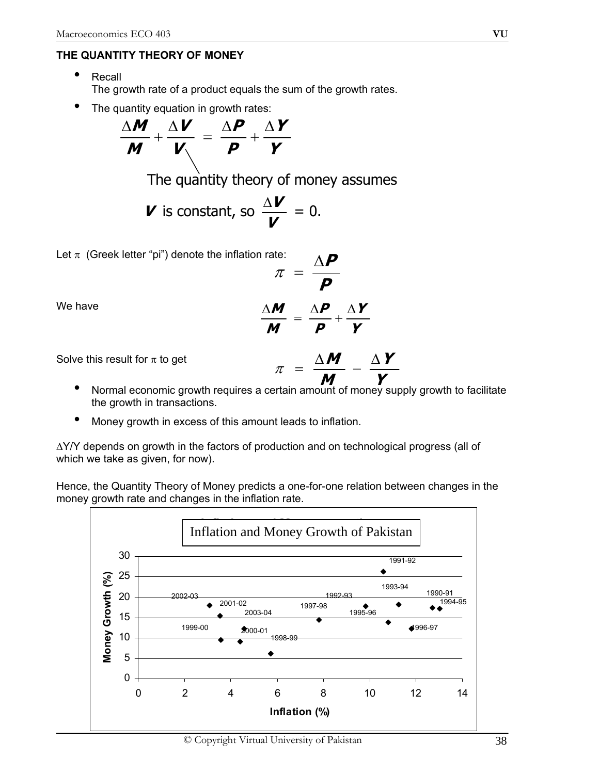## **THE QUANTITY THEORY OF MONEY**

• Recall

The growth rate of a product equals the sum of the growth rates.

• The quantity equation in growth rates:

$$
\frac{\Delta M}{M} + \frac{\Delta V}{V} = \frac{\Delta P}{P} + \frac{\Delta Y}{Y}
$$

The quantity theory of money assumes

**V** is constant, so 
$$
\frac{\Delta V}{V} = 0
$$
.

Let  $\pi$  (Greek letter "pi") denote the inflation rate:

$$
\frac{\Delta P}{\pi} = \frac{\Delta P}{P}
$$
\n
$$
\frac{\Delta M}{\Delta t} = \frac{\Delta P}{P} + \frac{\Delta Y}{Y}
$$

**M PY**

 $\triangle$  **Y** 

We have

Solve this result for  $\pi$  to get

• Normal economic growth requires a certain amount of money supply growth to facilitate the growth in transactions. **M Y**

π

• Money growth in excess of this amount leads to inflation.

ΔY/Y depends on growth in the factors of production and on technological progress (all of which we take as given, for now).

Hence, the Quantity Theory of Money predicts a one-for-one relation between changes in the money growth rate and changes in the inflation rate.

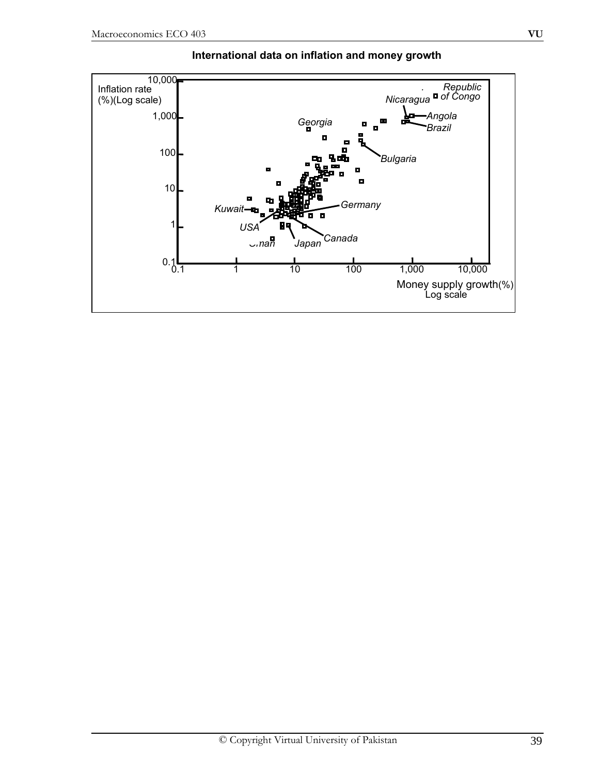

#### **International data on inflation and money growth**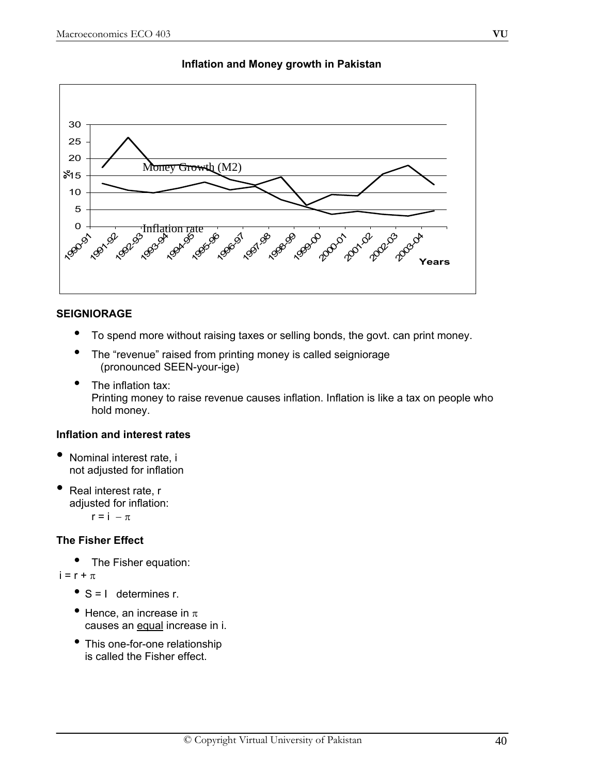

## **Inflation and Money growth in Pakistan**

#### **SEIGNIORAGE**

- To spend more without raising taxes or selling bonds, the govt. can print money.
- The "revenue" raised from printing money is called seigniorage (pronounced SEEN-your-ige)
- The inflation tax: Printing money to raise revenue causes inflation. Inflation is like a tax on people who hold money.

#### **Inflation and interest rates**

- Nominal interest rate, i not adjusted for inflation
- Real interest rate, r adjusted for inflation:  $r = i - \pi$

## **The Fisher Effect**

• The Fisher equation:

 $i = r + \pi$ 

- $S = I$  determines r.
- Hence, an increase in  $\pi$ causes an equal increase in i.
- This one-for-one relationship is called the Fisher effect.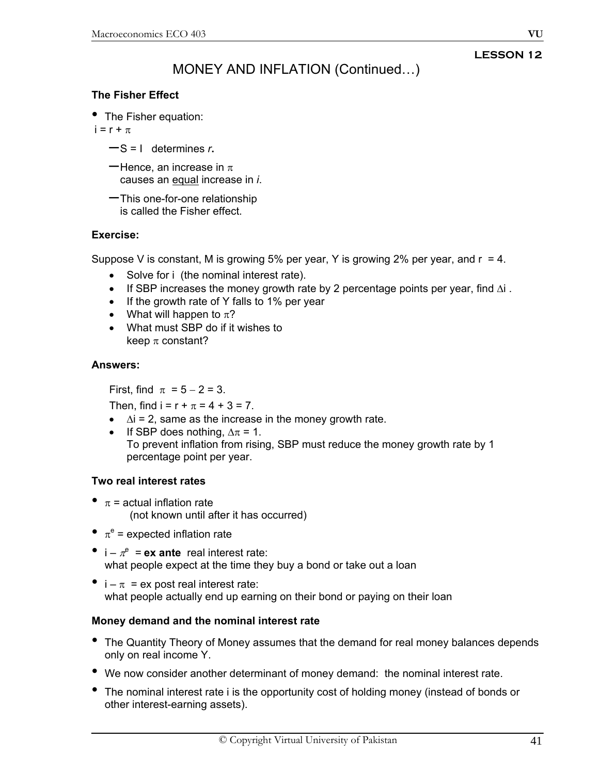# MONEY AND INFLATION (Continued…)

## **The Fisher Effect**

• The Fisher equation:

 $i = r + \pi$ 

- $-S = I$  determines r.
- $\blacktriangleright$  Hence, an increase in  $\pi$ causes an equal increase in *i*.
- This one-for-one relationship is called the Fisher effect.

#### **Exercise:**

Suppose V is constant, M is growing 5% per year, Y is growing 2% per year, and  $r = 4$ .

- Solve for i (the nominal interest rate).
- If SBP increases the money growth rate by 2 percentage points per year, find  $\Delta i$ .
- If the growth rate of Y falls to 1% per year
- What will happen to  $\pi$ ?
- What must SBP do if it wishes to keep  $\pi$  constant?

## **Answers:**

First, find  $\pi = 5 - 2 = 3$ .

Then, find  $i = r + \pi = 4 + 3 = 7$ .

- $\Delta i = 2$ , same as the increase in the money growth rate.
- If SBP does nothing,  $\Delta \pi = 1$ . To prevent inflation from rising, SBP must reduce the money growth rate by 1 percentage point per year.

## **Two real interest rates**

- $\pi$  = actual inflation rate (not known until after it has occurred)
- $\pi^e$  = expected inflation rate
- $i \pi^e$  = **ex ante** real interest rate: what people expect at the time they buy a bond or take out a loan
- $i \pi$  = ex post real interest rate: what people actually end up earning on their bond or paying on their loan

#### **Money demand and the nominal interest rate**

- The Quantity Theory of Money assumes that the demand for real money balances depends only on real income Y.
- We now consider another determinant of money demand: the nominal interest rate.
- The nominal interest rate i is the opportunity cost of holding money (instead of bonds or other interest-earning assets).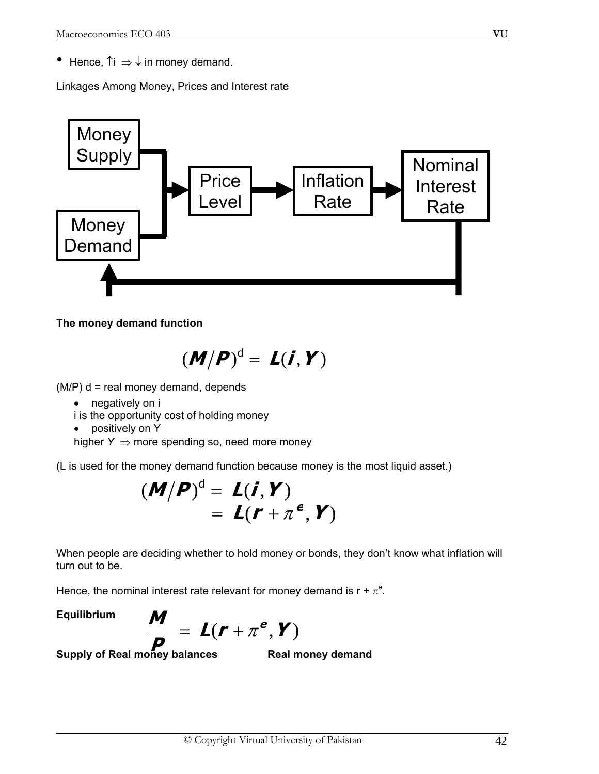• Hence,  $\uparrow i \Rightarrow \downarrow$  in money demand.

Linkages Among Money, Prices and Interest rate



#### **The money demand function**

$$
(\boldsymbol{M}/\boldsymbol{P})^d = \boldsymbol{L}(\boldsymbol{i},\boldsymbol{Y})
$$

(M/P) d = real money demand, depends

• negatively on i

i is the opportunity cost of holding money

• positively on Y

higher  $Y \Rightarrow$  more spending so, need more money

(L is used for the money demand function because money is the most liquid asset.)

$$
(\boldsymbol{M}/\boldsymbol{P})^d = \boldsymbol{L}(\boldsymbol{i}, \boldsymbol{Y}) \\ = \boldsymbol{L}(\boldsymbol{r} + \pi^{\boldsymbol{e}}, \boldsymbol{Y})
$$

When people are deciding whether to hold money or bonds, they don't know what inflation will turn out to be.

Hence, the nominal interest rate relevant for money demand is  $r + \pi^e$ .

**Equilibrium** 

$$
\frac{M}{P} = L(r + \pi^e, Y)
$$

**Supply of Real money balances Cases Real money demand**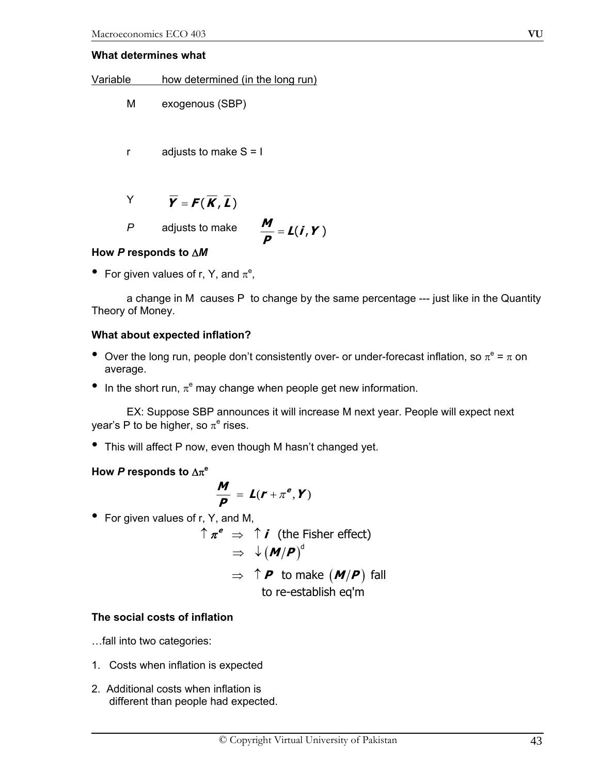#### **What determines what**

| Variable | how determined (in the long run) |  |
|----------|----------------------------------|--|
|          |                                  |  |

- M exogenous (SBP)
- $r \cdot$  adjusts to make  $S = I$
- Y  $\overline{Y}$  =  $\overline{F}(\overline{K},\overline{L})$
- *P* adjusts to make

 $\frac{M}{P}$  = L(i, Y)

#### **How** *P* **responds to** Δ*M*

• For given values of r, Y, and  $\pi^e$ ,

 a change in M causes P to change by the same percentage --- just like in the Quantity Theory of Money.

#### **What about expected inflation?**

- Over the long run, people don't consistently over- or under-forecast inflation, so  $\pi^e = \pi$  on average.
- In the short run,  $\pi^e$  may change when people get new information.

 EX: Suppose SBP announces it will increase M next year. People will expect next year's P to be higher, so  $\pi^e$  rises.

• This will affect P now, even though M hasn't changed yet.

#### **How P responds to**  $\Delta \pi^e$

$$
\frac{M}{P} = L(r + \pi^e, Y)
$$

#### • For given values of r, Y, and M,

$$
\begin{array}{rcl}\n\uparrow \pi^e & \Rightarrow & \uparrow \textit{i} \text{ (the Fisher effect)} \\
& \Rightarrow & \downarrow (\textit{M}/\textit{P})^d \\
& \Rightarrow & \uparrow \textit{P} \text{ to make } (\textit{M}/\textit{P}) \text{ fall} \\
& \text{to re-established eq'm}\n\end{array}
$$

#### **The social costs of inflation**

…fall into two categories:

- 1. Costs when inflation is expected
- 2. Additional costs when inflation is different than people had expected.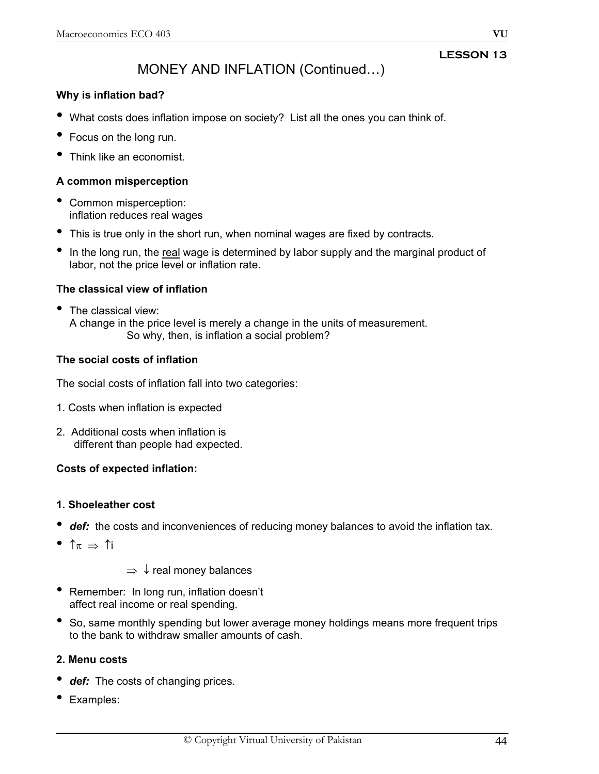## **LESSON 13**

# MONEY AND INFLATION (Continued…)

## **Why is inflation bad?**

- What costs does inflation impose on society? List all the ones you can think of.
- Focus on the long run.
- Think like an economist.

#### **A common misperception**

- Common misperception: inflation reduces real wages
- This is true only in the short run, when nominal wages are fixed by contracts.
- In the long run, the real wage is determined by labor supply and the marginal product of labor, not the price level or inflation rate.

#### **The classical view of inflation**

• The classical view: A change in the price level is merely a change in the units of measurement. So why, then, is inflation a social problem?

#### **The social costs of inflation**

The social costs of inflation fall into two categories:

- 1. Costs when inflation is expected
- 2. Additional costs when inflation is different than people had expected.

#### **Costs of expected inflation:**

#### **1. Shoeleather cost**

- *def:* the costs and inconveniences of reducing money balances to avoid the inflation tax.
- $\uparrow_{\pi}$   $\Rightarrow$   $\uparrow$  i
- $\Rightarrow \downarrow$  real money balances
- Remember: In long run, inflation doesn't affect real income or real spending.
- So, same monthly spending but lower average money holdings means more frequent trips to the bank to withdraw smaller amounts of cash.

#### **2. Menu costs**

- *def:* The costs of changing prices.
- Examples: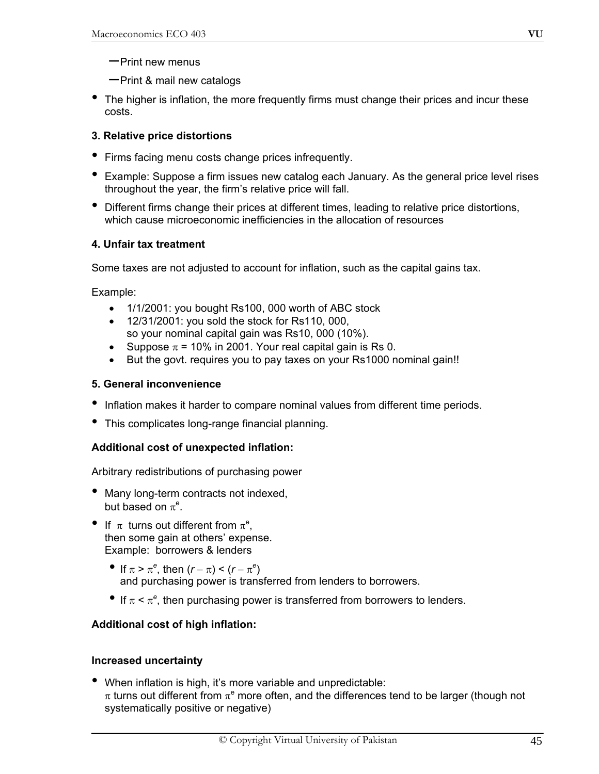- Print new menus
- Print & mail new catalogs
- The higher is inflation, the more frequently firms must change their prices and incur these costs.

## **3. Relative price distortions**

- Firms facing menu costs change prices infrequently.
- Example: Suppose a firm issues new catalog each January. As the general price level rises throughout the year, the firm's relative price will fall.
- Different firms change their prices at different times, leading to relative price distortions, which cause microeconomic inefficiencies in the allocation of resources

## **4. Unfair tax treatment**

Some taxes are not adjusted to account for inflation, such as the capital gains tax.

Example:

- 1/1/2001: you bought Rs100, 000 worth of ABC stock
- 12/31/2001: you sold the stock for Rs110, 000, so your nominal capital gain was Rs10, 000 (10%).
- Suppose  $\pi$  = 10% in 2001. Your real capital gain is Rs 0.
- But the govt. requires you to pay taxes on your Rs1000 nominal gain!!

## **5. General inconvenience**

- Inflation makes it harder to compare nominal values from different time periods.
- This complicates long-range financial planning.

## **Additional cost of unexpected inflation:**

Arbitrary redistributions of purchasing power

- Many long-term contracts not indexed, but based on  $\pi$ <sup>e</sup>.
- If  $\pi$  turns out different from  $\pi$ <sup>e</sup>, then some gain at others' expense. Example: borrowers & lenders
	- If  $\pi > \pi^e$ , then  $(r \pi) < (r \pi^e)$ and purchasing power is transferred from lenders to borrowers.
	- If  $\pi < \pi^e$ , then purchasing power is transferred from borrowers to lenders.

## **Additional cost of high inflation:**

## **Increased uncertainty**

• When inflation is high, it's more variable and unpredictable:  $\pi$  turns out different from  $\pi$ <sup>e</sup> more often, and the differences tend to be larger (though not systematically positive or negative)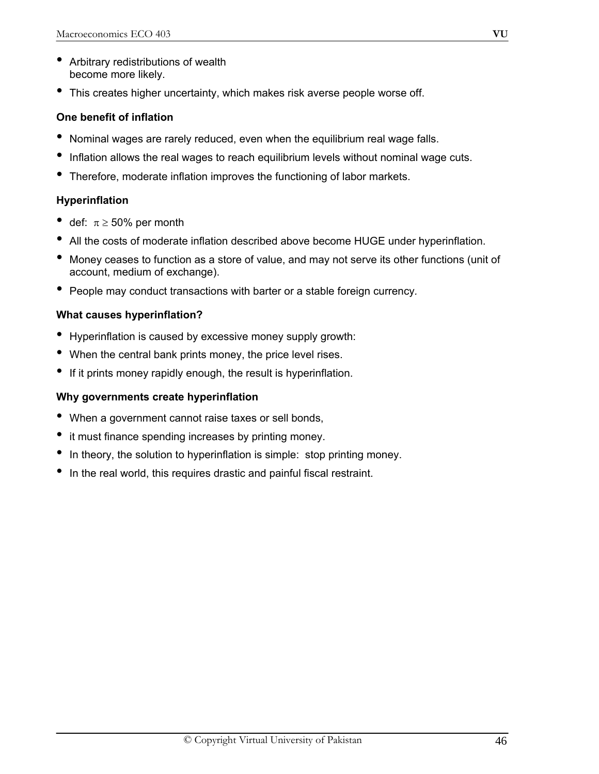- Arbitrary redistributions of wealth become more likely.
- This creates higher uncertainty, which makes risk averse people worse off.

## **One benefit of inflation**

- Nominal wages are rarely reduced, even when the equilibrium real wage falls.
- Inflation allows the real wages to reach equilibrium levels without nominal wage cuts.
- Therefore, moderate inflation improves the functioning of labor markets.

## **Hyperinflation**

- def:  $\pi \ge 50\%$  per month
- All the costs of moderate inflation described above become HUGE under hyperinflation.
- Money ceases to function as a store of value, and may not serve its other functions (unit of account, medium of exchange).
- People may conduct transactions with barter or a stable foreign currency*.*

## **What causes hyperinflation?**

- Hyperinflation is caused by excessive money supply growth:
- When the central bank prints money, the price level rises.
- If it prints money rapidly enough, the result is hyperinflation.

## **Why governments create hyperinflation**

- When a government cannot raise taxes or sell bonds,
- it must finance spending increases by printing money.
- In theory, the solution to hyperinflation is simple: stop printing money.
- In the real world, this requires drastic and painful fiscal restraint.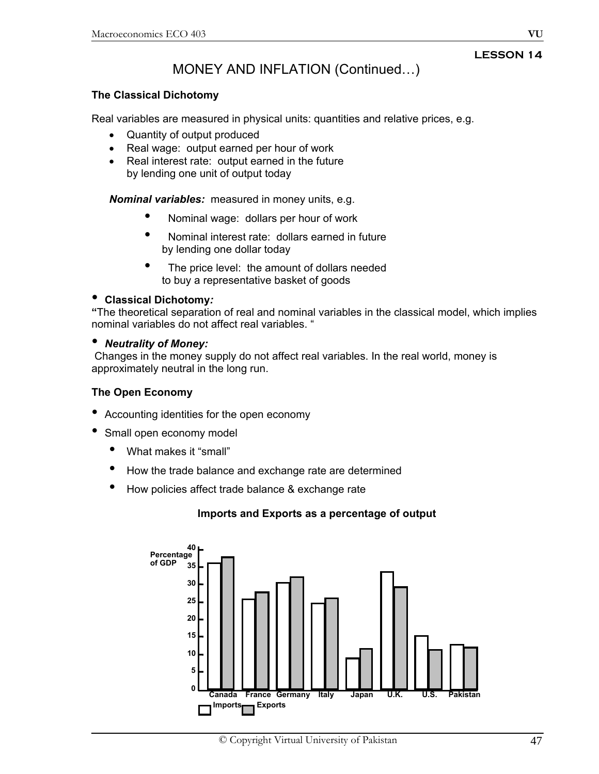#### **LESSON 14**

# MONEY AND INFLATION (Continued…)

## **The Classical Dichotomy**

Real variables are measured in physical units: quantities and relative prices, e.g.

- Quantity of output produced
- Real wage: output earned per hour of work
- Real interest rate: output earned in the future by lending one unit of output today

*Nominal variables:*measured in money units, e.g.

- Nominal wage: dollars per hour of work
- Nominal interest rate: dollars earned in future by lending one dollar today
- The price level: the amount of dollars needed to buy a representative basket of goods

#### • **Classical Dichotomy***:*

**"**The theoretical separation of real and nominal variables in the classical model, which implies nominal variables do not affect real variables. "

#### • *Neutrality of Money:*

Changes in the money supply do not affect real variables. In the real world, money is approximately neutral in the long run.

## **The Open Economy**

- Accounting identities for the open economy
- Small open economy model
	- What makes it "small"
	- How the trade balance and exchange rate are determined
	- How policies affect trade balance & exchange rate

## **Imports and Exports as a percentage of output**

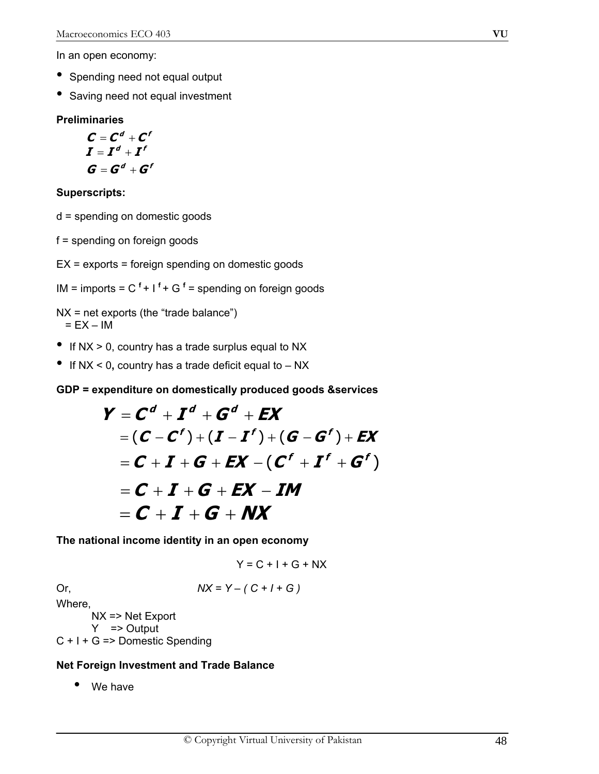In an open economy:

- Spending need not equal output
- Saving need not equal investment

#### **Preliminaries**

$$
C = Cd + Cf
$$
  

$$
I = Id + If
$$
  

$$
G = Gd + Gf
$$

#### **Superscripts:**

d = spending on domestic goods

f = spending on foreign goods

EX = exports = foreign spending on domestic goods

IM = imports =  $C<sup>f</sup> + I<sup>f</sup> + G<sup>f</sup>$  = spending on foreign goods

 $NX = net$  exports (the "trade balance")  $= EX - IM$ 

- If NX > 0, country has a trade surplus equal to NX
- If NX < 0**,** country has a trade deficit equal to NX

**GDP = expenditure on domestically produced goods &services** 

$$
Y = Cd + Id + Gd + EX
$$
  
=  $(C - Cf) + (I - If) + (G - Gf) + EX$   
=  $C + I + G + EX - (Cf + If + Gf)$   
=  $C + I + G + EX - IM$   
=  $C + I + G + NX$ 

## **The national income identity in an open economy**

$$
Y = C + I + G + NX
$$

Or, *NX = Y – ( C + I + G )*  Where, NX => Net Export  $Y$  => Output  $C + I + G \Rightarrow$  Domestic Spending

## **Net Foreign Investment and Trade Balance**

• We have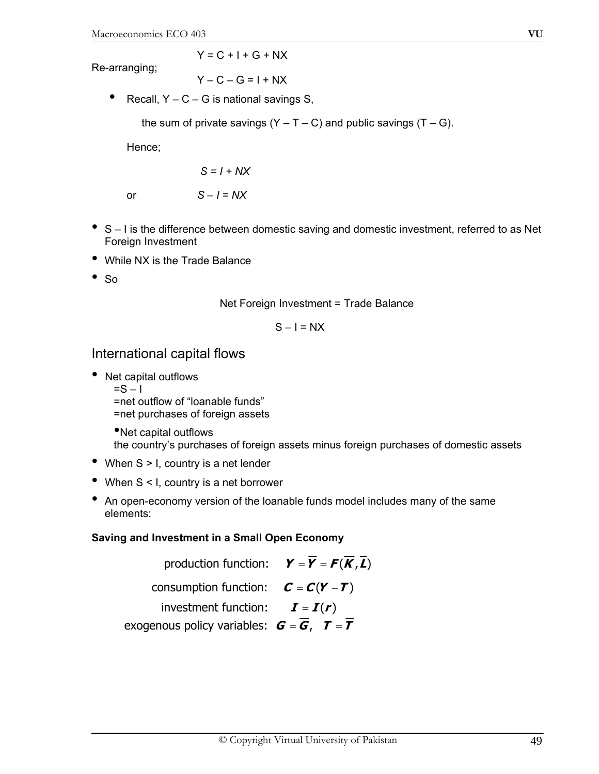Re-arranging;

$$
Y = C + I + G + NX
$$

$$
Y - C - G = I + NX
$$

Recall,  $Y - C - G$  is national savings S,

the sum of private savings  $(Y - T - C)$  and public savings  $(T - G)$ .

Hence;

 $S = 1 + NX$ 

or  $S - I = NX$ 

- S I is the difference between domestic saving and domestic investment, referred to as Net Foreign Investment
- While NX is the Trade Balance
- $\bullet$  So

Net Foreign Investment = Trade Balance

$$
S - I = NX
$$

## International capital flows

• Net capital outflows  $=$ S – I =net outflow of "loanable funds" =net purchases of foreign assets

•Net capital outflows

the country's purchases of foreign assets minus foreign purchases of domestic assets

- When  $S > I$ , country is a net lender
- When S < I, country is a net borrower
- An open-economy version of the loanable funds model includes many of the same elements:

## **Saving and Investment in a Small Open Economy**

production function:  $\mathbf{Y} = \overline{\mathbf{Y}} = \mathbf{F}(\overline{\mathbf{K}}, \overline{\mathbf{L}})$ consumption function:  $\mathbf{C} = \mathbf{C}(\mathbf{Y} - \mathbf{T})$ investment function:  $\boldsymbol{I} = \boldsymbol{I}(\boldsymbol{r})$ exogenous policy variables:  $G = \overline{G}$ ,  $T = \overline{T}$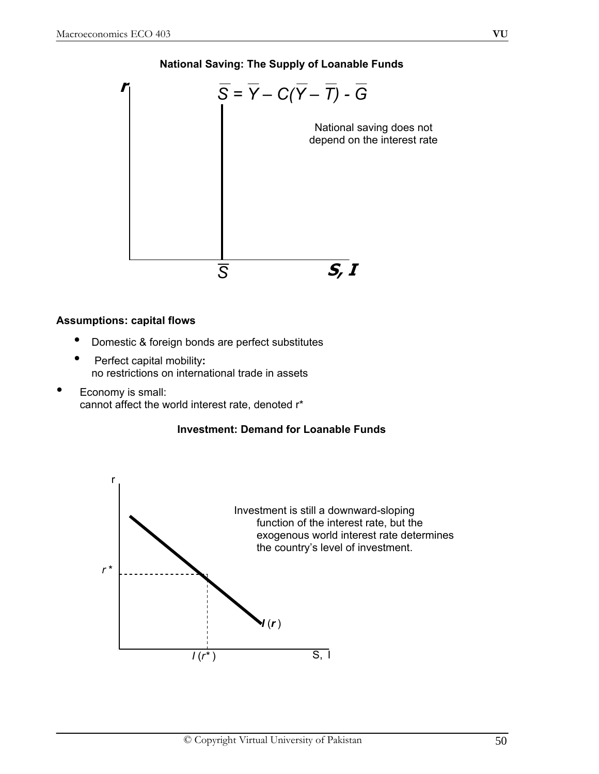

## **National Saving: The Supply of Loanable Funds**

#### **Assumptions: capital flows**

- Domestic & foreign bonds are perfect substitutes
- Perfect capital mobility**:**  no restrictions on international trade in assets
- Economy is small: cannot affect the world interest rate, denoted r\*

#### **Investment: Demand for Loanable Funds**

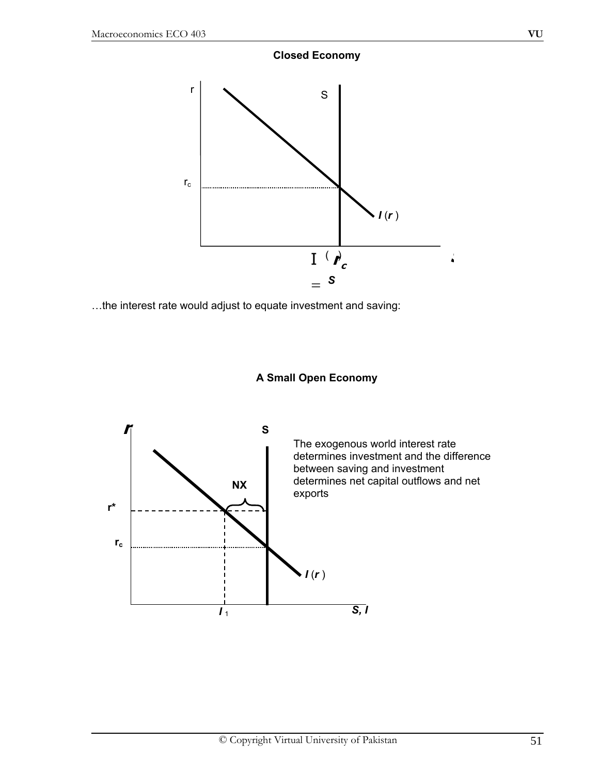

…the interest rate would adjust to equate investment and saving:

## **A Small Open Economy**

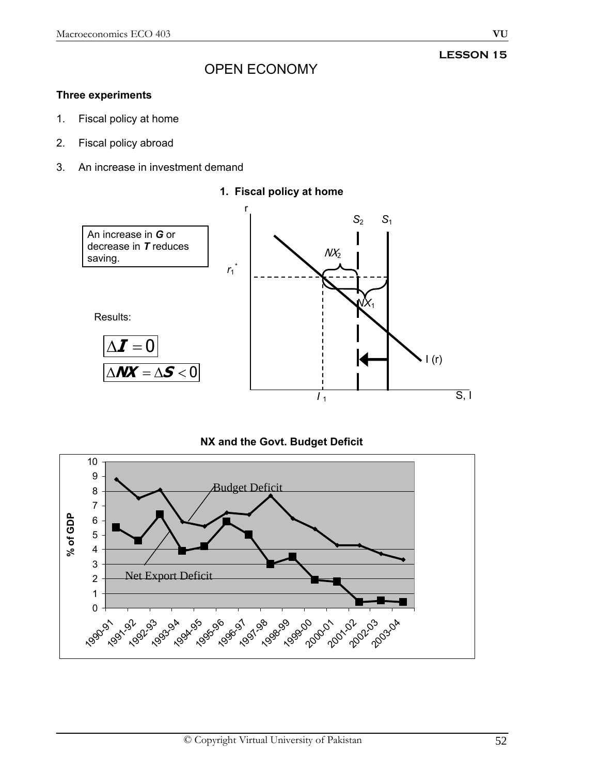# OPEN ECONOMY

#### **Three experiments**

- 1. Fiscal policy at home
- 2. Fiscal policy abroad
- 3. An increase in investment demand

#### **1. Fiscal policy at home**



#### **NX and the Govt. Budget Deficit**



## **LESSON 15**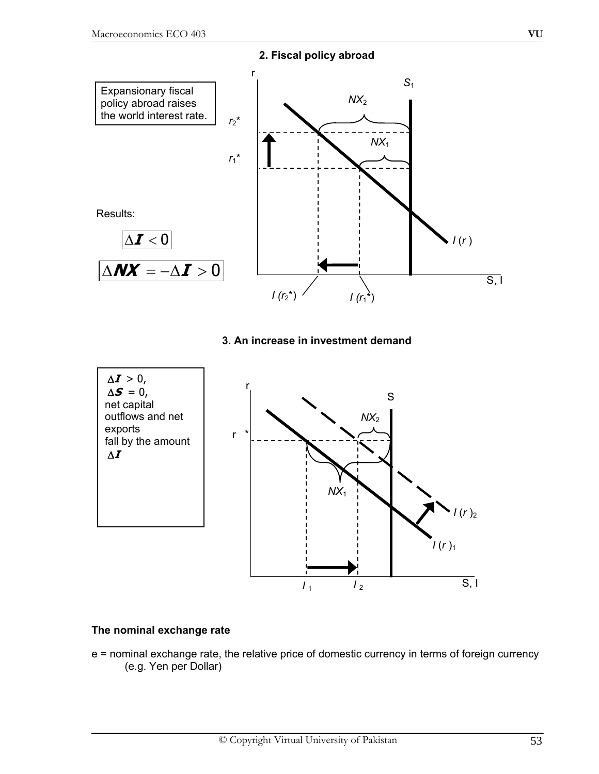

#### **3. An increase in investment demand**



#### **The nominal exchange rate**

e = nominal exchange rate, the relative price of domestic currency in terms of foreign currency (e.g. Yen per Dollar)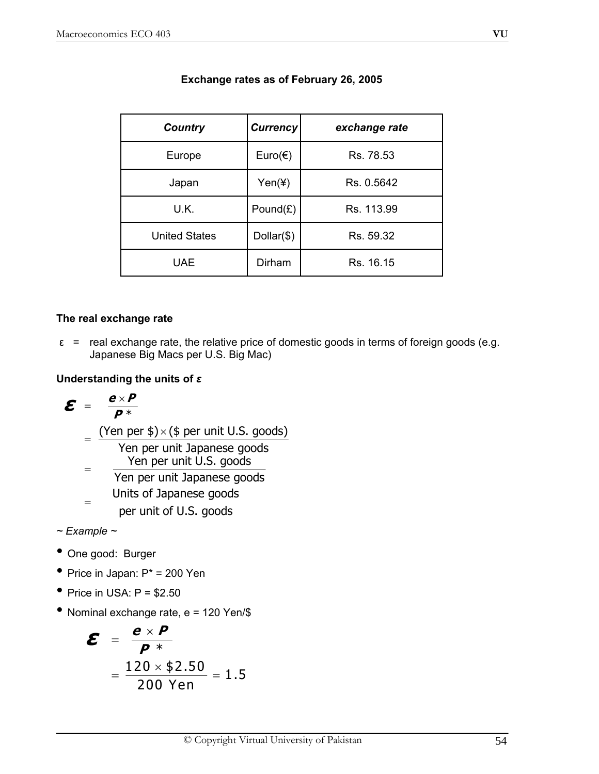| <b>Country</b>       | <b>Currency</b>  | exchange rate |
|----------------------|------------------|---------------|
| Europe               | $Euro(\epsilon)$ | Rs. 78.53     |
| Japan                | $Yen(\yen)$      | Rs. 0.5642    |
| U.K.                 | Pound(E)         | Rs. 113.99    |
| <b>United States</b> | Dollar(\$)       | Rs. 59.32     |
| UAE                  | Dirham           | Rs. 16.15     |

## **Exchange rates as of February 26, 2005**

## **The real exchange rate**

 $\epsilon$  = real exchange rate, the relative price of domestic goods in terms of foreign goods (e.g. Japanese Big Macs per U.S. Big Mac)

## **Understanding the units of** *ε*

$$
\boldsymbol{\mathcal{E}} = \frac{\boldsymbol{e} \times \boldsymbol{P}}{\boldsymbol{P}^*}
$$

 $=\frac{(\text{Yen per } \$) \times (\$ per unit U.S. goods)}{(\text{Yen per } \$) \times (\text{Yen per } \$)}$ 

Yen per unit Japanese goods Yen per unit U.S. goods

- $\frac{1}{2}$   $\frac{1}{2}$   $\frac{1}{2}$   $\frac{1}{2}$   $\frac{1}{2}$   $\frac{1}{2}$   $\frac{1}{2}$   $\frac{1}{2}$   $\frac{1}{2}$   $\frac{1}{2}$   $\frac{1}{2}$   $\frac{1}{2}$   $\frac{1}{2}$   $\frac{1}{2}$   $\frac{1}{2}$   $\frac{1}{2}$   $\frac{1}{2}$   $\frac{1}{2}$   $\frac{1}{2}$   $\frac{1}{2}$   $\frac{1}{2}$   $\frac{1}{2}$  Units of Japanese goods
- $=$  per unit of U.S. goods
- *~ Example ~*
- One good: Burger
- Price in Japan:  $P^* = 200$  Yen
- Price in USA:  $P = $2.50$
- Nominal exchange rate, e = 120 Yen/\$

$$
\mathcal{E} = \frac{\mathbf{e} \times \mathbf{P}}{\mathbf{P} *}\n= \frac{120 \times \$2.50}{200 \text{ Yen}} = 1.5
$$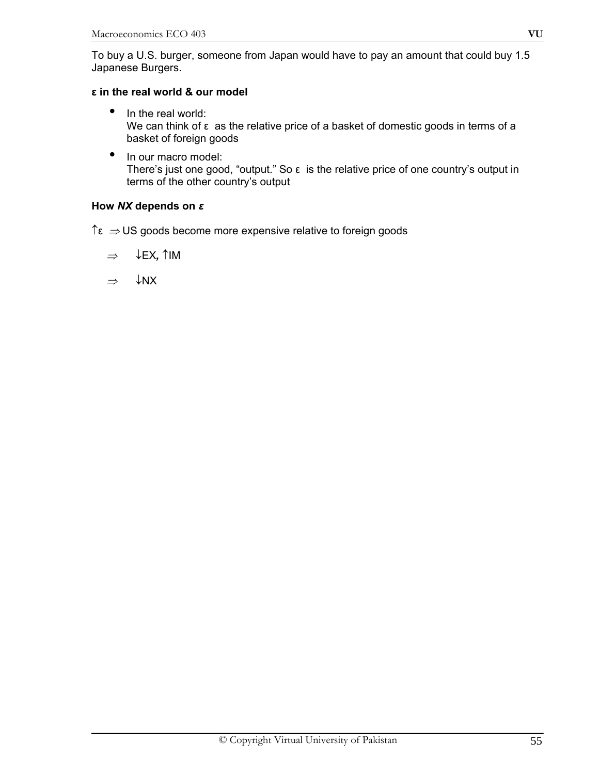To buy a U.S. burger, someone from Japan would have to pay an amount that could buy 1.5 Japanese Burgers.

## **ε in the real world & our model**

- In the real world: We can think of  $\varepsilon$  as the relative price of a basket of domestic goods in terms of a basket of foreign goods
- In our macro model: There's just one good, "output." So  $\varepsilon$  is the relative price of one country's output in terms of the other country's output

## **How** *NX* **depends on** *ε*

 $\hat{\tau} \epsilon \Rightarrow$  US goods become more expensive relative to foreign goods

- <sup>⇒</sup>↓EX*,* ↑IM
- ⇒↓NX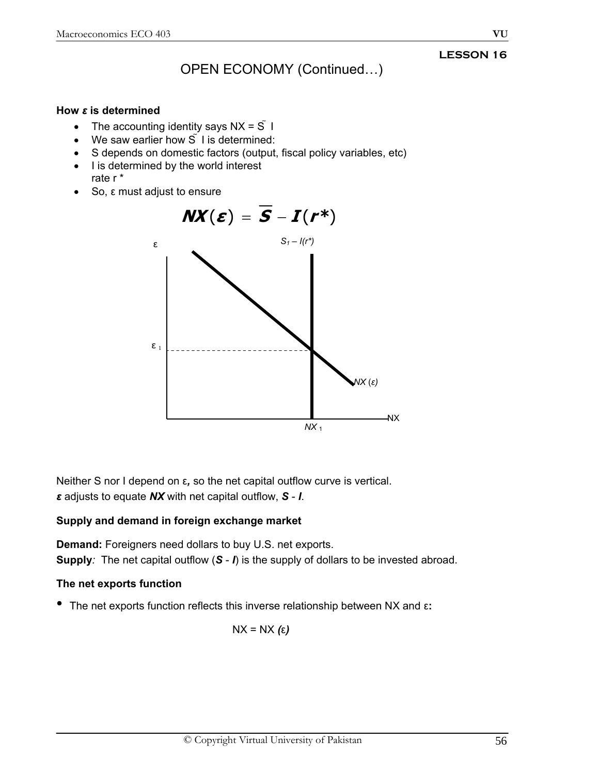# OPEN ECONOMY (Continued…)

#### **How** *ε* **is determined**

- The accounting identity says  $NX = S I$
- We saw earlier how  $S<sup>T</sup>$  is determined:
- S depends on domestic factors (output, fiscal policy variables, etc)
- I is determined by the world interest rate r \*
- So, ε must adjust to ensure



Neither S nor I depend on ε*,* so the net capital outflow curve is vertical. *ε* adjusts to equate *NX* with net capital outflow, *S* - *I*.

## **Supply and demand in foreign exchange market**

**Demand:** Foreigners need dollars to buy U.S. net exports. **Supply**: The net capital outflow (S - I) is the supply of dollars to be invested abroad.

## **The net exports function**

• The net exports function reflects this inverse relationship between NX and <sup>ε</sup>**:** 

NX = NX *(*ε*)*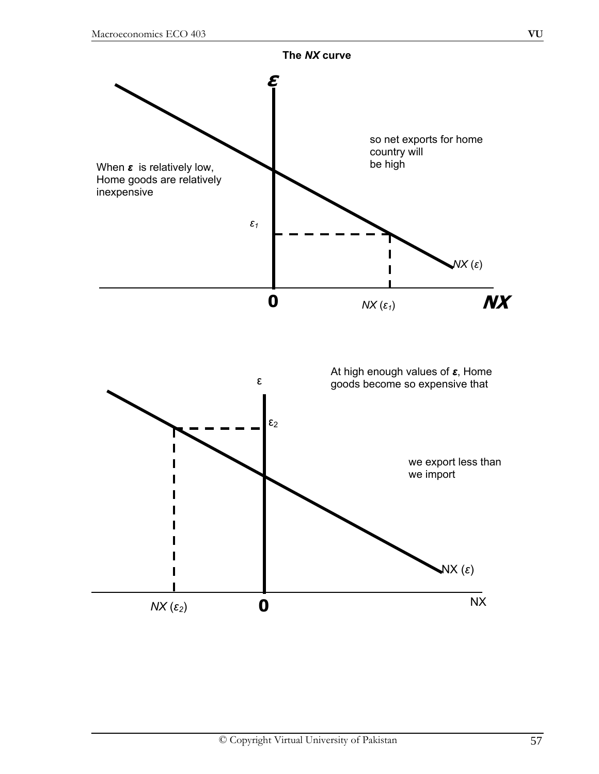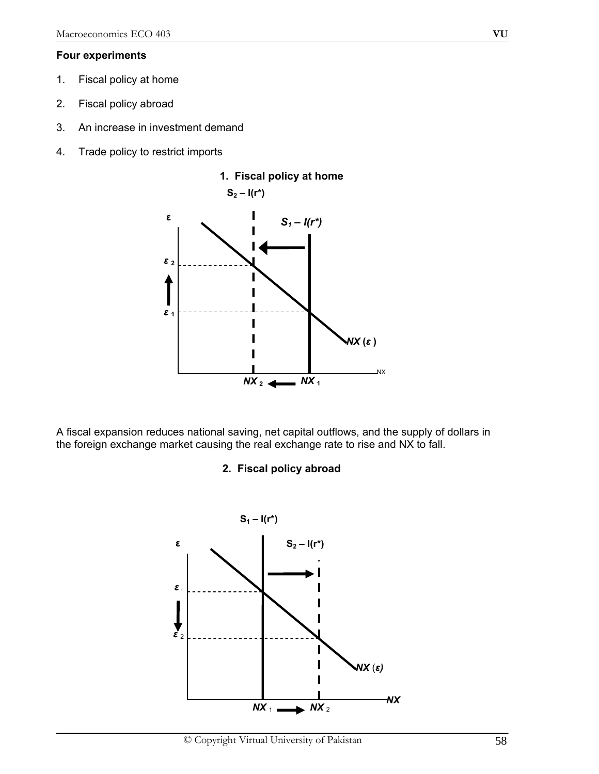## **Four experiments**

- 1. Fiscal policy at home
- 2. Fiscal policy abroad
- 3. An increase in investment demand
- 4. Trade policy to restrict imports



A fiscal expansion reduces national saving, net capital outflows, and the supply of dollars in the foreign exchange market causing the real exchange rate to rise and NX to fall.

## **2. Fiscal policy abroad**

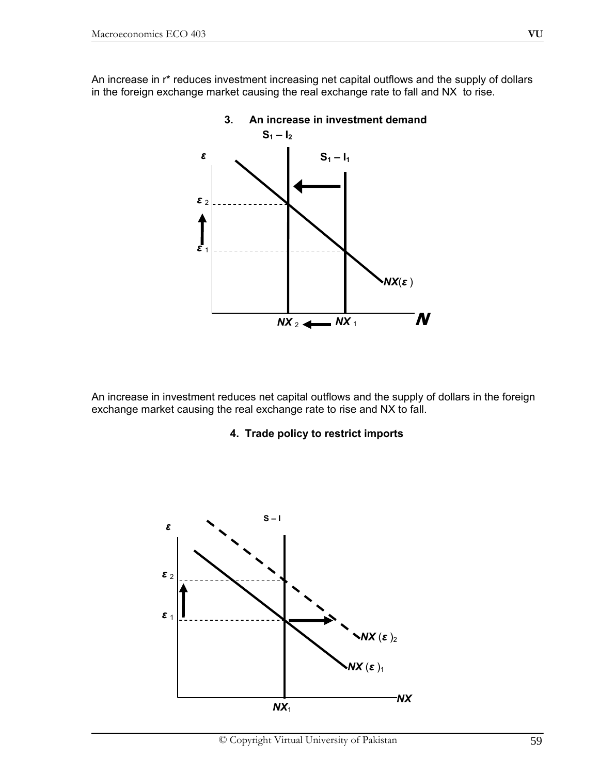An increase in r\* reduces investment increasing net capital outflows and the supply of dollars in the foreign exchange market causing the real exchange rate to fall and NX to rise.



An increase in investment reduces net capital outflows and the supply of dollars in the foreign exchange market causing the real exchange rate to rise and NX to fall.

#### **4. Trade policy to restrict imports**

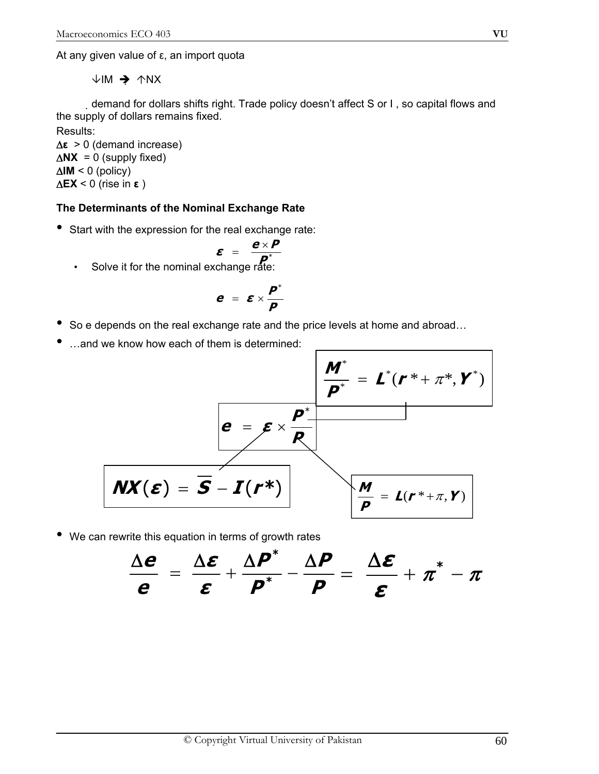At any given value of  $ε$ , an import quota

 $\downarrow$ IM  $\rightarrow$   $\uparrow$ NX

demand for dollars shifts right. Trade policy doesn't affect S or I , so capital flows and the supply of dollars remains fixed.

Results:

Δ**ε** > 0 (demand increase)  $\Delta$ **NX** = 0 (supply fixed) Δ**IM** < 0 (policy) Δ**EX** < 0 (rise in **ε** )

#### **The Determinants of the Nominal Exchange Rate**

• Start with the expression for the real exchange rate:

$$
\mathbf{E} = \frac{\mathbf{e} \times \mathbf{P}}{\mathbf{P}^*}
$$

• Solve it for the nominal exchange rate:

$$
e = \varepsilon \times \frac{p^*}{p}
$$

- So e depends on the real exchange rate and the price levels at home and abroad...
- ...and we know how each of them is determined:



• We can rewrite this equation in terms of growth rates

$$
\frac{\Delta e}{e} = \frac{\Delta \mathcal{E}}{\mathcal{E}} + \frac{\Delta P^*}{P^*} - \frac{\Delta P}{P} = \frac{\Delta \mathcal{E}}{\mathcal{E}} + \pi^* - \pi
$$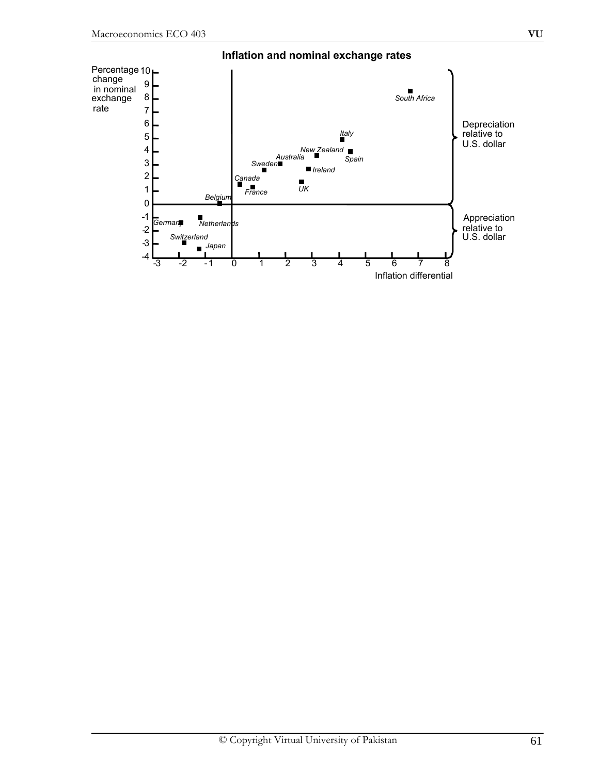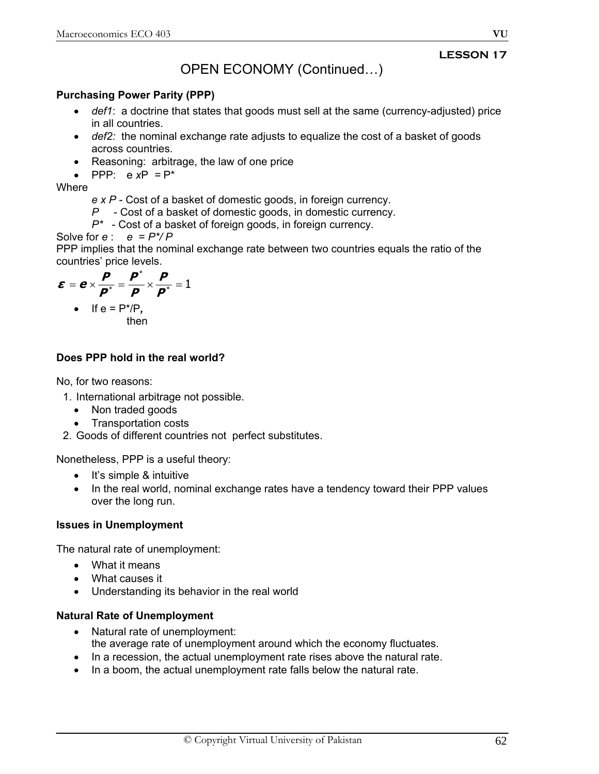## **LESSON 17**

# OPEN ECONOMY (Continued…)

## **Purchasing Power Parity (PPP)**

- *def1*: a doctrine that states that goods must sell at the same (currency-adjusted) price in all countries.
- *def2:* the nominal exchange rate adjusts to equalize the cost of a basket of goods across countries.
- Reasoning:arbitrage, the law of one price
- PPP:e *x*P *=* P\*

Where

- *e x P* Cost of a basket of domestic goods, in foreign currency.
- *P* Cost of a basket of domestic goods, in domestic currency.
- *P\**  Cost of a basket of foreign goods, in foreign currency.

Solve for  $e$ :  $e = P^*/P$ 

PPP implies that the nominal exchange rate between two countries equals the ratio of the countries' price levels.

$$
\boldsymbol{\mathcal{E}} = \boldsymbol{e} \times \frac{\boldsymbol{P}}{\boldsymbol{P}^*} = \frac{\boldsymbol{P}^*}{\boldsymbol{P}} \times \frac{\boldsymbol{P}}{\boldsymbol{P}^*} = 1
$$

• If 
$$
e = P^*/P
$$
,  
then

## **Does PPP hold in the real world?**

No, for two reasons:

- 1. International arbitrage not possible.
	- Non traded goods
	- Transportation costs
- 2. Goods of different countries not perfect substitutes.

Nonetheless, PPP is a useful theory:

- It's simple & intuitive
- In the real world, nominal exchange rates have a tendency toward their PPP values over the long run.

## **Issues in Unemployment**

The natural rate of unemployment:

- What it means
- What causes it
- Understanding its behavior in the real world

## **Natural Rate of Unemployment**

- Natural rate of unemployment: the average rate of unemployment around which the economy fluctuates.
- In a recession, the actual unemployment rate rises above the natural rate.
- In a boom, the actual unemployment rate falls below the natural rate.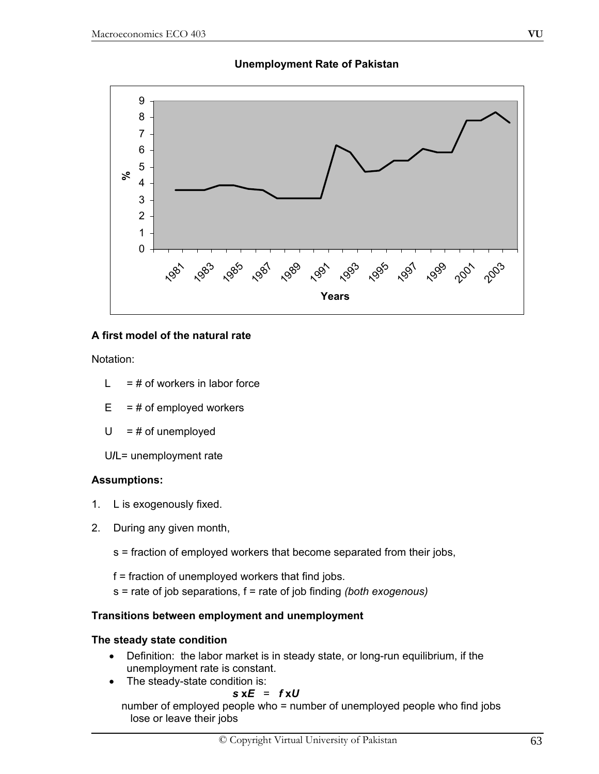

#### **Unemployment Rate of Pakistan**

#### **A first model of the natural rate**

Notation:

- $L = #$  of workers in labor force
- $E = #$  of employed workers
- $U = #$  of unemployed
- U**/**L= unemployment rate

#### **Assumptions:**

- 1. L is exogenously fixed.
- 2. During any given month,
	- s = fraction of employed workers that become separated from their jobs,
	- f = fraction of unemployed workers that find jobs.
	- s = rate of job separations, f = rate of job finding *(both exogenous)*

#### **Transitions between employment and unemployment**

#### **The steady state condition**

- Definition: the labor market is in steady state, or long-run equilibrium, if the unemployment rate is constant.
- The steady-state condition is:

#### *s* **x***E* =*f* **x***U*

 number of employed people who = number of unemployed people who find jobs lose or leave their jobs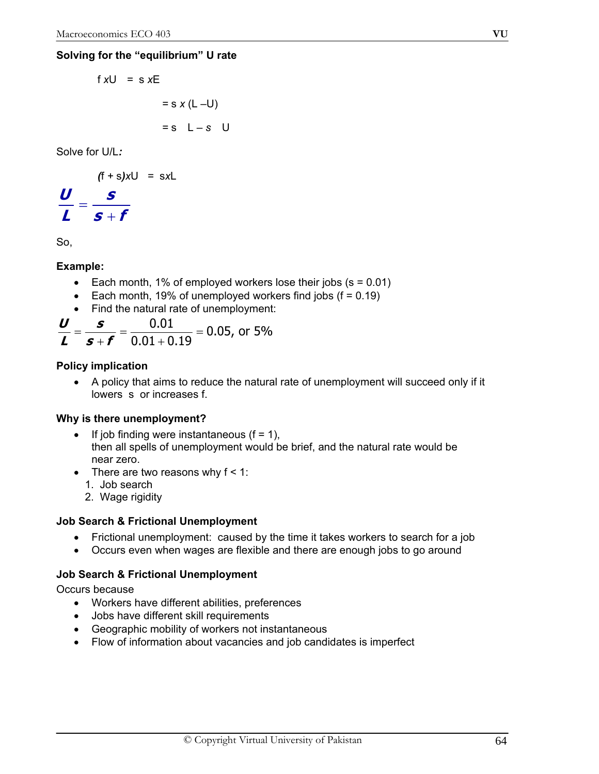## **Solving for the "equilibrium" U rate**

$$
f xU = s xE
$$
  

$$
= s x (L - U)
$$
  

$$
= s L - s U
$$

Solve for U/L*:* 

*(*f *+* s*)x*U *=* s*x*L

# **U s**  $\frac{S}{L} = \frac{S}{S + f}$

So,

## **Example:**

- Each month, 1% of employed workers lose their jobs  $(s = 0.01)$
- Each month, 19% of unemployed workers find jobs  $(f = 0.19)$
- Find the natural rate of unemployment:

$$
\frac{\nu}{L} = \frac{s}{s+f} = \frac{0.01}{0.01+0.19} = 0.05, \text{ or } 5\%
$$

#### **Policy implication**

• A policy that aims to reduce the natural rate of unemployment will succeed only if it lowers s or increases f.

#### **Why is there unemployment?**

- If job finding were instantaneous  $(f = 1)$ , then all spells of unemployment would be brief, and the natural rate would be near zero.
- There are two reasons why  $f < 1$ :
	- 1. Job search
	- 2. Wage rigidity

## **Job Search & Frictional Unemployment**

- Frictional unemployment: caused by the time it takes workers to search for a job
- Occurs even when wages are flexible and there are enough jobs to go around

## **Job Search & Frictional Unemployment**

Occurs because

- Workers have different abilities, preferences
- Jobs have different skill requirements
- Geographic mobility of workers not instantaneous
- Flow of information about vacancies and job candidates is imperfect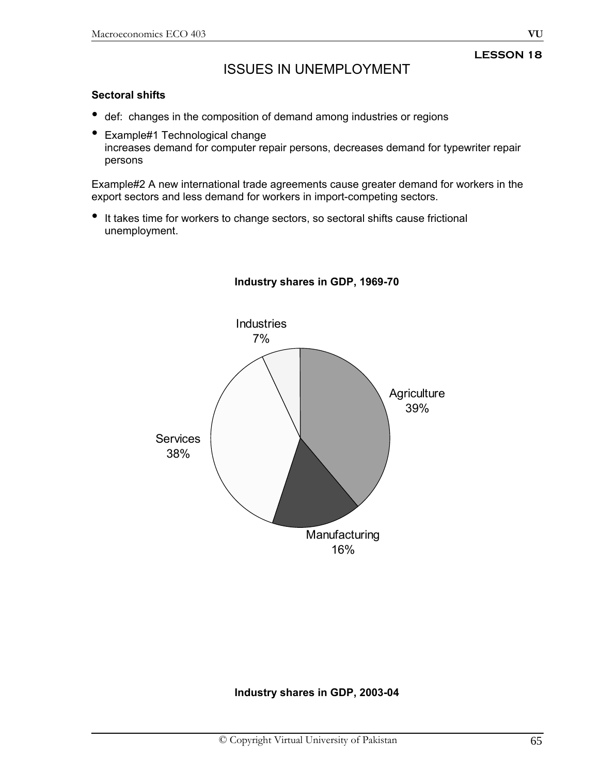**LESSON 18** 

# ISSUES IN UNEMPLOYMENT

## **Sectoral shifts**

- def: changes in the composition of demand among industries or regions
- Example#1 Technological change increases demand for computer repair persons, decreases demand for typewriter repair persons

Example#2 A new international trade agreements cause greater demand for workers in the export sectors and less demand for workers in import-competing sectors.

It takes time for workers to change sectors, so sectoral shifts cause frictional unemployment.



## **Industry shares in GDP, 1969-70**

## **Industry shares in GDP, 2003-04**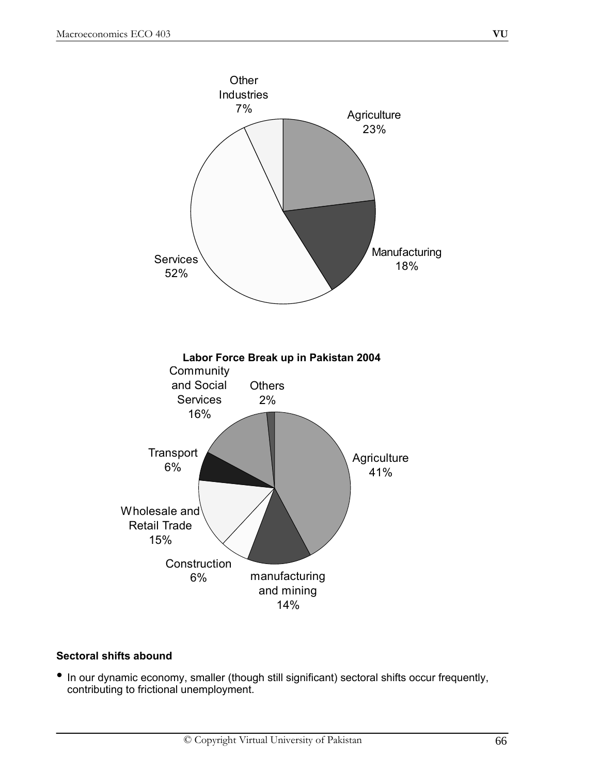

#### **Sectoral shifts abound**

• In our dynamic economy, smaller (though still significant) sectoral shifts occur frequently, contributing to frictional unemployment.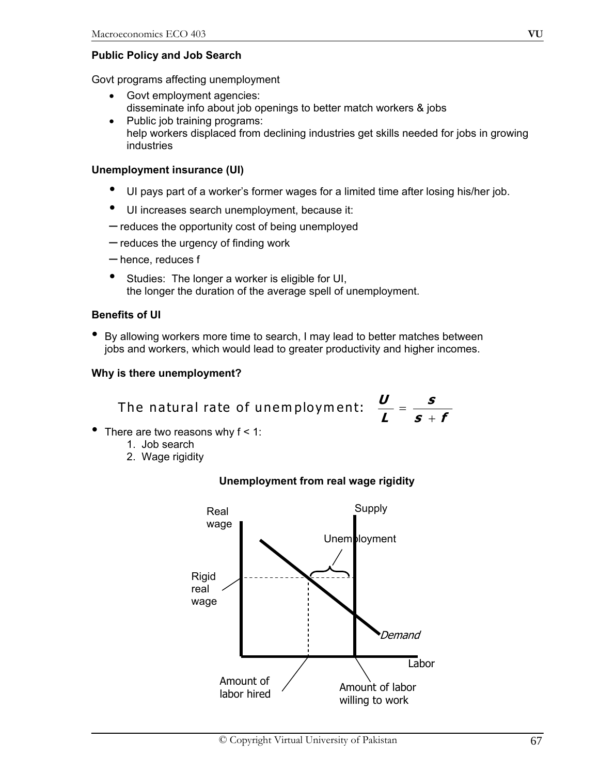## **Public Policy and Job Search**

Govt programs affecting unemployment

- Govt employment agencies: disseminate info about job openings to better match workers & jobs
- Public job training programs: help workers displaced from declining industries get skills needed for jobs in growing industries

#### **Unemployment insurance (UI)**

- UI pays part of a worker's former wages for a limited time after losing his/her job.
- UI increases search unemployment, because it:
- reduces the opportunity cost of being unemployed
- reduces the urgency of finding work
- hence, reduces f
- Studies: The longer a worker is eligible for UI, the longer the duration of the average spell of unemployment.

#### **Benefits of UI**

• By allowing workers more time to search, I may lead to better matches between jobs and workers, which would lead to greater productivity and higher incomes.

#### **Why is there unemployment?**

**The natural rate of unemployment:** 

$$
\frac{U}{L} = \frac{s}{s+f}
$$

- There are two reasons why  $f < 1$ :
	- 1. Job search
	- 2. Wage rigidity

#### **Unemployment from real wage rigidity**

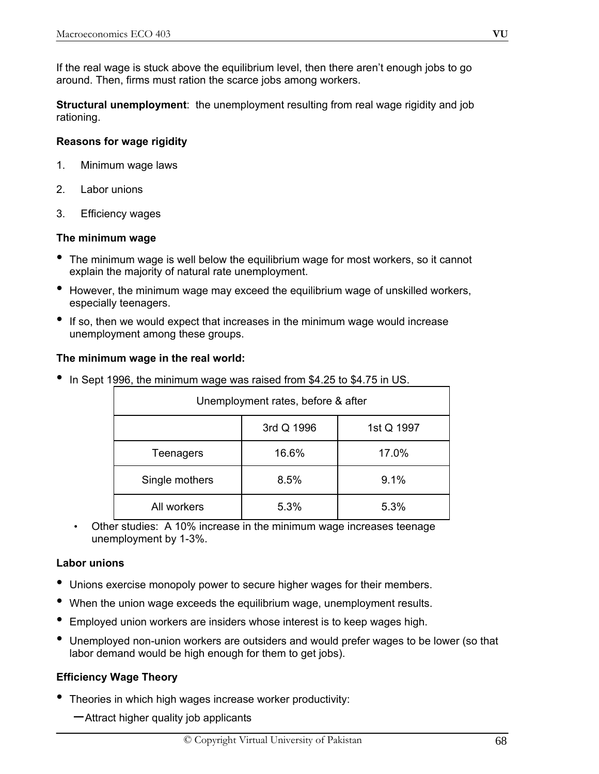If the real wage is stuck above the equilibrium level, then there aren't enough jobs to go around. Then, firms must ration the scarce jobs among workers.

**Structural unemployment**: the unemployment resulting from real wage rigidity and job rationing.

#### **Reasons for wage rigidity**

- 1. Minimum wage laws
- 2. Labor unions
- 3. Efficiency wages

#### **The minimum wage**

- The minimum wage is well below the equilibrium wage for most workers, so it cannot explain the majority of natural rate unemployment.
- However, the minimum wage may exceed the equilibrium wage of unskilled workers, especially teenagers.
- If so, then we would expect that increases in the minimum wage would increase unemployment among these groups.

#### **The minimum wage in the real world:**

• In Sept 1996, the minimum wage was raised from \$4.25 to \$4.75 in US.

| Unemployment rates, before & after |            |            |  |
|------------------------------------|------------|------------|--|
|                                    | 3rd Q 1996 | 1st Q 1997 |  |
| Teenagers                          | 16.6%      | 17.0%      |  |
| Single mothers                     | 8.5%       | 9.1%       |  |
| All workers                        | 5.3%       | 5.3%       |  |

• Other studies: A 10% increase in the minimum wage increases teenage unemployment by 1-3%.

#### **Labor unions**

- Unions exercise monopoly power to secure higher wages for their members.
- When the union wage exceeds the equilibrium wage, unemployment results.
- Employed union workers are insiders whose interest is to keep wages high.
- Unemployed non-union workers are outsiders and would prefer wages to be lower (so that labor demand would be high enough for them to get jobs).

#### **Efficiency Wage Theory**

- Theories in which high wages increase worker productivity:
	- Attract higher quality job applicants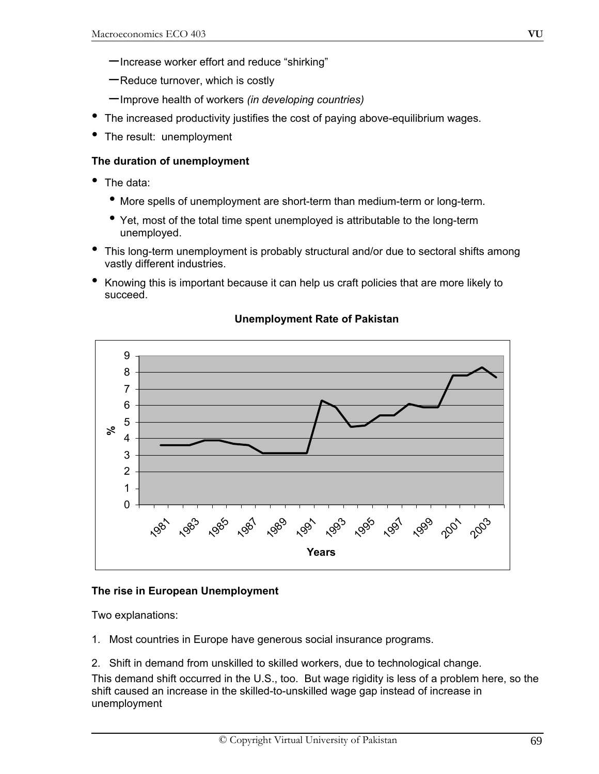- Increase worker effort and reduce "shirking"
- Reduce turnover, which is costly
- Improve health of workers *(in developing countries)*
- The increased productivity justifies the cost of paying above-equilibrium wages.
- The result: unemployment

## **The duration of unemployment**

- The data:
	- More spells of unemployment are short-term than medium-term or long-term.
	- Yet, most of the total time spent unemployed is attributable to the long-term unemployed.
- This long-term unemployment is probably structural and/or due to sectoral shifts among vastly different industries.
- Knowing this is important because it can help us craft policies that are more likely to succeed.



## **Unemployment Rate of Pakistan**

## **The rise in European Unemployment**

Two explanations:

- 1. Most countries in Europe have generous social insurance programs.
- 2. Shift in demand from unskilled to skilled workers, due to technological change.

This demand shift occurred in the U.S., too. But wage rigidity is less of a problem here, so the shift caused an increase in the skilled-to-unskilled wage gap instead of increase in unemployment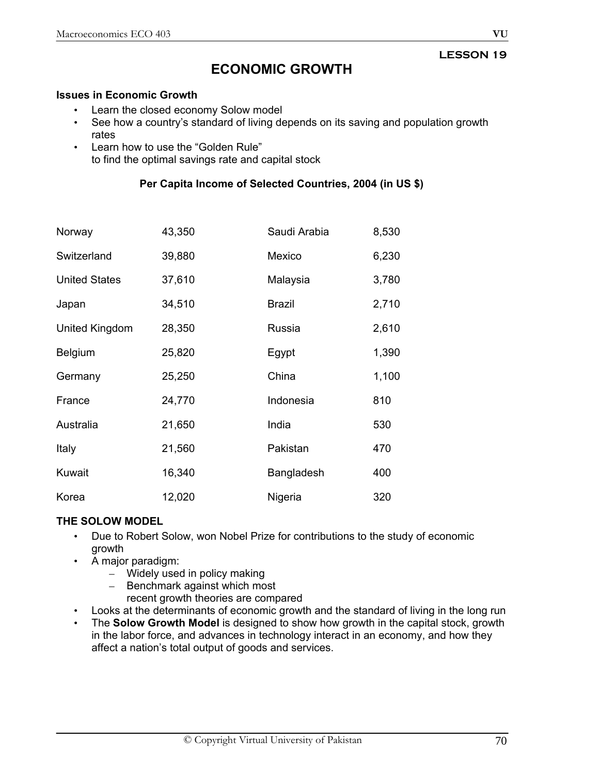## **LESSON 19**

# **ECONOMIC GROWTH**

#### **Issues in Economic Growth**

- Learn the closed economy Solow model
- See how a country's standard of living depends on its saving and population growth rates
- Learn how to use the "Golden Rule" to find the optimal savings rate and capital stock

## **Per Capita Income of Selected Countries, 2004 (in US \$)**

| Norway               | 43,350 | Saudi Arabia  | 8,530 |
|----------------------|--------|---------------|-------|
| Switzerland          | 39,880 | Mexico        | 6,230 |
| <b>United States</b> | 37,610 | Malaysia      | 3,780 |
| Japan                | 34,510 | <b>Brazil</b> | 2,710 |
| United Kingdom       | 28,350 | Russia        | 2,610 |
| <b>Belgium</b>       | 25,820 | Egypt         | 1,390 |
| Germany              | 25,250 | China         | 1,100 |
| France               | 24,770 | Indonesia     | 810   |
| Australia            | 21,650 | India         | 530   |
| Italy                | 21,560 | Pakistan      | 470   |
| Kuwait               | 16,340 | Bangladesh    | 400   |
| Korea                | 12,020 | Nigeria       | 320   |

## **THE SOLOW MODEL**

- Due to Robert Solow, won Nobel Prize for contributions to the study of economic growth
- A major paradigm:
	- Widely used in policy making
	- Benchmark against which most
		- recent growth theories are compared
- Looks at the determinants of economic growth and the standard of living in the long run
- The **Solow Growth Model** is designed to show how growth in the capital stock, growth in the labor force, and advances in technology interact in an economy, and how they affect a nation's total output of goods and services.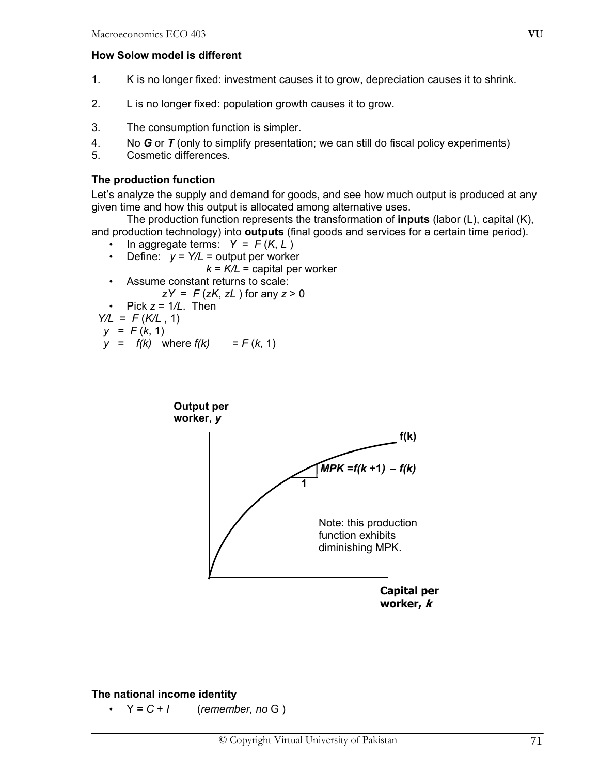#### **How Solow model is different**

- 1. K is no longer fixed: investment causes it to grow, depreciation causes it to shrink.
- 2. L is no longer fixed: population growth causes it to grow.
- 3. The consumption function is simpler.
- 4. No *G* or *T* (only to simplify presentation; we can still do fiscal policy experiments)
- 5. Cosmetic differences.

## **The production function**

Let's analyze the supply and demand for goods, and see how much output is produced at any given time and how this output is allocated among alternative uses.

 The production function represents the transformation of **inputs** (labor (L), capital (K), and production technology) into **outputs** (final goods and services for a certain time period).

- In aggregate terms:  $Y = F(K, L)$
- Define:  $y = Y/L =$  output per worker

 $k = K/L$  = capital per worker

• Assume constant returns to scale:

*zY* = *F* (*zK*, *zL* ) for any *z* > 0

• Pick 
$$
z = 1/L
$$
. Then

$$
Y/L = F(K/L, 1)
$$

$$
y = F(k, 1)
$$

 $y = f(k)$  where  $f(k) = F(k, 1)$ 



#### **The national income identity**

•  $Y = C + I$  (*remember, no G*)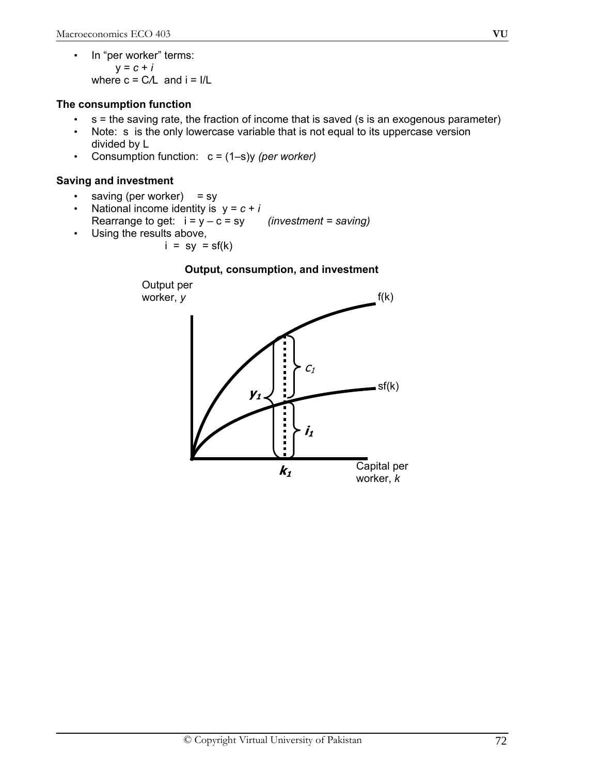• In "per worker" terms:  $y = c + i$ where  $c = C/L$  and  $i = I/L$ 

## **The consumption function**

- s = the saving rate, the fraction of income that is saved (s is an exogenous parameter)
- Note: s is the only lowercase variable that is not equal to its uppercase version divided by L
- Consumption function: c = (1–s)y *(per worker)*

## **Saving and investment**

- saving (per worker) = sy
- National income identity is  $y = c + i$ Rearrange to get:  $i = y - c = sy$  *(investment = saving)*
- Using the results above,

 $i = sy = sf(k)$ 

#### **Output, consumption, and investment**

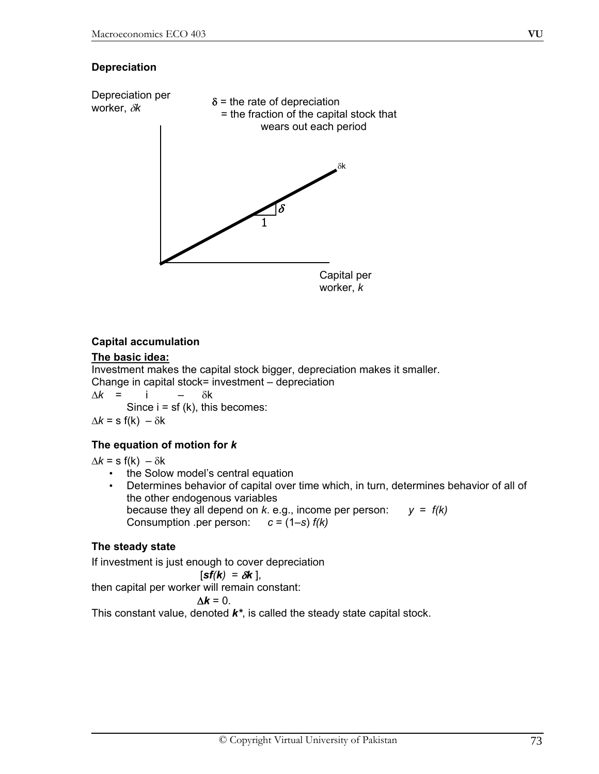## **Depreciation**



#### **Capital accumulation**

#### **The basic idea:**

Investment makes the capital stock bigger, depreciation makes it smaller. Change in capital stock= investment – depreciation

Δ*k* = i – δk Since  $i = sf(k)$ , this becomes:

 $Δk = s f(k) - δk$ 

## **The equation of motion for** *k*

 $Δk = s f(k) - δk$ 

- the Solow model's central equation<br>• Determines behavior of capital over
- Determines behavior of capital over time which, in turn, determines behavior of all of the other endogenous variables because they all depend on  $k$ . e.g., income per person:  $y = f(k)$ Consumption .per person: *c* = (1–*s*) *f(k)*

## **The steady state**

If investment is just enough to cover depreciation

$$
[sf(k) = \delta k],
$$

then capital per worker will remain constant:

$$
\Delta \mathbf{k} = 0.
$$

This constant value, denoted *k\**, is called the steady state capital stock.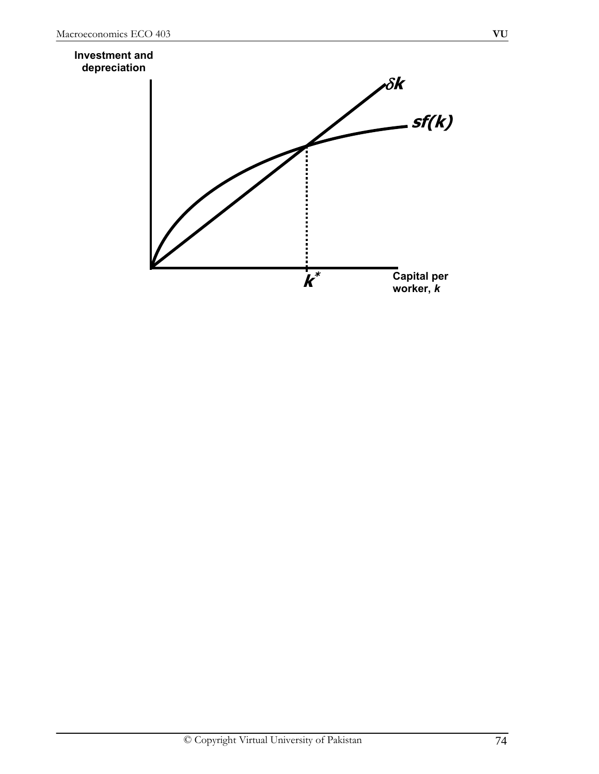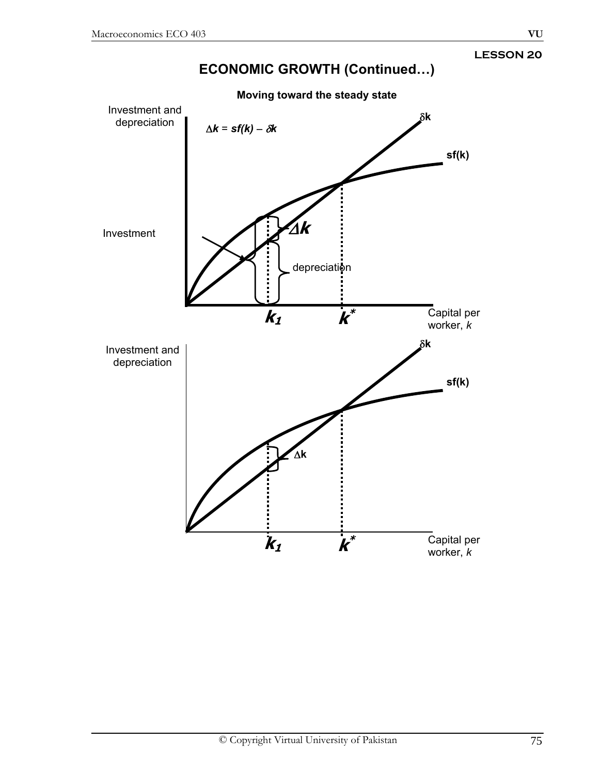Investment

# **LESSON 20 ECONOMIC GROWTH (Continued…) Moving toward the steady state**  Investment and depreciation Capital per worker, *k* **sf(k)**  δ**k k\***  $Δk = sf(k) - δk$ depreciation Δ**k**  $k_1$

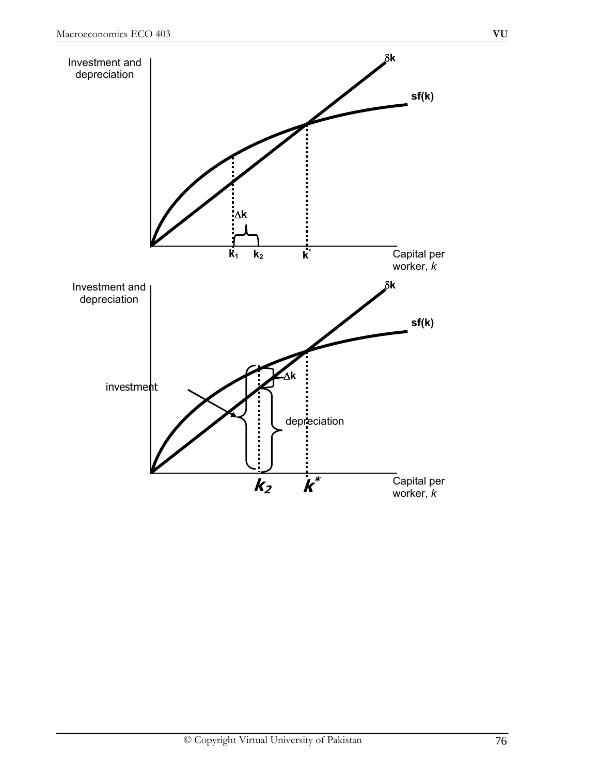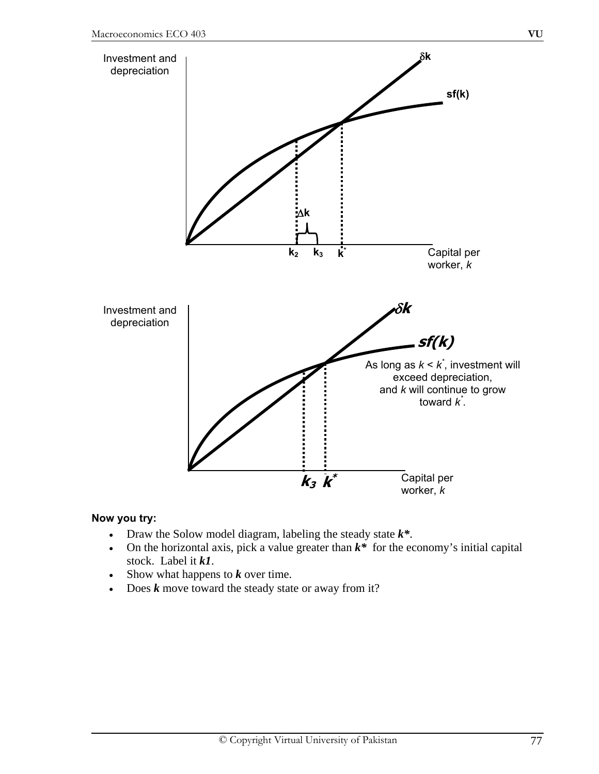

## **Now you try:**

- Draw the Solow model diagram, labeling the steady state *k\**.
- On the horizontal axis, pick a value greater than  $k^*$  for the economy's initial capital stock. Label it *k1*.
- Show what happens to  $k$  over time.
- Does *k* move toward the steady state or away from it?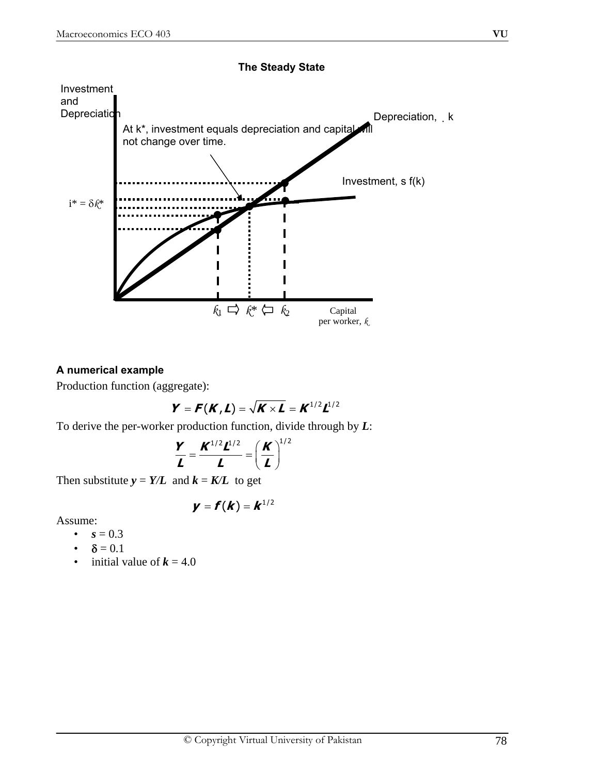

#### **A numerical example**

Production function (aggregate):

$$
\boldsymbol{Y} = \boldsymbol{F}(\boldsymbol{K}, \boldsymbol{L}) = \sqrt{\boldsymbol{K} \times \boldsymbol{L}} = \boldsymbol{K}^{1/2} \boldsymbol{L}^{1/2}
$$

To derive the per-worker production function, divide through by *L*:

$$
\frac{Y}{L} = \frac{K^{1/2}L^{1/2}}{L} = \left(\frac{K}{L}\right)^{1/2}
$$

Then substitute  $y = Y/L$  and  $k = K/L$  to get

$$
\boldsymbol{y} = \boldsymbol{f}(\boldsymbol{k}) = \boldsymbol{k}^{1/2}
$$

Assume:

- $s = 0.3$
- $\cdot$   $\delta = 0.1$
- initial value of  $k = 4.0$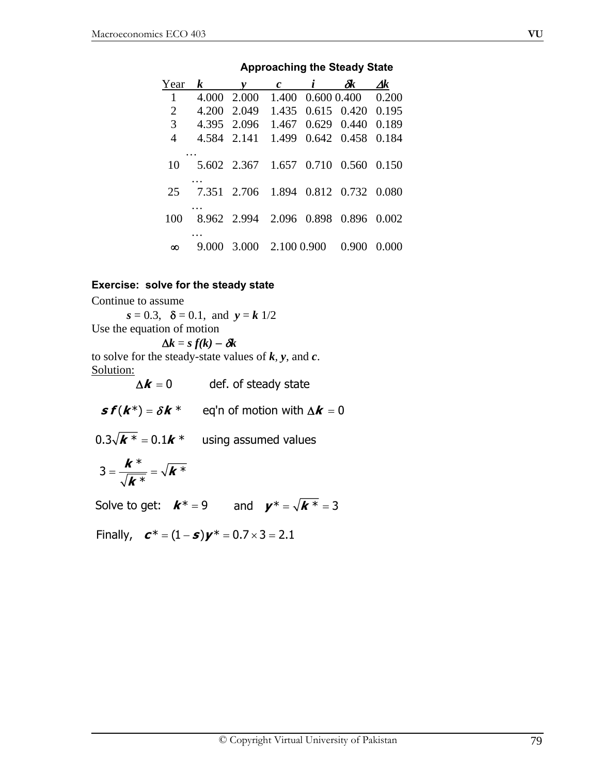| Year           | $\boldsymbol{k}$ | v                             | $\boldsymbol{c}$ | $\boldsymbol{i}$  | $\partial\!k$           | Δk       |
|----------------|------------------|-------------------------------|------------------|-------------------|-------------------------|----------|
| 1              | 4.000 2.000      |                               | 1.400            | 0.600 0.400       |                         | 0.200    |
| $\overline{2}$ |                  | 4.200 2.049                   |                  | 1.435 0.615 0.420 |                         | 0.195    |
| 3              | 4.395 2.096      |                               | 1.467            | $0.629$ $0.440$   |                         | 0.189    |
| $\overline{4}$ | 4.584 2.141      |                               | 1.499            | $0.642$ 0.458     |                         | 0.184    |
|                |                  |                               |                  |                   |                         |          |
| 10             |                  | 5.602 2.367                   |                  |                   | 1.657 0.710 0.560       | 0.150    |
|                |                  |                               |                  |                   |                         |          |
|                | 25 7.351 2.706   |                               |                  |                   | 1.894 0.812 0.732 0.080 |          |
|                |                  |                               |                  |                   |                         |          |
| 100            |                  | 8.962 2.994 2.096 0.898 0.896 |                  |                   |                         | 0.002    |
|                |                  |                               |                  |                   |                         |          |
| ∞              | 9.000            | 3.000                         | 2.100 0.900      |                   | 0.900                   | ()()()() |
|                |                  |                               |                  |                   |                         |          |

**Approaching the Steady State** 

## **Exercise: solve for the steady state**

Continue to assume

 $s = 0.3$ ,  $\delta = 0.1$ , and  $y = k \frac{1}{2}$ 

Use the equation of motion

$$
\Delta k = s f(k) - \delta k
$$

to solve for the steady-state values of *k*, *y*, and *c*. Solution:

 $\Delta \boldsymbol{k} = 0$  def. of steady state

**sf**( $k^*$ ) =  $\delta k^*$  eq'n of motion with  $\Delta k = 0$ 

 $0.3\sqrt{\mathbf{k}^*} = 0.1\mathbf{k}^*$  using assumed values

$$
3=\frac{\boldsymbol{k}^*}{\sqrt{\boldsymbol{k}^*}}=\sqrt{\boldsymbol{k}^*}
$$

Solve to get:  $\boldsymbol{k}^* = 9$  and  $\boldsymbol{y}^* = \sqrt{\boldsymbol{k}^* = 3}$ 

Finally,  $c^* = (1 - s)y^* = 0.7 \times 3 = 2.1$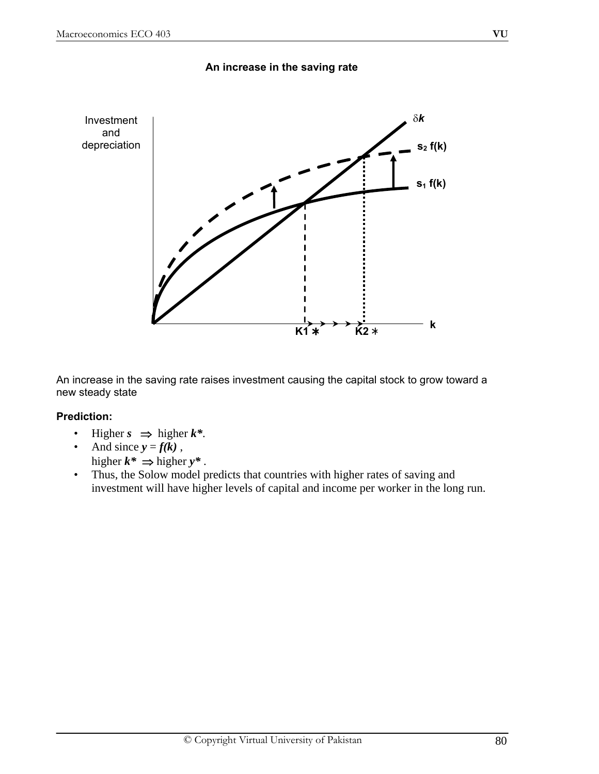



An increase in the saving rate raises investment causing the capital stock to grow toward a new steady state

#### **Prediction:**

- Higher  $s \implies$  higher  $k^*$ .
- And since  $y = f(k)$ , higher  $k^* \Rightarrow$  higher  $y^*$ .
- Thus, the Solow model predicts that countries with higher rates of saving and investment will have higher levels of capital and income per worker in the long run.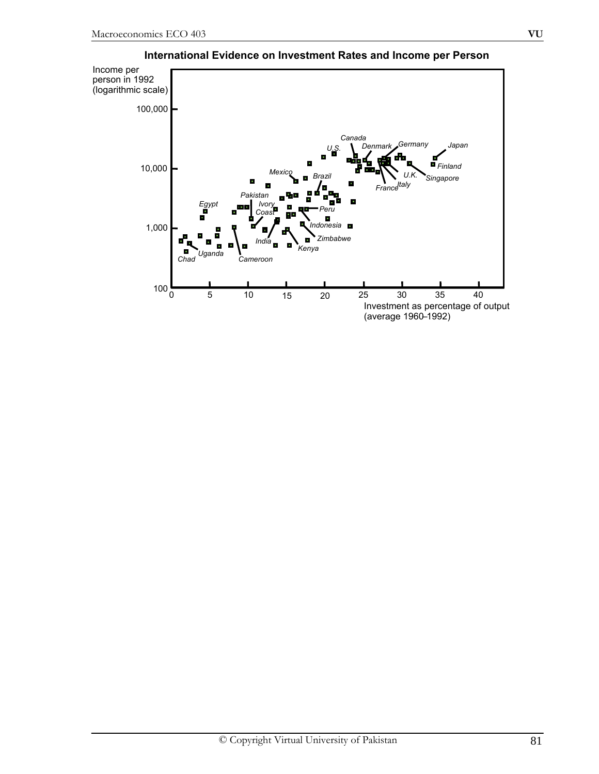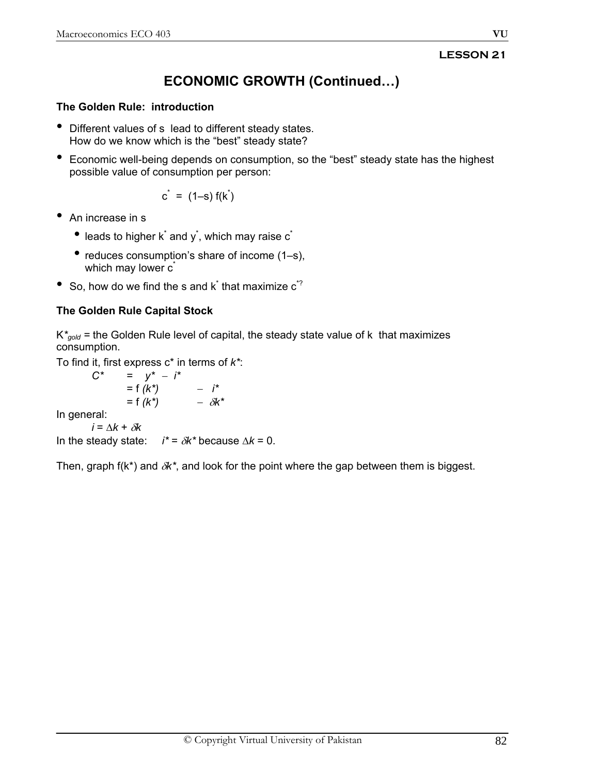## **LESSON 21**

## **ECONOMIC GROWTH (Continued…)**

## **The Golden Rule: introduction**

- Different values of s lead to different steady states. How do we know which is the "best" steady state?
- Economic well-being depends on consumption, so the "best" steady state has the highest possible value of consumption per person:

$$
c^* = (1-s) f(k^*)
$$

- An increase in s
	- $\bullet$  leads to higher k<sup>\*</sup> and y<sup>\*</sup>, which may raise c<sup>\*</sup>
	- reduces consumption's share of income (1–s), which may lower c<sup>\*</sup>
- So, how do we find the s and  $k^*$  that maximize  $c^{2}$

## **The Golden Rule Capital Stock**

K*\*gold =* the Golden Rule level of capital, the steady state value of k that maximizes consumption.

To find it, first express c\* in terms of *k\**:

*C\** = *y\** − *i\**  $= f (k^*)$  −  $i^*$  $= f (k^*)$  −  $\delta k^*$ In general:  $i = \Delta k + \delta k$ In the steady state:  $i^* = \partial k^*$  because  $\Delta k = 0$ .

Then, graph f(k\*) and δ*k\**, and look for the point where the gap between them is biggest.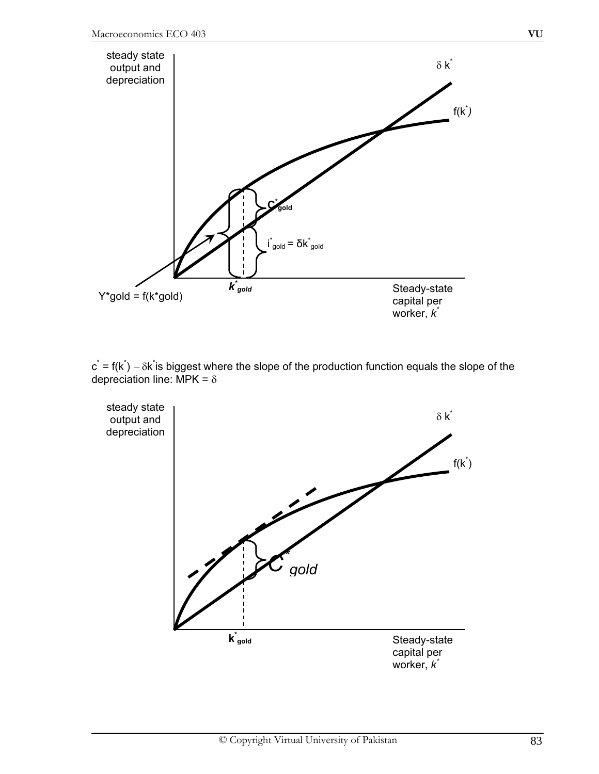

 $\vec{c}$  = f(k<sup>\*</sup>) –  $\delta$ k<sup>\*</sup>is biggest where the slope of the production function equals the slope of the depreciation line: MPK =  $\delta$ 

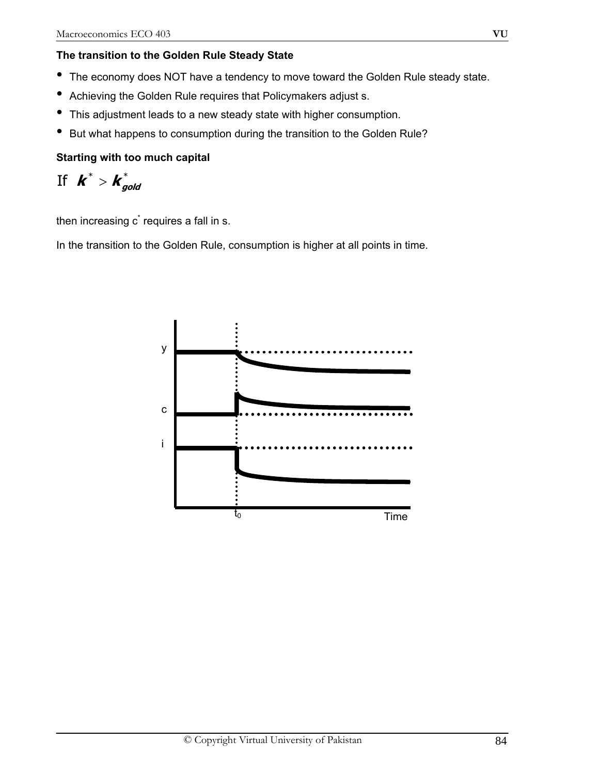## **The transition to the Golden Rule Steady State**

- The economy does NOT have a tendency to move toward the Golden Rule steady state.
- Achieving the Golden Rule requires that Policymakers adjust s.
- This adjustment leads to a new steady state with higher consumption.
- But what happens to consumption during the transition to the Golden Rule?

## **Starting with too much capital**

If  $\boldsymbol{k}^* > \boldsymbol{k}_{gold}^*$ 

then increasing  $c^*$  requires a fall in s.

In the transition to the Golden Rule, consumption is higher at all points in time.

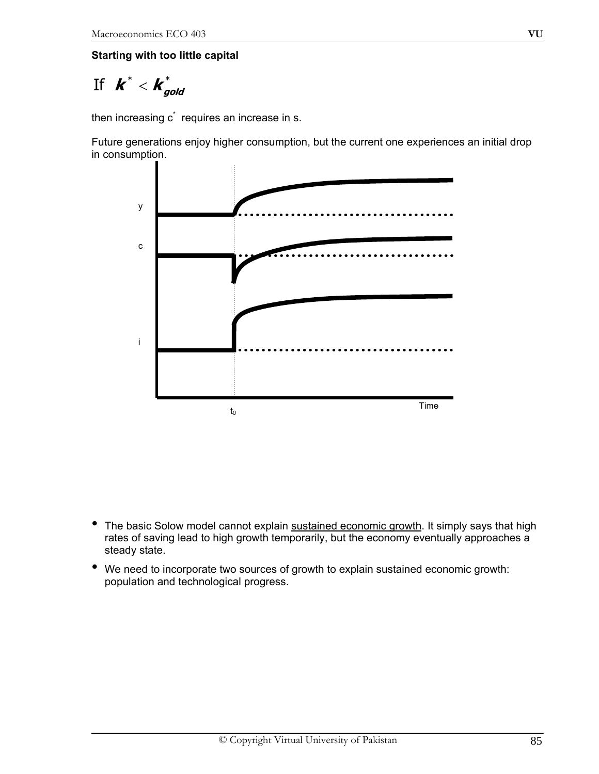## **Starting with too little capital**

If  $\boldsymbol{k}^* < \boldsymbol{k}_{gold}^*$ 

then increasing  $c^*$  requires an increase in s.

Future generations enjoy higher consumption, but the current one experiences an initial drop in consumption.



- The basic Solow model cannot explain sustained economic growth. It simply says that high rates of saving lead to high growth temporarily, but the economy eventually approaches a steady state.
- We need to incorporate two sources of growth to explain sustained economic growth: population and technological progress.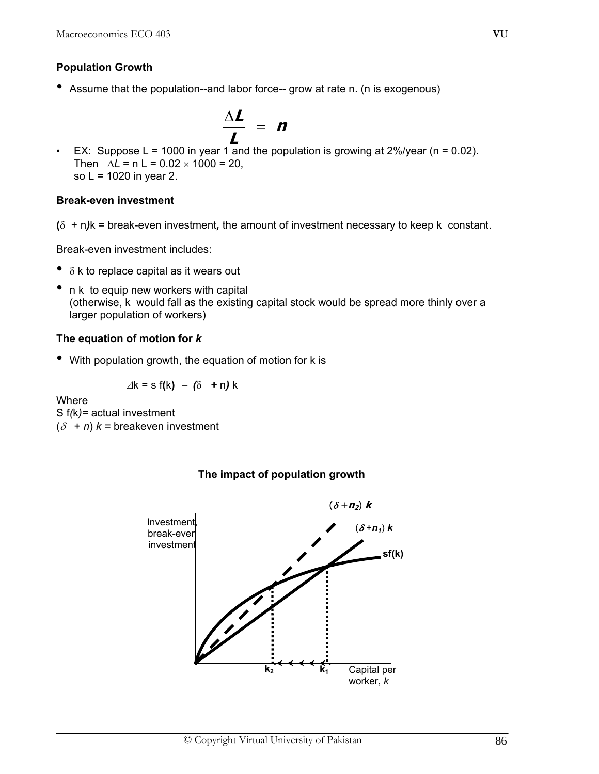## **Population Growth**

• Assume that the population--and labor force-- grow at rate n. (n is exogenous)

$$
\frac{\Delta L}{L} = n
$$

• EX: Suppose  $L = 1000$  in year 1 and the population is growing at  $2\frac{6}{y}$  ear (n = 0.02). Then  $\Delta L = n L = 0.02 \times 1000 = 20$ , so  $L = 1020$  in year 2.

#### **Break-even investment**

**(**δ + n*)*k = break-even investment*,* the amount of investment necessary to keep kconstant.

Break-even investment includes:

- $\bullet$   $\delta$  k to replace capital as it wears out
- n k to equip new workers with capital (otherwise, k would fall as the existing capital stock would be spread more thinly over a larger population of workers)

## **The equation of motion for** *k*

• With population growth, the equation of motion for k is

$$
\Delta k = s f(k) - (\delta + n) k
$$

**Where** 

S f*(*k*)=* actual investment

 $(\delta + n)$  k = breakeven investment



## **The impact of population growth**

 $\overline{\mathsf{k}_2}$ 

Capital per worker, *k*

**k1 \***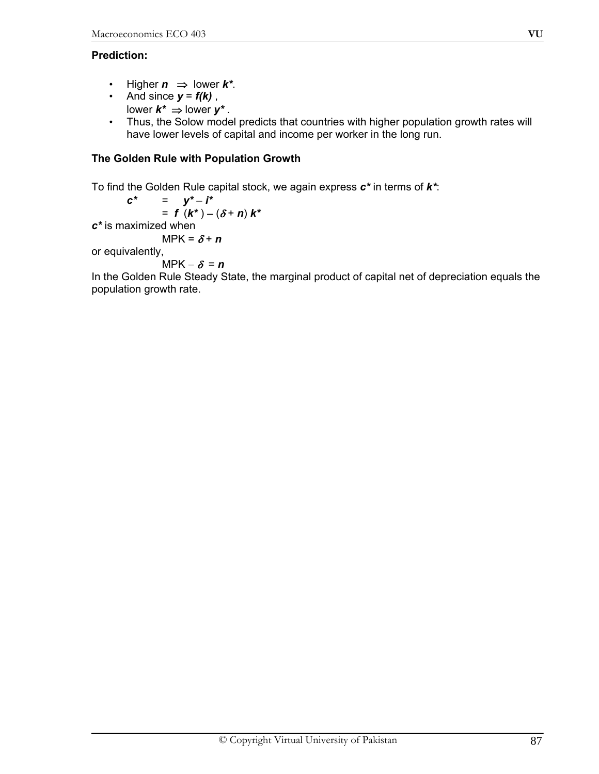## **Prediction:**

- Higher  $n \implies$  lower  $k^*$ .
- And since  $y = f(k)$ , lower  $k^* \Rightarrow$  lower  $y^*$ .
- Thus, the Solow model predicts that countries with higher population growth rates will have lower levels of capital and income per worker in the long run.

## **The Golden Rule with Population Growth**

To find the Golden Rule capital stock, we again express *c\** in terms of *k\**:

$$
c^* = y^* - i^*
$$
  
= f (k^\*) - (\delta + n) k^\*

$$
c^*
$$
 is maximized when

 $MPK = \delta + n$ 

or equivalently,

$$
MPK - \delta = n
$$

In the Golden Rule Steady State, the marginal product of capital net of depreciation equals the population growth rate.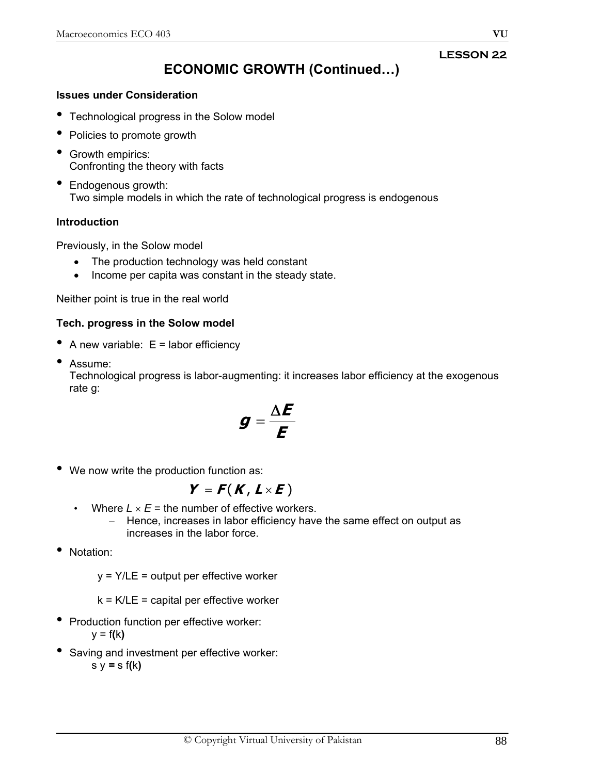## **LESSON 22**

## **ECONOMIC GROWTH (Continued…)**

### **Issues under Consideration**

- Technological progress in the Solow model
- Policies to promote growth
- Growth empirics: Confronting the theory with facts
- Endogenous growth: Two simple models in which the rate of technological progress is endogenous

## **Introduction**

Previously, in the Solow model

- The production technology was held constant
- Income per capita was constant in the steady state.

Neither point is true in the real world

## **Tech. progress in the Solow model**

- A new variable:<sup>E</sup> = labor efficiency
- Assume:

Technological progress is labor-augmenting: it increases labor efficiency at the exogenous rate g:

$$
\boldsymbol{g}=\frac{\Delta \boldsymbol{E}}{\boldsymbol{E}}
$$

• We now write the production function as:

$$
\bm{Y} = \bm{F}(\bm{K}, \bm{L} \times \bm{E})
$$

- Where  $L \times E =$  the number of effective workers.
	- Hence, increases in labor efficiency have the same effect on output as increases in the labor force.
- Notation:

 $y = Y/LE =$  output per effective worker

- $k = K / LE$  = capital per effective worker
- Production function per effective worker: y = f**(**k**)**
- Saving and investment per effective worker: s y *=* s f**(**k**)**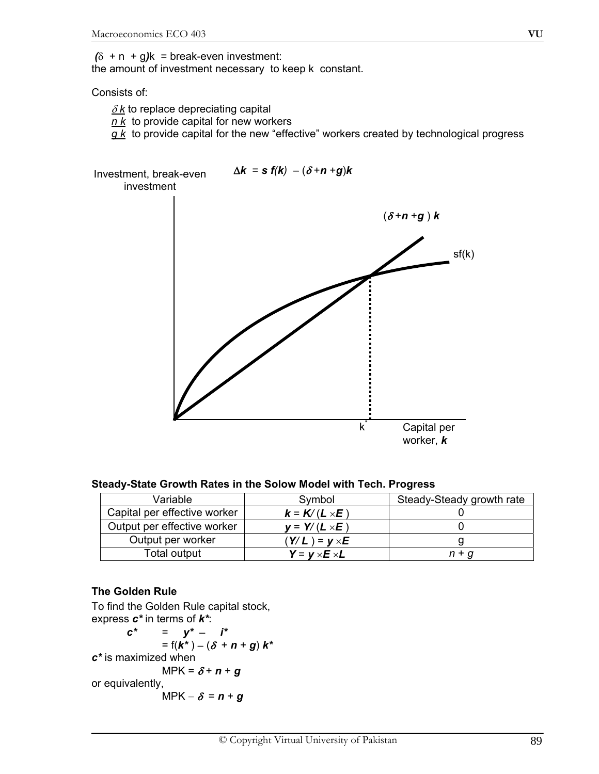$(δ + n + g)k$  = break-even investment: the amount of investment necessary to keep k constant.

Consists of:

 $\delta k$  to replace depreciating capital  $\overline{n k}$  to provide capital for new workers  $\frac{a}{g}$  to provide capital for the new "effective" workers created by technological progress



**Steady-State Growth Rates in the Solow Model with Tech. Progress** 

| Variable                     | Symbol                    | Steady-Steady growth rate |
|------------------------------|---------------------------|---------------------------|
| Capital per effective worker | $k = K/(L \times E)$      |                           |
| Output per effective worker  | $v = Y/(L \times E)$      |                           |
| Output per worker            | $(Y/L) = y \times E$      |                           |
| Total output                 | $Y = v \times E \times L$ | n + a                     |

## **The Golden Rule**

To find the Golden Rule capital stock, express *c\** in terms of *k\**:

 *c\** = *y\** − *i\**  $= f(k^*) - (\delta + n + g) k^*$ *c\** is maximized when MPK =  $\delta$  +  $n$  +  $g$ or equivalently, MPK  $- \delta = n + g$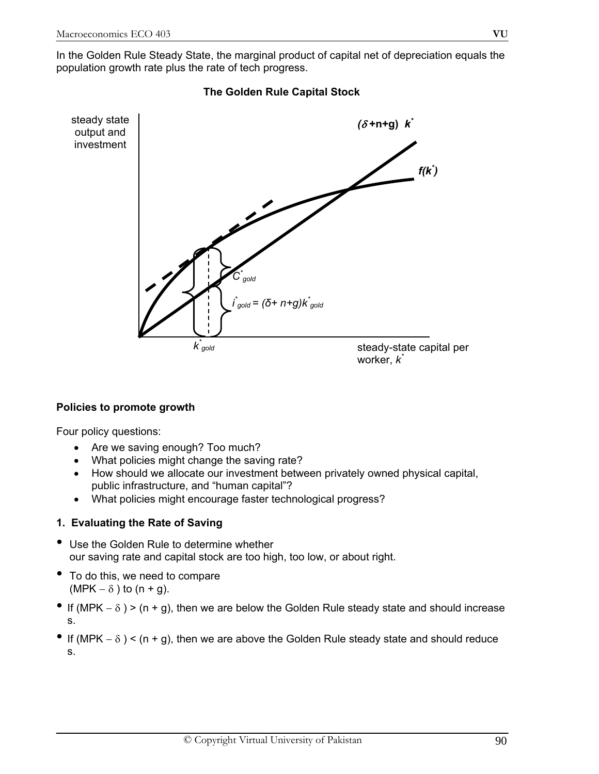In the Golden Rule Steady State, the marginal product of capital net of depreciation equals the population growth rate plus the rate of tech progress.



## **The Golden Rule Capital Stock**

#### **Policies to promote growth**

Four policy questions:

- Are we saving enough? Too much?
- What policies might change the saving rate?
- How should we allocate our investment between privately owned physical capital, public infrastructure, and "human capital"?
- What policies might encourage faster technological progress?

#### **1. Evaluating the Rate of Saving**

- Use the Golden Rule to determine whether our saving rate and capital stock are too high, too low, or about right.
- To do this, we need to compare (MPK  $- \delta$ ) to (n + g).
- If (MPK  $-\delta$ ) > (n + g), then we are below the Golden Rule steady state and should increase s.
- If (MPK  $-\delta$ ) < (n + g), then we are above the Golden Rule steady state and should reduce s.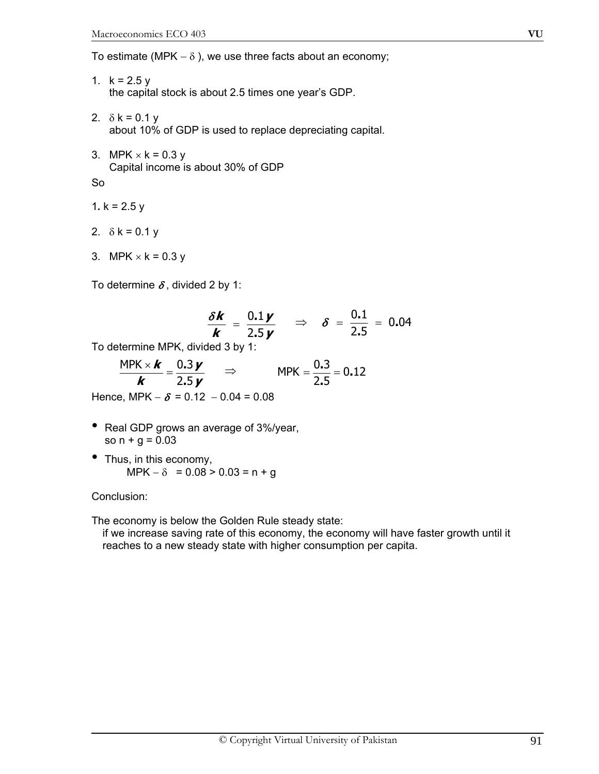To estimate (MPK  $- \delta$ ), we use three facts about an economy;

- 1.  $k = 2.5 y$ the capital stock is about 2.5 times one year's GDP.
- 2.  $\delta k = 0.1 y$ about 10% of GDP is used to replace depreciating capital.
- 3. MPK  $\times$  k = 0.3 y Capital income is about 30% of GDP

So

1.  $k = 2.5 y$ 

- 2.  $\delta k = 0.1 y$
- 3. MPK  $\times$  k = 0.3 y

To determine  $\delta$ , divided 2 by 1:

$$
\frac{\delta \mathbf{k}}{\mathbf{k}} = \frac{0.1 \, \mathbf{y}}{2.5 \, \mathbf{y}} \quad \Rightarrow \quad \delta = \frac{0.1}{2.5} = 0.04
$$

To determine MPK, divided 3 by 1:

Hence, MPK  $- \delta = 0.12 - 0.04 = 0.08$ MPK  $\times$  **k** 0.3  $2.5$ **. . k y k y**  $\times$  K =  $\frac{0.3 \text{ y}}{2.5}$   $\Rightarrow$  MPK =  $\frac{0.3}{2.5}$  = 0.12 ⇒ MPK =  $\frac{0.3}{2.5} = 0$ .

- Real GDP grows an average of 3%/year, so  $n + g = 0.03$
- Thus, in this economy, MPK  $- \delta = 0.08 > 0.03 = n + g$

Conclusion:

The economy is below the Golden Rule steady state:

if we increase saving rate of this economy, the economy will have faster growth until it reaches to a new steady state with higher consumption per capita.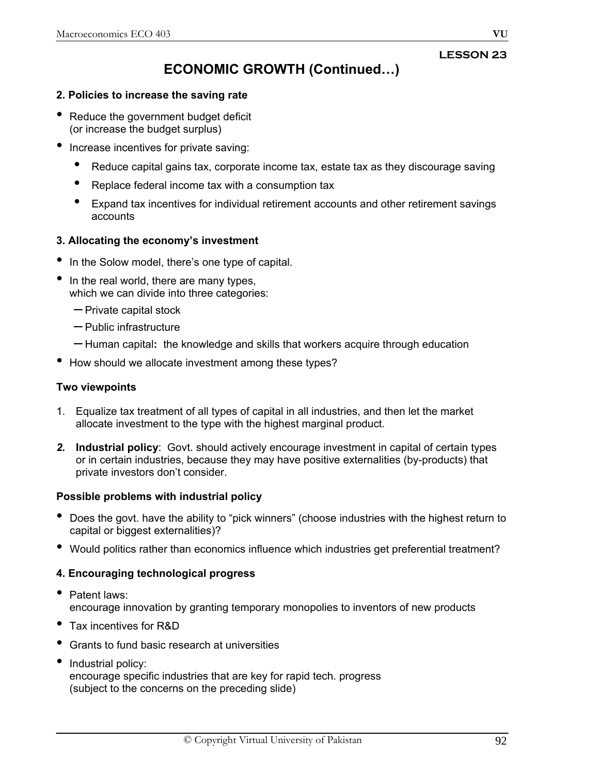## **LESSON 23**

## **ECONOMIC GROWTH (Continued…)**

#### **2. Policies to increase the saving rate**

- Reduce the government budget deficit (or increase the budget surplus)
- Increase incentives for private saving:
	- Reduce capital gains tax, corporate income tax, estate tax as they discourage saving
	- Replace federal income tax with a consumption tax
	- Expand tax incentives for individual retirement accounts and other retirement savings accounts

#### **3. Allocating the economy's investment**

- In the Solow model, there's one type of capital.
- In the real world, there are many types, which we can divide into three categories:
	- Private capital stock
	- Public infrastructure
	- Human capital**:** the knowledge and skills that workers acquire through education
- How should we allocate investment among these types?

#### **Two viewpoints**

- 1. Equalize tax treatment of all types of capital in all industries, and then let the market allocate investment to the type with the highest marginal product.
- *2.* **Industrial policy**: Govt. should actively encourage investment in capital of certain types or in certain industries, because they may have positive externalities (by-products) that private investors don't consider.

#### **Possible problems with industrial policy**

- Does the govt. have the ability to "pick winners" (choose industries with the highest return to capital or biggest externalities)?
- Would politics rather than economics influence which industries get preferential treatment?

## **4. Encouraging technological progress**

- Patent laws: encourage innovation by granting temporary monopolies to inventors of new products
- Tax incentives for R&D
- Grants to fund basic research at universities
- Industrial policy: encourage specific industries that are key for rapid tech. progress (subject to the concerns on the preceding slide)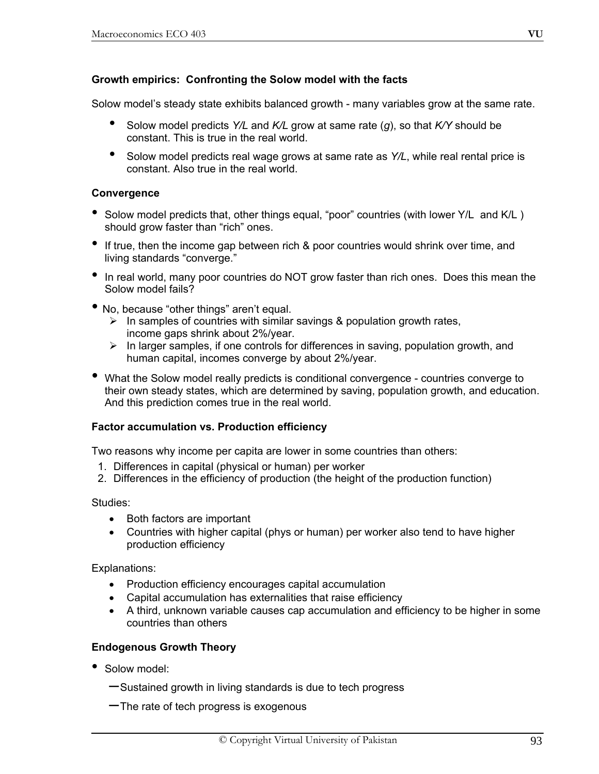#### **Growth empirics: Confronting the Solow model with the facts**

Solow model's steady state exhibits balanced growth - many variables grow at the same rate.

- Solow model predicts *Y/L* and *K/L* grow at same rate (*g*), so that *K/Y* should be constant. This is true in the real world.
- Solow model predicts real wage grows at same rate as *Y/L*, while real rental price is constant. Also true in the real world.

#### **Convergence**

- Solow model predicts that, other things equal, "poor" countries (with lower Y/L and K/L ) should grow faster than "rich" ones.
- If true, then the income gap between rich & poor countries would shrink over time, and living standards "converge."
- In real world, many poor countries do NOT grow faster than rich ones. Does this mean the Solow model fails?
- No, because "other things" aren't equal.
	- $\triangleright$  In samples of countries with similar savings & population growth rates, income gaps shrink about 2%/year.
	- $\triangleright$  In larger samples, if one controls for differences in saving, population growth, and human capital, incomes converge by about 2%/year.
- What the Solow model really predicts is conditional convergence countries converge to their own steady states, which are determined by saving, population growth, and education. And this prediction comes true in the real world.

#### **Factor accumulation vs. Production efficiency**

Two reasons why income per capita are lower in some countries than others:

- 1. Differences in capital (physical or human) per worker
- 2. Differences in the efficiency of production (the height of the production function)

#### Studies:

- Both factors are important
- Countries with higher capital (phys or human) per worker also tend to have higher production efficiency

Explanations:

- Production efficiency encourages capital accumulation
- Capital accumulation has externalities that raise efficiency
- A third, unknown variable causes cap accumulation and efficiency to be higher in some countries than others

#### **Endogenous Growth Theory**

- Solow model:
	- Sustained growth in living standards is due to tech progress
	- The rate of tech progress is exogenous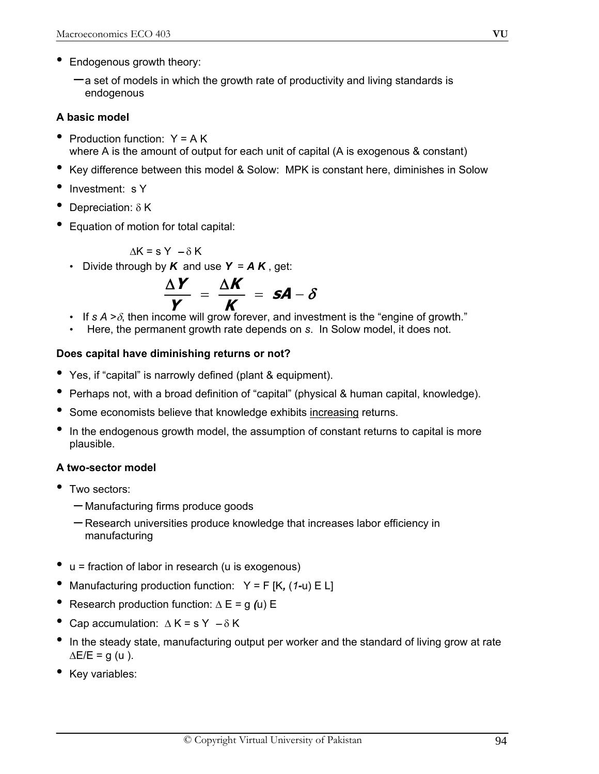• Endogenous growth theory:

 $-a$  set of models in which the growth rate of productivity and living standards is endogenous

#### **A basic model**

- Production function:  $Y = AK$ where A is the amount of output for each unit of capital (A is exogenous & constant)
- Key difference between this model & Solow: MPK is constant here, diminishes in Solow
- Investment: s Y
- Depreciation:  $\delta K$
- Equation of motion for total capital:

 *∆*K = s Y <sup>−</sup> δ K

• Divide through by  $K$  and use  $Y = AK$ , get:

$$
\frac{\Delta Y}{Y} = \frac{\Delta K}{K} = sA - \delta
$$

- If  $s A > \delta$ , then income will grow forever, and investment is the "engine of growth."
- Here, the permanent growth rate depends on *s*. In Solow model, it does not.

#### **Does capital have diminishing returns or not?**

- Yes, if "capital" is narrowly defined (plant & equipment).
- Perhaps not, with a broad definition of "capital" (physical & human capital, knowledge).
- Some economists believe that knowledge exhibits increasing returns.
- In the endogenous growth model, the assumption of constant returns to capital is more plausible.

#### **A two-sector model**

- Two sectors:
	- Manufacturing firms produce goods
	- Research universities produce knowledge that increases labor efficiency in manufacturing
- $\bullet$  u = fraction of labor in research (u is exogenous)
- Manufacturing production function:<sup>Y</sup> <sup>=</sup> F [K*,* (*1-*u) E L]
- Research production function: *<sup>∆</sup>* <sup>E</sup> <sup>=</sup> <sup>g</sup>*(*u) E
- Cap accumulation: *<sup>∆</sup>* <sup>K</sup> <sup>=</sup> s Y <sup>−</sup> <sup>δ</sup> <sup>K</sup>
- In the steady state, manufacturing output per worker and the standard of living grow at rate  $\Delta E/E = g(u)$ .
- Key variables: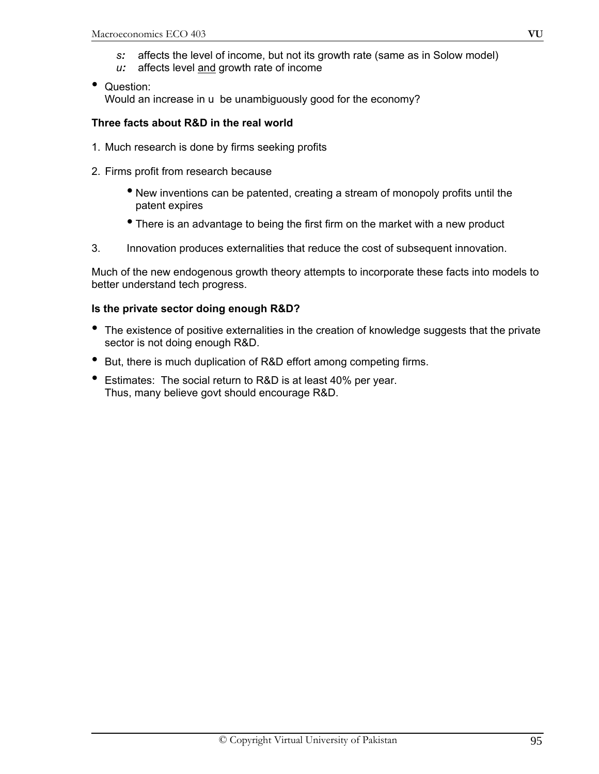- *s:*affects the level of income, but not its growth rate (same as in Solow model)
- *u:*affects level and growth rate of income
- Question: Would an increase in u be unambiguously good for the economy?

## **Three facts about R&D in the real world**

- 1. Much research is done by firms seeking profits
- 2. Firms profit from research because
	- New inventions can be patented, creating a stream of monopoly profits until the patent expires
	- There is an advantage to being the first firm on the market with a new product
- 3. Innovation produces externalities that reduce the cost of subsequent innovation.

Much of the new endogenous growth theory attempts to incorporate these facts into models to better understand tech progress.

#### **Is the private sector doing enough R&D?**

- The existence of positive externalities in the creation of knowledge suggests that the private sector is not doing enough R&D.
- But, there is much duplication of R&D effort among competing firms.
- Estimates: The social return to R&D is at least 40% per year. Thus, many believe govt should encourage R&D.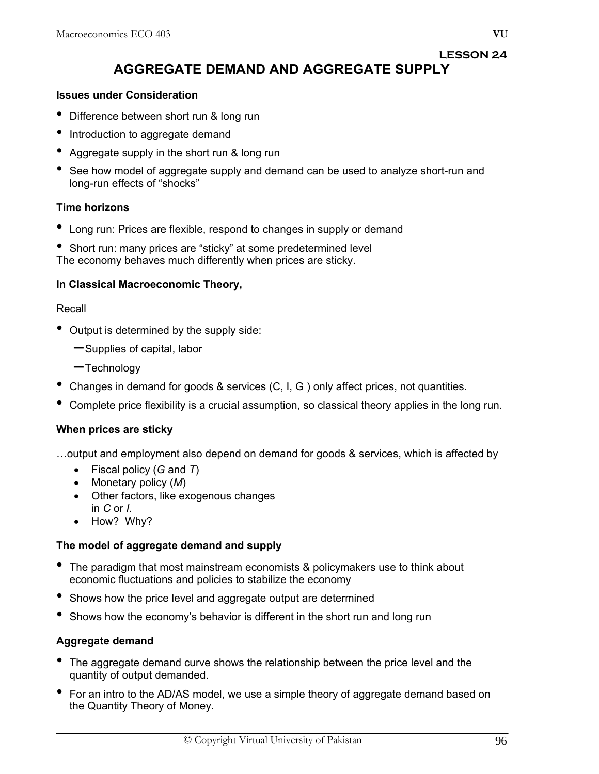**LESSON 24** 

## **AGGREGATE DEMAND AND AGGREGATE SUPPLY**

## **Issues under Consideration**

- Difference between short run & long run
- Introduction to aggregate demand
- Aggregate supply in the short run & long run
- See how model of aggregate supply and demand can be used to analyze short-run and long-run effects of "shocks"

## **Time horizons**

- Long run: Prices are flexible, respond to changes in supply or demand
- Short run: many prices are "sticky" at some predetermined level The economy behaves much differently when prices are sticky.

## **In Classical Macroeconomic Theory,**

## Recall

- Output is determined by the supply side:
	- Supplies of capital, labor
	- Technology
- Changes in demand for goods & services (C, I, G ) only affect prices, not quantities.
- Complete price flexibility is a crucial assumption, so classical theory applies in the long run.

## **When prices are sticky**

…output and employment also depend on demand for goods & services, which is affected by

- Fiscal policy (*G* and *T*)
- Monetary policy (*M*)
- Other factors, like exogenous changes in *C* or *I*.
- How? Why?

## **The model of aggregate demand and supply**

- The paradigm that most mainstream economists & policymakers use to think about economic fluctuations and policies to stabilize the economy
- Shows how the price level and aggregate output are determined
- Shows how the economy's behavior is different in the short run and long run

## **Aggregate demand**

- The aggregate demand curve shows the relationship between the price level and the quantity of output demanded.
- For an intro to the AD/AS model, we use a simple theory of aggregate demand based on the Quantity Theory of Money.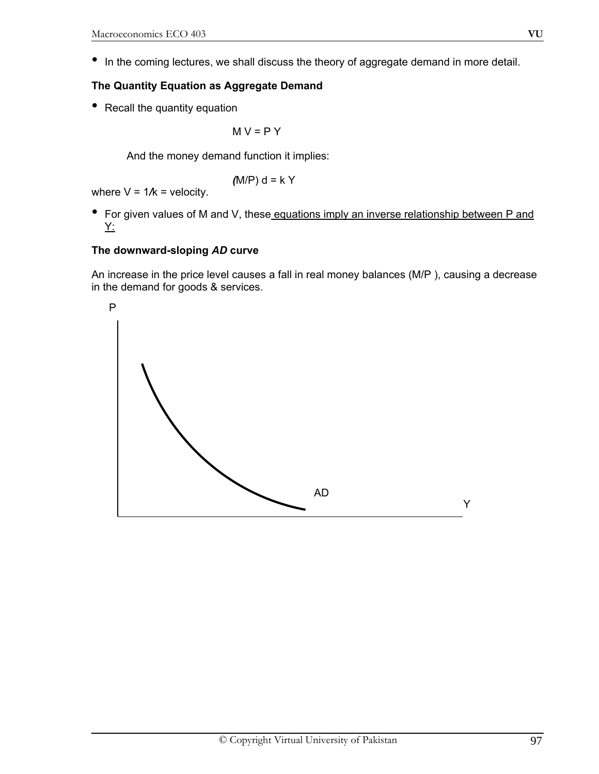• In the coming lectures, we shall discuss the theory of aggregate demand in more detail.

## **The Quantity Equation as Aggregate Demand**

• Recall the quantity equation

 $M V = P Y$ 

And the money demand function it implies:

$$
(M/P) d = k Y
$$

where  $V = 1/k =$  velocity.

• For given values of M and V, these equations imply an inverse relationship between P and Y:

## **The downward-sloping** *AD* **curve**

An increase in the price level causes a fall in real money balances (M/P ), causing a decrease in the demand for goods & services.

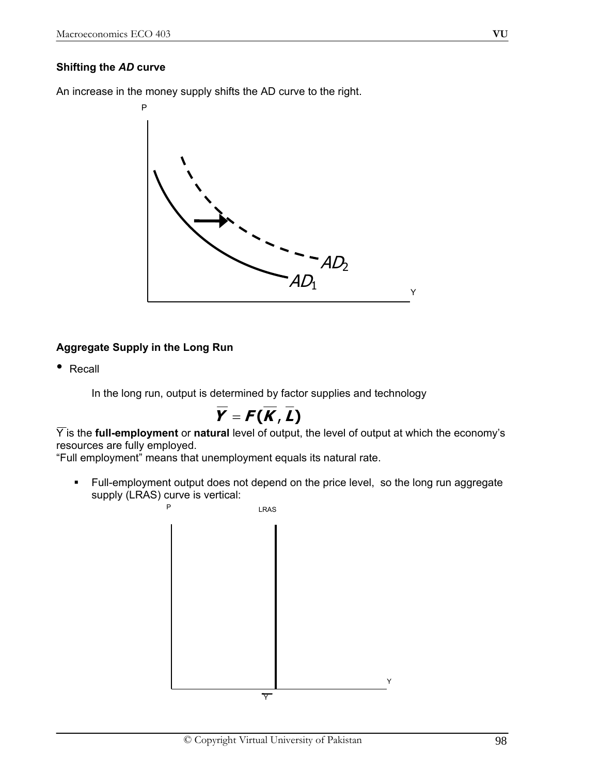#### **Shifting the** *AD* **curve**

An increase in the money supply shifts the AD curve to the right.



#### **Aggregate Supply in the Long Run**

• Recall

In the long run, output is determined by factor supplies and technology

# $\overline{Y}$  =  $F(\overline{K}, \overline{L})$

Y is the **full-employment** or **natural** level of output, the level of output at which the economy's resources are fully employed.

"Full employment" means that unemployment equals its natural rate.

**Full-employment output does not depend on the price level, so the long run aggregate** supply (LRAS) curve is vertical:

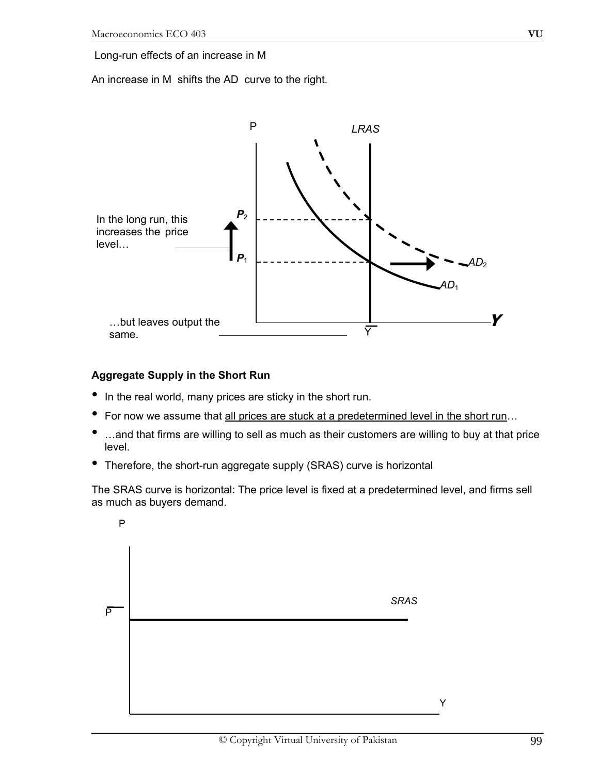#### Long-run effects of an increase in M

An increase in M shifts the AD curve to the right.



#### **Aggregate Supply in the Short Run**

- In the real world, many prices are sticky in the short run.
- For now we assume that all prices are stuck at a predetermined level in the short run...
- ...and that firms are willing to sell as much as their customers are willing to buy at that price level.
- Therefore, the short-run aggregate supply (SRAS) curve is horizontal

The SRAS curve is horizontal: The price level is fixed at a predetermined level, and firms sell as much as buyers demand.

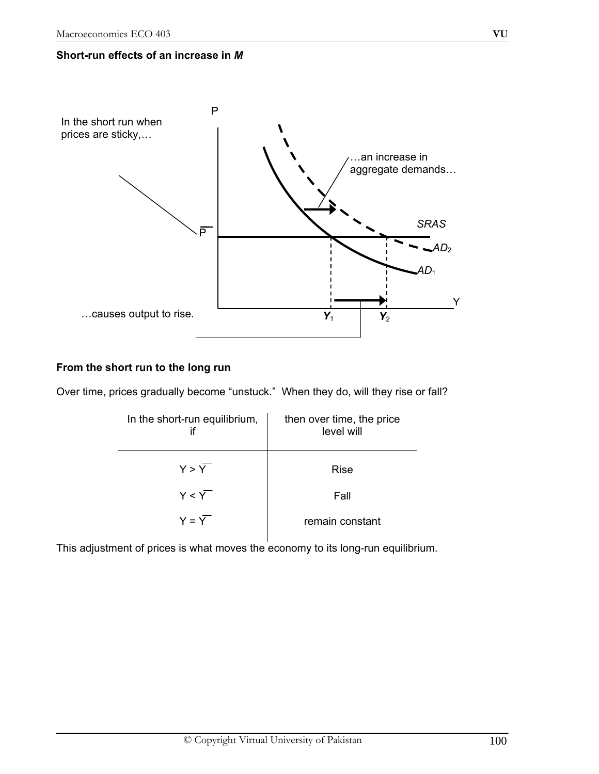## **Short-run effects of an increase in** *M*



#### **From the short run to the long run**

Over time, prices gradually become "unstuck." When they do, will they rise or fall?

| In the short-run equilibrium, | then over time, the price<br>level will |
|-------------------------------|-----------------------------------------|
| Y > Y                         | <b>Rise</b>                             |
| $Y < \overline{Y}$            | Fall                                    |
| $Y = Y$                       | remain constant                         |

This adjustment of prices is what moves the economy to its long-run equilibrium.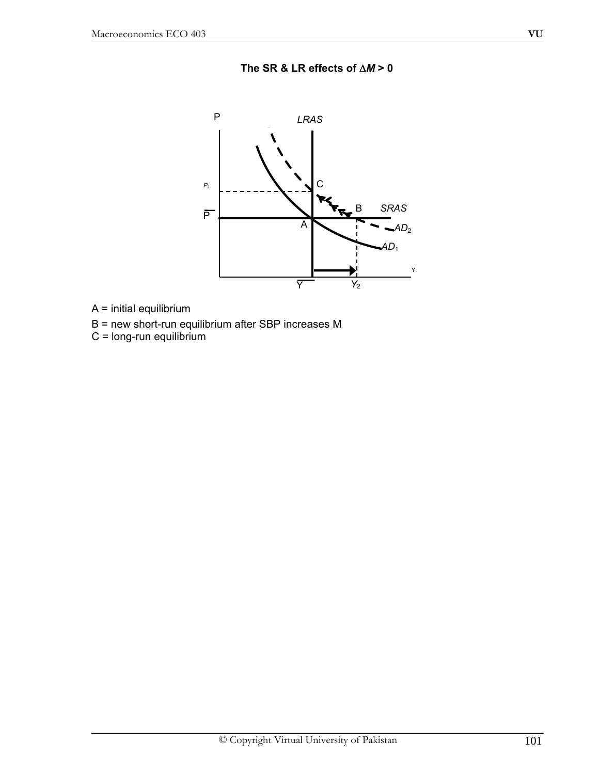



A = initial equilibrium

- B = new short-run equilibrium after SBP increases M
- C = long-run equilibrium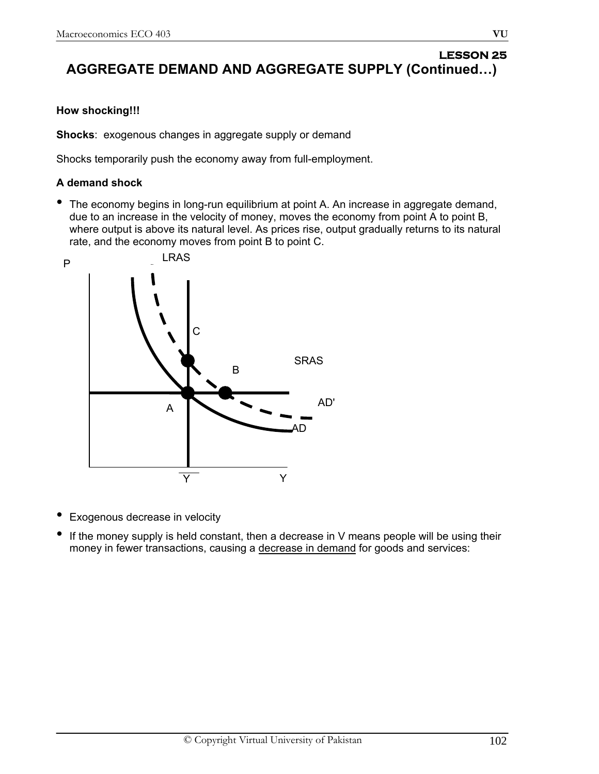## **How shocking!!!**

**Shocks**: exogenous changes in aggregate supply or demand

Shocks temporarily push the economy away from full-employment.

## **A demand shock**

• The economy begins in long-run equilibrium at point A. An increase in aggregate demand, due to an increase in the velocity of money, moves the economy from point A to point B, where output is above its natural level. As prices rise, output gradually returns to its natural rate, and the economy moves from point B to point C.



- Exogenous decrease in velocity
- If the money supply is held constant, then a decrease in V means people will be using their money in fewer transactions, causing a decrease in demand for goods and services: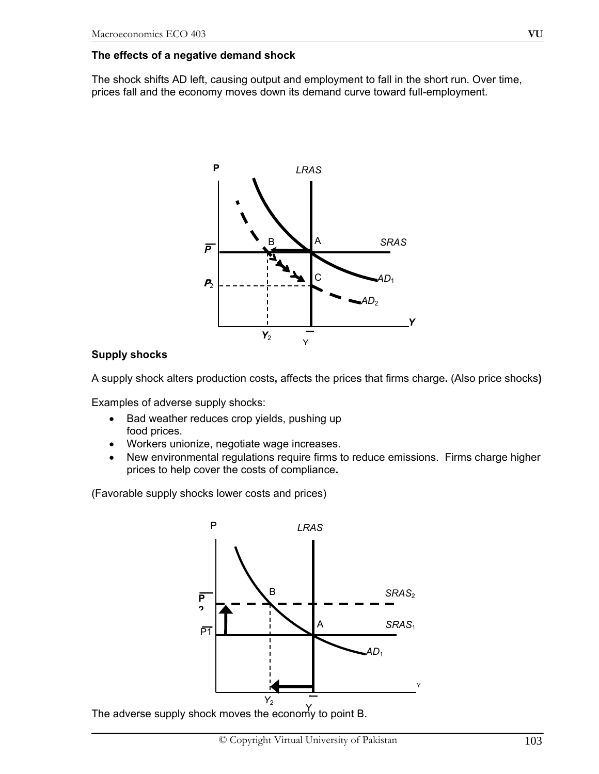### **The effects of a negative demand shock**

The shock shifts AD left, causing output and employment to fall in the short run. Over time, prices fall and the economy moves down its demand curve toward full-employment.



#### **Supply shocks**

A supply shock alters production costs**,** affects the prices that firms charge**.** (Also price shocks**)** 

Examples of adverse supply shocks:

- Bad weather reduces crop yields, pushing up food prices.
- Workers unionize, negotiate wage increases.
- New environmental regulations require firms to reduce emissions. Firms charge higher prices to help cover the costs of compliance**.**

(Favorable supply shocks lower costs and prices)

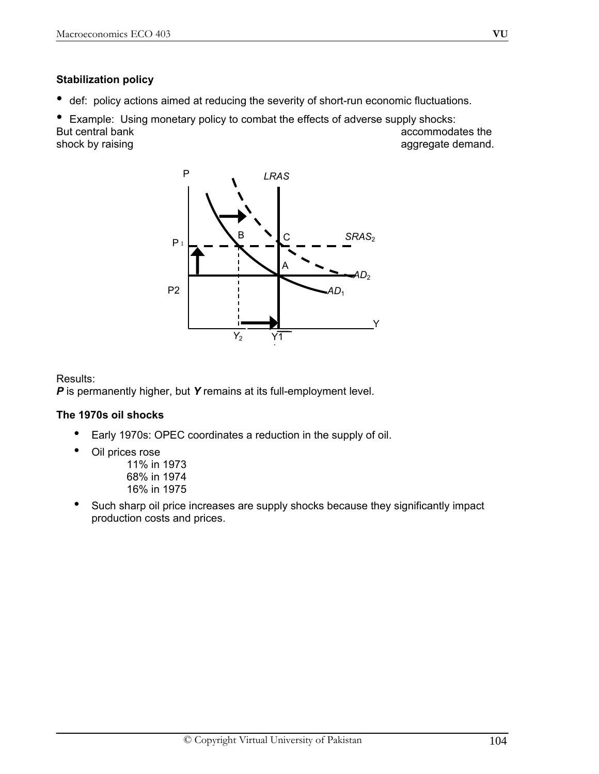## **Stabilization policy**

• def: policy actions aimed at reducing the severity of short-run economic fluctuations.

• Example: Using monetary policy to combat the effects of adverse supply shocks:<br>But central bank accommoda accommodates the shock by raising and aggregate demand.



#### Results:

*P* is permanently higher, but *Y* remains at its full-employment level.

## **The 1970s oil shocks**

- Early 1970s: OPEC coordinates a reduction in the supply of oil.
- Oil prices rose

 11% in 1973 68% in 1974 16% in 1975

• Such sharp oil price increases are supply shocks because they significantly impact production costs and prices.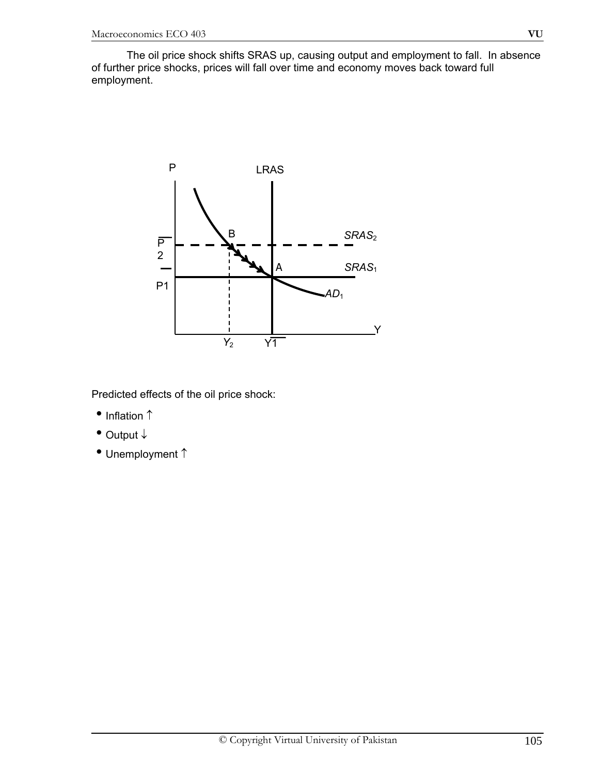The oil price shock shifts SRAS up, causing output and employment to fall. In absence of further price shocks, prices will fall over time and economy moves back toward full employment.



Predicted effects of the oil price shock:

- Inflation 1
- •Output <sup>↓</sup>
- •Unemployment <sup>↑</sup>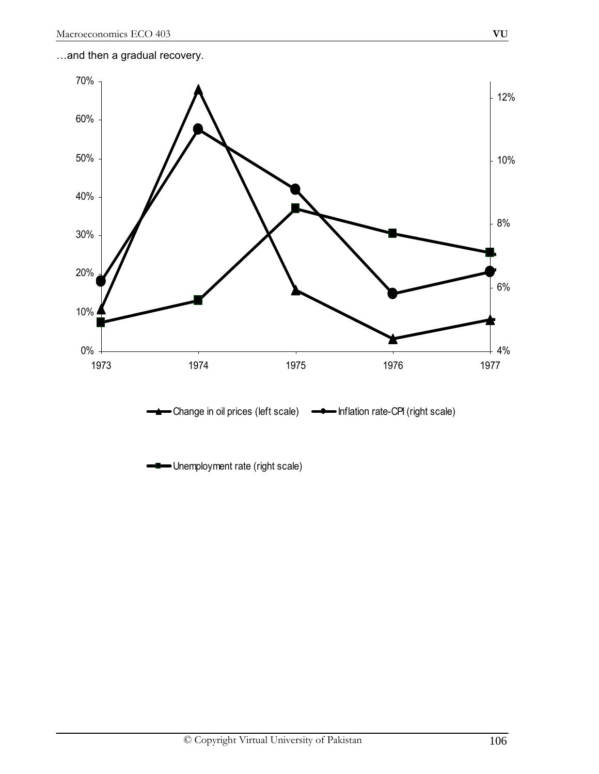

Unemployment rate (right scale)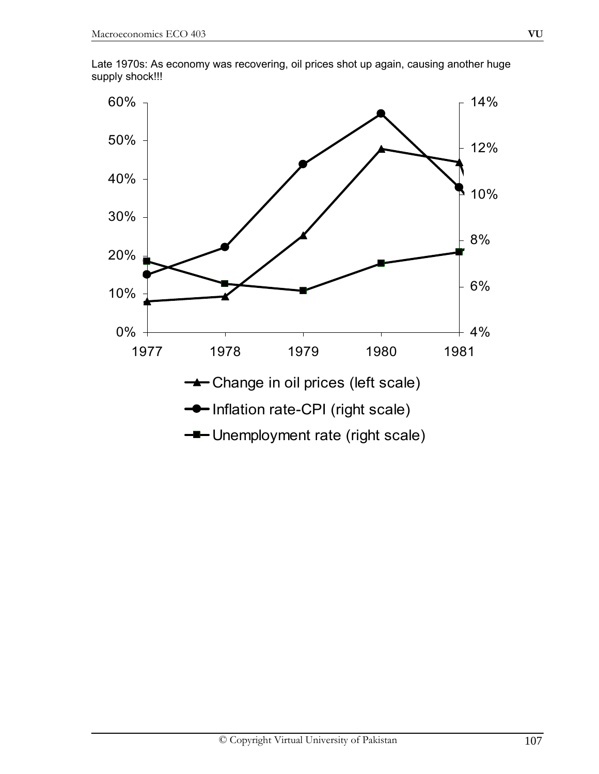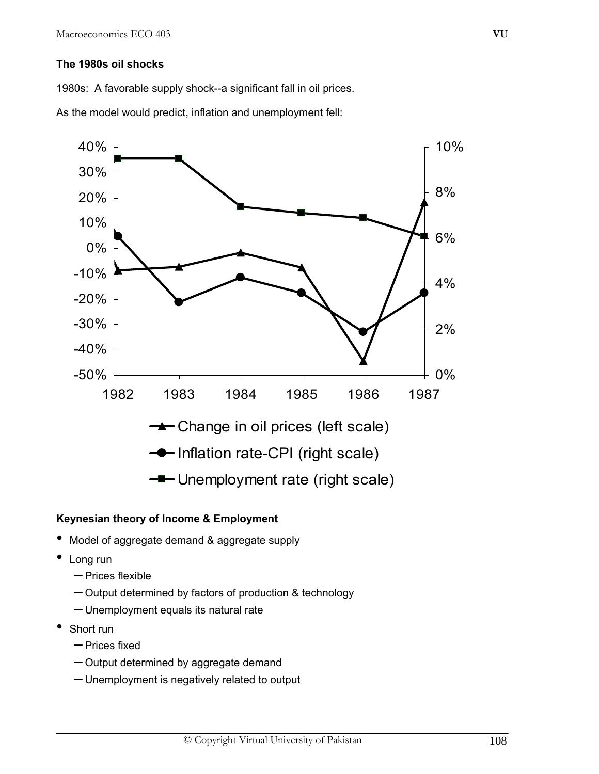### **The 1980s oil shocks**

1980s: A favorable supply shock--a significant fall in oil prices.

As the model would predict, inflation and unemployment fell:



#### **Keynesian theory of Income & Employment**

- Model of aggregate demand & aggregate supply
- Long run
	- Prices flexible
	- Output determined by factors of production & technology
	- Unemployment equals its natural rate
- Short run
	- Prices fixed
	- Output determined by aggregate demand
	- Unemployment is negatively related to output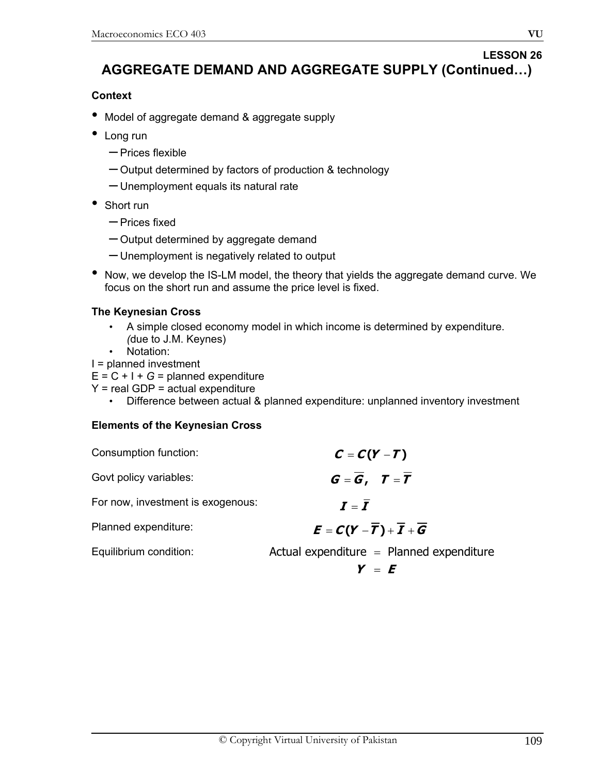## **LESSON 26**

# **AGGREGATE DEMAND AND AGGREGATE SUPPLY (Continued…)**

#### **Context**

- Model of aggregate demand & aggregate supply
- Long run
	- Prices flexible
	- Output determined by factors of production & technology
	- Unemployment equals its natural rate
- Short run
	- Prices fixed
	- Output determined by aggregate demand
	- Unemployment is negatively related to output
- Now, we develop the IS-LM model, the theory that yields the aggregate demand curve. We focus on the short run and assume the price level is fixed.

## **The Keynesian Cross**

- A simple closed economy model in which income is determined by expenditure. *(*due to J.M. Keynes)
- Notation:
- I = planned investment
- $E = C + I + G =$  planned expenditure
- $Y$  = real GDP = actual expenditure
	- Difference between actual & planned expenditure: unplanned inventory investment

#### **Elements of the Keynesian Cross**

| Consumption function:             | $C = C(Y-T)$                                                                                                                          |  |
|-----------------------------------|---------------------------------------------------------------------------------------------------------------------------------------|--|
| Govt policy variables:            | $G = \overline{G}$ , $T = \overline{T}$                                                                                               |  |
| For now, investment is exogenous: | $I = I$                                                                                                                               |  |
| Planned expenditure:              | $\boldsymbol{E} = \boldsymbol{C}(\boldsymbol{Y} - \boldsymbol{\overline{T}}) + \boldsymbol{\overline{I}} + \boldsymbol{\overline{G}}$ |  |
| Equilibrium condition:            | Actual expenditure $=$ Planned expenditure<br>$Y = E$                                                                                 |  |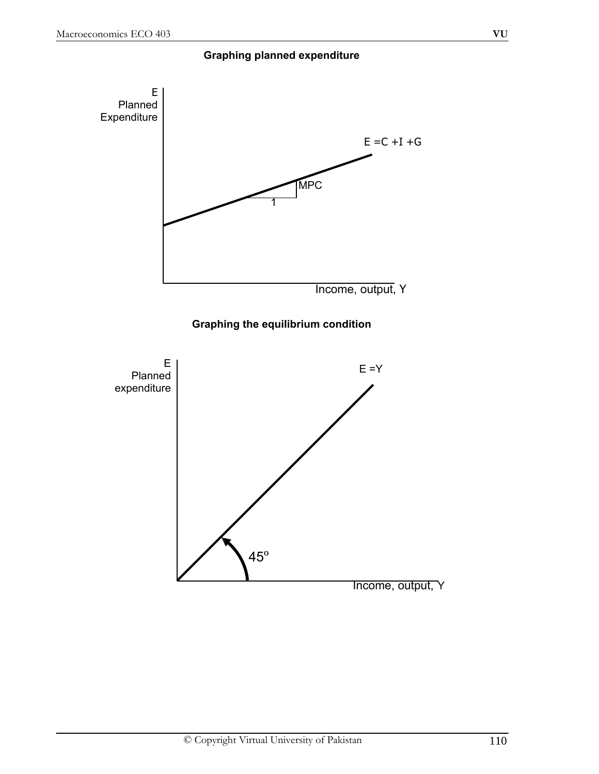

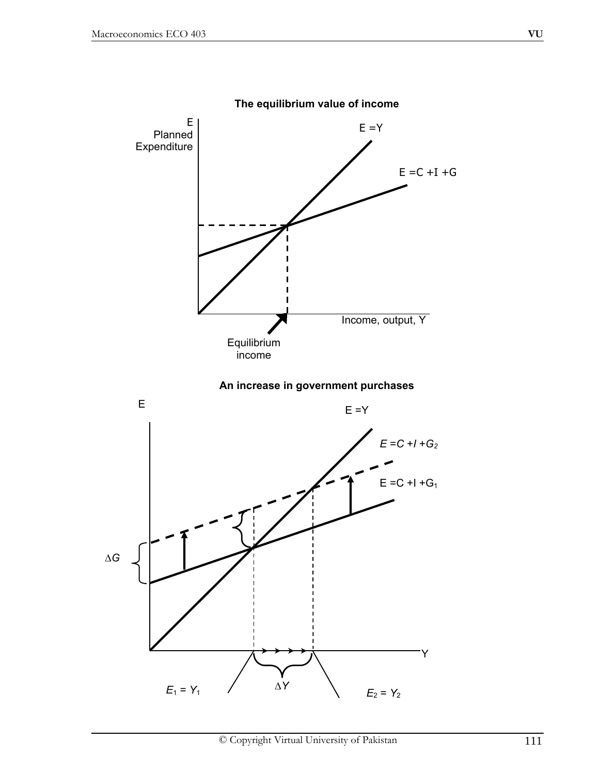

**The equilibrium value of income**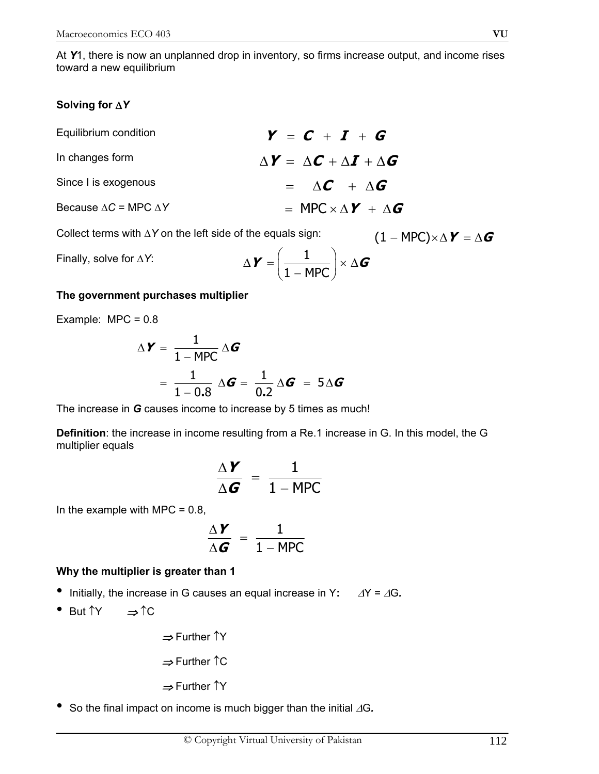At *Y*1, there is now an unplanned drop in inventory, so firms increase output, and income rises toward a new equilibrium

## **Solving for** Δ*Y*

| Equilibrium condition               | $Y = C + I + G$                                             |  |  |
|-------------------------------------|-------------------------------------------------------------|--|--|
| In changes form                     | $\Delta Y = \Delta C + \Delta I + \Delta G$                 |  |  |
| Since I is exogenous                | $= \Delta C + \Delta G$                                     |  |  |
| Because $\Delta C$ = MPC $\Delta Y$ | $= \text{MPC} \times \Delta \mathbf{Y} + \Delta \mathbf{G}$ |  |  |

Collect terms with Δ*Y* on the left side of the equals sign:

$$
(1 - \text{MPC}) \times \Delta \textbf{\textit{Y}} = \Delta \textbf{\textit{G}}
$$

Finally, solve for Δ*Y*:

$$
\Delta \boldsymbol{Y} = \left(\frac{1}{1 - \text{MPC}}\right) \times \Delta \boldsymbol{G}
$$

#### **The government purchases multiplier**

Example:  $MPC = 0.8$ 

$$
\Delta \mathbf{Y} = \frac{1}{1 - \text{MPC}} \Delta \mathbf{G}
$$

$$
= \frac{1}{1 - 0.8} \Delta \mathbf{G} = \frac{1}{0.2} \Delta \mathbf{G} = 5 \Delta \mathbf{G}
$$

The increase in *G* causes income to increase by 5 times as much!

**Definition**: the increase in income resulting from a Re.1 increase in G. In this model, the G multiplier equals

$$
\frac{\Delta \mathbf{Y}}{\Delta \mathbf{G}} = \frac{1}{1 - \text{MPC}}
$$

In the example with MPC =  $0.8$ ,

$$
\frac{\Delta \mathbf{Y}}{\Delta \mathbf{G}} = \frac{1}{1 - \text{MPC}}
$$

#### **Why the multiplier is greater than 1**

- Initially, the increase in <sup>G</sup> causes an equal increase in <sup>Y</sup>**:** <sup>Δ</sup><sup>Y</sup> <sup>=</sup> <sup>Δ</sup>G*.*
- But <sup>↑</sup><sup>Y</sup><sup>⇒</sup> <sup>↑</sup><sup>C</sup>

<sup>⇒</sup> Further ↑Y

<sup>⇒</sup> Further ↑C

⇒ Further 1<sup>γ</sup>

• So the final impact on income is much bigger than the initial <sup>Δ</sup>G*.*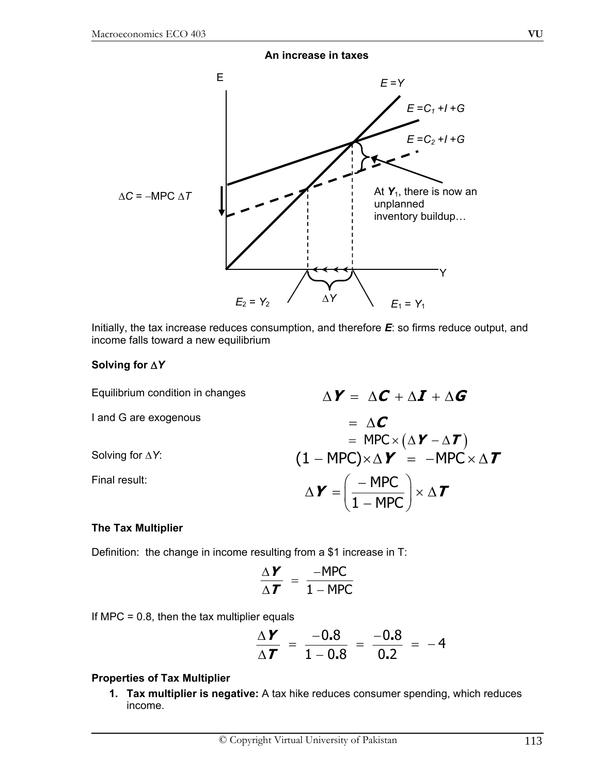#### **An increase in taxes**



Initially, the tax increase reduces consumption, and therefore *E*: so firms reduce output, and income falls toward a new equilibrium

#### **Solving for** Δ*Y*

Equilibrium condition in changes

I and G are exogenous

Solving for Δ*Y*:

Final result:

$$
\Delta \boldsymbol{Y} = \Delta \boldsymbol{C} + \Delta \boldsymbol{I} + \Delta \boldsymbol{G}
$$
  
=  $\Delta \boldsymbol{C}$   
=  $MPC \times (\Delta \boldsymbol{Y} - \Delta \boldsymbol{T})$   
 $(1 - MPC) \times \Delta \boldsymbol{Y} = -MPC \times \Delta \boldsymbol{T}$   
 $\Delta \boldsymbol{Y} = \left(\frac{-MPC}{1 - MPC}\right) \times \Delta \boldsymbol{T}$ 

#### **The Tax Multiplier**

Definition:the change in income resulting from a \$1 increase in T:

$$
\frac{\Delta \boldsymbol{Y}}{\Delta \boldsymbol{T}} = \frac{-\text{MPC}}{1 - \text{MPC}}
$$

If MPC =  $0.8$ , then the tax multiplier equals

$$
\frac{\Delta \bm{Y}}{\Delta \bm{T}} = \frac{-0.8}{1 - 0.8} = \frac{-0.8}{0.2} = -4
$$

#### **Properties of Tax Multiplier**

**1. Tax multiplier is negative:** A tax hike reduces consumer spending, which reduces income.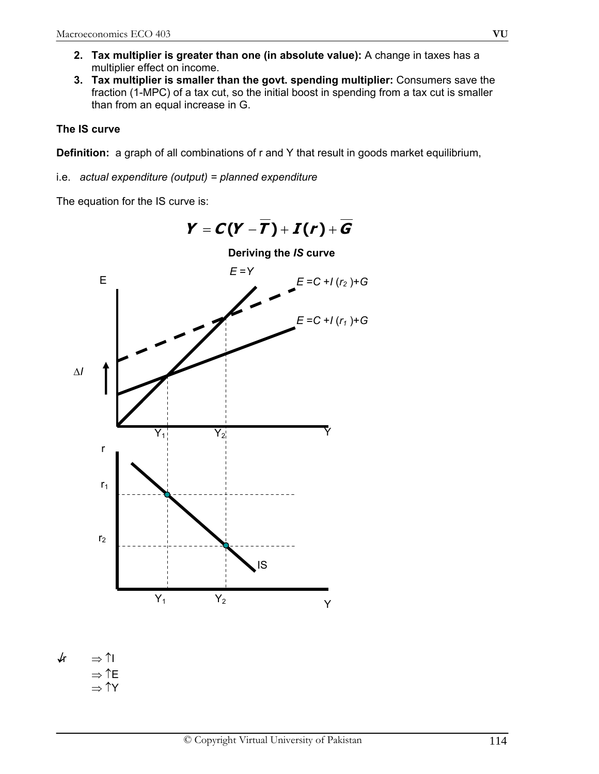- **2. Tax multiplier is greater than one (in absolute value):** A change in taxes has a multiplier effect on income.
- **3. Tax multiplier is smaller than the govt. spending multiplier:** Consumers save the fraction (1-MPC) of a tax cut, so the initial boost in spending from a tax cut is smaller than from an equal increase in G.

#### **The IS curve**

**Definition:** a graph of all combinations of r and Y that result in goods market equilibrium,

i.e. *actual expenditure (output) = planned expenditure*

The equation for the IS curve is:



↓r⇒ ↑I ⇒ ↑E ⇒ ↑Y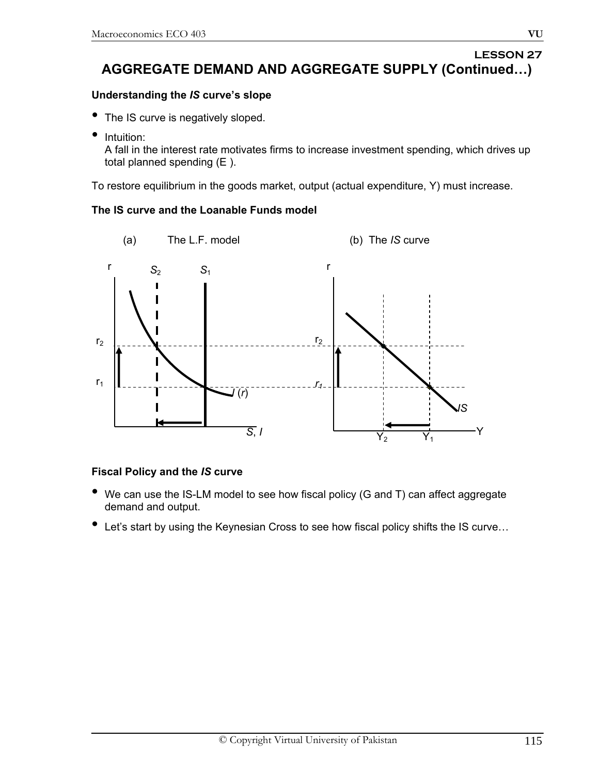#### **Understanding the** *IS* **curve's slope**

- The IS curve is negatively sloped.
- Intuition:

A fall in the interest rate motivates firms to increase investment spending, which drives up total planned spending (E ).

To restore equilibrium in the goods market, output (actual expenditure, Y) must increase.

#### **The IS curve and the Loanable Funds model**



#### **Fiscal Policy and the** *IS* **curve**

- We can use the IS-LM model to see how fiscal policy (G and T) can affect aggregate demand and output.
- Let's start by using the Keynesian Cross to see how fiscal policy shifts the IS curve…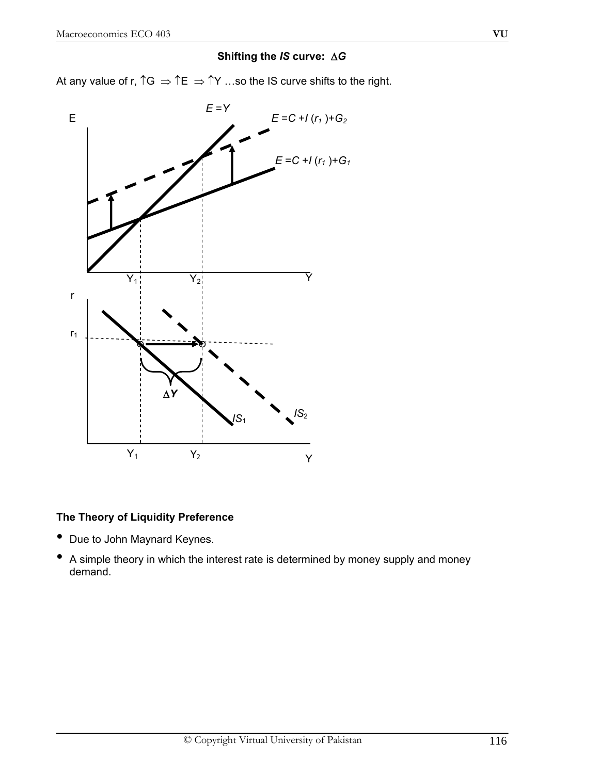## **Shifting the** *IS* **curve:** Δ*G*

At any value of r,  $\uparrow G \Rightarrow \uparrow E \Rightarrow \uparrow Y$  ...so the IS curve shifts to the right.



#### **The Theory of Liquidity Preference**

- Due to John Maynard Keynes.
- A simple theory in which the interest rate is determined by money supply and money demand.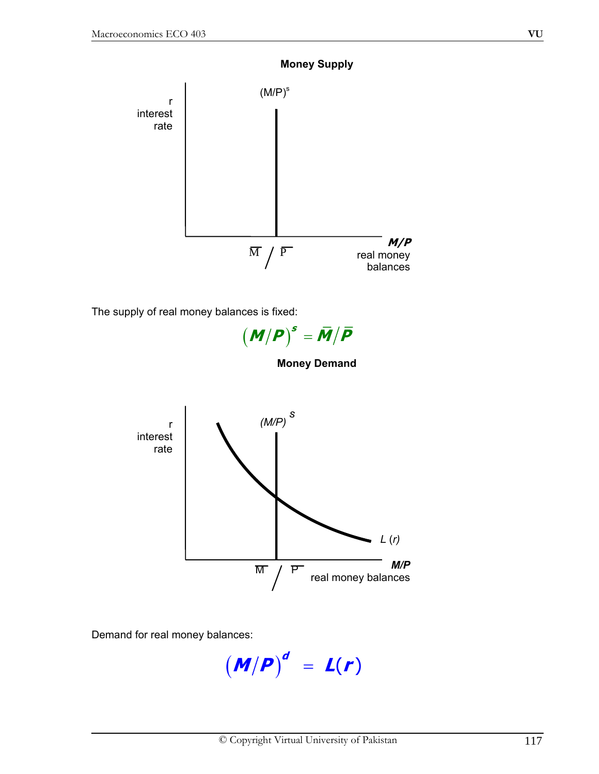

**Money Supply** 

The supply of real money balances is fixed:







Demand for real money balances:

 $(M/P)^d = L(r)$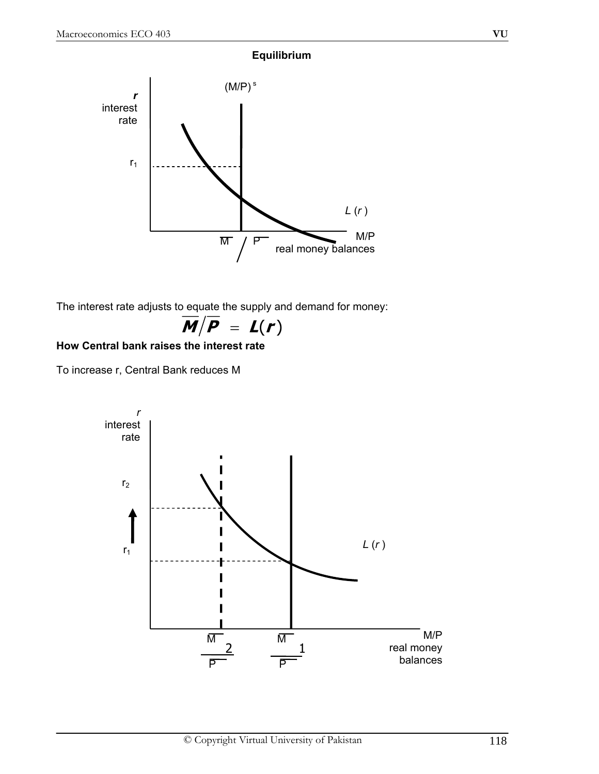## **Equilibrium**



The interest rate adjusts to equate the supply and demand for money:

$$
\overline{M}/\overline{P} = L(r)
$$

## **How Central bank raises the interest rate**

To increase r, Central Bank reduces M

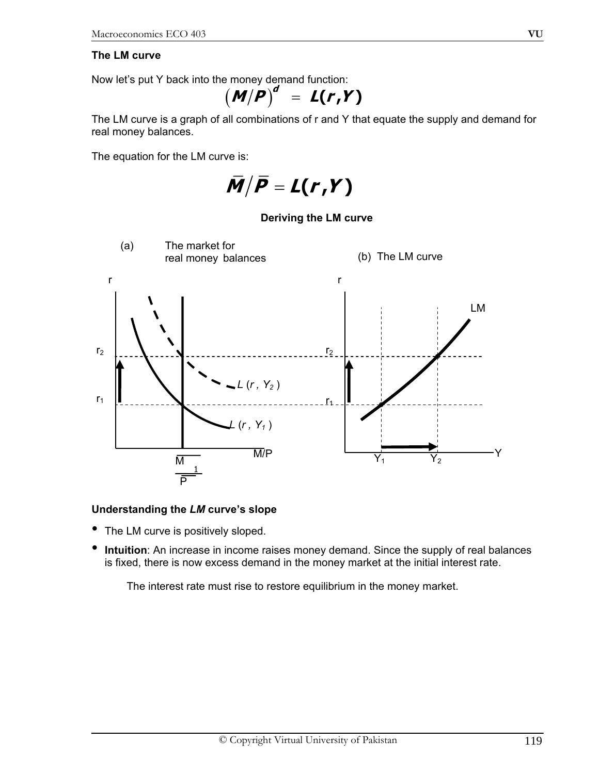## **The LM curve**

Now let's put Y back into the money demand function:

$$
\left(\mathbf{M}/\mathbf{P}\right)^d = \mathbf{L}(\mathbf{r},\mathbf{Y})
$$

The LM curve is a graph of all combinations of r and Y that equate the supply and demand for real money balances.

The equation for the LM curve is:



#### **Deriving the LM curve**



#### **Understanding the** *LM* **curve's slope**

- The LM curve is positively sloped.
- **Intuition**: An increase in income raises money demand. Since the supply of real balances is fixed, there is now excess demand in the money market at the initial interest rate.

The interest rate must rise to restore equilibrium in the money market.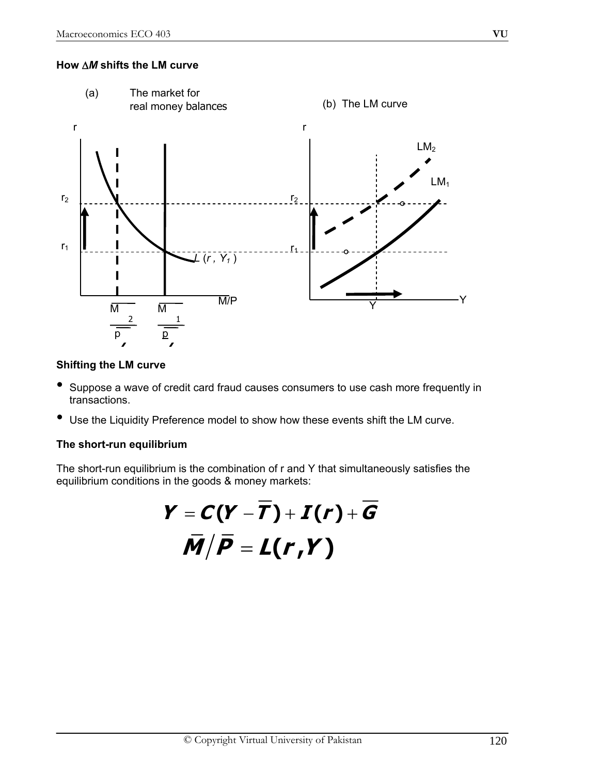

#### **Shifting the LM curve**

- Suppose a wave of credit card fraud causes consumers to use cash more frequently in transactions.
- Use the Liquidity Preference model to show how these events shift the LM curve.

#### **The short-run equilibrium**

The short-run equilibrium is the combination of r and Y that simultaneously satisfies the equilibrium conditions in the goods & money markets:

> $Y = C(Y - \overline{T}) + I(r) + \overline{G}$  $\overline{M}/\overline{P} = L(r, Y)$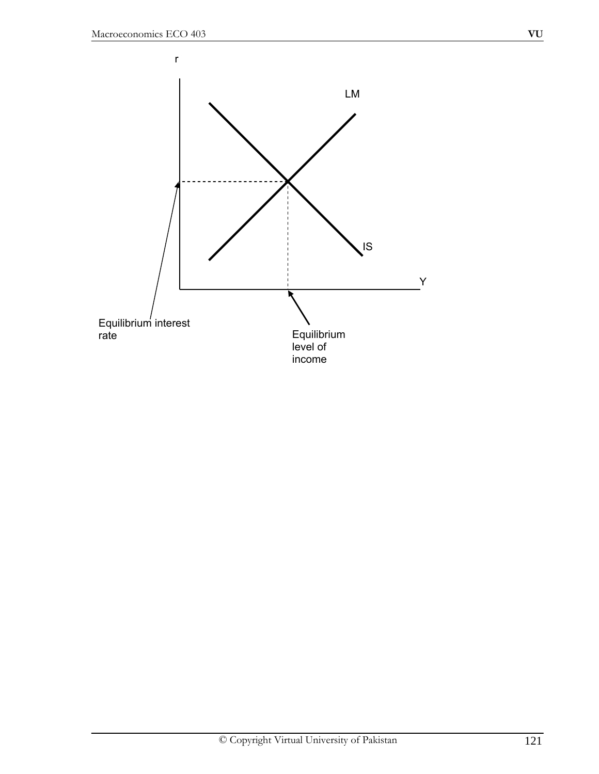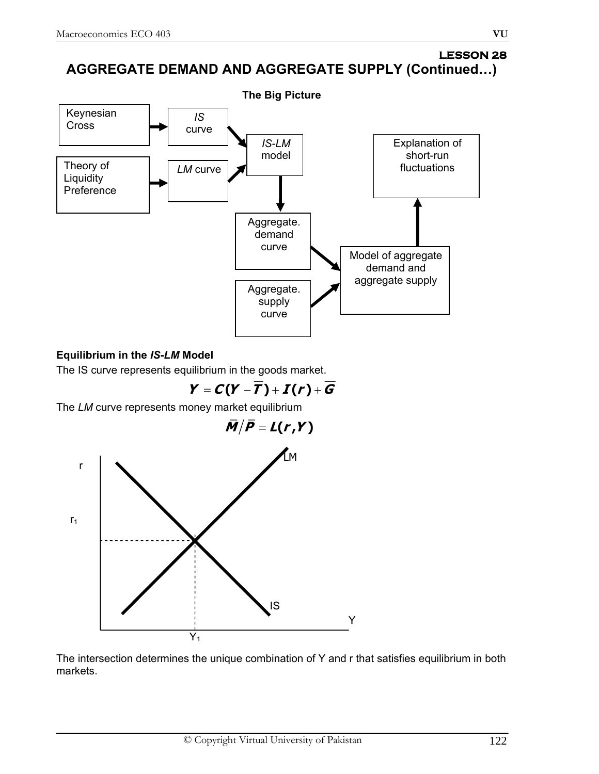



#### **Equilibrium in the** *IS***-***LM* **Model**

The IS curve represents equilibrium in the goods market.

$$
\pmb{Y} = \pmb{C(\pmb{Y} - \overline{\pmb{T}}) + \pmb{I(r) + \overline{\pmb{G}}}}
$$

The *LM* curve represents money market equilibrium



The intersection determines the unique combination of Y and r that satisfies equilibrium in both markets.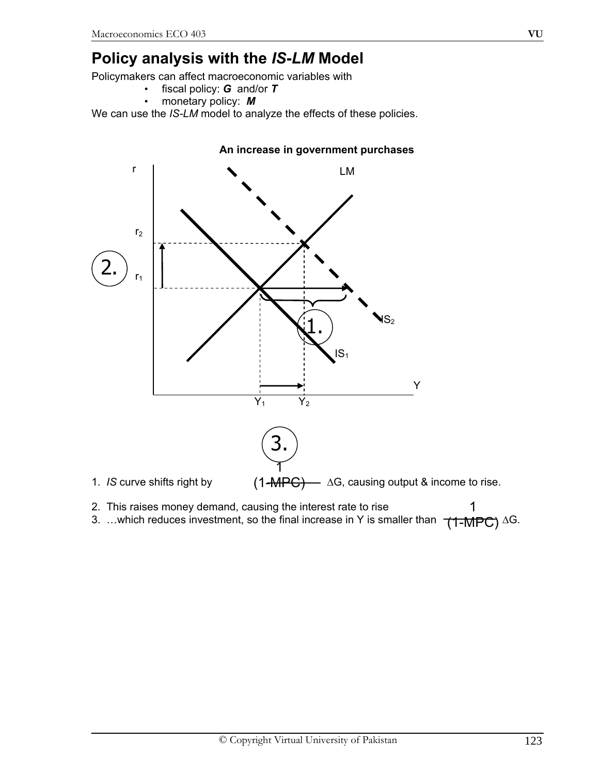# **Policy analysis with the** *IS***-***LM* **Model**

Policymakers can affect macroeconomic variables with

- fiscal policy: *G* and/or *T*
- monetary policy: *M*

We can use the *IS-LM* model to analyze the effects of these policies.

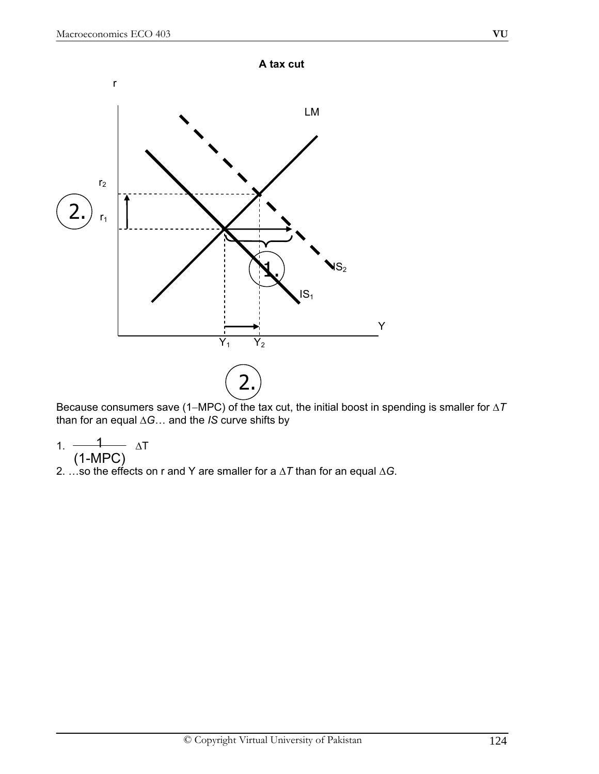

Because consumers save (1−MPC) of the tax cut, the initial boost in spending is smaller for Δ*T* than for an equal Δ*G*… and the *IS* curve shifts by

- 1.  $-1$   $\Delta T$ (1-MPC)
- 2. …so the effects on r and Y are smaller for a Δ*T* than for an equal Δ*G*.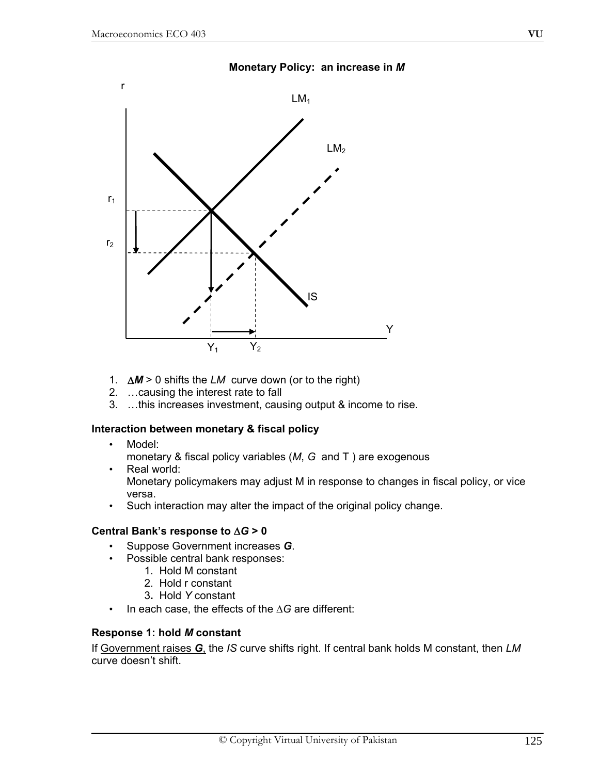

**Monetary Policy: an increase in** *M* 

- 1. Δ*M* > 0 shifts the *LM* curve down (or to the right)
- 2. …causing the interest rate to fall
- 3. …this increases investment, causing output & income to rise.

#### **Interaction between monetary & fiscal policy**

- Model:
	- monetary & fiscal policy variables (*M*, *G* and T ) are exogenous
- Real world: Monetary policymakers may adjust M in response to changes in fiscal policy, or vice versa.
- Such interaction may alter the impact of the original policy change.

#### **Central Bank's response to** Δ*G* **> 0**

- Suppose Government increases *G*.
	- Possible central bank responses:
		- 1. Hold M constant
		- 2. Hold r constant
		- 3**.** Hold *Y* constant
- In each case, the effects of the Δ*G* are different:

#### **Response 1: hold** *M* **constant**

If Government raises *G*, the *IS* curve shifts right. If central bank holds M constant, then *LM* curve doesn't shift.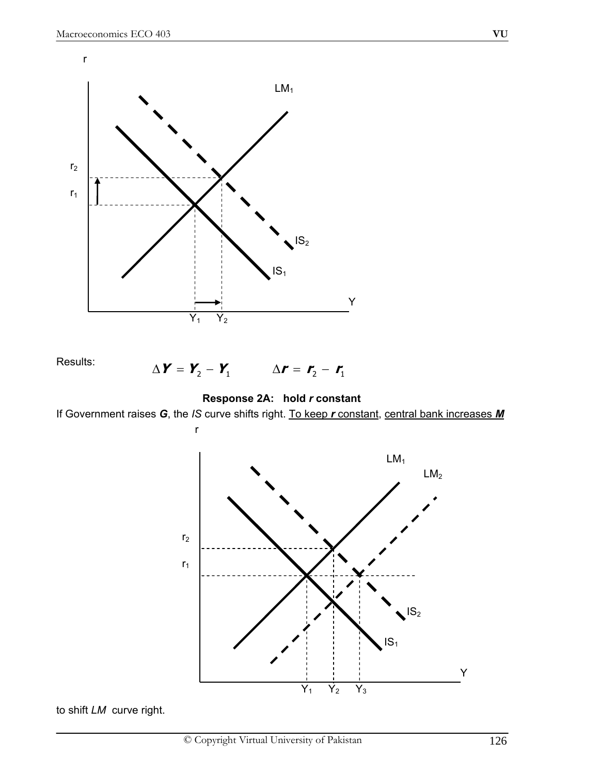

Results:

 $\Delta \mathbf{Y} = \mathbf{Y}_2 - \mathbf{Y}_1$   $\Delta \mathbf{r} = \mathbf{r}_2 - \mathbf{r}_1$ 

**Response 2A: hold** *r* **constant** 

If Government raises *G*, the *IS* curve shifts right. To keep *r* constant, central bank increases *M*



to shift *LM* curve right.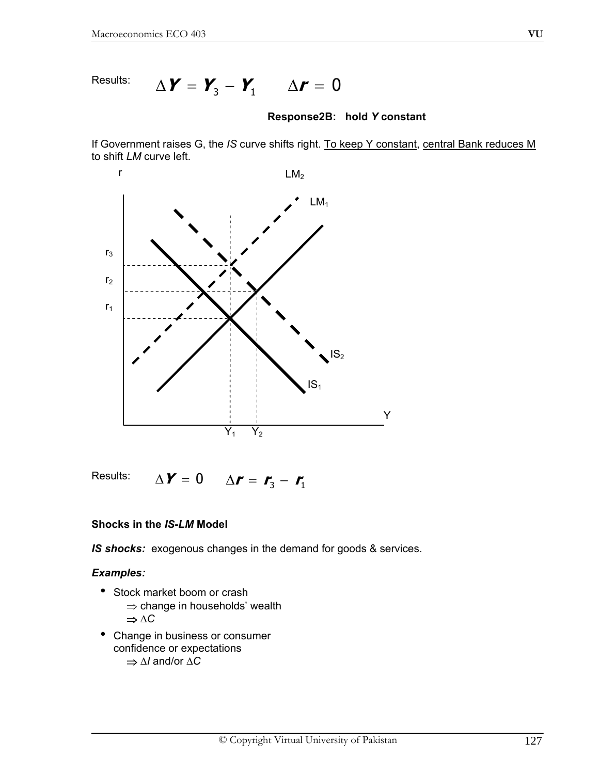#### Results:  $\Delta \boldsymbol{Y} = \boldsymbol{Y}_3 - \boldsymbol{Y}_1 \qquad \Delta \boldsymbol{r} = 0$

**Response2B: hold** *Y* **constant** 

If Government raises G, the *IS* curve shifts right. To keep Y constant, central Bank reduces M to shift *LM* curve left.





#### **Shocks in the** *IS***-***LM* **Model**

**IS shocks:** exogenous changes in the demand for goods & services.

#### *Examples:*

- Stock market boom or crash ⇒ change in households' wealth ⇒ Δ*C*
- Change in business or consumer confidence or expectations ⇒ Δ*I* and/or Δ*C*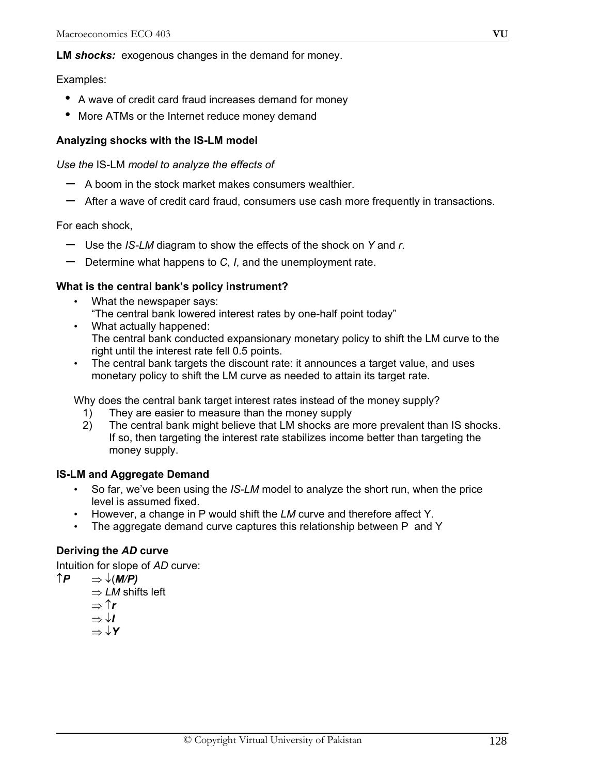**LM** *shocks:* exogenous changes in the demand for money.

Examples:

- A wave of credit card fraud increases demand for money
- More ATMs or the Internet reduce money demand

## **Analyzing shocks with the IS-LM model**

*Use the* IS-LM *model to analyze the effects of* 

- A boom in the stock market makes consumers wealthier.
- After a wave of credit card fraud, consumers use cash more frequently in transactions.

## For each shock,

- Use the *IS-LM* diagram to show the effects of the shock on *Y* and *r*.
- Determine what happens to *C*, *I*, and the unemployment rate.

## **What is the central bank's policy instrument?**

- What the newspaper says: "The central bank lowered interest rates by one-half point today"
- What actually happened: The central bank conducted expansionary monetary policy to shift the LM curve to the right until the interest rate fell 0.5 points.
- The central bank targets the discount rate: it announces a target value, and uses monetary policy to shift the LM curve as needed to attain its target rate.

Why does the central bank target interest rates instead of the money supply?

- 1) They are easier to measure than the money supply
- 2) The central bank might believe that LM shocks are more prevalent than IS shocks. If so, then targeting the interest rate stabilizes income better than targeting the money supply.

## **IS-LM and Aggregate Demand**

- So far, we've been using the *IS-LM* model to analyze the short run, when the price level is assumed fixed.
- However, a change in P would shift the *LM* curve and therefore affect Y.
- The aggregate demand curve captures this relationship between P and Y

## **Deriving the** *AD* **curve**

Intuition for slope of *AD* curve:

## ↑*P* ⇒ ↓(*M/P)*

- ⇒ *LM* shifts left
- $\Rightarrow$   $\uparrow$   $\uparrow$
- ⇒ ↓*I*
- ⇒ ↓*Y*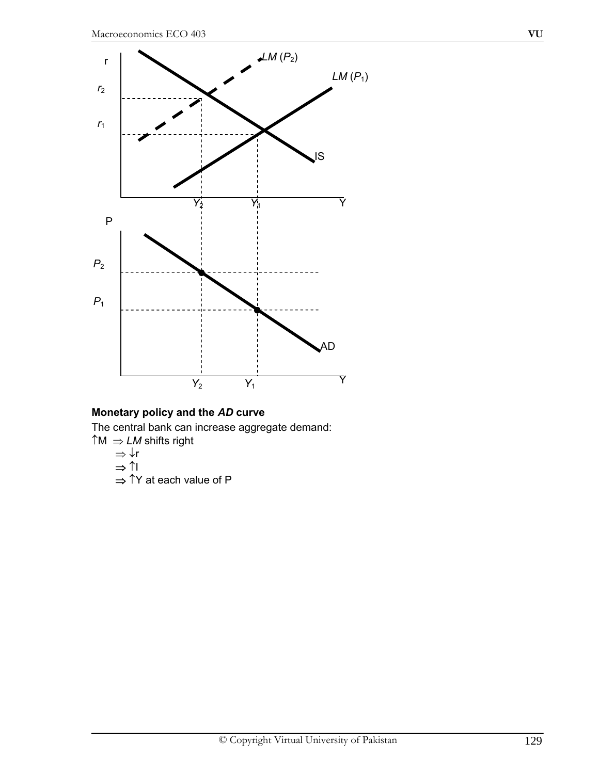

## **Monetary policy and the** *AD* **curve**

The central bank can increase aggregate demand:

↑M ⇒ *LM* shifts right

$$
\Rightarrow \downarrow r
$$

$$
\Rightarrow \uparrow
$$

⇒ ↑Y at each value of P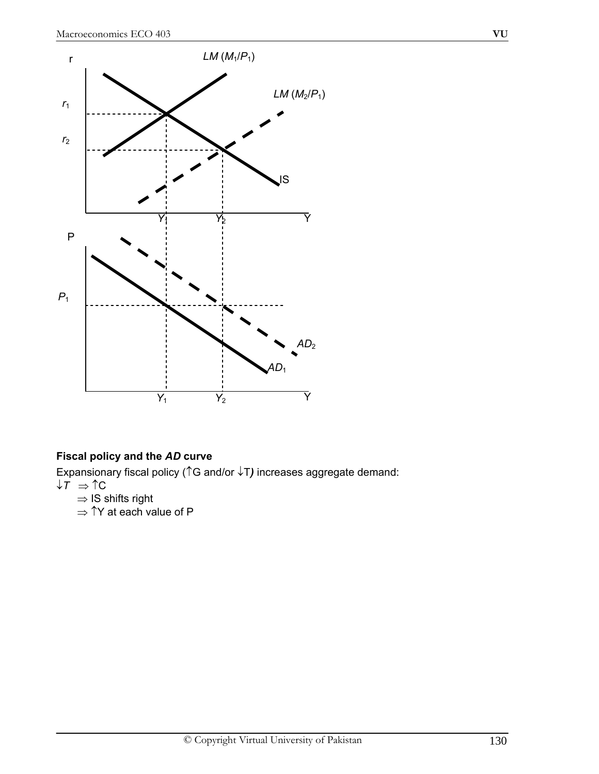

## **Fiscal policy and the** *AD* **curve**

Expansionary fiscal policy (↑G and/or ↓T*)* increases aggregate demand:  $\downarrow \dot{\tau} \Rightarrow \uparrow c$ 

- ⇒ IS shifts right
- $\Rightarrow$   $\uparrow$ Y at each value of P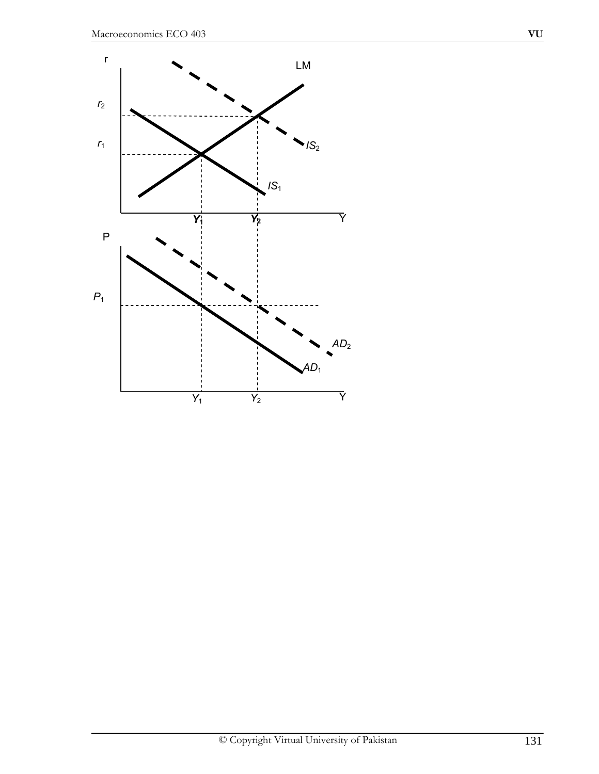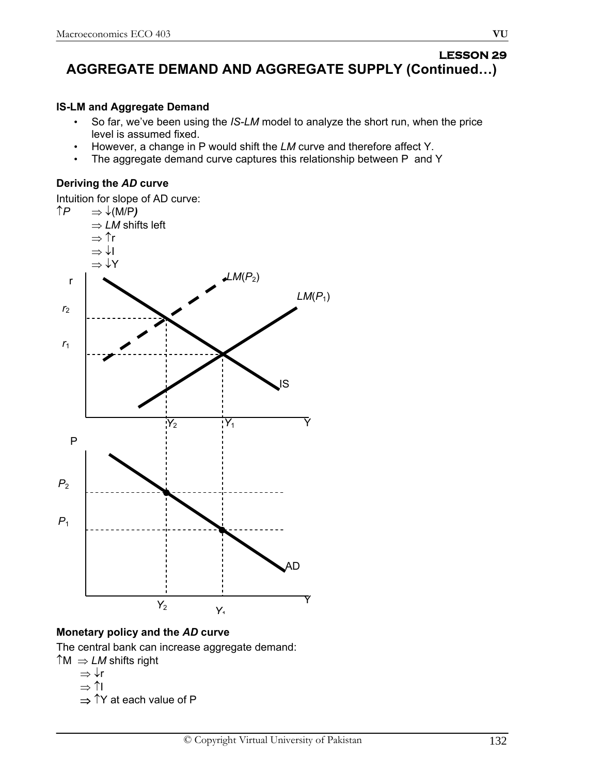## **IS-LM and Aggregate Demand**

- So far, we've been using the *IS-LM* model to analyze the short run, when the price level is assumed fixed.
- However, a change in P would shift the *LM* curve and therefore affect Y.
- The aggregate demand curve captures this relationship between P and Y

## **Deriving the** *AD* **curve**

Intuition for slope of AD curve:



#### **Monetary policy and the** *AD* **curve**

The central bank can increase aggregate demand:

- $\uparrow$ M  $\Rightarrow$  *LM* shifts right
	- $\Rightarrow \forall r$
	- ⇒ ↑I
	- ⇒ T<sup>Y</sup> at each value of P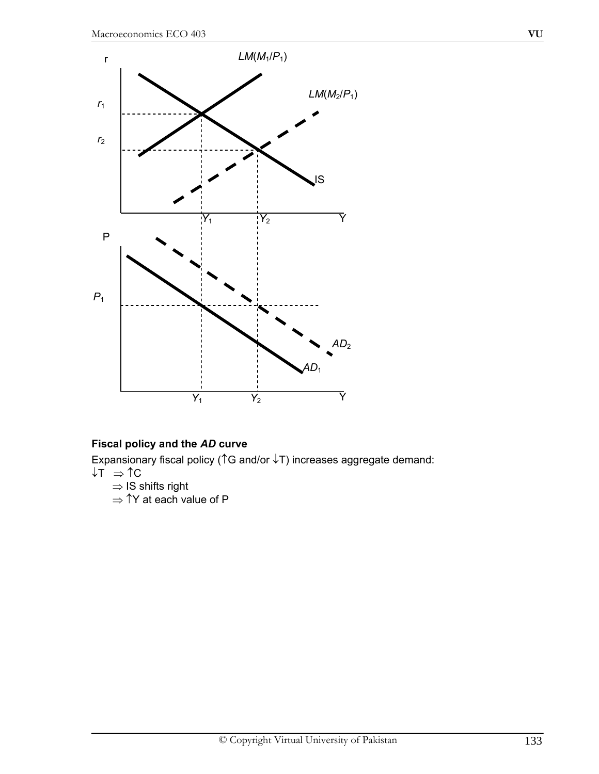

## **Fiscal policy and the** *AD* **curve**

Expansionary fiscal policy (↑G and/or ↓T) increases aggregate demand:

 $LT \Rightarrow \uparrow C$ 

⇒ IS shifts right

 $\Rightarrow$   $\uparrow$ Y at each value of P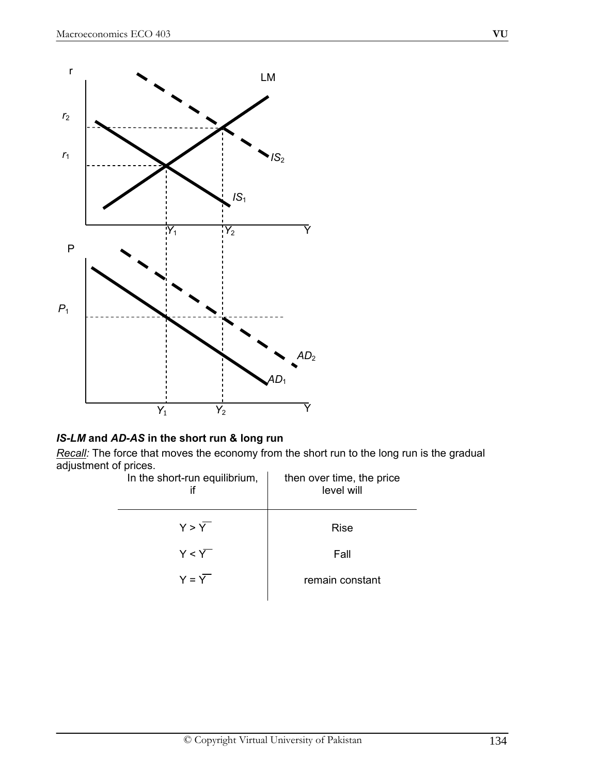

## *IS-LM* **and** *AD-AS* **in the short run & long run**

*Recall:* The force that moves the economy from the short run to the long run is the gradual adjustment of prices.  $\overline{1}$ 

| In the short-run equilibrium,<br>if | then over time, the price<br>level will |
|-------------------------------------|-----------------------------------------|
| Y > Y                               | <b>Rise</b>                             |
| $Y < \sqrt{T}$                      | Fall                                    |
| $Y = Y$                             | remain constant                         |
|                                     |                                         |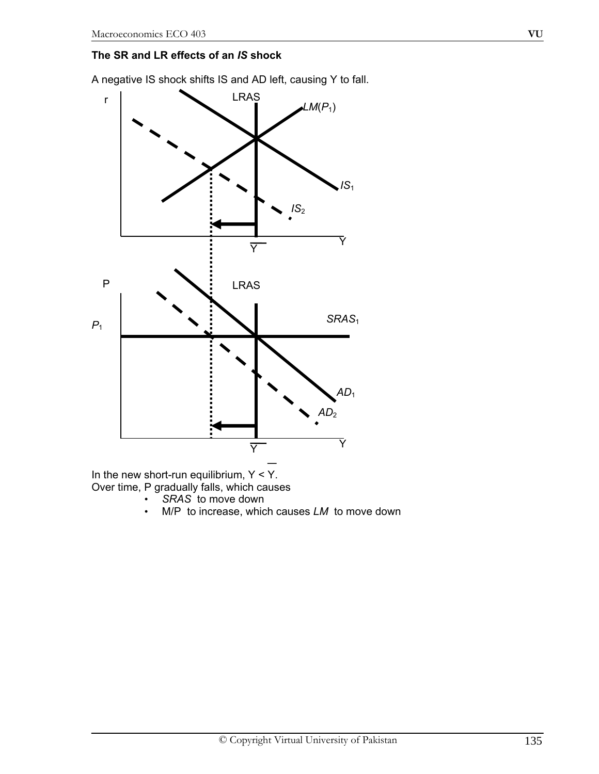## **The SR and LR effects of an** *IS* **shock**

A negative IS shock shifts IS and AD left, causing Y to fall.



In the new short-run equilibrium,  $Y < Y$ . Over time, P gradually falls, which causes

- *SRAS* to move down
- M/P to increase, which causes *LM* to move down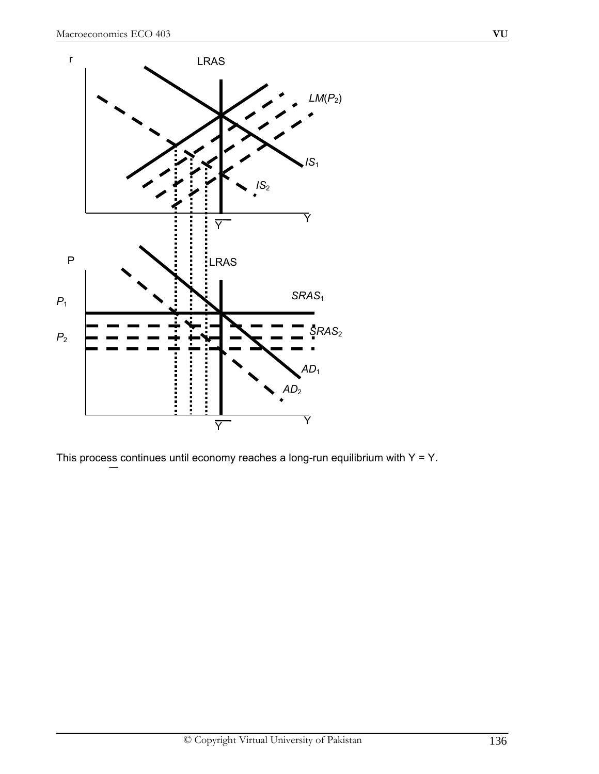

This process continues until economy reaches a long-run equilibrium with  $Y = Y$ .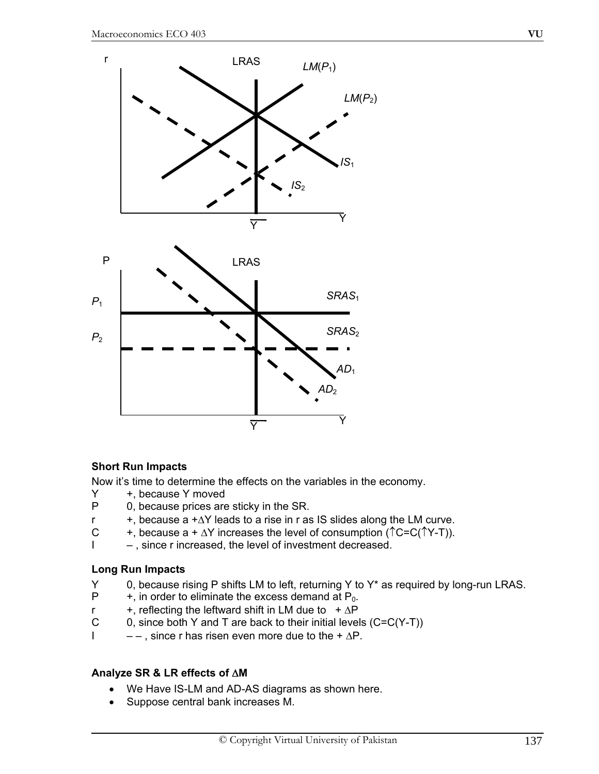

#### **Short Run Impacts**

Now it's time to determine the effects on the variables in the economy.

- Y +, because Y moved
- P 0, because prices are sticky in the SR.
- r  $+$ , because a  $+\Delta Y$  leads to a rise in r as IS slides along the LM curve.
- C +, because a +  $\Delta Y$  increases the level of consumption ( $\hat{C} = C(\hat{C}Y-T)$ ).
- I , since r increased, the level of investment decreased.

#### **Long Run Impacts**

- Y 0, because rising P shifts LM to left, returning Y to Y\* as required by long-run LRAS.<br>P  $+$  in order to eliminate the excess demand at P<sub>0</sub>.
- $+$ , in order to eliminate the excess demand at P<sub>0</sub>.
- r  $+$ , reflecting the leftward shift in LM due to  $+ \Delta P$
- C 0, since both Y and T are back to their initial levels  $(C=C(Y-T))$
- I –, since r has risen even more due to the  $+ \Delta P$ .

#### **Analyze SR & LR effects of** Δ**M**

- We Have IS-LM and AD-AS diagrams as shown here.
- Suppose central bank increases M.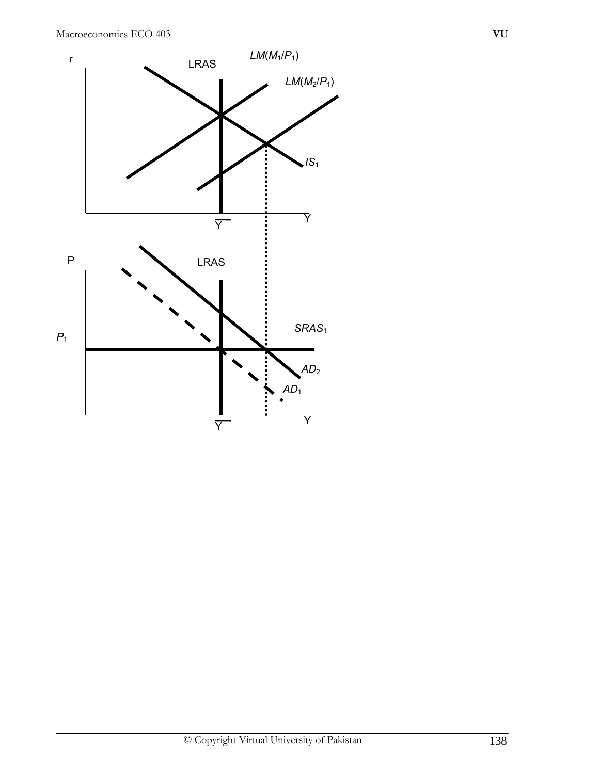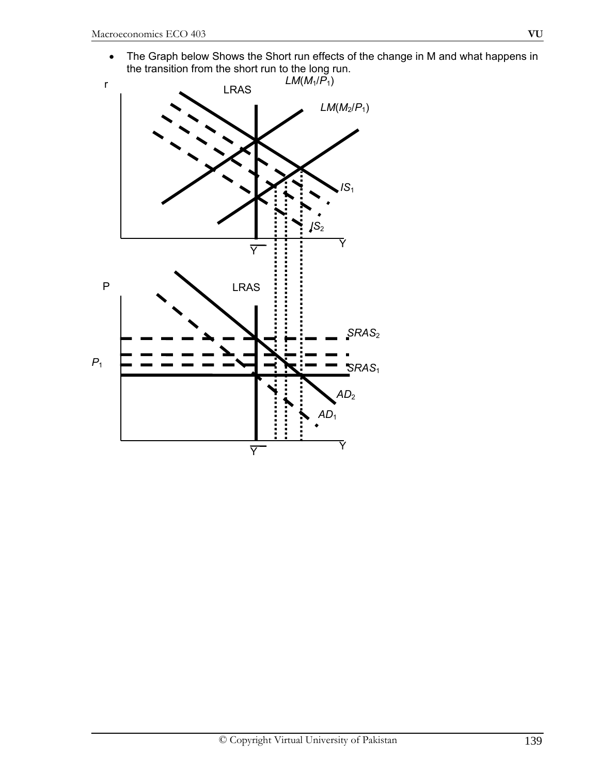• The Graph below Shows the Short run effects of the change in M and what happens in the transition from the short run to the long run.

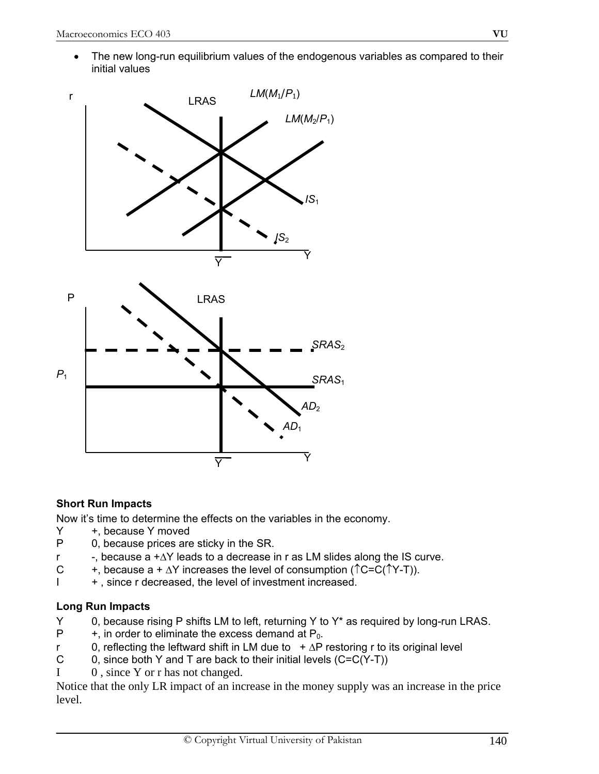• The new long-run equilibrium values of the endogenous variables as compared to their initial values



#### **Short Run Impacts**

Now it's time to determine the effects on the variables in the economy.

- Y +, because Y moved
- P 0, because prices are sticky in the SR.
- r -, because a +ΔY leads to a decrease in r as LM slides along the IS curve.
- C +, because a +  $\Delta Y$  increases the level of consumption ( $\hat{T}C=C(\hat{T}Y-T)$ ).
- I +, since r decreased, the level of investment increased.

#### **Long Run Impacts**

- Y 0, because rising P shifts LM to left, returning Y to Y\* as required by long-run LRAS.
- $P \rightarrow$ , in order to eliminate the excess demand at  $P_0$ .
- r 0, reflecting the leftward shift in LM due to  $A \Delta P$  restoring r to its original level
- C 0, since both Y and T are back to their initial levels  $(C=C(Y-T))$
- I 0, since Y or r has not changed.

Notice that the only LR impact of an increase in the money supply was an increase in the price level.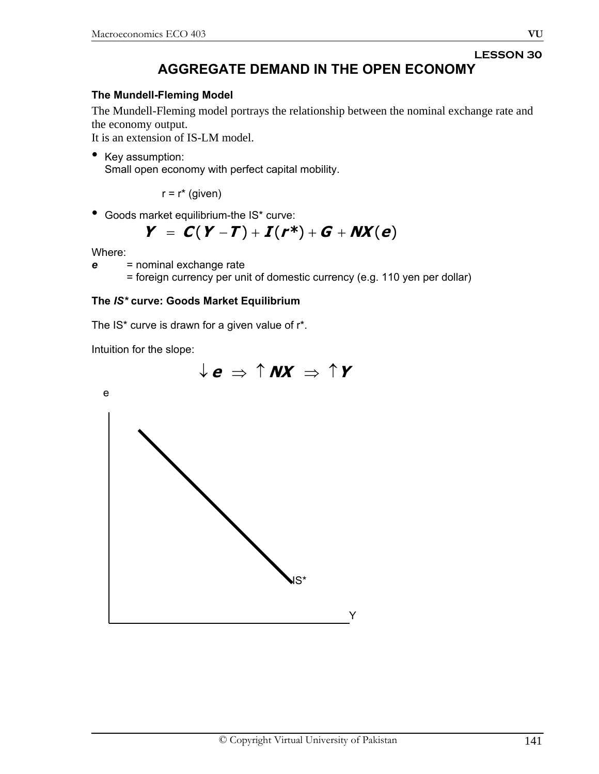#### **LESSON 30**

# **AGGREGATE DEMAND IN THE OPEN ECONOMY**

### **The Mundell-Fleming Model**

The Mundell-Fleming model portrays the relationship between the nominal exchange rate and the economy output.

It is an extension of IS-LM model.

• Key assumption: Small open economy with perfect capital mobility.

 $r = r^*$  (given)

• Goods market equilibrium-the IS\* curve:

$$
Y = C(Y-T) + I(r^*) + G + NX(e)
$$

Where:

- *e* = nominal exchange rate
	- = foreign currency per unit of domestic currency (e.g. 110 yen per dollar)

## **The** *IS\** **curve: Goods Market Equilibrium**

The IS\* curve is drawn for a given value of r\*.

Intuition for the slope:



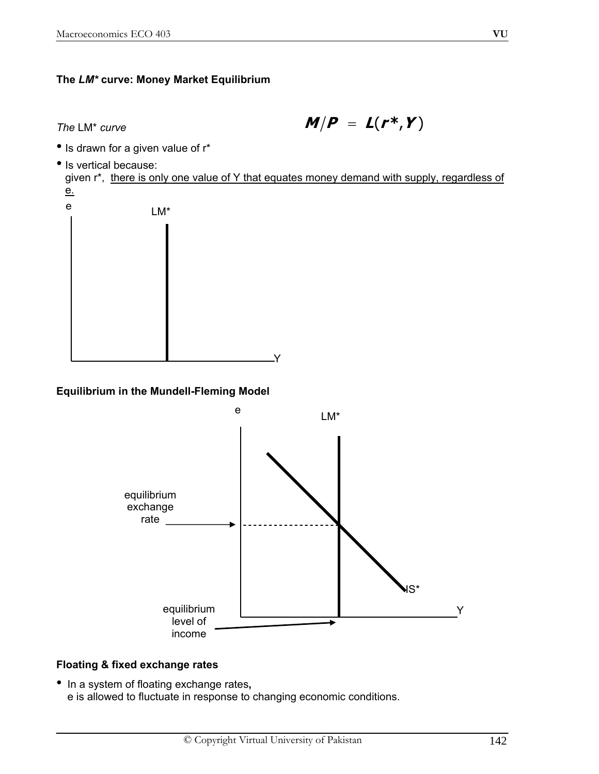#### **The** *LM\** **curve: Money Market Equilibrium**

*The* LM\* *curve* 

$$
M/P = L(r^*, Y)
$$

- Is drawn for a given value of r\*
- Is vertical because:

given r\*, there is only one value of Y that equates money demand with supply, regardless of e.

| e | $LM^*$ |  |
|---|--------|--|
|   |        |  |
|   |        |  |
|   |        |  |
|   |        |  |
|   |        |  |
|   |        |  |
|   |        |  |

#### **Equilibrium in the Mundell-Fleming Model**



#### **Floating & fixed exchange rates**

• In a system of floating exchange rates**,**  e is allowed to fluctuate in response to changing economic conditions.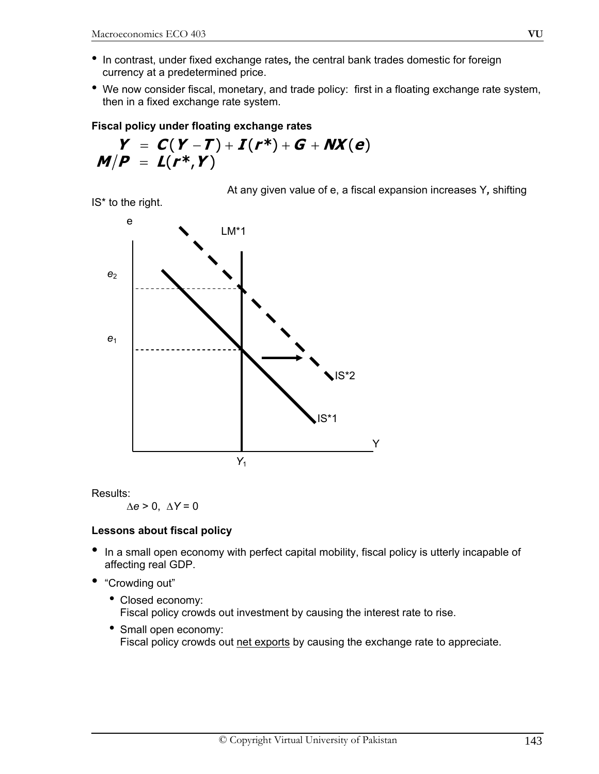- In contrast, under fixed exchange rates*,* the central bank trades domestic for foreign currency at a predetermined price.
- We now consider fiscal, monetary, and trade policy: first in a floating exchange rate system, then in a fixed exchange rate system.

**Fiscal policy under floating exchange rates** 

$$
Y = C(Y-T) + I(r^*) + G + NX(e)
$$
  

$$
M/P = L(r^*, Y)
$$

At any given value of e, a fiscal expansion increases Y*,* shifting

IS\* to the right.



Results:

Δ*e* > 0, Δ*Y* = 0

#### **Lessons about fiscal policy**

- In a small open economy with perfect capital mobility, fiscal policy is utterly incapable of affecting real GDP.
- "Crowding out"
	- Closed economy: Fiscal policy crowds out investment by causing the interest rate to rise.
	- Small open economy: Fiscal policy crowds out net exports by causing the exchange rate to appreciate.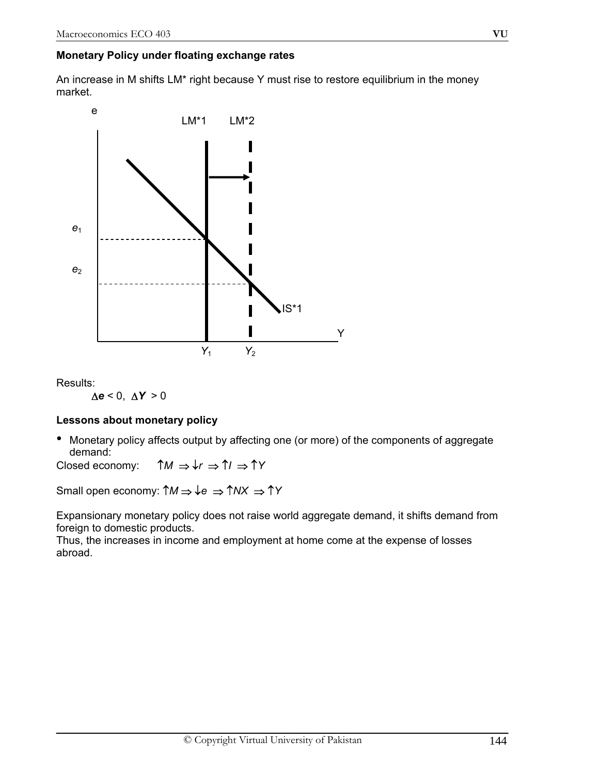#### **Monetary Policy under floating exchange rates**

An increase in M shifts LM\* right because Y must rise to restore equilibrium in the money market.



Results:

Δ*e* < 0, Δ*Y* > 0

#### **Lessons about monetary policy**

• Monetary policy affects output by affecting one (or more) of the components of aggregate demand:

Closed economy: ↑*M* ⇒ ↓*r* ⇒ ↑*I* ⇒ ↑*Y* 

Small open economy: ↑*M* ⇒ ↓*e* ⇒ ↑*NX* ⇒ ↑*Y*

Expansionary monetary policy does not raise world aggregate demand, it shifts demand from foreign to domestic products.

Thus, the increases in income and employment at home come at the expense of losses abroad.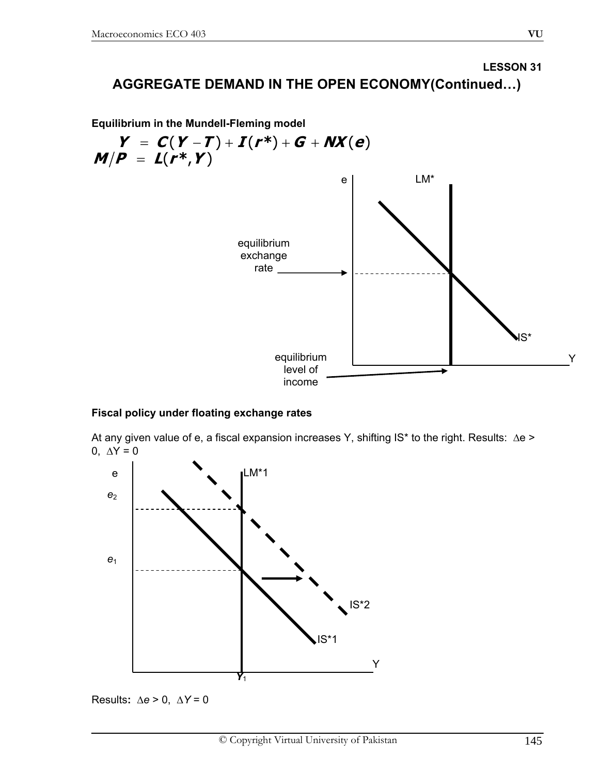**LESSON 31 AGGREGATE DEMAND IN THE OPEN ECONOMY(Continued…)** 



# **Fiscal policy under floating exchange rates**

At any given value of e, a fiscal expansion increases Y, shifting IS\* to the right. Results:  $\Delta e$  >  $0, \Delta Y = 0$ 



Results**:** Δ*e* > 0, Δ*Y* = 0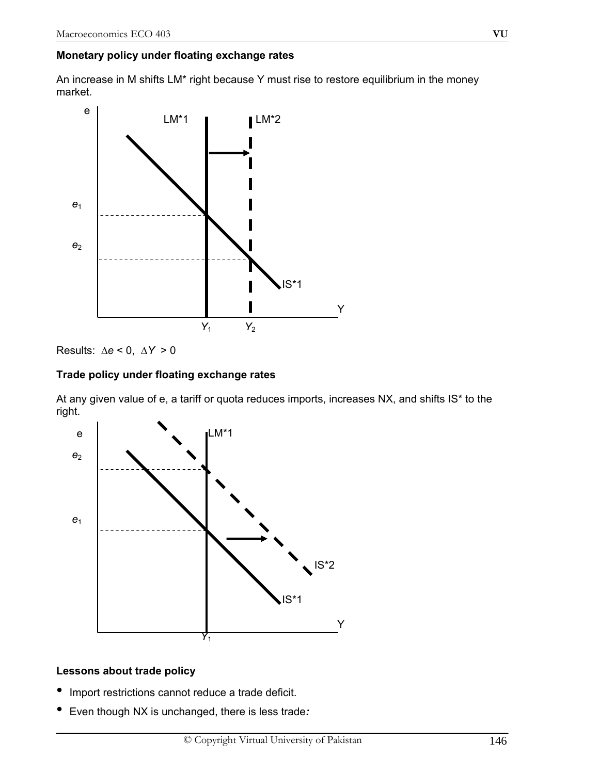#### **Monetary policy under floating exchange rates**

An increase in M shifts LM\* right because Y must rise to restore equilibrium in the money market.





# **Trade policy under floating exchange rates**

At any given value of e, a tariff or quota reduces imports, increases NX, and shifts IS\* to the right.



#### **Lessons about trade policy**

- Import restrictions cannot reduce a trade deficit.
- Even though NX is unchanged, there is less trade*:*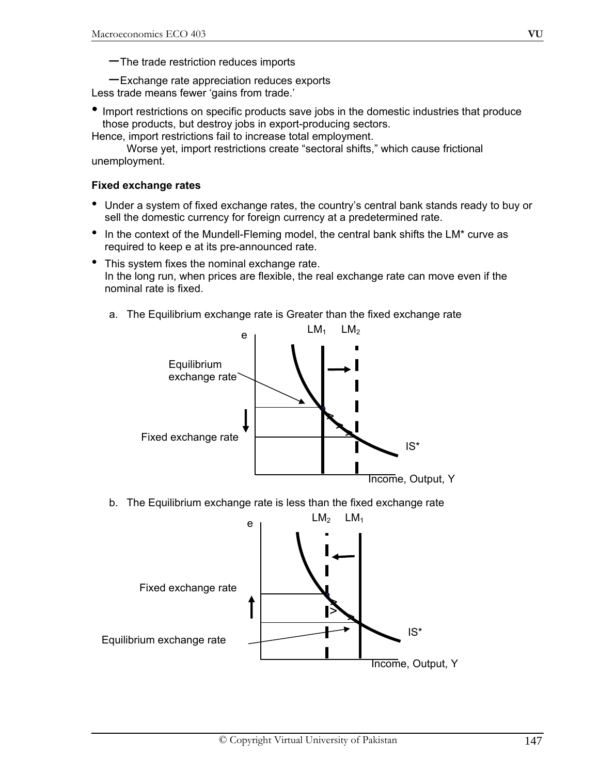– The trade restriction reduces imports

– Exchange rate appreciation reduces exports Less trade means fewer 'gains from trade.'

• Import restrictions on specific products save jobs in the domestic industries that produce those products, but destroy jobs in export-producing sectors.

Hence, import restrictions fail to increase total employment.

 Worse yet, import restrictions create "sectoral shifts," which cause frictional unemployment.

#### **Fixed exchange rates**

- Under a system of fixed exchange rates, the country's central bank stands ready to buy or sell the domestic currency for foreign currency at a predetermined rate.
- In the context of the Mundell-Fleming model, the central bank shifts the LM<sup>\*</sup> curve as required to keep e at its pre-announced rate.
- This system fixes the nominal exchange rate. In the long run, when prices are flexible, the real exchange rate can move even if the nominal rate is fixed.
	- a. The Equilibrium exchange rate is Greater than the fixed exchange rate



b. The Equilibrium exchange rate is less than the fixed exchange rate

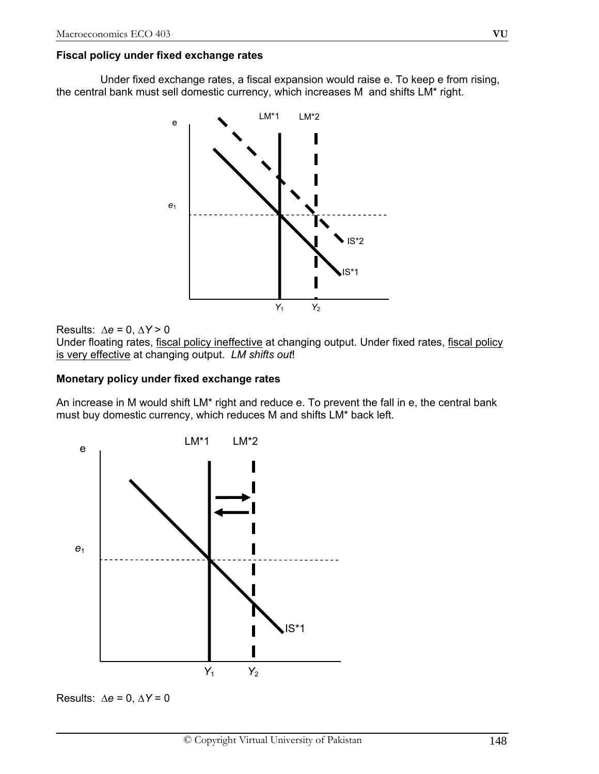#### **Fiscal policy under fixed exchange rates**

Under fixed exchange rates, a fiscal expansion would raise e. To keep e from rising, the central bank must sell domestic currency, which increases M and shifts LM\* right.



Results: Δ*e* = 0, Δ*Y* > 0

Under floating rates, fiscal policy ineffective at changing output. Under fixed rates, fiscal policy is very effective at changing output. *LM shifts out*!

#### **Monetary policy under fixed exchange rates**

An increase in M would shift LM\* right and reduce e. To prevent the fall in e, the central bank must buy domestic currency, which reduces M and shifts LM\* back left.



Results: Δ*e* = 0, Δ*Y* = 0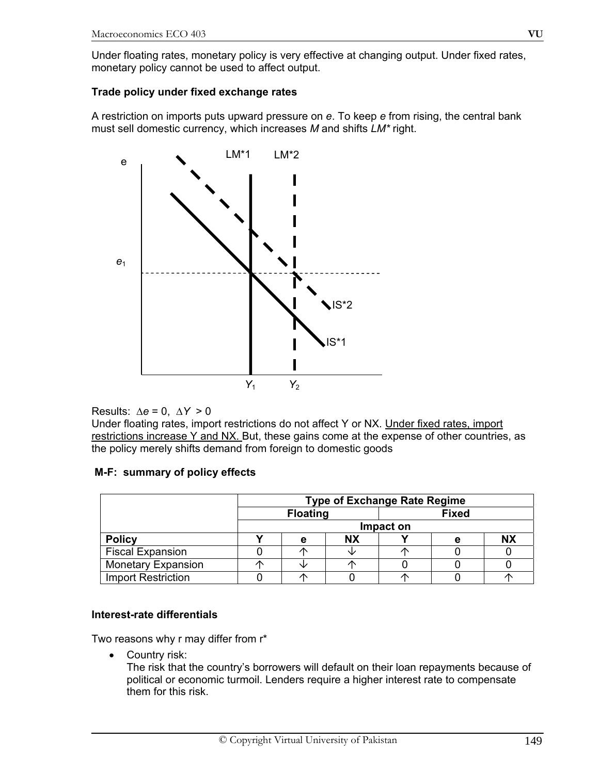Under floating rates, monetary policy is very effective at changing output. Under fixed rates, monetary policy cannot be used to affect output.

# **Trade policy under fixed exchange rates**

A restriction on imports puts upward pressure on *e*. To keep *e* from rising, the central bank must sell domestic currency, which increases *M* and shifts *LM\** right.



Results: Δ*e* = 0, Δ*Y* > 0

Under floating rates, import restrictions do not affect Y or NX. Under fixed rates, import restrictions increase Y and NX. But, these gains come at the expense of other countries, as the policy merely shifts demand from foreign to domestic goods

# **M-F: summary of policy effects**

|                           | <b>Type of Exchange Rate Regime</b> |   |           |              |  |           |  |
|---------------------------|-------------------------------------|---|-----------|--------------|--|-----------|--|
|                           | <b>Floating</b>                     |   |           | <b>Fixed</b> |  |           |  |
|                           | Impact on                           |   |           |              |  |           |  |
| <b>Policy</b>             |                                     | е | <b>NX</b> |              |  | <b>NX</b> |  |
| <b>Fiscal Expansion</b>   |                                     |   |           |              |  |           |  |
| <b>Monetary Expansion</b> |                                     |   |           |              |  |           |  |
| <b>Import Restriction</b> |                                     |   |           |              |  |           |  |

# **Interest-rate differentials**

Two reasons why r may differ from r\*

• Country risk:

The risk that the country's borrowers will default on their loan repayments because of political or economic turmoil. Lenders require a higher interest rate to compensate them for this risk.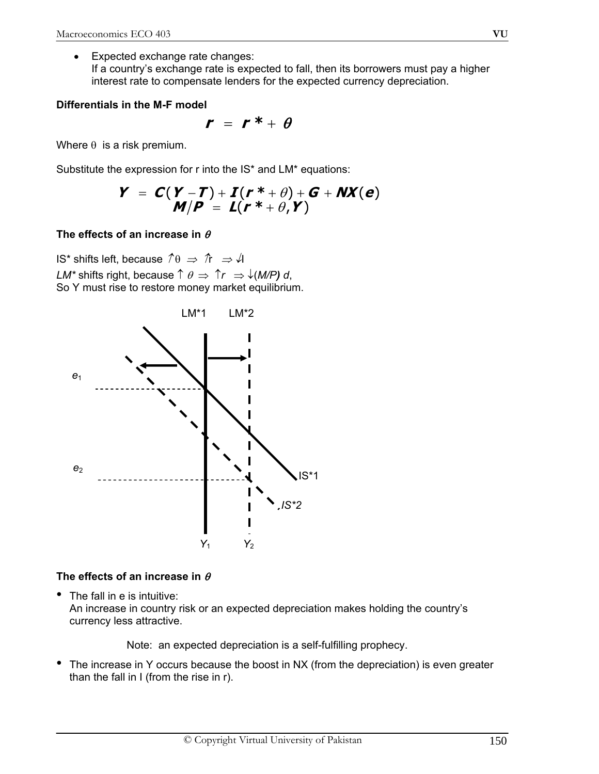• Expected exchange rate changes: If a country's exchange rate is expected to fall, then its borrowers must pay a higher interest rate to compensate lenders for the expected currency depreciation.

#### **Differentials in the M-F model**

$$
r = r^* + \theta
$$

Where  $\theta$  is a risk premium.

Substitute the expression for r into the IS\* and LM\* equations:

$$
Y = C(Y-T) + I(r^* + \theta) + G + NX(e)
$$
  

$$
M/P = L(r^* + \theta, Y)
$$

#### **The effects of an increase in** θ

IS\* shifts left, because  $\hat{\Gamma}\theta \Rightarrow \hat{\Gamma} \Rightarrow \hat{\mathcal{H}}$ 

*LM*<sup>\*</sup> shifts right, because  $\uparrow \theta \Rightarrow \uparrow r \Rightarrow \downarrow (M/P) d$ , So Y must rise to restore money market equilibrium.



# **The effects of an increase in** θ

• The fall in e is intuitive: An increase in country risk or an expected depreciation makes holding the country's currency less attractive.

Note: an expected depreciation is a self-fulfilling prophecy.

• The increase in Y occurs because the boost in NX (from the depreciation) is even greater than the fall in I (from the rise in r).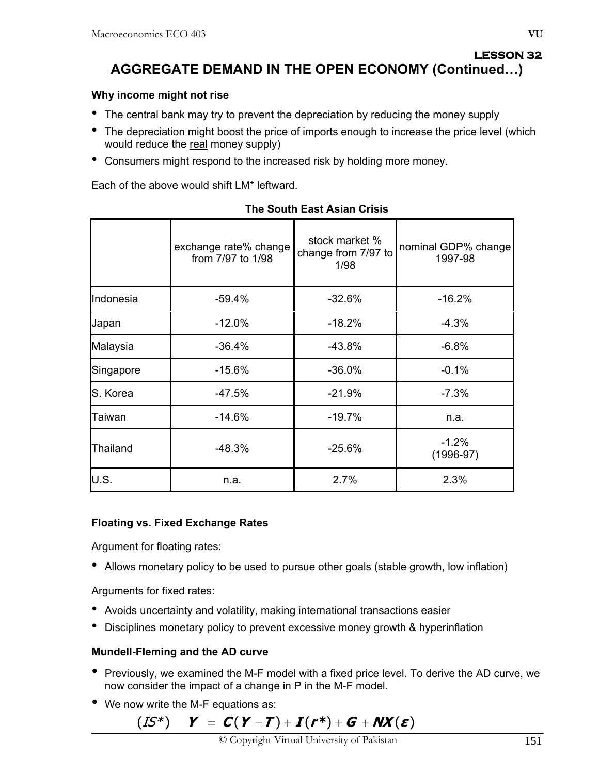# **AGGREGATE DEMAND IN THE OPEN ECONOMY (Continued…)**

#### **Why income might not rise**

- The central bank may try to prevent the depreciation by reducing the money supply
- The depreciation might boost the price of imports enough to increase the price level (which would reduce the real money supply)
- Consumers might respond to the increased risk by holding more money.

Each of the above would shift LM\* leftward.

|           | exchange rate% change<br>from 7/97 to 1/98 | stock market %<br>change from 7/97 to<br>1/98 | nominal GDP% change<br>1997-98 |
|-----------|--------------------------------------------|-----------------------------------------------|--------------------------------|
| Indonesia | $-59.4%$                                   | $-32.6%$                                      | $-16.2%$                       |
| Japan     | $-12.0%$                                   | $-18.2%$                                      | $-4.3%$                        |
| Malaysia  | $-36.4%$                                   | $-43.8%$                                      | $-6.8%$                        |
| Singapore | $-15.6%$                                   | $-36.0%$                                      | $-0.1%$                        |
| S. Korea  | $-47.5%$                                   | $-21.9%$                                      | $-7.3%$                        |
| Taiwan    | $-14.6%$                                   | $-19.7%$                                      | n.a.                           |
| Thailand  | $-48.3%$                                   | $-25.6%$                                      | $-1.2%$<br>$(1996-97)$         |
| U.S.      | n.a.                                       | 2.7%                                          | 2.3%                           |

# **Floating vs. Fixed Exchange Rates**

Argument for floating rates:

• Allows monetary policy to be used to pursue other goals (stable growth, low inflation)

Arguments for fixed rates:

- Avoids uncertainty and volatility, making international transactions easier
- Disciplines monetary policy to prevent excessive money growth & hyperinflation

#### **Mundell-Fleming and the AD curve**

- Previously, we examined the M-F model with a fixed price level. To derive the AD curve, we now consider the impact of a change in P in the M-F model.
- We now write the M-F equations as:

$$
(IS^*) \quad Y = C(Y-T) + I(r^*) + G + NX(\varepsilon)
$$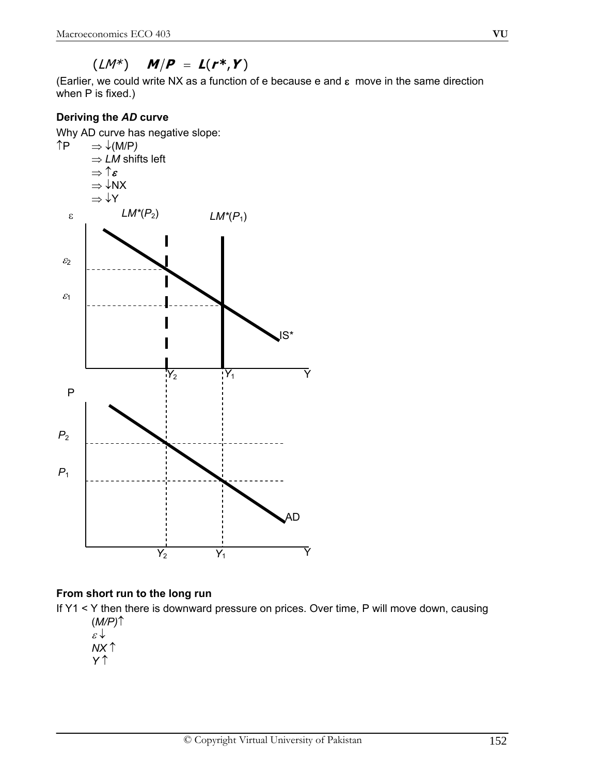# $(LM^*)$   $M/P = L(r^*, Y)$

(Earlier, we could write NX as a function of e because e and ε move in the same direction when  $P$  is fixed.)

# **Deriving the** *AD* **curve**



# **From short run to the long run**

If Y1 < Y then there is downward pressure on prices. Over time, P will move down, causing (*M/P)*↑

 $\varepsilon \downarrow$  *NX* ↑ *Y* ↑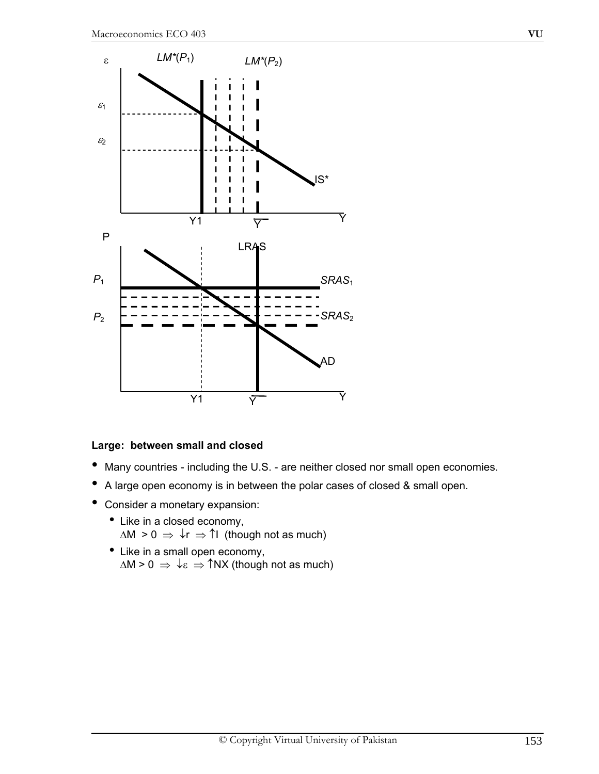

# **Large: between small and closed**

- Many countries including the U.S. are neither closed nor small open economies.
- A large open economy is in between the polar cases of closed & small open.
- Consider a monetary expansion:
	- Like in a closed economy,  $\Delta M > 0 \Rightarrow \forall r \Rightarrow \hat{T}$  (though not as much)
	- Like in a small open economy,  $\Delta M > 0 \Rightarrow \pm \epsilon \Rightarrow \hat{\perp} N X$  (though not as much)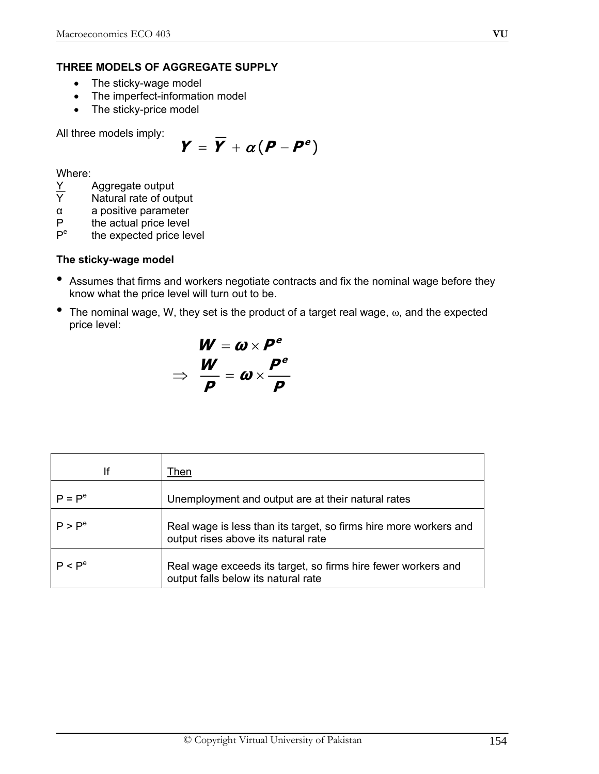# **THREE MODELS OF AGGREGATE SUPPLY**

- The sticky-wage model
- The imperfect-information model
- The sticky-price model

All three models imply:

$$
\boldsymbol{Y} = \overline{\boldsymbol{Y}} + \alpha (\boldsymbol{P} - \boldsymbol{P}^e)
$$

Where:

- $\frac{Y}{Y}$  Aggregate output<br> $\overline{Y}$  Natural rate of out
- Natural rate of output
- α a positive parameter
- $P<sup>e</sup>$  the actual price level<br> $P<sup>e</sup>$  the expected price level
- the expected price level

#### **The sticky-wage model**

- Assumes that firms and workers negotiate contracts and fix the nominal wage before they know what the price level will turn out to be.
- The nominal wage, W, they set is the product of a target real wage,  $\omega$ , and the expected price level:

$$
W = \boldsymbol{\omega} \times \boldsymbol{P}^e
$$

$$
\Rightarrow \frac{\boldsymbol{W}}{\boldsymbol{P}} = \boldsymbol{\omega} \times \frac{\boldsymbol{P}^e}{\boldsymbol{P}}
$$

| lf                 | Then                                                                                                     |
|--------------------|----------------------------------------------------------------------------------------------------------|
| $P = Pe$           | Unemployment and output are at their natural rates                                                       |
| P > P <sup>e</sup> | Real wage is less than its target, so firms hire more workers and<br>output rises above its natural rate |
| P < P <sup>e</sup> | Real wage exceeds its target, so firms hire fewer workers and<br>output falls below its natural rate     |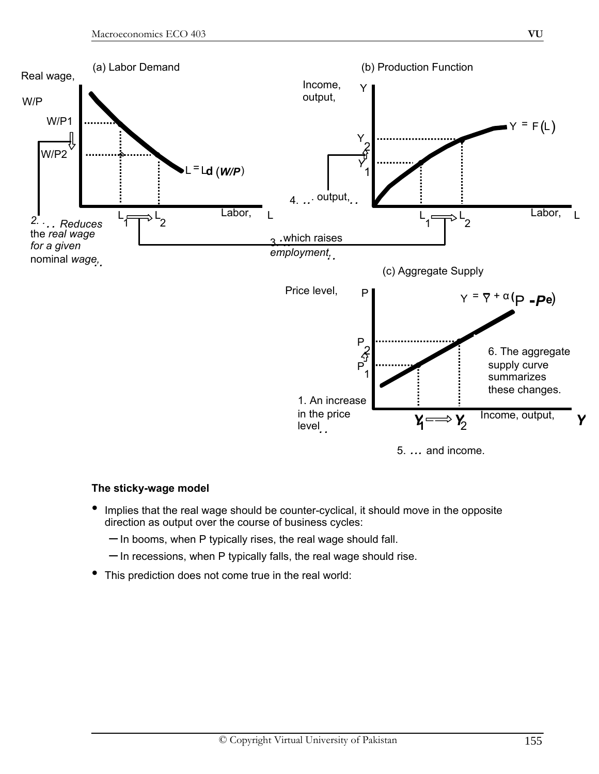

5. *...* and income.

#### **The sticky-wage model**

- Implies that the real wage should be counter-cyclical, it should move in the opposite direction as output over the course of business cycles:
	- In booms, when P typically rises, the real wage should fall.
	- In recessions, when P typically falls, the real wage should rise.
- This prediction does not come true in the real world: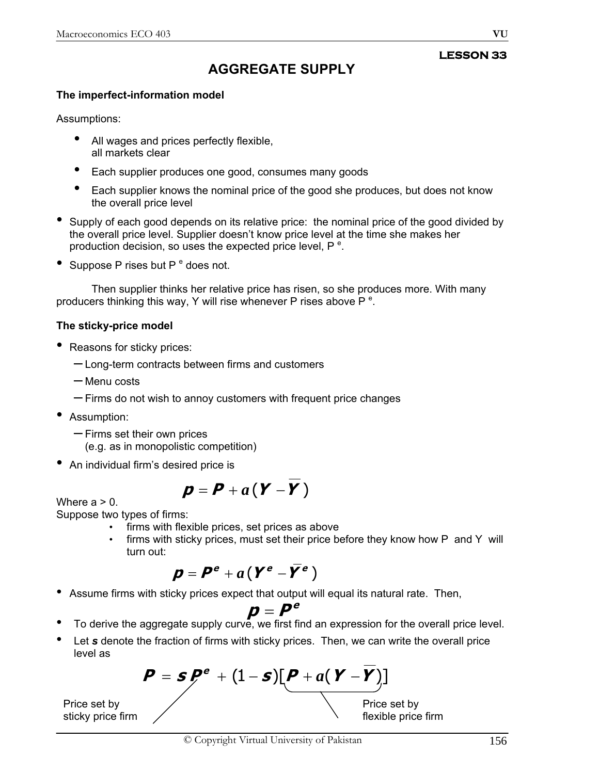# **LESSON 33**

# **AGGREGATE SUPPLY**

#### **The imperfect-information model**

Assumptions:

- All wages and prices perfectly flexible, all markets clear
- Each supplier produces one good, consumes many goods
- Each supplier knows the nominal price of the good she produces, but does not know the overall price level
- Supply of each good depends on its relative price: the nominal price of the good divided by the overall price level. Supplier doesn't know price level at the time she makes her production decision, so uses the expected price level,  $P^e$ .
- Suppose P rises but  $P^e$  does not.

 Then supplier thinks her relative price has risen, so she produces more. With many producers thinking this way, Y will rise whenever P rises above  $P^e$ .

# **The sticky-price model**

- Reasons for sticky prices:
	- Long-term contracts between firms and customers
	- Menu costs
	- Firms do not wish to annoy customers with frequent price changes
- Assumption:

– Firms set their own prices (e.g. as in monopolistic competition)

• An individual firm's desired price is

$$
\boldsymbol{p} = \boldsymbol{P} + a\left(\boldsymbol{Y} - \overline{\boldsymbol{Y}}\,\right)
$$

Where  $a > 0$ .

Suppose two types of firms:

- firms with flexible prices, set prices as above
- firms with sticky prices, must set their price before they know how  $P$  and  $Y$  will turn out:

$$
\boldsymbol{p} = \boldsymbol{P}^{\boldsymbol{e}} + a\left(\boldsymbol{Y}^{\boldsymbol{e}} - \bar{\boldsymbol{Y}}^{\boldsymbol{e}}\right)
$$

• Assume firms with sticky prices expect that output will equal its natural rate. Then,

$$
\boldsymbol{p} = \boldsymbol{P}^{\boldsymbol{e}}
$$

- To derive the aggregate supply curve, we first find an expression for the overall price level.
- Let *s* denote the fraction of firms with sticky prices. Then, we can write the overall price level as

$$
P = SP^e + (1 - S)[P + a(Y - Y)]
$$

Price set by sticky price firm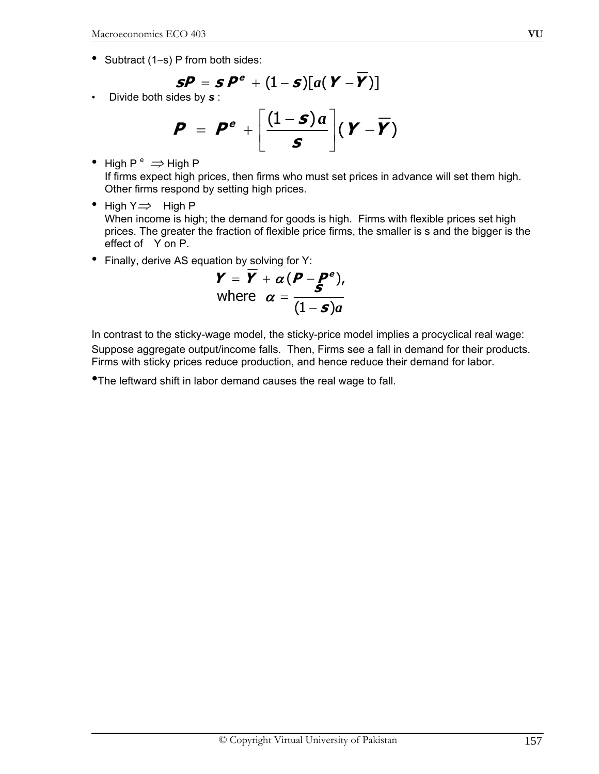• Subtract (1<sup>−</sup>s) P from both sides:

$$
\mathbf{S} \mathbf{P} = \mathbf{S} \, \mathbf{P}^{\mathbf{e}} + (1 - \mathbf{S}) [a(\mathbf{Y} - \overline{\mathbf{Y}})]
$$

• Divide both sides by *s* :

$$
\boldsymbol{P} = \boldsymbol{P}^e + \left[\frac{(1-\boldsymbol{S})a}{\boldsymbol{S}}\right](\boldsymbol{Y}-\overline{\boldsymbol{Y}})
$$

- High  $P^e \implies$  High P If firms expect high prices, then firms who must set prices in advance will set them high. Other firms respond by setting high prices.
- High  $Y \implies$  High P When income is high; the demand for goods is high. Firms with flexible prices set high prices. The greater the fraction of flexible price firms, the smaller is s and the bigger is the effect of Y on P.
- Finally, derive AS equation by solving for Y:

$$
Y = \overline{Y} + \alpha (P - P^{e}),
$$
  
where  $\alpha = \frac{1}{(1 - s)a}$ 

In contrast to the sticky-wage model, the sticky-price model implies a procyclical real wage: Suppose aggregate output/income falls. Then, Firms see a fall in demand for their products. Firms with sticky prices reduce production, and hence reduce their demand for labor.

•The leftward shift in labor demand causes the real wage to fall.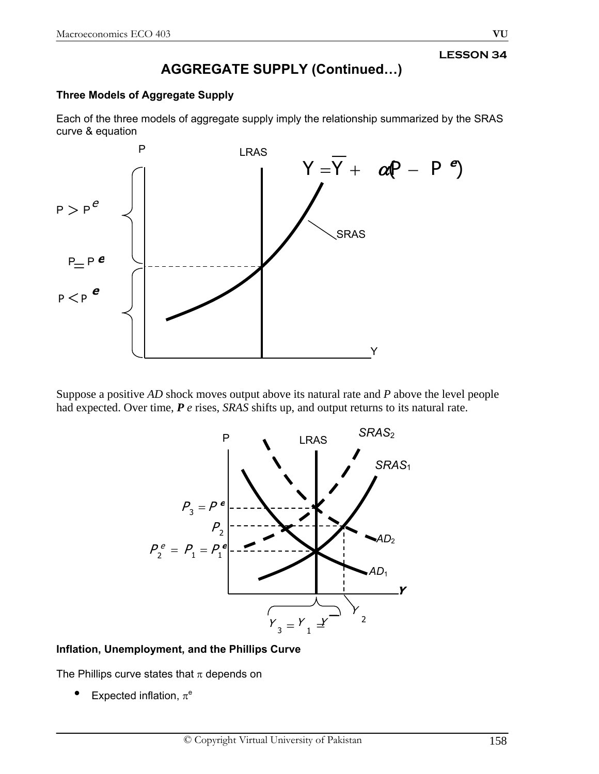#### **LESSON 34**

# **AGGREGATE SUPPLY (Continued…)**

#### **Three Models of Aggregate Supply**

Each of the three models of aggregate supply imply the relationship summarized by the SRAS curve & equation



Suppose a positive *AD* shock moves output above its natural rate and *P* above the level people had expected. Over time, *P e* rises, *SRAS* shifts up, and output returns to its natural rate.



# **Inflation, Unemployment, and the Phillips Curve**

The Phillips curve states that  $\pi$  depends on

• Expected inflation,  $\pi^e$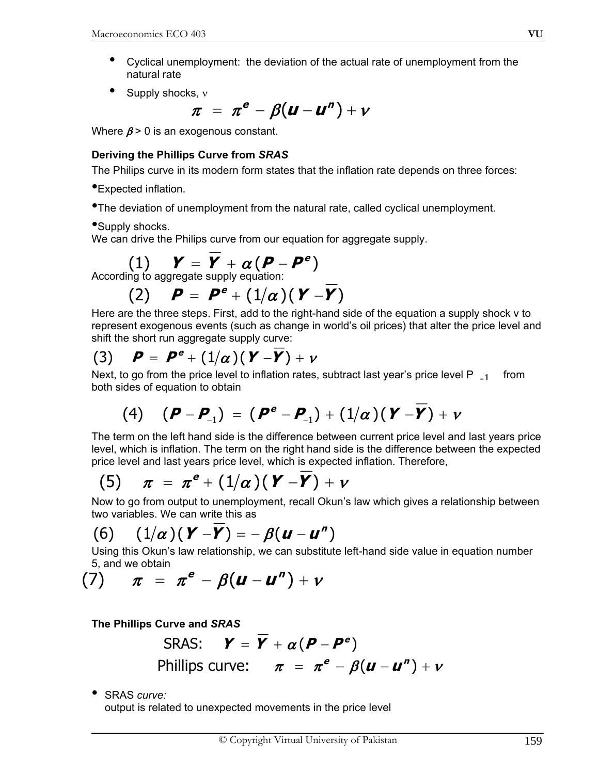- Cyclical unemployment: the deviation of the actual rate of unemployment from the natural rate
- Supply shocks, <sup>ν</sup>

$$
\pi = \pi^e - \beta(\mathbf{u} - \mathbf{u}^n) + \nu
$$

Where  $\beta$  > 0 is an exogenous constant.

# **Deriving the Phillips Curve from** *SRAS*

The Philips curve in its modern form states that the inflation rate depends on three forces:

•Expected inflation.

•The deviation of unemployment from the natural rate, called cyclical unemployment.

•Supply shocks.

We can drive the Philips curve from our equation for aggregate supply.

(1) 
$$
\mathbf{Y} = \overline{\mathbf{Y}} + \alpha (\mathbf{P} - \mathbf{P}^e)
$$

According to aggregate supply equation:

(2) 
$$
P = P^e + (1/\alpha)(Y - \overline{Y})
$$

Here are the three steps. First, add to the right-hand side of the equation a supply shock v to represent exogenous events (such as change in world's oil prices) that alter the price level and shift the short run aggregate supply curve:

(3) 
$$
P = P^e + (1/\alpha)(Y - \overline{Y}) + \nu
$$

Next, to go from the price level to inflation rates, subtract last year's price level  $P_{-1}$  from both sides of equation to obtain

(4) 
$$
(\boldsymbol{P} - \boldsymbol{P}_{-1}) = (\boldsymbol{P}^e - \boldsymbol{P}_{-1}) + (1/\alpha)(\boldsymbol{Y} - \boldsymbol{Y}) + \nu
$$

The term on the left hand side is the difference between current price level and last years price level, which is inflation. The term on the right hand side is the difference between the expected price level and last years price level, which is expected inflation. Therefore,

(5) 
$$
\pi = \pi^e + (1/\alpha)(\mathbf{Y} - \overline{\mathbf{Y}}) + \nu
$$

Now to go from output to unemployment, recall Okun's law which gives a relationship between two variables. We can write this as

$$
(6) \quad (1/\alpha)(\mathbf{Y}-\overline{\mathbf{Y}})=-\beta(\mathbf{U}-\mathbf{U}^n)
$$

Using this Okun's law relationship, we can substitute left-hand side value in equation number 5, and we obtain

$$
(7) \qquad \pi = \pi^e - \beta(\boldsymbol{u} - \boldsymbol{u}^n) + \nu
$$

# **The Phillips Curve and** *SRAS*

SRAS: 
$$
\mathbf{Y} = \overline{\mathbf{Y}} + \alpha (\mathbf{P} - \mathbf{P}^e)
$$
  
Phillips curve:  $\pi = \pi^e - \beta (\mathbf{U} - \mathbf{U}^n) + \nu$ 

• SRAS *curve:* 

output is related to unexpected movements in the price level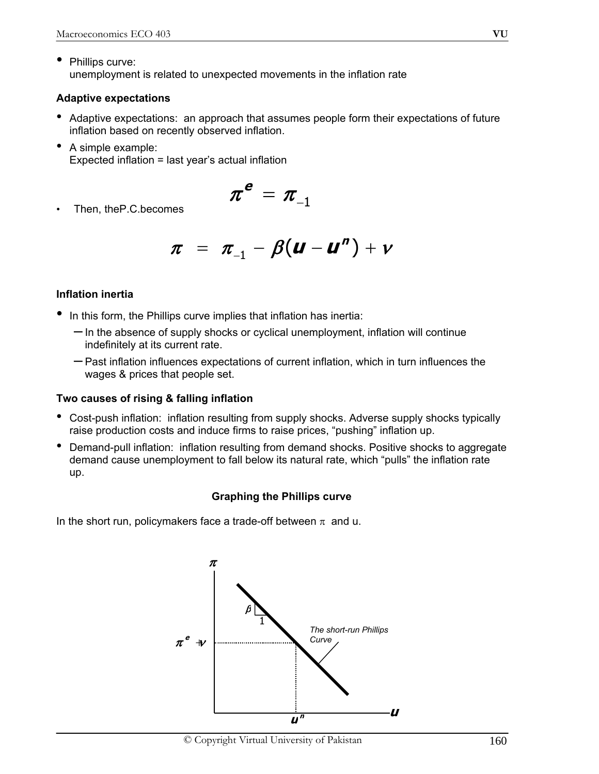• Phillips curve: unemployment is related to unexpected movements in the inflation rate

# **Adaptive expectations**

- Adaptive expectations: an approach that assumes people form their expectations of future inflation based on recently observed inflation.
- A simple example: Expected inflation = last year's actual inflation

$$
\pmb{\pi}^{\boldsymbol{e}}\,=\,\pmb{\pi}_{_{-1}}
$$

• Then, theP.C.becomes

$$
\pi = \pi_{-1} - \beta(\mathbf{u} - \mathbf{u}^{\prime\prime}) + \nu
$$

# **Inflation inertia**

- In this form, the Phillips curve implies that inflation has inertia:
	- In the absence of supply shocks or cyclical unemployment, inflation will continue indefinitely at its current rate.
	- Past inflation influences expectations of current inflation, which in turn influences the wages & prices that people set.

# **Two causes of rising & falling inflation**

- Cost-push inflation: inflation resulting from supply shocks. Adverse supply shocks typically raise production costs and induce firms to raise prices, "pushing" inflation up.
- Demand-pull inflation: inflation resulting from demand shocks. Positive shocks to aggregate demand cause unemployment to fall below its natural rate, which "pulls" the inflation rate up.

# **Graphing the Phillips curve**

In the short run, policymakers face a trade-off between  $\pi$  and u.

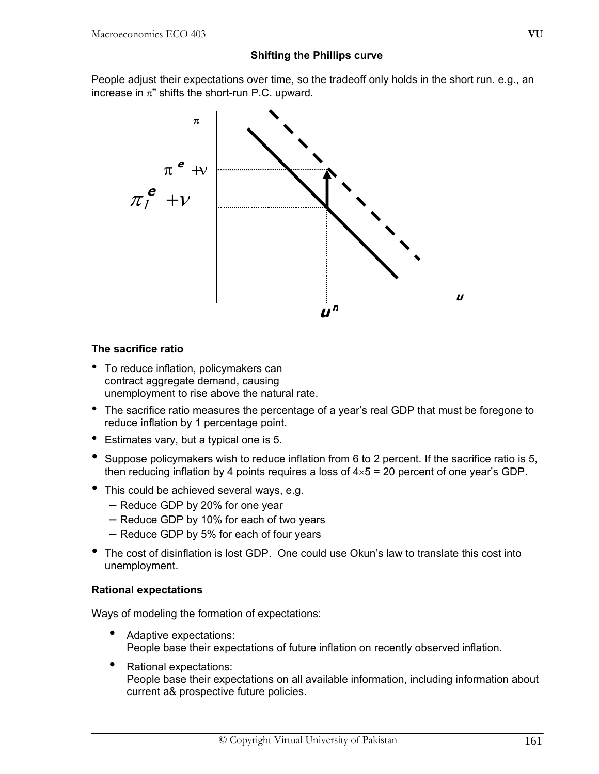#### **Shifting the Phillips curve**

People adjust their expectations over time, so the tradeoff only holds in the short run. e.g., an increase in  $\pi^e$  shifts the short-run P.C. upward.



#### **The sacrifice ratio**

- To reduce inflation, policymakers can contract aggregate demand, causing unemployment to rise above the natural rate.
- The sacrifice ratio measures the percentage of a year's real GDP that must be foregone to reduce inflation by 1 percentage point.
- Estimates vary, but a typical one is 5.
- Suppose policymakers wish to reduce inflation from 6 to 2 percent. If the sacrifice ratio is 5, then reducing inflation by 4 points requires a loss of  $4\times5 = 20$  percent of one year's GDP.
- This could be achieved several ways, e.g.
	- Reduce GDP by 20% for one year
	- Reduce GDP by 10% for each of two years
	- Reduce GDP by 5% for each of four years
- The cost of disinflation is lost GDP. One could use Okun's law to translate this cost into unemployment.

#### **Rational expectations**

Ways of modeling the formation of expectations:

- Adaptive expectations: People base their expectations of future inflation on recently observed inflation.
- Rational expectations: People base their expectations on all available information, including information about current a& prospective future policies.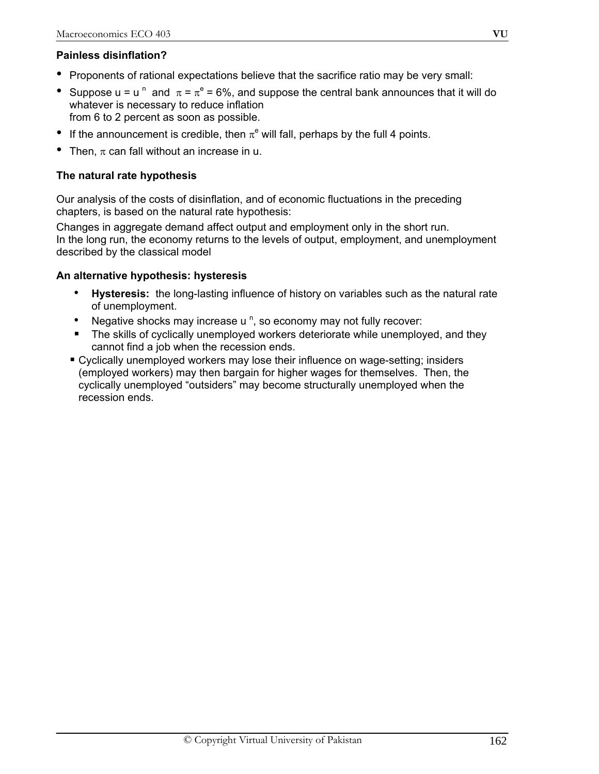#### **Painless disinflation?**

- Proponents of rational expectations believe that the sacrifice ratio may be very small:
- Suppose  $u = u^n$  and  $\pi = \pi^e = 6\%$ , and suppose the central bank announces that it will do whatever is necessary to reduce inflation from 6 to 2 percent as soon as possible.
- If the announcement is credible, then  $\pi^e$  will fall, perhaps by the full 4 points.
- Then,  $\pi$  can fall without an increase in u.

#### **The natural rate hypothesis**

Our analysis of the costs of disinflation, and of economic fluctuations in the preceding chapters, is based on the natural rate hypothesis:

Changes in aggregate demand affect output and employment only in the short run. In the long run, the economy returns to the levels of output, employment, and unemployment described by the classical model

#### **An alternative hypothesis: hysteresis**

- **Hysteresis:**the long-lasting influence of history on variables such as the natural rate of unemployment.
- Negative shocks may increase  $u^n$ , so economy may not fully recover:
- The skills of cyclically unemployed workers deteriorate while unemployed, and they cannot find a job when the recession ends.
- Cyclically unemployed workers may lose their influence on wage-setting; insiders (employed workers) may then bargain for higher wages for themselves. Then, the cyclically unemployed "outsiders" may become structurally unemployed when the recession ends.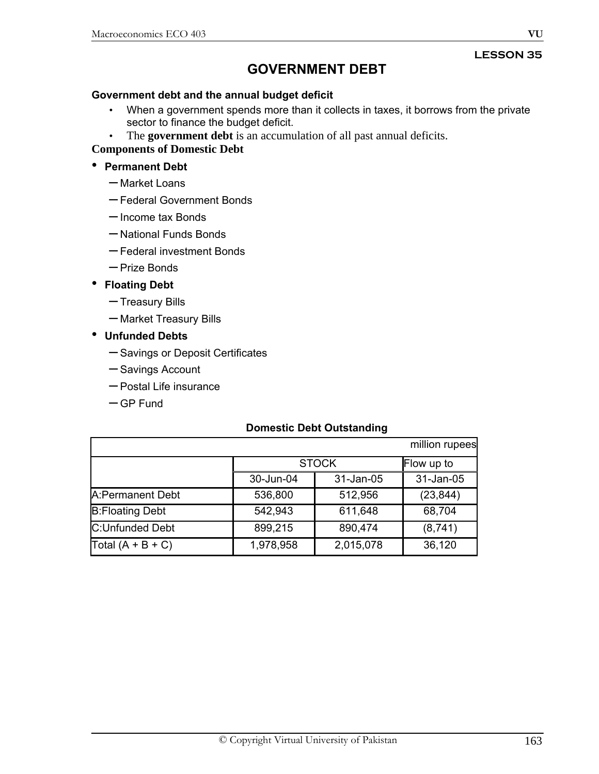# **LESSON 35**

# **GOVERNMENT DEBT**

#### **Government debt and the annual budget deficit**

- When a government spends more than it collects in taxes, it borrows from the private sector to finance the budget deficit.
- The **government debt** is an accumulation of all past annual deficits.

# **Components of Domestic Debt**

# • **Permanent Debt**

- Market Loans
- Federal Government Bonds
- Income tax Bonds
- National Funds Bonds
- Federal investment Bonds
- Prize Bonds
- **Floating Debt** 
	- Treasury Bills
	- Market Treasury Bills

# • **Unfunded Debts**

- Savings or Deposit Certificates
- Savings Account
- Postal Life insurance
- GP Fund

# **Domestic Debt Outstanding**

|                        |              |            | million rupees |
|------------------------|--------------|------------|----------------|
|                        | <b>STOCK</b> | Flow up to |                |
|                        | 30-Jun-04    | 31-Jan-05  | 31-Jan-05      |
| A:Permanent Debt       | 536,800      | 512,956    | (23, 844)      |
| <b>B:Floating Debt</b> | 542,943      | 611,648    | 68,704         |
| <b>C:Unfunded Debt</b> | 899,215      | 890,474    | (8,741)        |
| Total $(A + B + C)$    | 1,978,958    | 2,015,078  | 36,120         |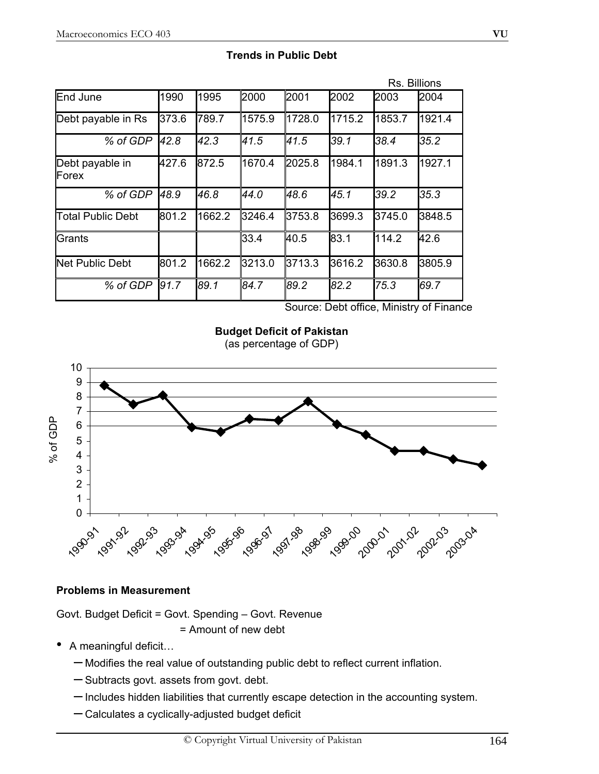|                          |       |        |        |        |        | Rs. Billions |        |
|--------------------------|-------|--------|--------|--------|--------|--------------|--------|
| End June                 | 1990  | 1995   | 2000   | 2001   | 2002   | 2003         | 2004   |
| Debt payable in Rs       | 373.6 | 789.7  | 1575.9 | 1728.0 | 1715.2 | 1853.7       | 1921.4 |
| % of GDP                 | 42.8  | 42.3   | 41.5   | 41.5   | 39.1   | 38.4         | 35.2   |
| Debt payable in<br>Forex | 427.6 | 872.5  | 1670.4 | 2025.8 | 1984.1 | 1891.3       | 1927.1 |
| % of GDP                 | 48.9  | 46.8   | 44.0   | 48.6   | 45.1   | 39.2         | 35.3   |
| <b>Total Public Debt</b> | 801.2 | 1662.2 | 3246.4 | 3753.8 | 3699.3 | 3745.0       | 3848.5 |
| Grants                   |       |        | 33.4   | 40.5   | 83.1   | 114.2        | 42.6   |
| Net Public Debt          | 801.2 | 1662.2 | 3213.0 | 3713.3 | 3616.2 | 3630.8       | 3805.9 |
| % of GDP                 | 91.7  | 89.1   | 84.7   | 89.2   | 82.2   | 75.3         | 69.7   |

#### **Trends in Public Debt**

Source: Debt office, Ministry of Finance

**Budget Deficit of Pakistan**  (as percentage of GDP)



# **Problems in Measurement**

Govt. Budget Deficit = Govt. Spending – Govt. Revenue

= Amount of new debt

- A meaningful deficit…
	- Modifies the real value of outstanding public debt to reflect current inflation.
	- Subtracts govt. assets from govt. debt.
	- Includes hidden liabilities that currently escape detection in the accounting system.
	- Calculates a cyclically-adjusted budget deficit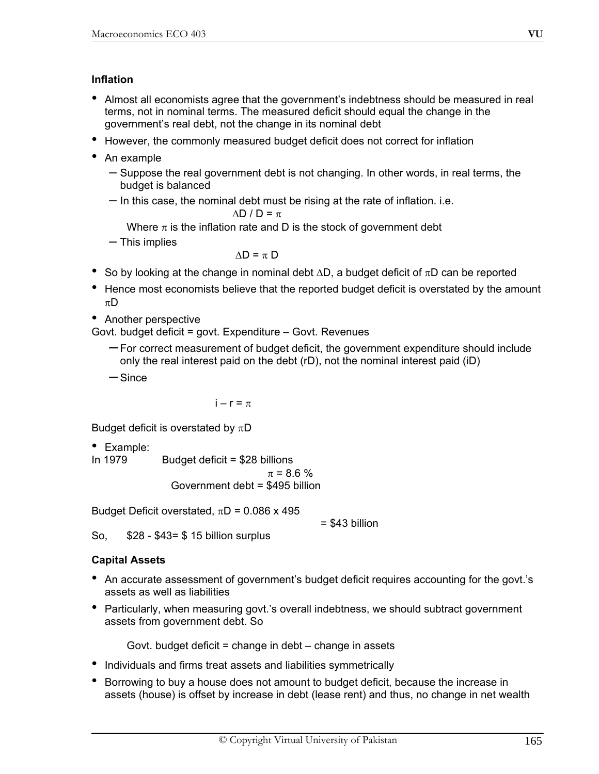# **Inflation**

- Almost all economists agree that the government's indebtness should be measured in real terms, not in nominal terms. The measured deficit should equal the change in the government's real debt, not the change in its nominal debt
- However, the commonly measured budget deficit does not correct for inflation
- An example
	- Suppose the real government debt is not changing. In other words, in real terms, the budget is balanced
	- In this case, the nominal debt must be rising at the rate of inflation. i.e.

$$
\Delta D / D = \pi
$$

Where  $\pi$  is the inflation rate and D is the stock of government debt

– This implies

 $AD = \pi D$ 

- So by looking at the change in nominal debt  $\Delta D$ , a budget deficit of  $\pi D$  can be reported
- Hence most economists believe that the reported budget deficit is overstated by the amount  $\pi$ D
- Another perspective

Govt. budget deficit = govt. Expenditure – Govt. Revenues

- For correct measurement of budget deficit, the government expenditure should include only the real interest paid on the debt (rD), not the nominal interest paid (iD)
- Since

 $i - r = \pi$ 

Budget deficit is overstated by  $\pi D$ 

- Example:
- In 1979 Budget deficit =  $$28$  billions

 $\pi = 8.6 \%$ Government debt = \$495 billion

Budget Deficit overstated,  $\pi$ D = 0.086 x 495

= \$43 billion

So, \$28 - \$43= \$ 15 billion surplus

# **Capital Assets**

- An accurate assessment of government's budget deficit requires accounting for the govt.'s assets as well as liabilities
- Particularly, when measuring govt.'s overall indebtness, we should subtract government assets from government debt. So

Govt. budget deficit = change in debt – change in assets

- Individuals and firms treat assets and liabilities symmetrically
- Borrowing to buy a house does not amount to budget deficit, because the increase in assets (house) is offset by increase in debt (lease rent) and thus, no change in net wealth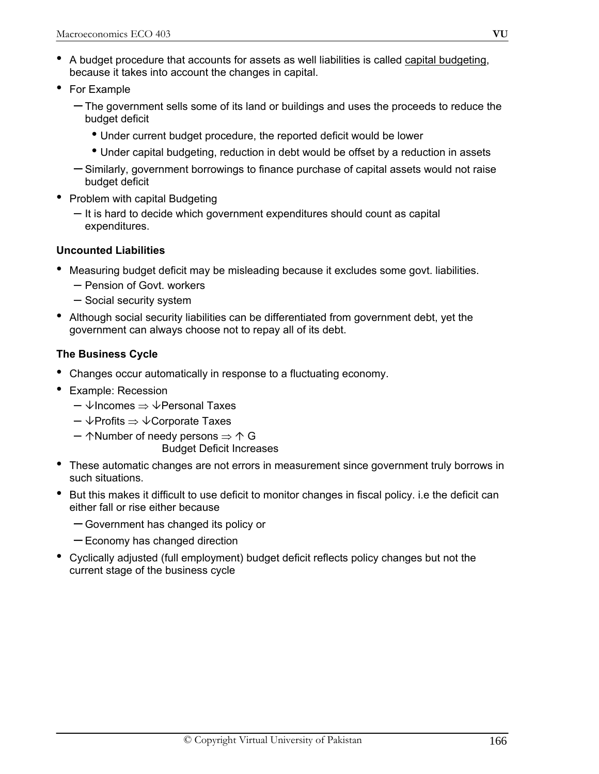- A budget procedure that accounts for assets as well liabilities is called capital budgeting, because it takes into account the changes in capital.
- For Example
	- The government sells some of its land or buildings and uses the proceeds to reduce the budget deficit
		- Under current budget procedure, the reported deficit would be lower
		- Under capital budgeting, reduction in debt would be offset by a reduction in assets
	- Similarly, government borrowings to finance purchase of capital assets would not raise budget deficit
- Problem with capital Budgeting
	- It is hard to decide which government expenditures should count as capital expenditures.

#### **Uncounted Liabilities**

- Measuring budget deficit may be misleading because it excludes some govt. liabilities.
	- Pension of Govt. workers
	- Social security system
- Although social security liabilities can be differentiated from government debt, yet the government can always choose not to repay all of its debt.

#### **The Business Cycle**

- Changes occur automatically in response to a fluctuating economy.
- Example: Recession
	- $\rightarrow$  ↓Incomes  $\Rightarrow$  ↓Personal Taxes
	- $-\sqrt{\frac{P}}$ Profits  $\Rightarrow \sqrt{\frac{C}{C}}$ orporate Taxes
	- $\uparrow$  Number of needy persons  $\Rightarrow \uparrow$  G
		- Budget Deficit Increases
- These automatic changes are not errors in measurement since government truly borrows in such situations.
- But this makes it difficult to use deficit to monitor changes in fiscal policy. i.e the deficit can either fall or rise either because
	- Government has changed its policy or
	- Economy has changed direction
- Cyclically adjusted (full employment) budget deficit reflects policy changes but not the current stage of the business cycle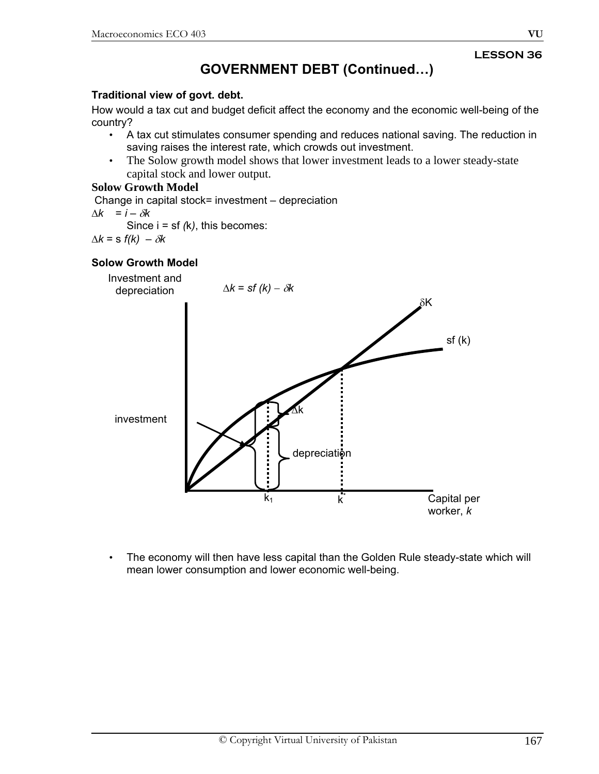#### **LESSON 36**

# **GOVERNMENT DEBT (Continued…)**

# **Traditional view of govt. debt.**

How would a tax cut and budget deficit affect the economy and the economic well-being of the country?

- A tax cut stimulates consumer spending and reduces national saving. The reduction in saving raises the interest rate, which crowds out investment.
- The Solow growth model shows that lower investment leads to a lower steady-state capital stock and lower output.

# **Solow Growth Model**

Change in capital stock= investment – depreciation

$$
\Delta k = i - \delta k
$$

Since i = sf *(*k*)*, this becomes:

 $Δk = S f(k) - δk$ 

# **Solow Growth Model**



• The economy will then have less capital than the Golden Rule steady-state which will mean lower consumption and lower economic well-being.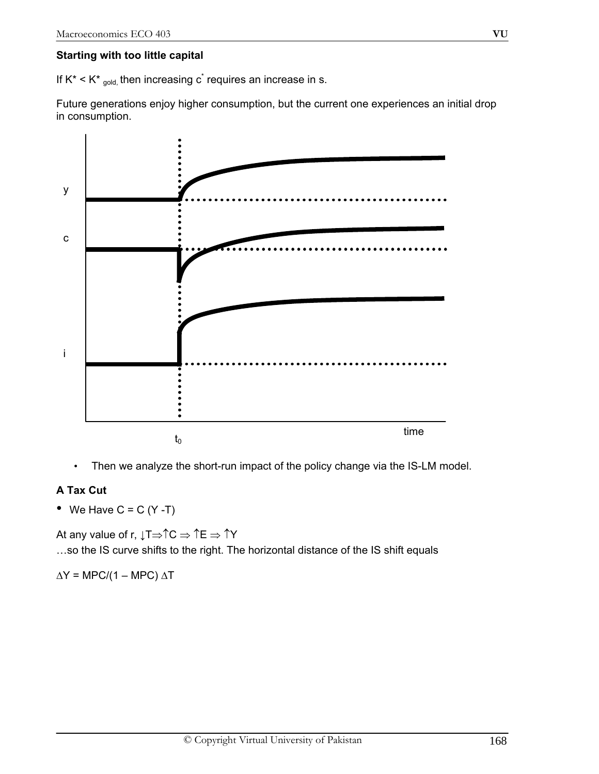# **Starting with too little capital**

If  $K^* < K^*$  gold, then increasing c<sup>\*</sup> requires an increase in s.

Future generations enjoy higher consumption, but the current one experiences an initial drop in consumption.



• Then we analyze the short-run impact of the policy change via the IS-LM model.

# **A Tax Cut**

• We Have  $C = C (Y - T)$ 

At any value of r,  $\downarrow T \Rightarrow \uparrow C \Rightarrow \uparrow E \Rightarrow \uparrow Y$ …so the IS curve shifts to the right. The horizontal distance of the IS shift equals

 $\Delta Y$  = MPC/(1 – MPC)  $\Delta T$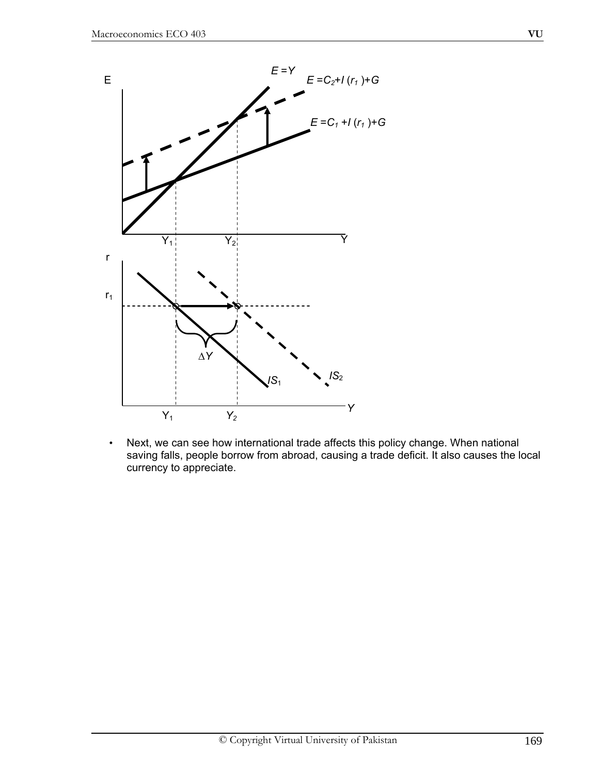

• Next, we can see how international trade affects this policy change. When national saving falls, people borrow from abroad, causing a trade deficit. It also causes the local currency to appreciate.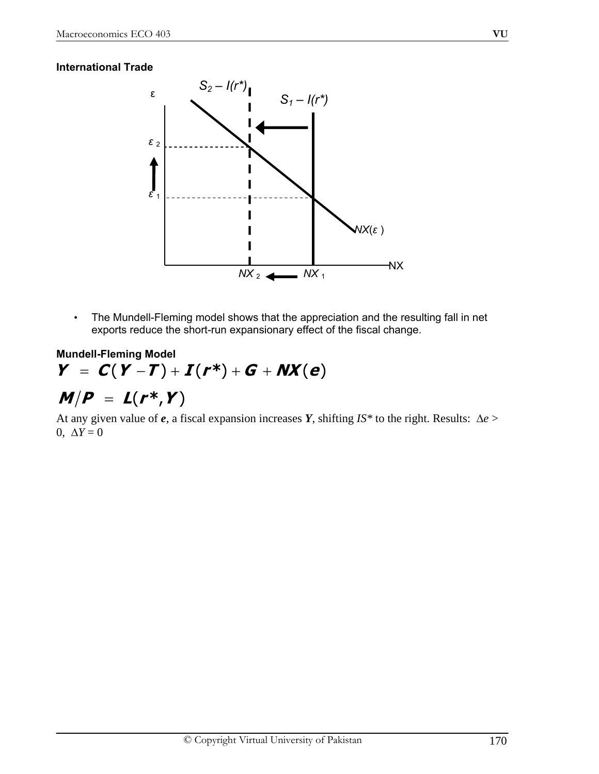#### **International Trade**



• The Mundell-Fleming model shows that the appreciation and the resulting fall in net exports reduce the short-run expansionary effect of the fiscal change.

# **Mundell-Fleming Model**   $Y = C(Y - T) + I(r^*) + G + NX(e)$

# $M/P = L(r^*, Y)$

At any given value of *e*, a fiscal expansion increases *Y*, shifting *IS\** to the right. Results: Δ*e* >  $0, \Delta Y = 0$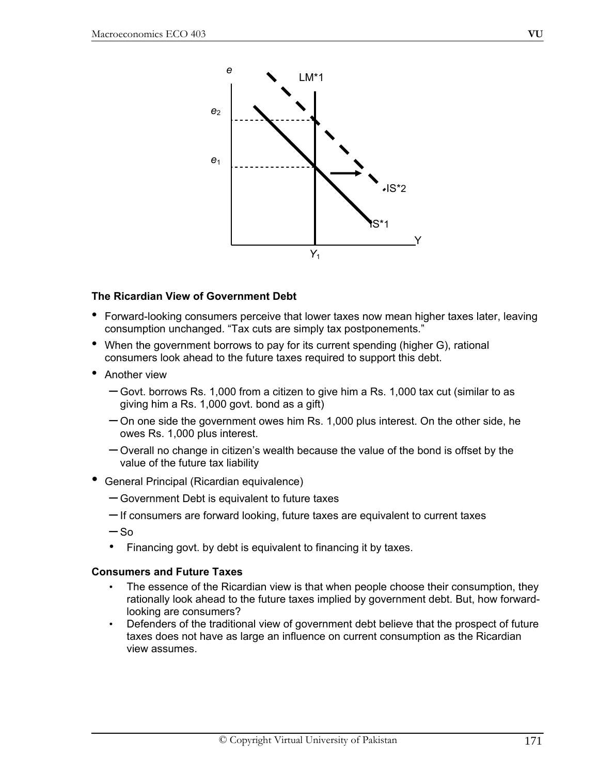

#### **The Ricardian View of Government Debt**

- Forward-looking consumers perceive that lower taxes now mean higher taxes later, leaving consumption unchanged. "Tax cuts are simply tax postponements."
- When the government borrows to pay for its current spending (higher G), rational consumers look ahead to the future taxes required to support this debt.
- Another view
	- Govt. borrows Rs. 1,000 from a citizen to give him a Rs. 1,000 tax cut (similar to as giving him a Rs. 1,000 govt. bond as a gift)
	- On one side the government owes him Rs. 1,000 plus interest. On the other side, he owes Rs. 1,000 plus interest.
	- Overall no change in citizen's wealth because the value of the bond is offset by the value of the future tax liability
- General Principal (Ricardian equivalence)
	- $-$  Government Debt is equivalent to future taxes
	- If consumers are forward looking, future taxes are equivalent to current taxes
	- $-$  So
	- Financing govt. by debt is equivalent to financing it by taxes.

#### **Consumers and Future Taxes**

- The essence of the Ricardian view is that when people choose their consumption, they rationally look ahead to the future taxes implied by government debt. But, how forwardlooking are consumers?
- Defenders of the traditional view of government debt believe that the prospect of future taxes does not have as large an influence on current consumption as the Ricardian view assumes.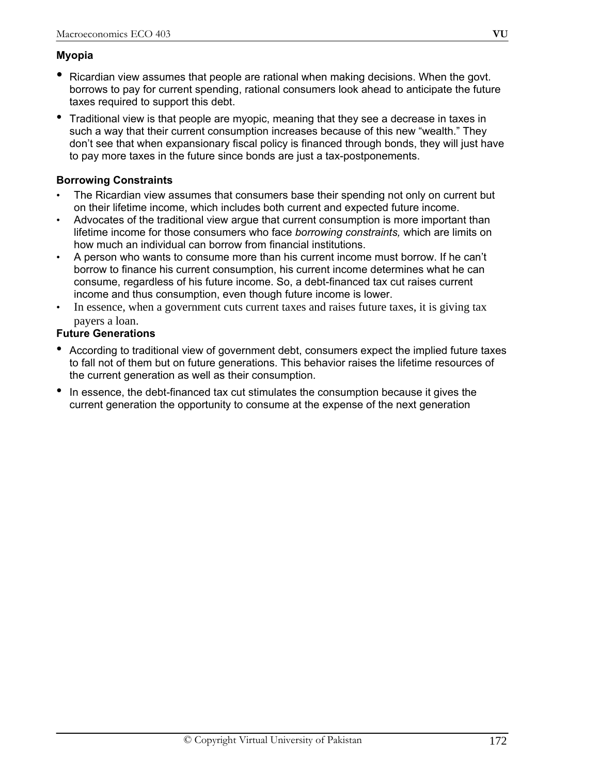# **Myopia**

- Ricardian view assumes that people are rational when making decisions. When the govt. borrows to pay for current spending, rational consumers look ahead to anticipate the future taxes required to support this debt.
- Traditional view is that people are myopic, meaning that they see a decrease in taxes in such a way that their current consumption increases because of this new "wealth." They don't see that when expansionary fiscal policy is financed through bonds, they will just have to pay more taxes in the future since bonds are just a tax-postponements.

#### **Borrowing Constraints**

- The Ricardian view assumes that consumers base their spending not only on current but on their lifetime income, which includes both current and expected future income.
- Advocates of the traditional view argue that current consumption is more important than lifetime income for those consumers who face *borrowing constraints,* which are limits on how much an individual can borrow from financial institutions.
- A person who wants to consume more than his current income must borrow. If he can't borrow to finance his current consumption, his current income determines what he can consume, regardless of his future income. So, a debt-financed tax cut raises current income and thus consumption, even though future income is lower.
- In essence, when a government cuts current taxes and raises future taxes, it is giving tax payers a loan.

#### **Future Generations**

- According to traditional view of government debt, consumers expect the implied future taxes to fall not of them but on future generations. This behavior raises the lifetime resources of the current generation as well as their consumption.
- In essence, the debt-financed tax cut stimulates the consumption because it gives the current generation the opportunity to consume at the expense of the next generation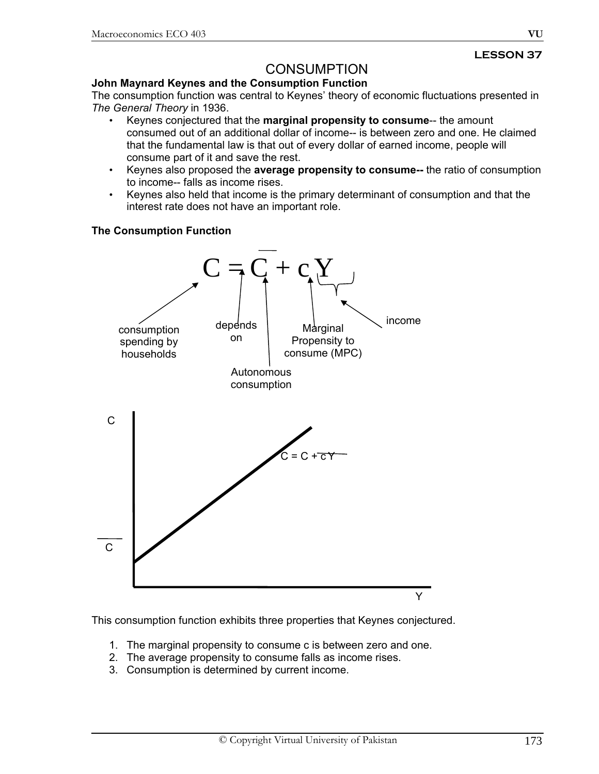# **LESSON 37**

# **CONSUMPTION**

# **John Maynard Keynes and the Consumption Function**

The consumption function was central to Keynes' theory of economic fluctuations presented in *The General Theory* in 1936.

- Keynes conjectured that the **marginal propensity to consume**-- the amount consumed out of an additional dollar of income-- is between zero and one. He claimed that the fundamental law is that out of every dollar of earned income, people will consume part of it and save the rest.
- Keynes also proposed the **average propensity to consume--** the ratio of consumption to income-- falls as income rises.
- Keynes also held that income is the primary determinant of consumption and that the interest rate does not have an important role.

# **The Consumption Function**



This consumption function exhibits three properties that Keynes conjectured.

- 1. The marginal propensity to consume c is between zero and one.
- 2. The average propensity to consume falls as income rises.
- 3. Consumption is determined by current income.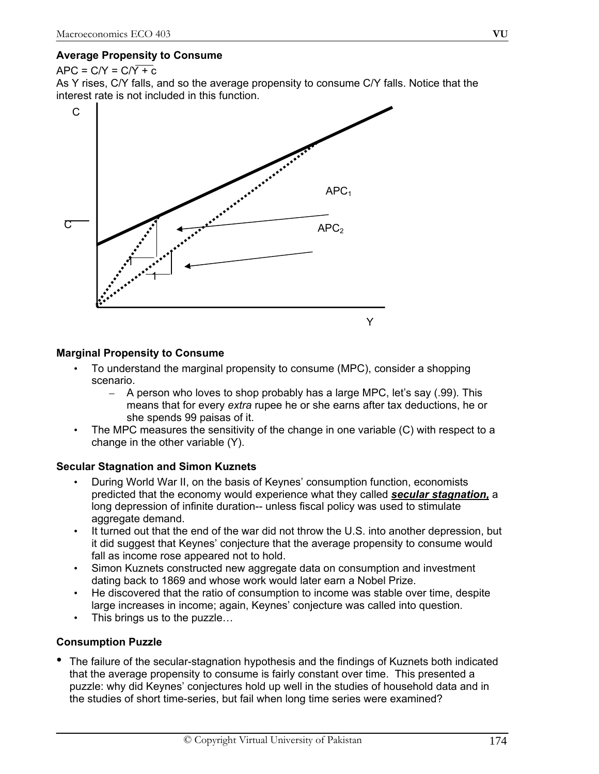# **Average Propensity to Consume**

#### $APC = C/Y = C/\overline{Y + C}$

As Y rises, C/Y falls, and so the average propensity to consume C/Y falls. Notice that the interest rate is not included in this function.



#### **Marginal Propensity to Consume**

- To understand the marginal propensity to consume (MPC), consider a shopping scenario.
	- A person who loves to shop probably has a large MPC, let's say (.99). This means that for every *extra* rupee he or she earns after tax deductions, he or she spends 99 paisas of it.
- The MPC measures the sensitivity of the change in one variable (C) with respect to a change in the other variable (Y).

#### **Secular Stagnation and Simon Kuznets**

- During World War II, on the basis of Keynes' consumption function, economists predicted that the economy would experience what they called *secular stagnation,* a long depression of infinite duration-- unless fiscal policy was used to stimulate aggregate demand.
- It turned out that the end of the war did not throw the U.S. into another depression, but it did suggest that Keynes' conjecture that the average propensity to consume would fall as income rose appeared not to hold.
- Simon Kuznets constructed new aggregate data on consumption and investment dating back to 1869 and whose work would later earn a Nobel Prize.
- He discovered that the ratio of consumption to income was stable over time, despite large increases in income; again, Keynes' conjecture was called into question.
- This brings us to the puzzle...

# **Consumption Puzzle**

• The failure of the secular-stagnation hypothesis and the findings of Kuznets both indicated that the average propensity to consume is fairly constant over time. This presented a puzzle: why did Keynes' conjectures hold up well in the studies of household data and in the studies of short time-series, but fail when long time series were examined?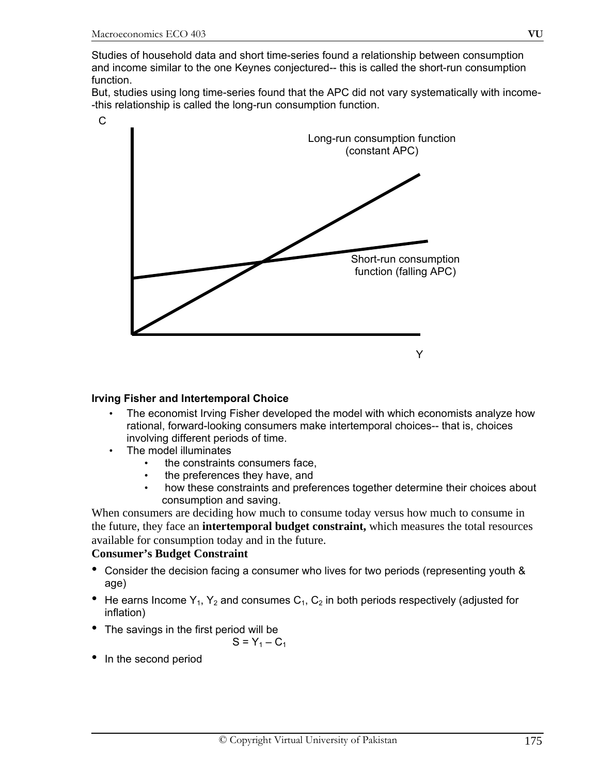$\mathcal{C}$ 

Studies of household data and short time-series found a relationship between consumption and income similar to the one Keynes conjectured-- this is called the short-run consumption function.

But, studies using long time-series found that the APC did not vary systematically with income- -this relationship is called the long-run consumption function.



#### **Irving Fisher and Intertemporal Choice**

- The economist Irving Fisher developed the model with which economists analyze how rational, forward-looking consumers make intertemporal choices-- that is, choices involving different periods of time.
- The model illuminates
	- the constraints consumers face,
	- the preferences they have, and
	- how these constraints and preferences together determine their choices about consumption and saving.

When consumers are deciding how much to consume today versus how much to consume in the future, they face an **intertemporal budget constraint,** which measures the total resources available for consumption today and in the future.

# **Consumer's Budget Constraint**

- Consider the decision facing a consumer who lives for two periods (representing youth & age)
- He earns Income  $Y_1$ ,  $Y_2$  and consumes  $C_1$ ,  $C_2$  in both periods respectively (adjusted for inflation)
- The savings in the first period will be

 $S = Y_1 - C_1$ 

• In the second period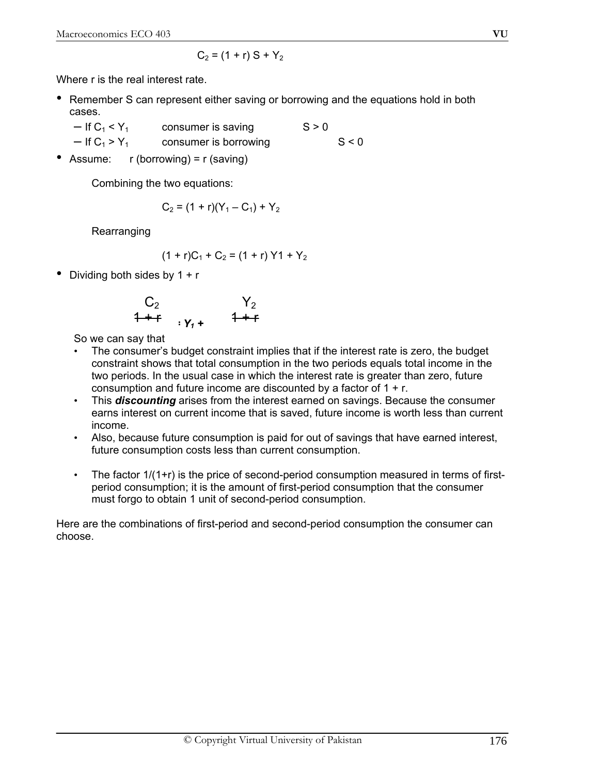$$
C_2 = (1 + r) S + Y_2
$$

Where r is the real interest rate.

• Remember S can represent either saving or borrowing and the equations hold in both cases.

| $-$ If C <sub>1</sub> < Y <sub>1</sub> | consumer is saving    | S > 0 |
|----------------------------------------|-----------------------|-------|
| $-$ If C <sub>1</sub> > Y <sub>1</sub> | consumer is borrowing | S < 0 |

• Assume:  $r$  (borrowing) =  $r$  (saving)

Combining the two equations:

$$
C_2 = (1 + r)(Y_1 - C_1) + Y_2
$$

Rearranging

$$
(1 + r)C_1 + C_2 = (1 + r) Y1 + Y_2
$$

• Dividing both sides by  $1 + r$ 

$$
\begin{array}{cc}\nC_2 & Y_2 \\
1+r & Y_1+1+r\end{array}
$$

So we can say that

- The consumer's budget constraint implies that if the interest rate is zero, the budget constraint shows that total consumption in the two periods equals total income in the two periods. In the usual case in which the interest rate is greater than zero, future consumption and future income are discounted by a factor of 1 + r.
- This *discounting* arises from the interest earned on savings. Because the consumer earns interest on current income that is saved, future income is worth less than current income.
- Also, because future consumption is paid for out of savings that have earned interest, future consumption costs less than current consumption.
- The factor 1/(1+r) is the price of second-period consumption measured in terms of firstperiod consumption; it is the amount of first-period consumption that the consumer must forgo to obtain 1 unit of second-period consumption.

Here are the combinations of first-period and second-period consumption the consumer can choose.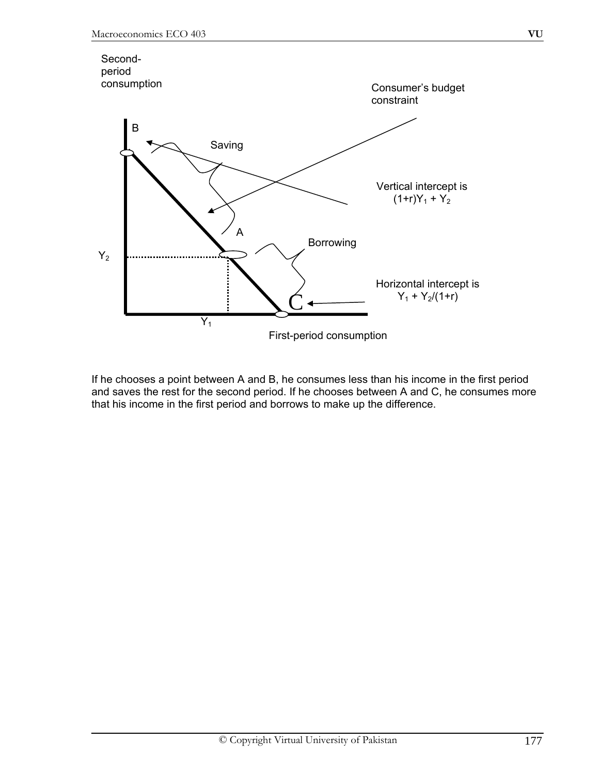

If he chooses a point between A and B, he consumes less than his income in the first period and saves the rest for the second period. If he chooses between A and C, he consumes more that his income in the first period and borrows to make up the difference.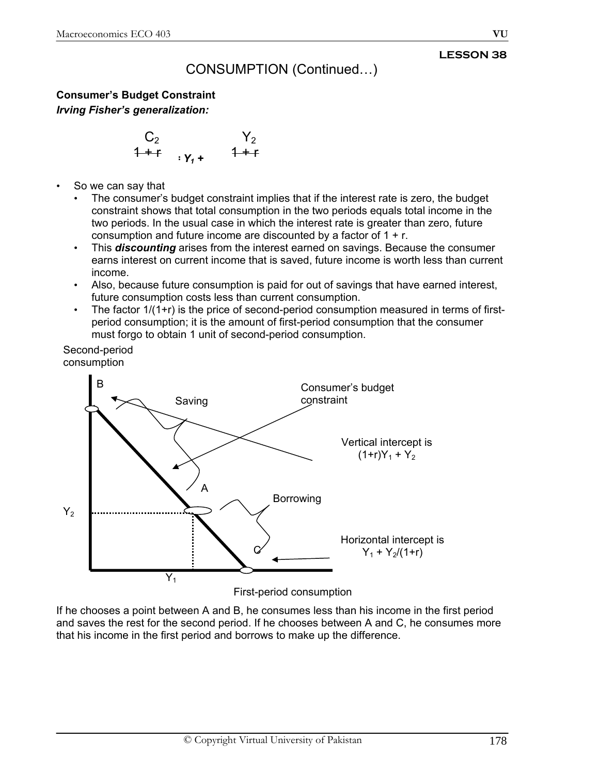# **LESSON 38**

# CONSUMPTION (Continued…)

# **Consumer's Budget Constraint**  *Irving Fisher's generalization:*

$$
\begin{array}{cc}\nC_2 & Y_2 \\
1+r & Y_1 + 1+f\n\end{array}
$$

- So we can say that
	- The consumer's budget constraint implies that if the interest rate is zero, the budget constraint shows that total consumption in the two periods equals total income in the two periods. In the usual case in which the interest rate is greater than zero, future consumption and future income are discounted by a factor of  $1 + r$ .
	- This *discounting* arises from the interest earned on savings. Because the consumer earns interest on current income that is saved, future income is worth less than current income.
	- Also, because future consumption is paid for out of savings that have earned interest, future consumption costs less than current consumption.
	- The factor 1/(1+r) is the price of second-period consumption measured in terms of firstperiod consumption; it is the amount of first-period consumption that the consumer must forgo to obtain 1 unit of second-period consumption.

Second-period consumption



First-period consumption

If he chooses a point between A and B, he consumes less than his income in the first period and saves the rest for the second period. If he chooses between A and C, he consumes more that his income in the first period and borrows to make up the difference.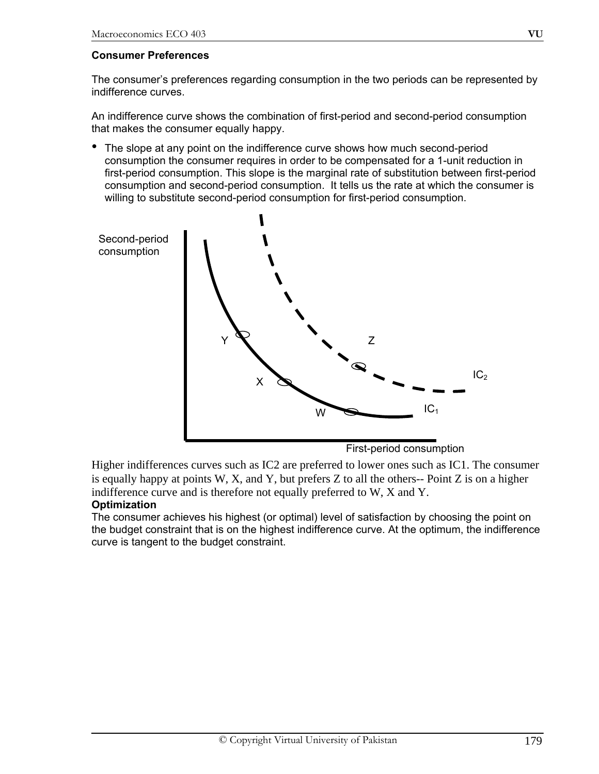#### **Consumer Preferences**

The consumer's preferences regarding consumption in the two periods can be represented by indifference curves.

An indifference curve shows the combination of first-period and second-period consumption that makes the consumer equally happy.

• The slope at any point on the indifference curve shows how much second-period consumption the consumer requires in order to be compensated for a 1-unit reduction in first-period consumption. This slope is the marginal rate of substitution between first-period consumption and second-period consumption. It tells us the rate at which the consumer is willing to substitute second-period consumption for first-period consumption.



First-period consumption

Higher indifferences curves such as IC2 are preferred to lower ones such as IC1. The consumer is equally happy at points W, X, and Y, but prefers Z to all the others-- Point Z is on a higher indifference curve and is therefore not equally preferred to W, X and Y.

#### **Optimization**

The consumer achieves his highest (or optimal) level of satisfaction by choosing the point on the budget constraint that is on the highest indifference curve. At the optimum, the indifference curve is tangent to the budget constraint.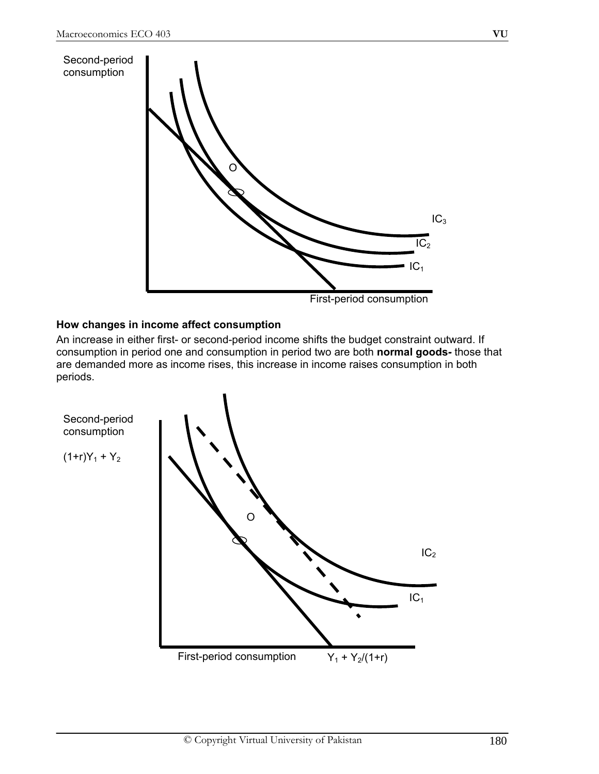

# **How changes in income affect consumption**

An increase in either first- or second-period income shifts the budget constraint outward. If consumption in period one and consumption in period two are both **normal goods***-* those that are demanded more as income rises, this increase in income raises consumption in both periods.

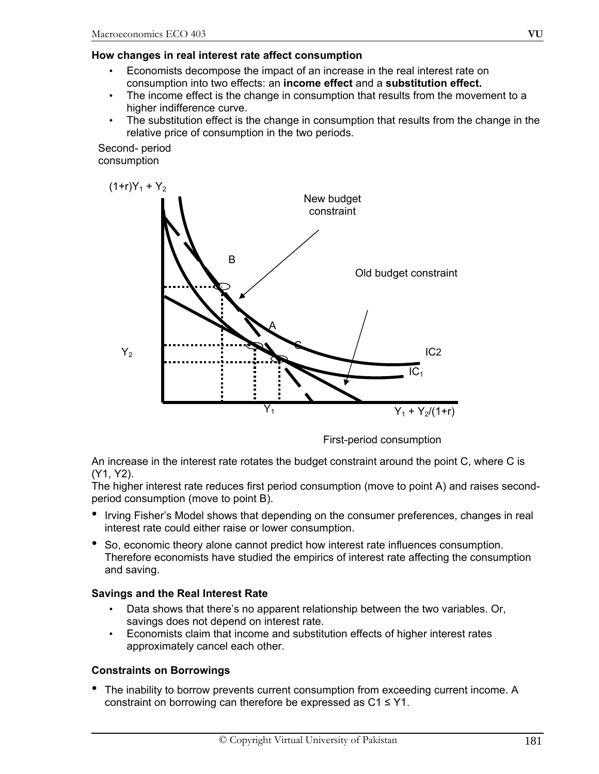#### **How changes in real interest rate affect consumption**

- Economists decompose the impact of an increase in the real interest rate on consumption into two effects: an **income effect** and a **substitution effect.**
- The income effect is the change in consumption that results from the movement to a higher indifference curve.
- The substitution effect is the change in consumption that results from the change in the relative price of consumption in the two periods.

Second- period consumption



First-period consumption

An increase in the interest rate rotates the budget constraint around the point C, where C is (Y1, Y2).

The higher interest rate reduces first period consumption (move to point A) and raises secondperiod consumption (move to point B).

- Irving Fisher's Model shows that depending on the consumer preferences, changes in real interest rate could either raise or lower consumption.
- So, economic theory alone cannot predict how interest rate influences consumption. Therefore economists have studied the empirics of interest rate affecting the consumption and saving.

#### **Savings and the Real Interest Rate**

- Data shows that there's no apparent relationship between the two variables. Or, savings does not depend on interest rate.
- Economists claim that income and substitution effects of higher interest rates approximately cancel each other.

#### **Constraints on Borrowings**

The inability to borrow prevents current consumption from exceeding current income. A constraint on borrowing can therefore be expressed as C1 ≤ Y1.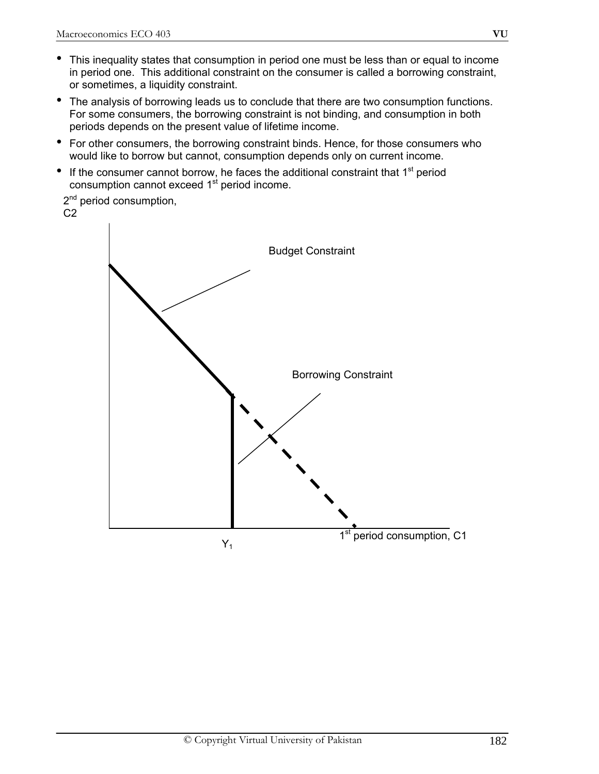C2

- This inequality states that consumption in period one must be less than or equal to income in period one. This additional constraint on the consumer is called a borrowing constraint, or sometimes, a liquidity constraint.
- The analysis of borrowing leads us to conclude that there are two consumption functions. For some consumers, the borrowing constraint is not binding, and consumption in both periods depends on the present value of lifetime income.
- For other consumers, the borrowing constraint binds. Hence, for those consumers who would like to borrow but cannot, consumption depends only on current income.
- $\bullet$  If the consumer cannot borrow, he faces the additional constraint that 1<sup>st</sup> period consumption cannot exceed 1<sup>st</sup> period income.

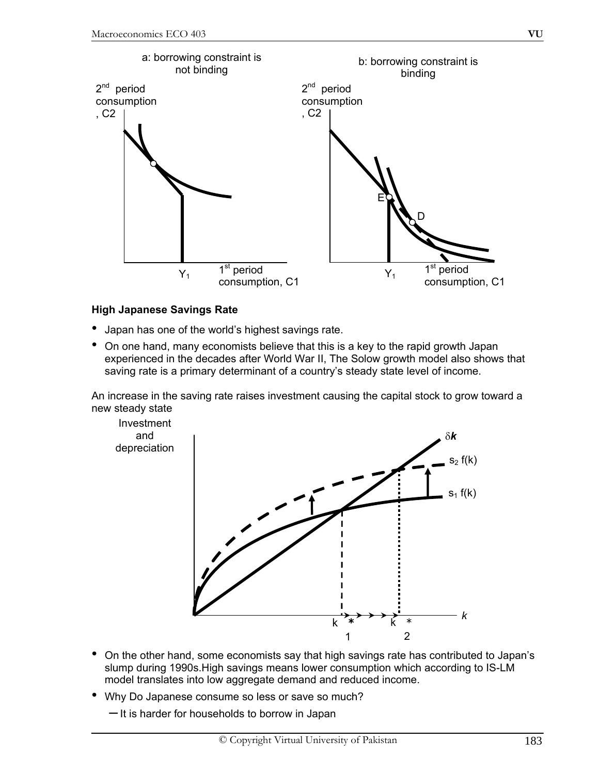

#### **High Japanese Savings Rate**

- Japan has one of the world's highest savings rate.
- On one hand, many economists believe that this is a key to the rapid growth Japan experienced in the decades after World War II, The Solow growth model also shows that saving rate is a primary determinant of a country's steady state level of income.

An increase in the saving rate raises investment causing the capital stock to grow toward a new steady state



- On the other hand, some economists say that high savings rate has contributed to Japan's slump during 1990s.High savings means lower consumption which according to IS-LM model translates into low aggregate demand and reduced income.
- Why Do Japanese consume so less or save so much?

– It is harder for households to borrow in Japan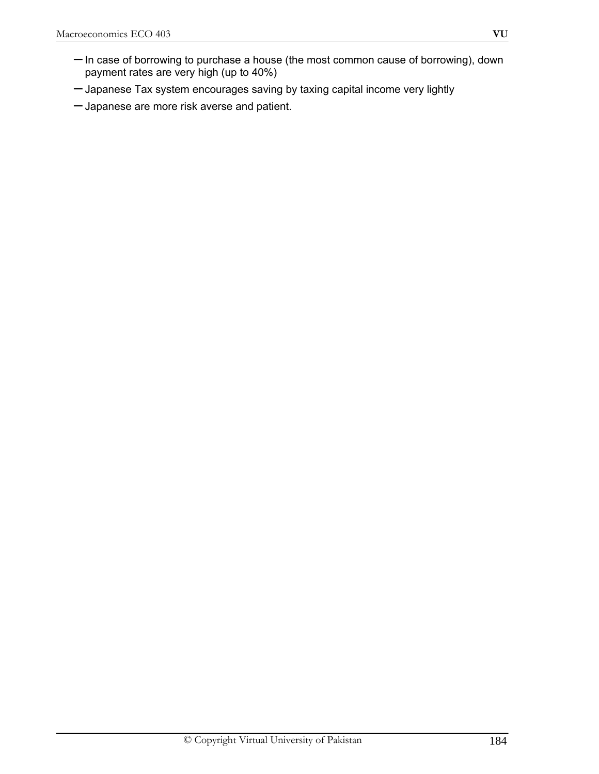- In case of borrowing to purchase a house (the most common cause of borrowing), down payment rates are very high (up to 40%)
- Japanese Tax system encourages saving by taxing capital income very lightly
- Japanese are more risk averse and patient.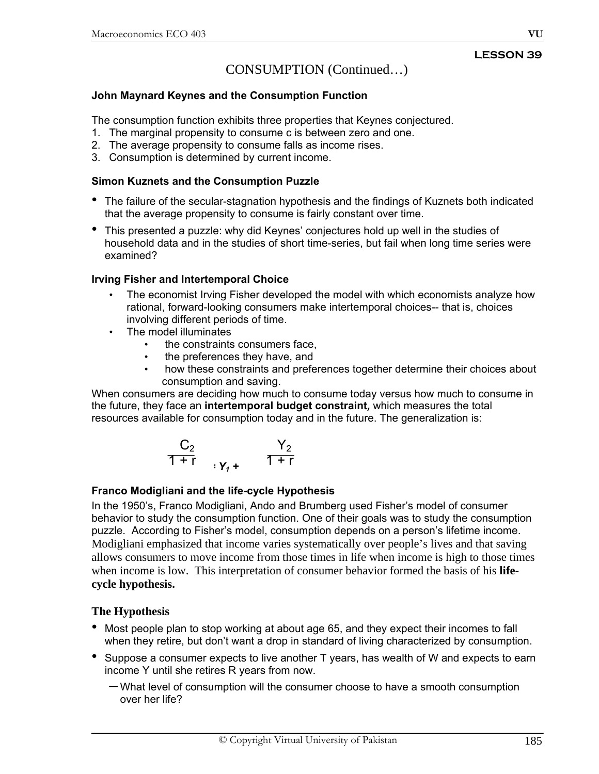#### **LESSON 39**

## CONSUMPTION (Continued…)

#### **John Maynard Keynes and the Consumption Function**

The consumption function exhibits three properties that Keynes conjectured.

- 1. The marginal propensity to consume c is between zero and one.
- 2. The average propensity to consume falls as income rises.
- 3. Consumption is determined by current income.

#### **Simon Kuznets and the Consumption Puzzle**

- The failure of the secular-stagnation hypothesis and the findings of Kuznets both indicated that the average propensity to consume is fairly constant over time.
- This presented a puzzle: why did Keynes' conjectures hold up well in the studies of household data and in the studies of short time-series, but fail when long time series were examined?

#### **Irving Fisher and Intertemporal Choice**

- The economist Irving Fisher developed the model with which economists analyze how rational, forward-looking consumers make intertemporal choices-- that is, choices involving different periods of time.
- The model illuminates
	- the constraints consumers face,
	- the preferences they have, and
	- how these constraints and preferences together determine their choices about consumption and saving.

When consumers are deciding how much to consume today versus how much to consume in the future, they face an **intertemporal budget constraint***,* which measures the total resources available for consumption today and in the future. The generalization is:

$$
\begin{array}{ccc}\nC_2 & & Y_2 \\
\hline\n1+r & & Y_1+ \\
1 & & \n\end{array}
$$

#### **Franco Modigliani and the life-cycle Hypothesis**

In the 1950's, Franco Modigliani, Ando and Brumberg used Fisher's model of consumer behavior to study the consumption function. One of their goals was to study the consumption puzzle. According to Fisher's model, consumption depends on a person's lifetime income. Modigliani emphasized that income varies systematically over people's lives and that saving allows consumers to move income from those times in life when income is high to those times when income is low. This interpretation of consumer behavior formed the basis of his **lifecycle hypothesis.** 

#### **The Hypothesis**

- Most people plan to stop working at about age 65, and they expect their incomes to fall when they retire, but don't want a drop in standard of living characterized by consumption.
- Suppose a consumer expects to live another T years, has wealth of W and expects to earn income Y until she retires R years from now.
	- What level of consumption will the consumer choose to have a smooth consumption over her life?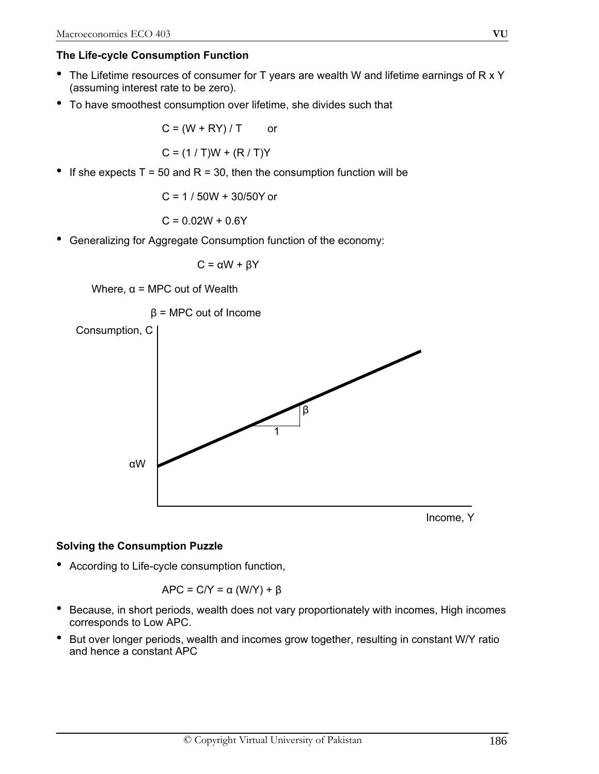#### **The Life-cycle Consumption Function**

- The Lifetime resources of consumer for T years are wealth W and lifetime earnings of R x Y (assuming interest rate to be zero).
- To have smoothest consumption over lifetime, she divides such that

$$
C = (W + RY) / T
$$
 or  
C = (1 / T) $W + (R / T)Y$ 

If she expects 
$$
T = 50
$$
 and  $R = 30$ , then the consumption function will be

 $C = 1 / 50W + 30/50Y$  or

 $C = 0.02W + 0.6Y$ 

• Generalizing for Aggregate Consumption function of the economy:

 $C = \alpha W + \beta Y$ 

Where,  $\alpha$  = MPC out of Wealth



#### **Solving the Consumption Puzzle**

• According to Life-cycle consumption function,

$$
APC = C/Y = \alpha (W/Y) + \beta
$$

- Because, in short periods, wealth does not vary proportionately with incomes, High incomes corresponds to Low APC.
- But over longer periods, wealth and incomes grow together, resulting in constant W/Y ratio and hence a constant APC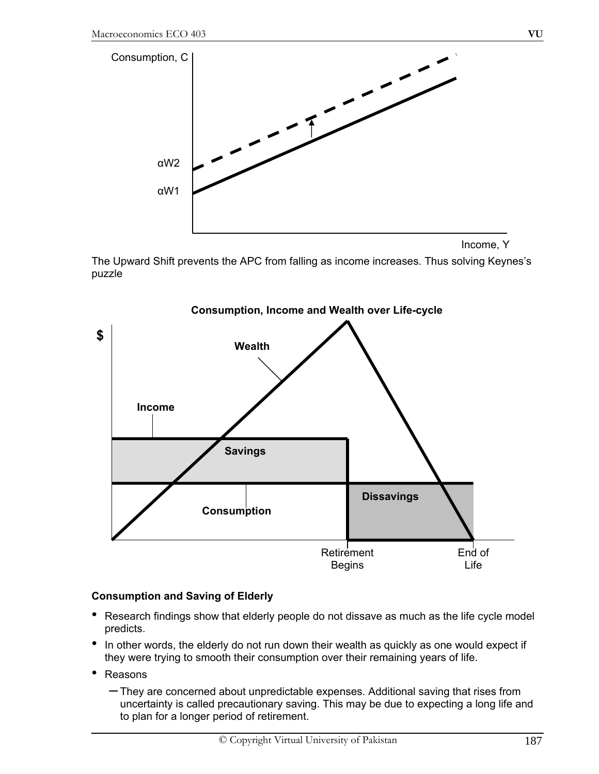

Income, Y

The Upward Shift prevents the APC from falling as income increases. Thus solving Keynes's puzzle



#### **Consumption and Saving of Elderly**

- Research findings show that elderly people do not dissave as much as the life cycle model predicts.
- In other words, the elderly do not run down their wealth as quickly as one would expect if they were trying to smooth their consumption over their remaining years of life.
- Reasons
	- They are concerned about unpredictable expenses. Additional saving that rises from uncertainty is called precautionary saving. This may be due to expecting a long life and to plan for a longer period of retirement.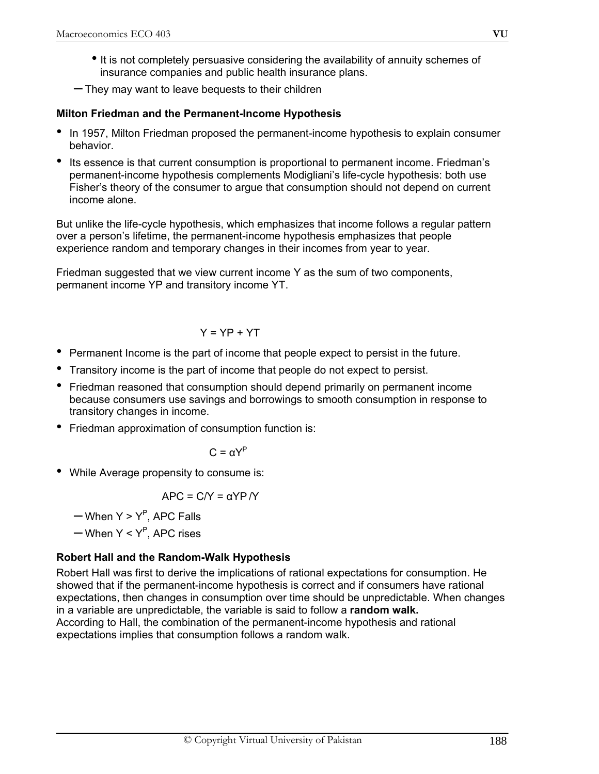- It is not completely persuasive considering the availability of annuity schemes of insurance companies and public health insurance plans.
- $-$  They may want to leave bequests to their children

#### **Milton Friedman and the Permanent-Income Hypothesis**

- In 1957, Milton Friedman proposed the permanent-income hypothesis to explain consumer behavior.
- Its essence is that current consumption is proportional to permanent income. Friedman's permanent-income hypothesis complements Modigliani's life-cycle hypothesis: both use Fisher's theory of the consumer to argue that consumption should not depend on current income alone.

But unlike the life-cycle hypothesis, which emphasizes that income follows a regular pattern over a person's lifetime, the permanent-income hypothesis emphasizes that people experience random and temporary changes in their incomes from year to year.

Friedman suggested that we view current income Y as the sum of two components, permanent income YP and transitory income YT.

#### $Y = YP + YT$

- Permanent Income is the part of income that people expect to persist in the future.
- Transitory income is the part of income that people do not expect to persist.
- Friedman reasoned that consumption should depend primarily on permanent income because consumers use savings and borrowings to smooth consumption in response to transitory changes in income.
- Friedman approximation of consumption function is:

$$
C = \alpha Y^P
$$

• While Average propensity to consume is:

$$
APC = C/Y = \alpha YP/Y
$$

 $-$  When  $Y > Y^P$ , APC Falls

 $-$  When  $Y < Y^P$ , APC rises

#### **Robert Hall and the Random-Walk Hypothesis**

Robert Hall was first to derive the implications of rational expectations for consumption. He showed that if the permanent-income hypothesis is correct and if consumers have rational expectations, then changes in consumption over time should be unpredictable. When changes in a variable are unpredictable, the variable is said to follow a **random walk.**  According to Hall, the combination of the permanent-income hypothesis and rational expectations implies that consumption follows a random walk.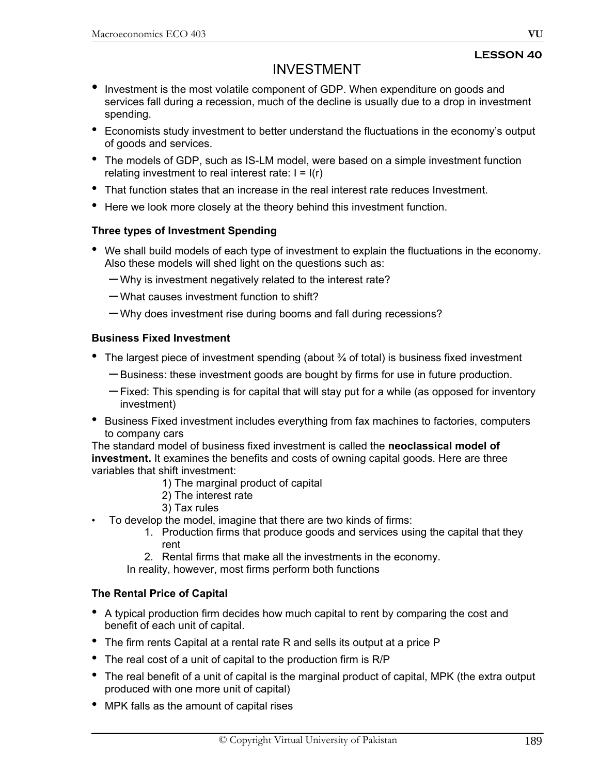# INVESTMENT

- Investment is the most volatile component of GDP. When expenditure on goods and services fall during a recession, much of the decline is usually due to a drop in investment spending.
- Economists study investment to better understand the fluctuations in the economy's output of goods and services.
- The models of GDP, such as IS-LM model, were based on a simple investment function relating investment to real interest rate:  $I = I(r)$
- That function states that an increase in the real interest rate reduces Investment.
- Here we look more closely at the theory behind this investment function.

## **Three types of Investment Spending**

- We shall build models of each type of investment to explain the fluctuations in the economy. Also these models will shed light on the questions such as:
	- Why is investment negatively related to the interest rate?
	- What causes investment function to shift?
	- Why does investment rise during booms and fall during recessions?

## **Business Fixed Investment**

- The largest piece of investment spending (about  $\frac{3}{4}$  of total) is business fixed investment
	- Business: these investment goods are bought by firms for use in future production.
	- Fixed: This spending is for capital that will stay put for a while (as opposed for inventory investment)
- Business Fixed investment includes everything from fax machines to factories, computers to company cars

The standard model of business fixed investment is called the **neoclassical model of investment.** It examines the benefits and costs of owning capital goods. Here are three variables that shift investment:

- 1) The marginal product of capital
- 2) The interest rate
- 3) Tax rules
- To develop the model, imagine that there are two kinds of firms:
	- 1. Production firms that produce goods and services using the capital that they rent
	- 2. Rental firms that make all the investments in the economy.
	- In reality, however, most firms perform both functions

## **The Rental Price of Capital**

- A typical production firm decides how much capital to rent by comparing the cost and benefit of each unit of capital.
- The firm rents Capital at a rental rate R and sells its output at a price P
- The real cost of a unit of capital to the production firm is R/P
- The real benefit of a unit of capital is the marginal product of capital, MPK (the extra output produced with one more unit of capital)
- MPK falls as the amount of capital rises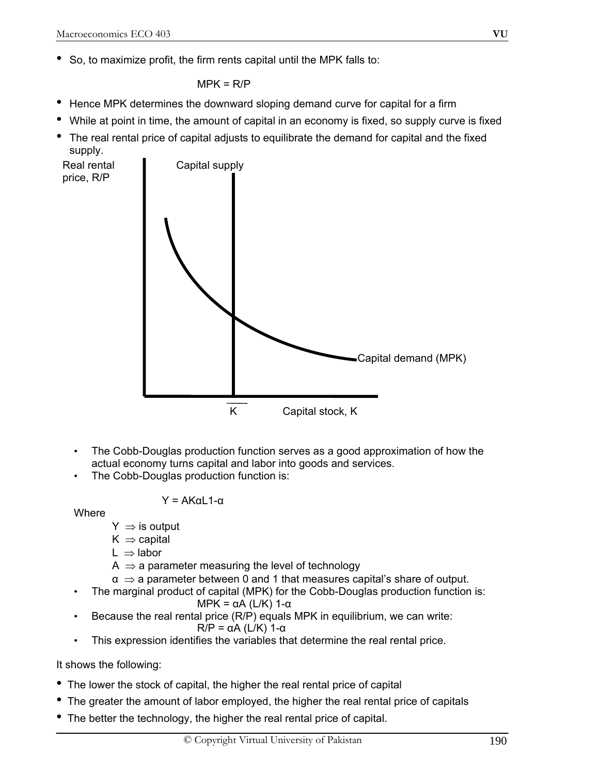• So, to maximize profit, the firm rents capital until the MPK falls to:

 $MPK = R/P$ 

- Hence MPK determines the downward sloping demand curve for capital for a firm
- While at point in time, the amount of capital in an economy is fixed, so supply curve is fixed
- The real rental price of capital adjusts to equilibrate the demand for capital and the fixed supply.



- The Cobb-Douglas production function serves as a good approximation of how the actual economy turns capital and labor into goods and services.
- The Cobb-Douglas production function is:

$$
Y = AK\alpha L1-\alpha
$$

**Where** 

- $Y \Rightarrow$  is output
- $K \Rightarrow$  capital
- $L \Rightarrow$  labor
- $A \Rightarrow a$  parameter measuring the level of technology
- $\alpha \Rightarrow a$  parameter between 0 and 1 that measures capital's share of output.
- The marginal product of capital (MPK) for the Cobb-Douglas production function is: MPK =  $\alpha$ A (L/K) 1- $\alpha$
- Because the real rental price (R/P) equals MPK in equilibrium, we can write:  $R/P = αA$  (L/K) 1-α
- This expression identifies the variables that determine the real rental price.

It shows the following:

- The lower the stock of capital, the higher the real rental price of capital
- The greater the amount of labor employed, the higher the real rental price of capitals
- The better the technology, the higher the real rental price of capital.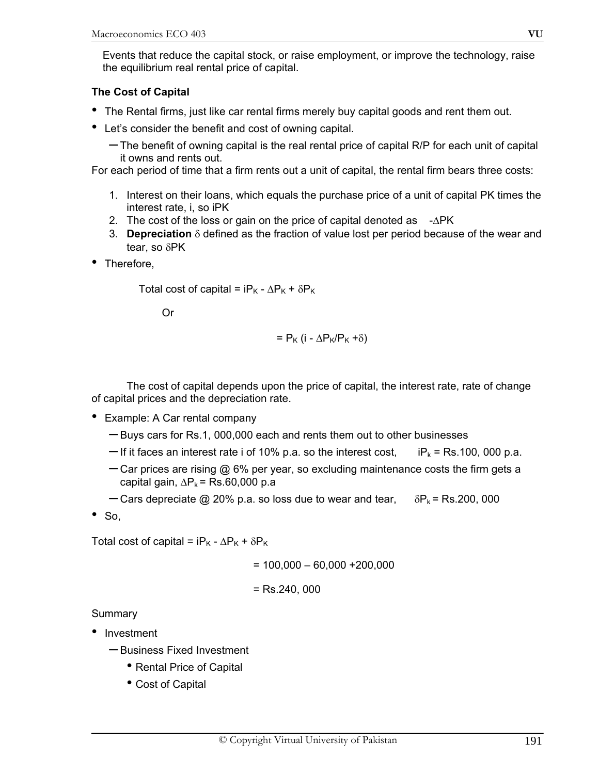Events that reduce the capital stock, or raise employment, or improve the technology, raise the equilibrium real rental price of capital.

#### **The Cost of Capital**

- The Rental firms, just like car rental firms merely buy capital goods and rent them out.
- Let's consider the benefit and cost of owning capital.
	- The benefit of owning capital is the real rental price of capital R/P for each unit of capital it owns and rents out.

For each period of time that a firm rents out a unit of capital, the rental firm bears three costs:

- 1. Interest on their loans, which equals the purchase price of a unit of capital PK times the interest rate, i, so iPK
- 2. The cost of the loss or gain on the price of capital denoted as -ΔPK
- 3. **Depreciation** δ defined as the fraction of value lost per period because of the wear and tear, so δPK
- Therefore,

Total cost of capital =  $iP_K - \Delta P_K + \delta P_K$ 

Or

$$
= P_{K} (i - \Delta P_{K}/P_{K} + \delta)
$$

 The cost of capital depends upon the price of capital, the interest rate, rate of change of capital prices and the depreciation rate.

- Example: A Car rental company
	- Buys cars for Rs.1, 000,000 each and rents them out to other businesses
	- $-$  If it faces an interest rate i of 10% p.a. so the interest cost, iP<sub>k</sub> = Rs.100, 000 p.a.
	- $-$  Car prices are rising  $\omega$  6% per year, so excluding maintenance costs the firm gets a capital gain,  $\Delta P_k$  = Rs.60,000 p.a
	- Cars depreciate  $\omega$  20% p.a. so loss due to wear and tear,  $\delta P_k$  = Rs.200, 000
- $\bullet$  So,

Total cost of capital =  $iP_K - \Delta P_K + \delta P_K$ 

 $= 100,000 - 60,000 + 200,000$ 

$$
= Rs.240,000
$$

**Summary** 

- Investment
	- Business Fixed Investment
		- Rental Price of Capital
		- Cost of Capital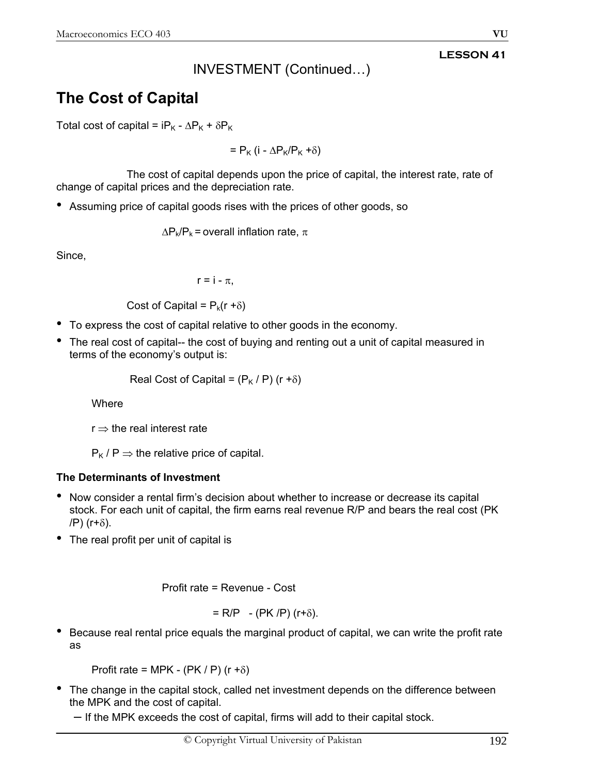#### **LESSON 41**

## INVESTMENT (Continued…)

# **The Cost of Capital**

Total cost of capital =  $iP_K - \Delta P_K + \delta P_K$ 

 $= P_{K}$  (i -  $\Delta P_{K}/P_{K}$  + $\delta$ )

 The cost of capital depends upon the price of capital, the interest rate, rate of change of capital prices and the depreciation rate.

• Assuming price of capital goods rises with the prices of other goods, so

$$
\Delta P_k/P_k
$$
 = overall inflation rate,  $\pi$ 

Since,

 $r = i - \pi$ .

Cost of Capital =  $P_k(r + \delta)$ 

- To express the cost of capital relative to other goods in the economy.
- The real cost of capital-- the cost of buying and renting out a unit of capital measured in terms of the economy's output is:

Real Cost of Capital =  $(P_K / P)$  (r + $\delta$ )

**Where** 

 $r \Rightarrow$  the real interest rate

 $P_K$  / P  $\Rightarrow$  the relative price of capital.

#### **The Determinants of Investment**

- Now consider a rental firm's decision about whether to increase or decrease its capital stock. For each unit of capital, the firm earns real revenue R/P and bears the real cost (PK  $(P)$  (r+ $\delta$ ).
- The real profit per unit of capital is

Profit rate = Revenue - Cost

$$
= R/P - (PK/P) (r+\delta).
$$

• Because real rental price equals the marginal product of capital, we can write the profit rate as

Profit rate = MPK - (PK / P) ( $r + \delta$ )

• The change in the capital stock, called net investment depends on the difference between the MPK and the cost of capital.

– If the MPK exceeds the cost of capital, firms will add to their capital stock.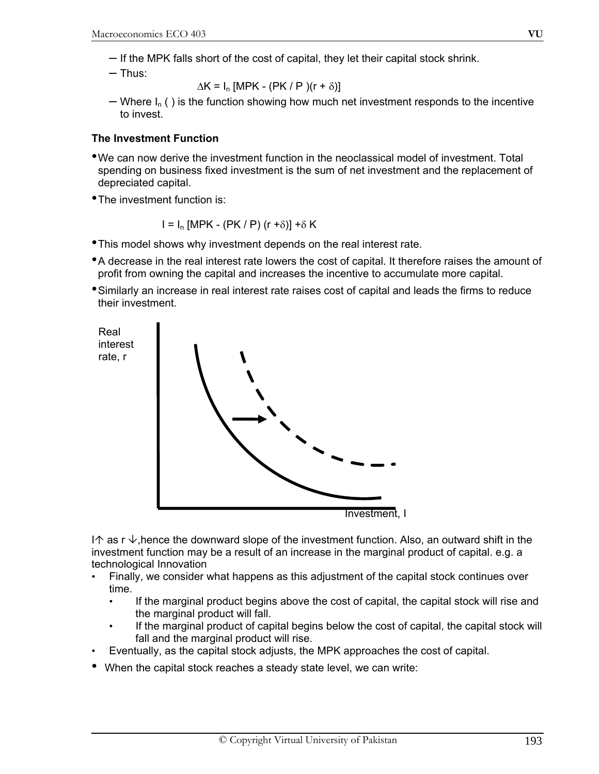– Thus:

$$
\Delta K = I_n [MPK - (PK / P)(r + \delta)]
$$

– Where  $I_n$  ( ) is the function showing how much net investment responds to the incentive to invest.

#### **The Investment Function**

- We can now derive the investment function in the neoclassical model of investment. Total spending on business fixed investment is the sum of net investment and the replacement of depreciated capital.
- The investment function is:

$$
I = I_n
$$
 [MPK - (PK / P) (r +  $\delta$ )] +  $\delta$  K

- This model shows why investment depends on the real interest rate.
- A decrease in the real interest rate lowers the cost of capital. It therefore raises the amount of profit from owning the capital and increases the incentive to accumulate more capital.
- Similarly an increase in real interest rate raises cost of capital and leads the firms to reduce their investment.



I $\uparrow$  as r  $\downarrow$ ,hence the downward slope of the investment function. Also, an outward shift in the investment function may be a result of an increase in the marginal product of capital. e.g. a technological Innovation

- Finally, we consider what happens as this adjustment of the capital stock continues over time.
	- If the marginal product begins above the cost of capital, the capital stock will rise and the marginal product will fall.
	- If the marginal product of capital begins below the cost of capital, the capital stock will fall and the marginal product will rise.
- Eventually, as the capital stock adjusts, the MPK approaches the cost of capital.
- When the capital stock reaches a steady state level, we can write: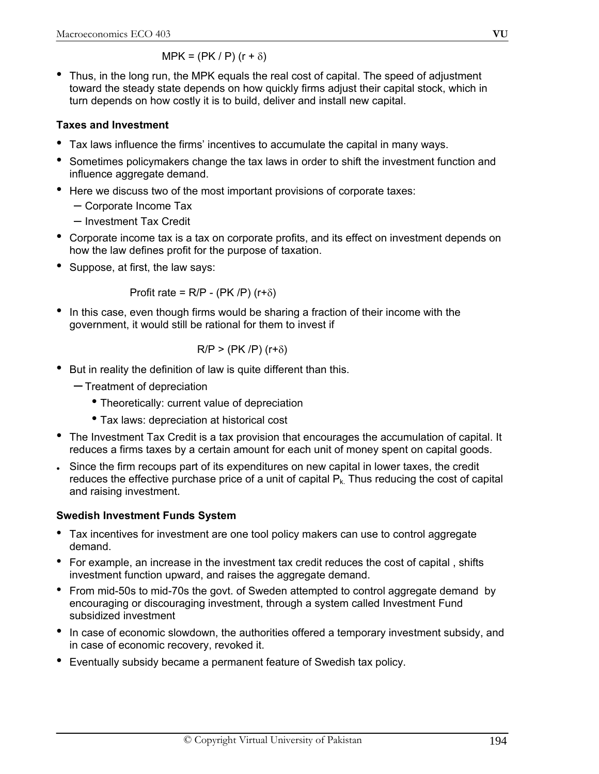$MPK = (PK / P) (r + \delta)$ 

• Thus, in the long run, the MPK equals the real cost of capital. The speed of adjustment toward the steady state depends on how quickly firms adjust their capital stock, which in turn depends on how costly it is to build, deliver and install new capital.

#### **Taxes and Investment**

- Tax laws influence the firms' incentives to accumulate the capital in many ways.
- Sometimes policymakers change the tax laws in order to shift the investment function and influence aggregate demand.
- Here we discuss two of the most important provisions of corporate taxes:
	- Corporate Income Tax
	- Investment Tax Credit
- Corporate income tax is a tax on corporate profits, and its effect on investment depends on how the law defines profit for the purpose of taxation.
- Suppose, at first, the law says:

Profit rate =  $R/P$  - (PK /P) ( $r+\delta$ )

• In this case, even though firms would be sharing a fraction of their income with the government, it would still be rational for them to invest if

$$
R/P > (PK/P) (r+\delta)
$$

- But in reality the definition of law is quite different than this.
	- Treatment of depreciation
		- Theoretically: current value of depreciation
		- Tax laws: depreciation at historical cost
- The Investment Tax Credit is a tax provision that encourages the accumulation of capital. It reduces a firms taxes by a certain amount for each unit of money spent on capital goods.
- Since the firm recoups part of its expenditures on new capital in lower taxes, the credit reduces the effective purchase price of a unit of capital  $P_k$ . Thus reducing the cost of capital and raising investment.

### **Swedish Investment Funds System**

- Tax incentives for investment are one tool policy makers can use to control aggregate demand.
- For example, an increase in the investment tax credit reduces the cost of capital , shifts investment function upward, and raises the aggregate demand.
- From mid-50s to mid-70s the govt. of Sweden attempted to control aggregate demand by encouraging or discouraging investment, through a system called Investment Fund subsidized investment
- In case of economic slowdown, the authorities offered a temporary investment subsidy, and in case of economic recovery, revoked it.
- Eventually subsidy became a permanent feature of Swedish tax policy.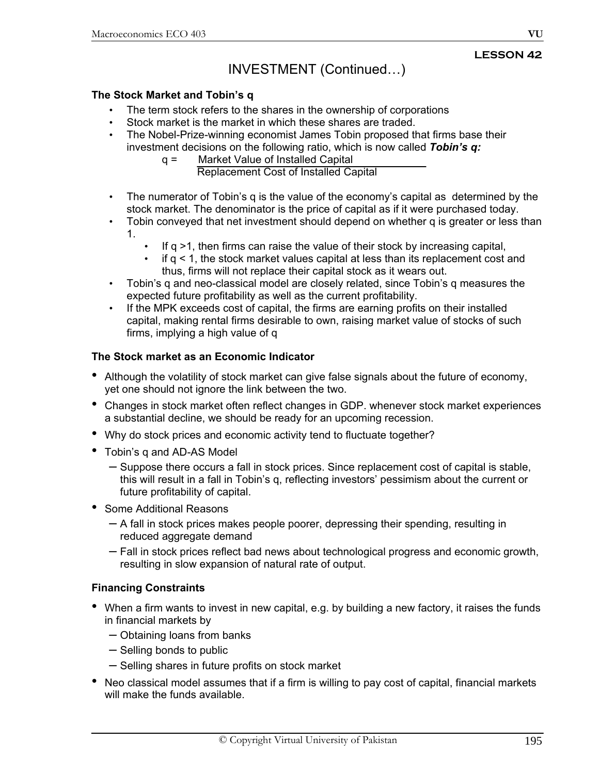## INVESTMENT (Continued…)

#### **The Stock Market and Tobin's q**

- The term stock refers to the shares in the ownership of corporations
- Stock market is the market in which these shares are traded.
- The Nobel-Prize-winning economist James Tobin proposed that firms base their investment decisions on the following ratio, which is now called *Tobin's q:*

|--|

- Replacement Cost of Installed Capital
- The numerator of Tobin's q is the value of the economy's capital as determined by the stock market. The denominator is the price of capital as if it were purchased today.
- Tobin conveyed that net investment should depend on whether q is greater or less than 1.
	- If  $q > 1$ , then firms can raise the value of their stock by increasing capital,
	- $if q < 1, the stock market values capital at less than its replacement cost and$ thus, firms will not replace their capital stock as it wears out.
- Tobin's q and neo-classical model are closely related, since Tobin's q measures the expected future profitability as well as the current profitability.
- If the MPK exceeds cost of capital, the firms are earning profits on their installed capital, making rental firms desirable to own, raising market value of stocks of such firms, implying a high value of q

#### **The Stock market as an Economic Indicator**

- Although the volatility of stock market can give false signals about the future of economy, yet one should not ignore the link between the two.
- Changes in stock market often reflect changes in GDP. whenever stock market experiences a substantial decline, we should be ready for an upcoming recession.
- Why do stock prices and economic activity tend to fluctuate together?
- Tobin's q and AD-AS Model
	- Suppose there occurs a fall in stock prices. Since replacement cost of capital is stable, this will result in a fall in Tobin's q, reflecting investors' pessimism about the current or future profitability of capital.
- Some Additional Reasons
	- A fall in stock prices makes people poorer, depressing their spending, resulting in reduced aggregate demand
	- Fall in stock prices reflect bad news about technological progress and economic growth, resulting in slow expansion of natural rate of output.

#### **Financing Constraints**

- When a firm wants to invest in new capital, e.g. by building a new factory, it raises the funds in financial markets by
	- Obtaining loans from banks
	- Selling bonds to public
	- Selling shares in future profits on stock market
- Neo classical model assumes that if a firm is willing to pay cost of capital, financial markets will make the funds available.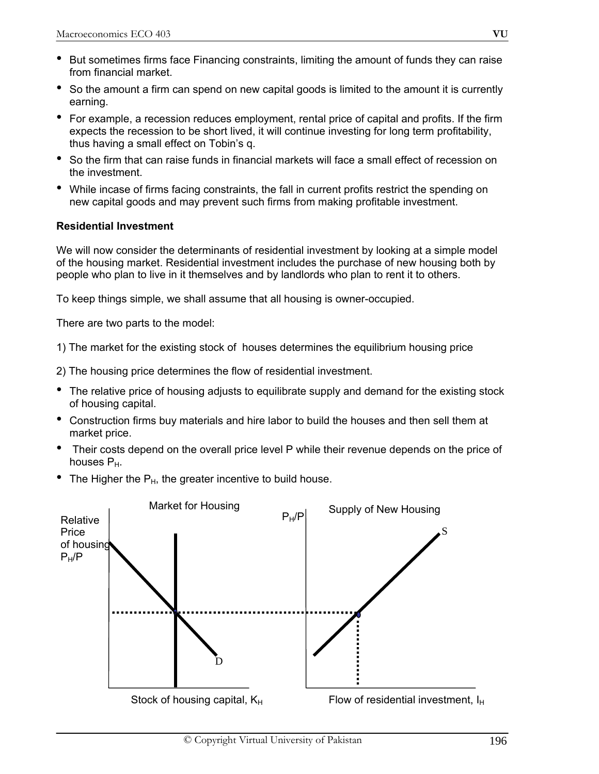- But sometimes firms face Financing constraints, limiting the amount of funds they can raise from financial market.
- So the amount a firm can spend on new capital goods is limited to the amount it is currently earning.
- For example, a recession reduces employment, rental price of capital and profits. If the firm expects the recession to be short lived, it will continue investing for long term profitability, thus having a small effect on Tobin's q.
- So the firm that can raise funds in financial markets will face a small effect of recession on the investment.
- While incase of firms facing constraints, the fall in current profits restrict the spending on new capital goods and may prevent such firms from making profitable investment.

#### **Residential Investment**

We will now consider the determinants of residential investment by looking at a simple model of the housing market. Residential investment includes the purchase of new housing both by people who plan to live in it themselves and by landlords who plan to rent it to others.

To keep things simple, we shall assume that all housing is owner-occupied.

There are two parts to the model:

- 1) The market for the existing stock of houses determines the equilibrium housing price
- 2) The housing price determines the flow of residential investment.
- The relative price of housing adjusts to equilibrate supply and demand for the existing stock of housing capital.
- Construction firms buy materials and hire labor to build the houses and then sell them at market price.
- Their costs depend on the overall price level P while their revenue depends on the price of houses  $P_H$ .
- The Higher the  $P_H$ , the greater incentive to build house.

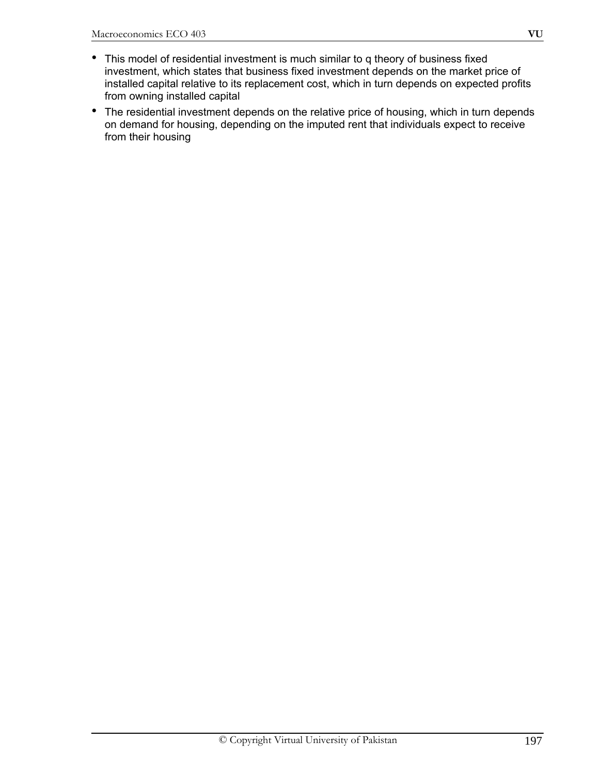- This model of residential investment is much similar to q theory of business fixed investment, which states that business fixed investment depends on the market price of installed capital relative to its replacement cost, which in turn depends on expected profits from owning installed capital
- The residential investment depends on the relative price of housing, which in turn depends on demand for housing, depending on the imputed rent that individuals expect to receive from their housing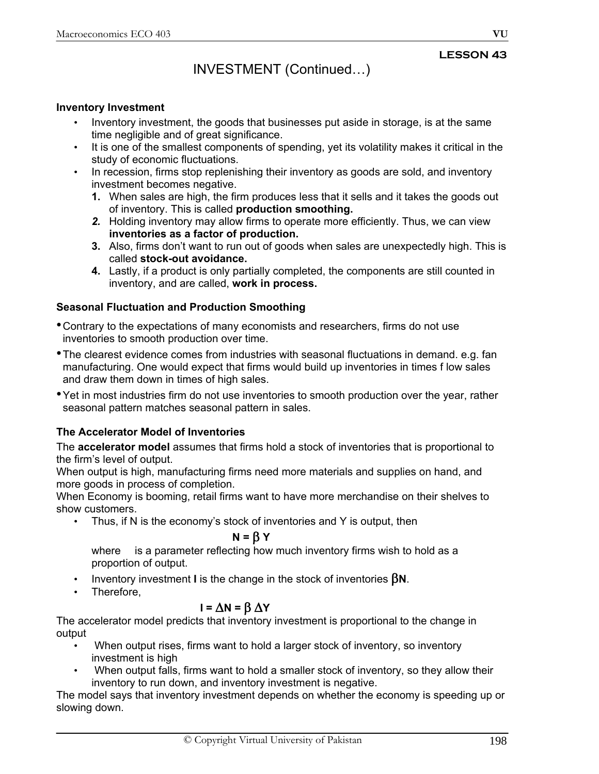#### **LESSON 43**

# INVESTMENT (Continued…)

#### **Inventory Investment**

- Inventory investment, the goods that businesses put aside in storage, is at the same time negligible and of great significance.
- It is one of the smallest components of spending, yet its volatility makes it critical in the study of economic fluctuations.
- In recession, firms stop replenishing their inventory as goods are sold, and inventory investment becomes negative.
	- **1.** When sales are high, the firm produces less that it sells and it takes the goods out of inventory. This is called **production smoothing.**
	- *2.* Holding inventory may allow firms to operate more efficiently. Thus, we can view **inventories as a factor of production.**
	- **3.** Also, firms don't want to run out of goods when sales are unexpectedly high. This is called **stock-out avoidance.**
	- **4.** Lastly, if a product is only partially completed, the components are still counted in inventory, and are called, **work in process.**

#### **Seasonal Fluctuation and Production Smoothing**

- Contrary to the expectations of many economists and researchers, firms do not use inventories to smooth production over time.
- The clearest evidence comes from industries with seasonal fluctuations in demand. e.g. fan manufacturing. One would expect that firms would build up inventories in times f low sales and draw them down in times of high sales.
- Yet in most industries firm do not use inventories to smooth production over the year, rather seasonal pattern matches seasonal pattern in sales.

#### **The Accelerator Model of Inventories**

The **accelerator model** assumes that firms hold a stock of inventories that is proportional to the firm's level of output.

When output is high, manufacturing firms need more materials and supplies on hand, and more goods in process of completion.

When Economy is booming, retail firms want to have more merchandise on their shelves to show customers.

Thus, if N is the economy's stock of inventories and Y is output, then

### **N =** β **Y**

where is a parameter reflecting how much inventory firms wish to hold as a proportion of output.

- Inventory investment **I** is the change in the stock of inventories β**N**.
- Therefore,

## **I =** Δ**N =** β Δ**Y**

The accelerator model predicts that inventory investment is proportional to the change in output

- When output rises, firms want to hold a larger stock of inventory, so inventory investment is high
- When output falls, firms want to hold a smaller stock of inventory, so they allow their inventory to run down, and inventory investment is negative.

The model says that inventory investment depends on whether the economy is speeding up or slowing down.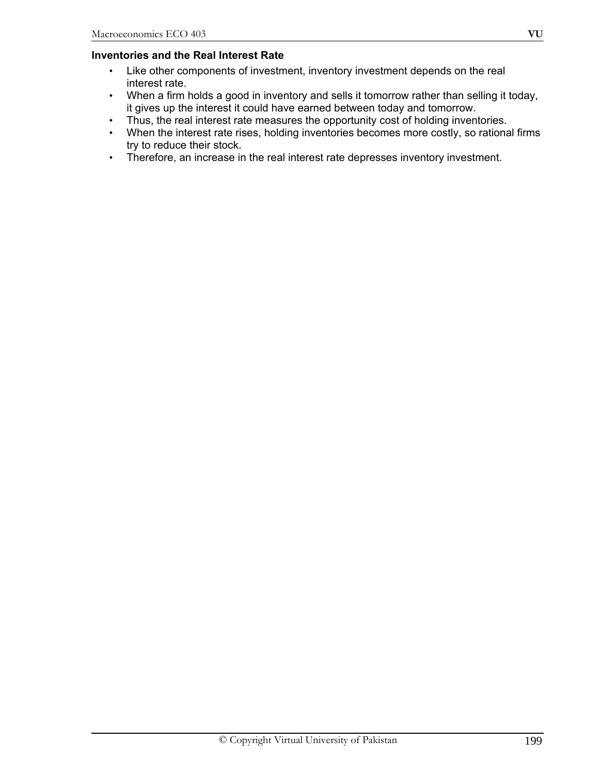#### **Inventories and the Real Interest Rate**

- Like other components of investment, inventory investment depends on the real interest rate.
- When a firm holds a good in inventory and sells it tomorrow rather than selling it today, it gives up the interest it could have earned between today and tomorrow.
- Thus, the real interest rate measures the opportunity cost of holding inventories.
- When the interest rate rises, holding inventories becomes more costly, so rational firms try to reduce their stock.
- Therefore, an increase in the real interest rate depresses inventory investment.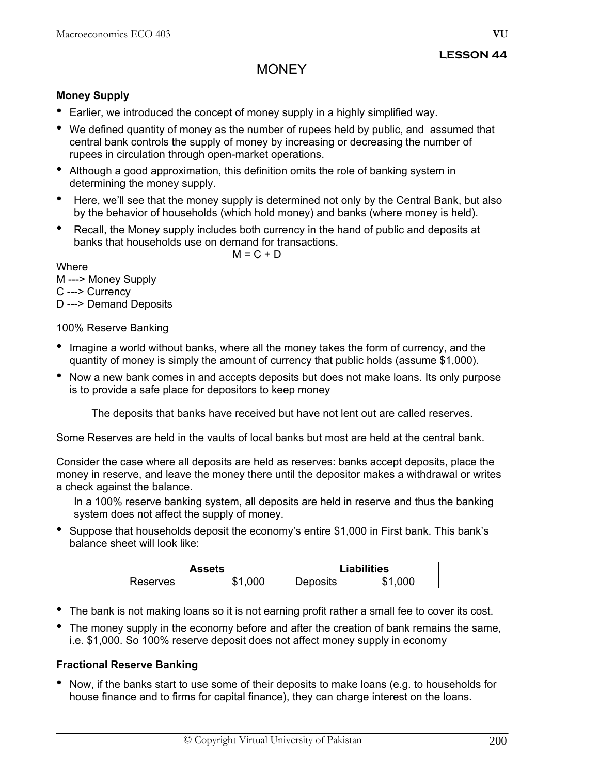# **MONEY**

### **Money Supply**

- Earlier, we introduced the concept of money supply in a highly simplified way.
- We defined quantity of money as the number of rupees held by public, and assumed that central bank controls the supply of money by increasing or decreasing the number of rupees in circulation through open-market operations.
- Although a good approximation, this definition omits the role of banking system in determining the money supply.
- Here, we'll see that the money supply is determined not only by the Central Bank, but also by the behavior of households (which hold money) and banks (where money is held).
- Recall, the Money supply includes both currency in the hand of public and deposits at banks that households use on demand for transactions.  $M = C + D$

Where

M ---> Money Supply

C ---> Currency

D ---> Demand Deposits

100% Reserve Banking

- Imagine a world without banks, where all the money takes the form of currency, and the quantity of money is simply the amount of currency that public holds (assume \$1,000).
- Now a new bank comes in and accepts deposits but does not make loans. Its only purpose is to provide a safe place for depositors to keep money

The deposits that banks have received but have not lent out are called reserves.

Some Reserves are held in the vaults of local banks but most are held at the central bank.

Consider the case where all deposits are held as reserves: banks accept deposits, place the money in reserve, and leave the money there until the depositor makes a withdrawal or writes a check against the balance.

In a 100% reserve banking system, all deposits are held in reserve and thus the banking system does not affect the supply of money.

• Suppose that households deposit the economy's entire \$1,000 in First bank. This bank's balance sheet will look like:

| Assets   |  | Liabilities     |           |
|----------|--|-----------------|-----------|
| Reserves |  | <b>Deposits</b> | .000<br>Œ |

- The bank is not making loans so it is not earning profit rather a small fee to cover its cost.
- The money supply in the economy before and after the creation of bank remains the same, i.e. \$1,000. So 100% reserve deposit does not affect money supply in economy

### **Fractional Reserve Banking**

• Now, if the banks start to use some of their deposits to make loans (e.g. to households for house finance and to firms for capital finance), they can charge interest on the loans.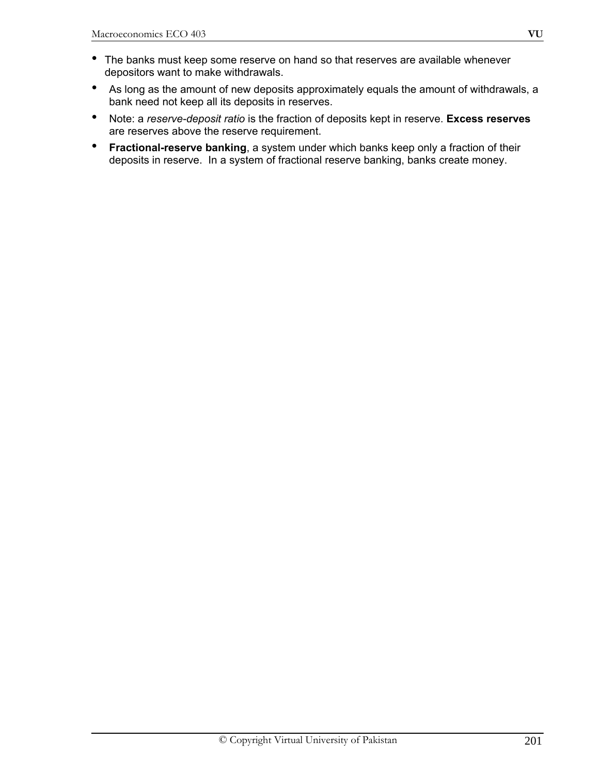- The banks must keep some reserve on hand so that reserves are available whenever depositors want to make withdrawals.
- As long as the amount of new deposits approximately equals the amount of withdrawals, a bank need not keep all its deposits in reserves.
- Note: a *reserve-deposit ratio* is the fraction of deposits kept in reserve. **Excess reserves** are reserves above the reserve requirement.
- **Fractional-reserve banking**, a system under which banks keep only a fraction of their deposits in reserve. In a system of fractional reserve banking, banks create money.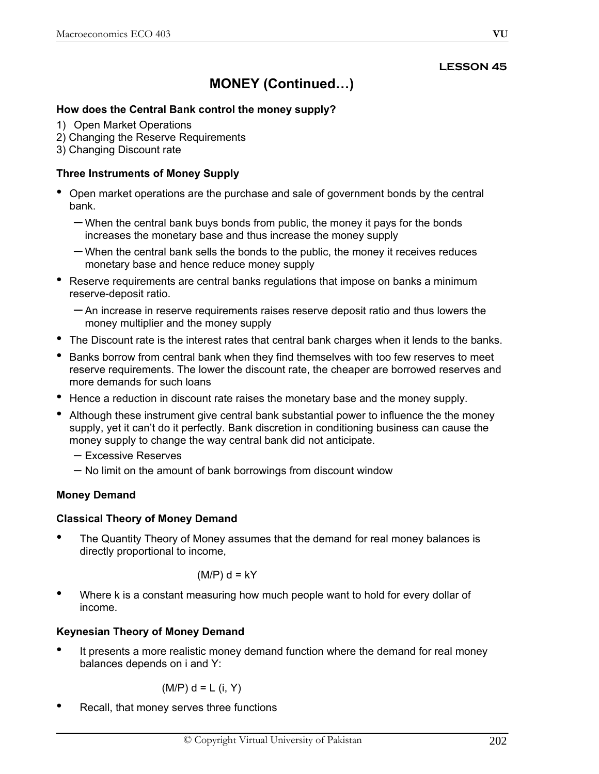#### **LESSON 45**

# **MONEY (Continued…)**

#### **How does the Central Bank control the money supply?**

- 1) Open Market Operations
- 2) Changing the Reserve Requirements
- 3) Changing Discount rate

#### **Three Instruments of Money Supply**

- Open market operations are the purchase and sale of government bonds by the central bank.
	- When the central bank buys bonds from public, the money it pays for the bonds increases the monetary base and thus increase the money supply
	- When the central bank sells the bonds to the public, the money it receives reduces monetary base and hence reduce money supply
- Reserve requirements are central banks regulations that impose on banks a minimum reserve-deposit ratio.
	- An increase in reserve requirements raises reserve deposit ratio and thus lowers the money multiplier and the money supply
- The Discount rate is the interest rates that central bank charges when it lends to the banks.
- Banks borrow from central bank when they find themselves with too few reserves to meet reserve requirements. The lower the discount rate, the cheaper are borrowed reserves and more demands for such loans
- Hence a reduction in discount rate raises the monetary base and the money supply.
- Although these instrument give central bank substantial power to influence the the money supply, yet it can't do it perfectly. Bank discretion in conditioning business can cause the money supply to change the way central bank did not anticipate.
	- Excessive Reserves
	- No limit on the amount of bank borrowings from discount window

### **Money Demand**

### **Classical Theory of Money Demand**

• The Quantity Theory of Money assumes that the demand for real money balances is directly proportional to income,

$$
(M/P) d = kY
$$

• Where k is a constant measuring how much people want to hold for every dollar of income.

### **Keynesian Theory of Money Demand**

It presents a more realistic money demand function where the demand for real money balances depends on i and Y:

$$
(M/P) d = L (i, Y)
$$

• Recall, that money serves three functions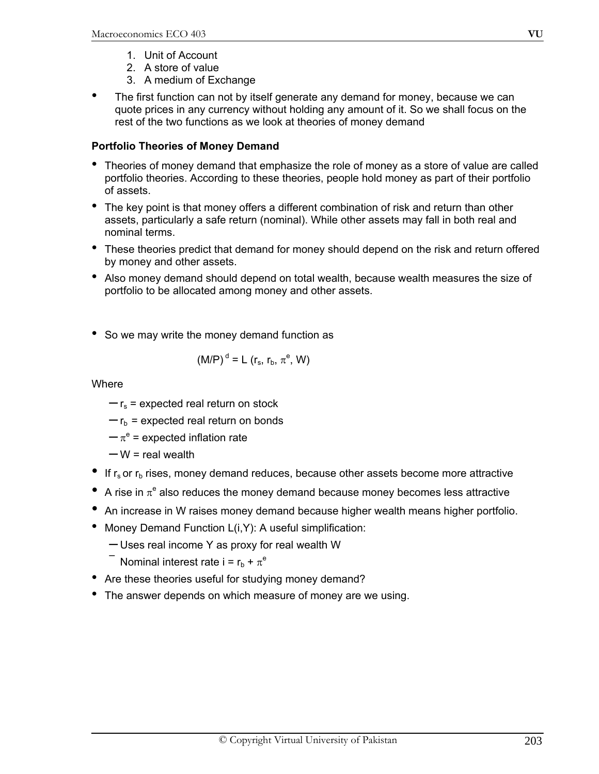- 1. Unit of Account
- 2. A store of value
- 3. A medium of Exchange
- The first function can not by itself generate any demand for money, because we can quote prices in any currency without holding any amount of it. So we shall focus on the rest of the two functions as we look at theories of money demand

## **Portfolio Theories of Money Demand**

- Theories of money demand that emphasize the role of money as a store of value are called portfolio theories. According to these theories, people hold money as part of their portfolio of assets.
- The key point is that money offers a different combination of risk and return than other assets, particularly a safe return (nominal). While other assets may fall in both real and nominal terms.
- These theories predict that demand for money should depend on the risk and return offered by money and other assets.
- Also money demand should depend on total wealth, because wealth measures the size of portfolio to be allocated among money and other assets.
- So we may write the money demand function as

$$
(M/P)^d = L (r_s, r_b, \pi^e, W)
$$

**Where** 

- $-r<sub>s</sub>$  = expected real return on stock
- $-r<sub>b</sub>$  = expected real return on bonds
- $-\pi^{\text{e}}$  = expected inflation rate
- $-W =$  real wealth
- If  $r_s$  or  $r_b$  rises, money demand reduces, because other assets become more attractive
- A rise in  $\pi^e$  also reduces the money demand because money becomes less attractive
- An increase in W raises money demand because higher wealth means higher portfolio.
- Money Demand Function L(i,Y): A useful simplification:
	- Uses real income Y as proxy for real wealth W<br>– Nominal interest rate i =  $r_b + \pi^e$

- Are these theories useful for studying money demand?
- The answer depends on which measure of money are we using.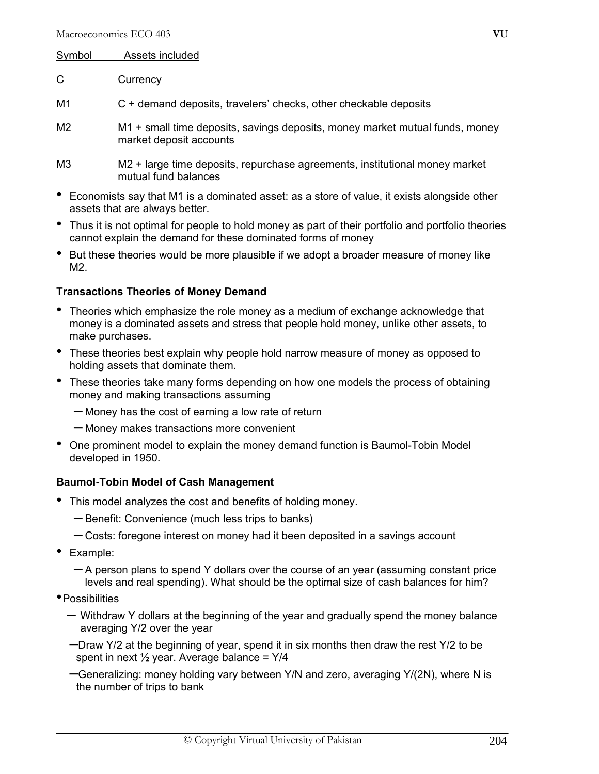| Symbol         | Assets included                                                                                         |
|----------------|---------------------------------------------------------------------------------------------------------|
| C              | Currency                                                                                                |
| M1             | C + demand deposits, travelers' checks, other checkable deposits                                        |
| M <sub>2</sub> | M1 + small time deposits, savings deposits, money market mutual funds, money<br>market deposit accounts |
| M3             | M2 + large time deposits, repurchase agreements, institutional money market<br>mutual fund balances     |
|                |                                                                                                         |

- Economists say that M1 is a dominated asset: as a store of value, it exists alongside other assets that are always better.
- Thus it is not optimal for people to hold money as part of their portfolio and portfolio theories cannot explain the demand for these dominated forms of money
- But these theories would be more plausible if we adopt a broader measure of money like M2.

#### **Transactions Theories of Money Demand**

- Theories which emphasize the role money as a medium of exchange acknowledge that money is a dominated assets and stress that people hold money, unlike other assets, to make purchases.
- These theories best explain why people hold narrow measure of money as opposed to holding assets that dominate them.
- These theories take many forms depending on how one models the process of obtaining money and making transactions assuming
	- Money has the cost of earning a low rate of return
	- Money makes transactions more convenient
- One prominent model to explain the money demand function is Baumol-Tobin Model developed in 1950.

#### **Baumol-Tobin Model of Cash Management**

- This model analyzes the cost and benefits of holding money.
	- Benefit: Convenience (much less trips to banks)
	- Costs: foregone interest on money had it been deposited in a savings account
- Example:
	- A person plans to spend Y dollars over the course of an year (assuming constant price levels and real spending). What should be the optimal size of cash balances for him?
- Possibilities
	- Withdraw Y dollars at the beginning of the year and gradually spend the money balance averaging Y/2 over the year
	- –Draw Y/2 at the beginning of year, spend it in six months then draw the rest Y/2 to be spent in next  $\frac{1}{2}$  year. Average balance =  $\frac{1}{4}$
	- –Generalizing: money holding vary between Y/N and zero, averaging Y/(2N), where N is the number of trips to bank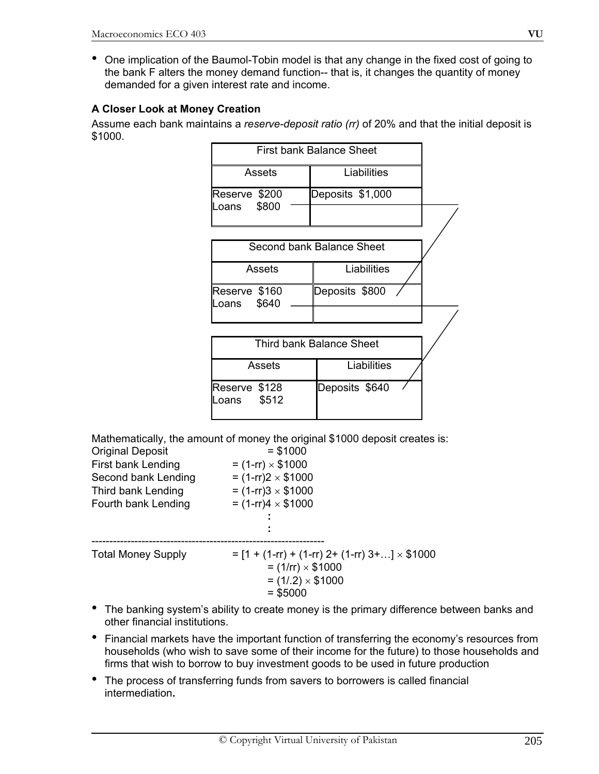• One implication of the Baumol-Tobin model is that any change in the fixed cost of going to the bank F alters the money demand function-- that is, it changes the quantity of money demanded for a given interest rate and income.

#### **A Closer Look at Money Creation**

Assume each bank maintains a *reserve-deposit ratio (rr)* of 20% and that the initial deposit is \$1000.

| First bank Balance Sheet     |                                 |  |
|------------------------------|---------------------------------|--|
| Assets                       | Liabilities                     |  |
| Reserve \$200<br>Loans \$800 | Deposits \$1,000                |  |
|                              |                                 |  |
|                              | Second bank Balance Sheet       |  |
| Assets                       | Liabilities                     |  |
| Reserve \$160<br>Loans \$640 | Deposits \$800                  |  |
|                              |                                 |  |
|                              | <b>Third bank Balance Sheet</b> |  |
| Assets                       | Liabilities                     |  |
| Reserve \$128<br>oans \$512  | Deposits \$640                  |  |

Mathematically, the amount of money the original \$1000 deposit creates is:

| <b>Original Deposit</b>   | $= $1000$                                              |
|---------------------------|--------------------------------------------------------|
| First bank Lending        | $=$ (1-rr) $\times$ \$1000                             |
| Second bank Lending       | $=$ (1-rr)2 $\times$ \$1000                            |
| Third bank Lending        | $= (1-r)3 \times $1000$                                |
| Fourth bank Lending       | $=$ (1-rr)4 $\times$ \$1000                            |
|                           |                                                        |
|                           |                                                        |
| <b>Total Money Supply</b> | $=$ [1 + (1-rr) + (1-rr) 2+ (1-rr) 3+] $\times$ \$1000 |
|                           | $= (1/\text{rr}) \times $1000$                         |
|                           | $= (1/.2) \times $1000$                                |
|                           | $= $5000$                                              |

- The banking system's ability to create money is the primary difference between banks and other financial institutions.
- Financial markets have the important function of transferring the economy's resources from households (who wish to save some of their income for the future) to those households and firms that wish to borrow to buy investment goods to be used in future production
- The process of transferring funds from savers to borrowers is called financial intermediation**.**